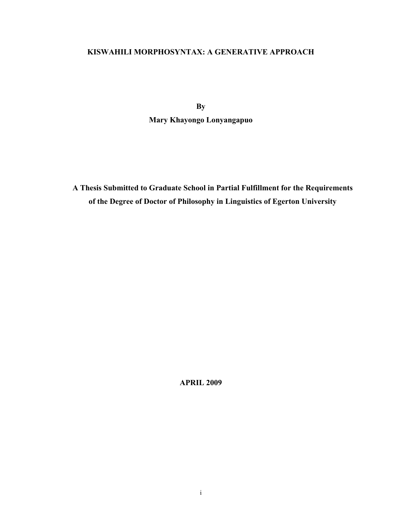# **KISWAHILI MORPHOSYNTAX: A GENERATIVE APPROACH**

**By** 

**Mary Khayongo Lonyangapuo** 

**A Thesis Submitted to Graduate School in Partial Fulfillment for the Requirements of the Degree of Doctor of Philosophy in Linguistics of Egerton University** 

**APRIL 2009**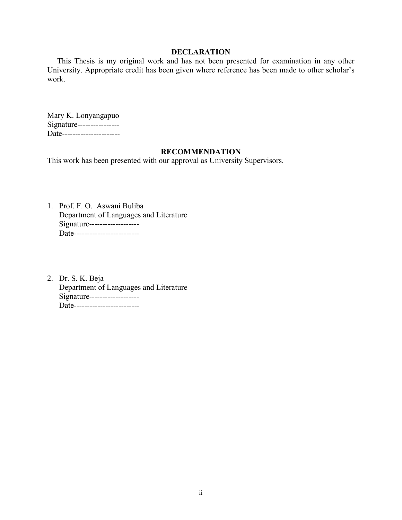## **DECLARATION**

 This Thesis is my original work and has not been presented for examination in any other University. Appropriate credit has been given where reference has been made to other scholar's work.

Mary K. Lonyangapuo Signature----------------Date----------------------

## **RECOMMENDATION**

This work has been presented with our approval as University Supervisors.

- 1. Prof. F. O. Aswani Buliba Department of Languages and Literature Signature------------------- Date--------------------------
- 2. Dr. S. K. Beja Department of Languages and Literature Signature------------------- Date--------------------------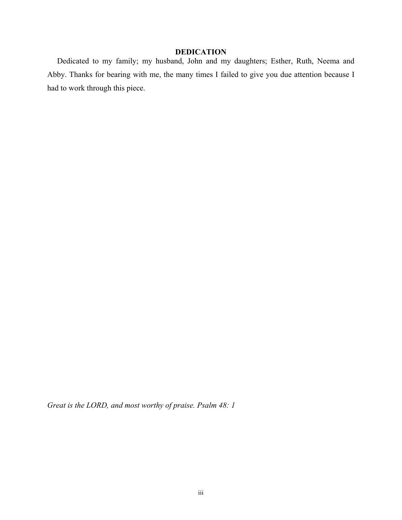# **DEDICATION**

 Dedicated to my family; my husband, John and my daughters; Esther, Ruth, Neema and Abby. Thanks for bearing with me, the many times I failed to give you due attention because I had to work through this piece.

*Great is the LORD, and most worthy of praise. Psalm 48: 1*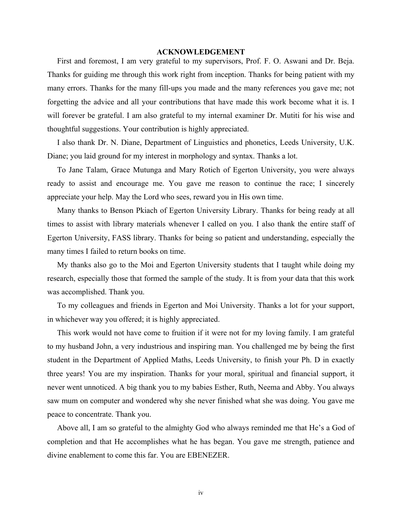## **ACKNOWLEDGEMENT**

 First and foremost, I am very grateful to my supervisors, Prof. F. O. Aswani and Dr. Beja. Thanks for guiding me through this work right from inception. Thanks for being patient with my many errors. Thanks for the many fill-ups you made and the many references you gave me; not forgetting the advice and all your contributions that have made this work become what it is. I will forever be grateful. I am also grateful to my internal examiner Dr. Mutiti for his wise and thoughtful suggestions. Your contribution is highly appreciated.

 I also thank Dr. N. Diane, Department of Linguistics and phonetics, Leeds University, U.K. Diane; you laid ground for my interest in morphology and syntax. Thanks a lot.

 To Jane Talam, Grace Mutunga and Mary Rotich of Egerton University, you were always ready to assist and encourage me. You gave me reason to continue the race; I sincerely appreciate your help. May the Lord who sees, reward you in His own time.

 Many thanks to Benson Pkiach of Egerton University Library. Thanks for being ready at all times to assist with library materials whenever I called on you. I also thank the entire staff of Egerton University, FASS library. Thanks for being so patient and understanding, especially the many times I failed to return books on time.

 My thanks also go to the Moi and Egerton University students that I taught while doing my research, especially those that formed the sample of the study. It is from your data that this work was accomplished. Thank you.

 To my colleagues and friends in Egerton and Moi University. Thanks a lot for your support, in whichever way you offered; it is highly appreciated.

 This work would not have come to fruition if it were not for my loving family. I am grateful to my husband John, a very industrious and inspiring man. You challenged me by being the first student in the Department of Applied Maths, Leeds University, to finish your Ph. D in exactly three years! You are my inspiration. Thanks for your moral, spiritual and financial support, it never went unnoticed. A big thank you to my babies Esther, Ruth, Neema and Abby. You always saw mum on computer and wondered why she never finished what she was doing. You gave me peace to concentrate. Thank you.

 Above all, I am so grateful to the almighty God who always reminded me that He's a God of completion and that He accomplishes what he has began. You gave me strength, patience and divine enablement to come this far. You are EBENEZER.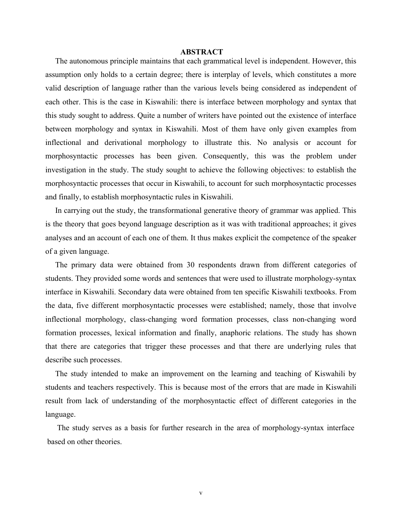### **ABSTRACT**

 The autonomous principle maintains that each grammatical level is independent. However, this assumption only holds to a certain degree; there is interplay of levels, which constitutes a more valid description of language rather than the various levels being considered as independent of each other. This is the case in Kiswahili: there is interface between morphology and syntax that this study sought to address. Quite a number of writers have pointed out the existence of interface between morphology and syntax in Kiswahili. Most of them have only given examples from inflectional and derivational morphology to illustrate this. No analysis or account for morphosyntactic processes has been given. Consequently, this was the problem under investigation in the study. The study sought to achieve the following objectives: to establish the morphosyntactic processes that occur in Kiswahili, to account for such morphosyntactic processes and finally, to establish morphosyntactic rules in Kiswahili.

 In carrying out the study, the transformational generative theory of grammar was applied. This is the theory that goes beyond language description as it was with traditional approaches; it gives analyses and an account of each one of them. It thus makes explicit the competence of the speaker of a given language.

 The primary data were obtained from 30 respondents drawn from different categories of students. They provided some words and sentences that were used to illustrate morphology-syntax interface in Kiswahili. Secondary data were obtained from ten specific Kiswahili textbooks. From the data, five different morphosyntactic processes were established; namely, those that involve inflectional morphology, class-changing word formation processes, class non-changing word formation processes, lexical information and finally, anaphoric relations. The study has shown that there are categories that trigger these processes and that there are underlying rules that describe such processes.

 The study intended to make an improvement on the learning and teaching of Kiswahili by students and teachers respectively. This is because most of the errors that are made in Kiswahili result from lack of understanding of the morphosyntactic effect of different categories in the language.

 The study serves as a basis for further research in the area of morphology-syntax interface based on other theories.

v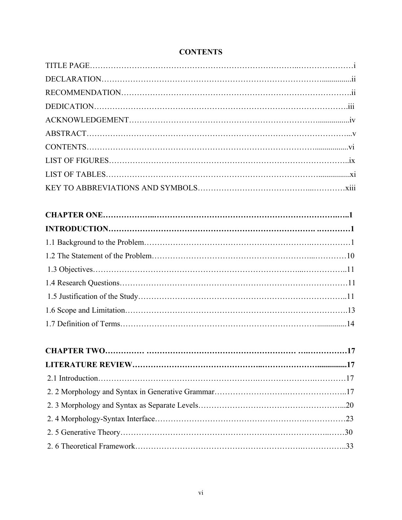# **CONTENTS**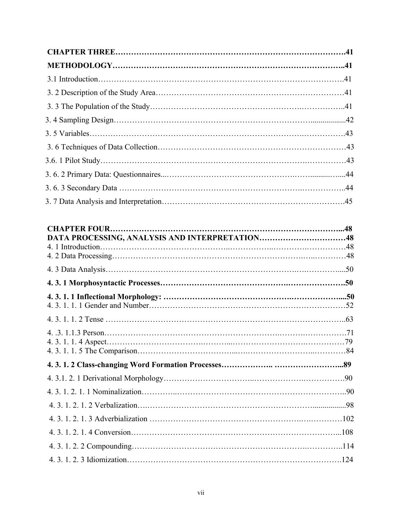| DATA PROCESSING, ANALYSIS AND INTERPRETATION48 |  |
|------------------------------------------------|--|
|                                                |  |
|                                                |  |
|                                                |  |
|                                                |  |
|                                                |  |
|                                                |  |
|                                                |  |
|                                                |  |
|                                                |  |
|                                                |  |
|                                                |  |
|                                                |  |
|                                                |  |
|                                                |  |
|                                                |  |
|                                                |  |
|                                                |  |
|                                                |  |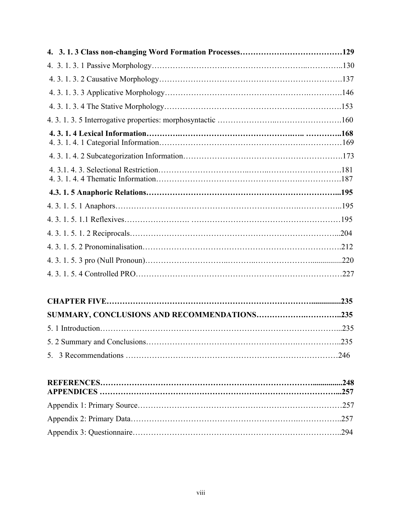| .204 |
|------|
|      |
|      |
|      |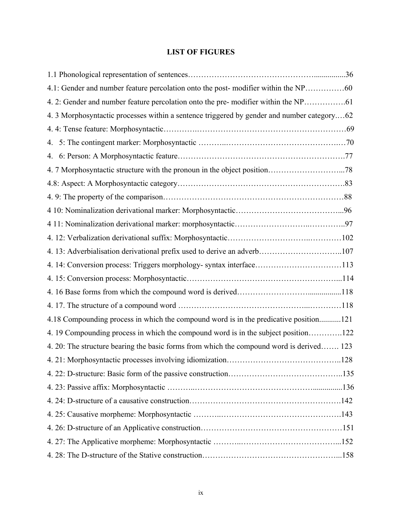# **LIST OF FIGURES**

| 4. 3 Morphosyntactic processes within a sentence triggered by gender and number category62 |  |
|--------------------------------------------------------------------------------------------|--|
|                                                                                            |  |
| 4.                                                                                         |  |
| 4.                                                                                         |  |
|                                                                                            |  |
|                                                                                            |  |
|                                                                                            |  |
|                                                                                            |  |
|                                                                                            |  |
|                                                                                            |  |
| 4. 13: Adverbialisation derivational prefix used to derive an adverb107                    |  |
| 4. 14: Conversion process: Triggers morphology- syntax interface113                        |  |
|                                                                                            |  |
|                                                                                            |  |
|                                                                                            |  |
| 4.18 Compounding process in which the compound word is in the predicative position121      |  |
| 4.19 Compounding process in which the compound word is in the subject position122          |  |
| 4. 20: The structure bearing the basic forms from which the compound word is derived 123   |  |
|                                                                                            |  |
|                                                                                            |  |
|                                                                                            |  |
|                                                                                            |  |
|                                                                                            |  |
|                                                                                            |  |
|                                                                                            |  |
|                                                                                            |  |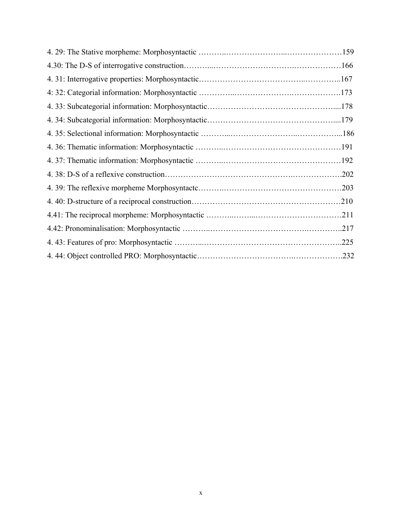| .210 |
|------|
|      |
|      |
| .225 |
|      |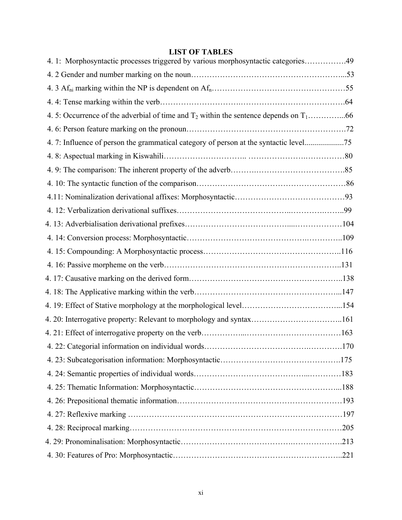# **LIST OF TABLES**

| 4.1: Morphosyntactic processes triggered by various morphosyntactic categories49      |  |
|---------------------------------------------------------------------------------------|--|
|                                                                                       |  |
|                                                                                       |  |
|                                                                                       |  |
|                                                                                       |  |
|                                                                                       |  |
| 4. 7: Influence of person the grammatical category of person at the syntactic level75 |  |
|                                                                                       |  |
|                                                                                       |  |
|                                                                                       |  |
|                                                                                       |  |
|                                                                                       |  |
|                                                                                       |  |
|                                                                                       |  |
|                                                                                       |  |
|                                                                                       |  |
|                                                                                       |  |
|                                                                                       |  |
|                                                                                       |  |
|                                                                                       |  |
|                                                                                       |  |
|                                                                                       |  |
|                                                                                       |  |
|                                                                                       |  |
|                                                                                       |  |
|                                                                                       |  |
|                                                                                       |  |
|                                                                                       |  |
|                                                                                       |  |
|                                                                                       |  |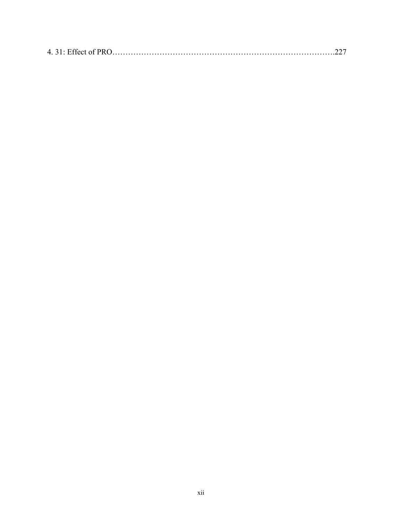|--|--|--|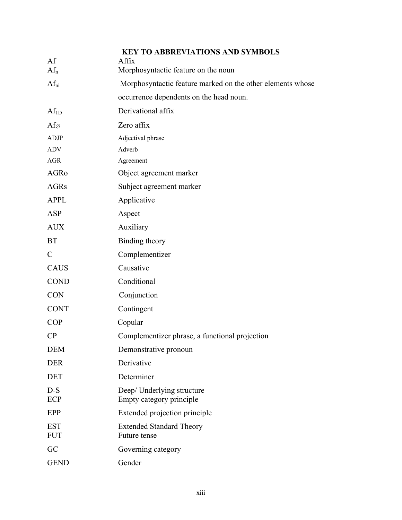| Af                       | <b>KEY TO ABBREVIATIONS AND SYMBOLS</b><br>Affix           |
|--------------------------|------------------------------------------------------------|
| $Af_n$                   | Morphosyntactic feature on the noun                        |
| $Af_{ni}$                | Morphosyntactic feature marked on the other elements whose |
|                          | occurrence dependents on the head noun.                    |
| $Af_{1D}$                | Derivational affix                                         |
| $Af_{\varnothing}$       | Zero affix                                                 |
| <b>ADJP</b>              | Adjectival phrase                                          |
| <b>ADV</b>               | Adverb                                                     |
| <b>AGR</b>               | Agreement                                                  |
| AGRo                     | Object agreement marker                                    |
| <b>AGRs</b>              | Subject agreement marker                                   |
| <b>APPL</b>              | Applicative                                                |
| <b>ASP</b>               | Aspect                                                     |
| <b>AUX</b>               | Auxiliary                                                  |
| <b>BT</b>                | Binding theory                                             |
| $\mathcal{C}$            | Complementizer                                             |
| <b>CAUS</b>              | Causative                                                  |
| <b>COND</b>              | Conditional                                                |
| <b>CON</b>               | Conjunction                                                |
| <b>CONT</b>              | Contingent                                                 |
| <b>COP</b>               | Copular                                                    |
| CP                       | Complementizer phrase, a functional projection             |
| <b>DEM</b>               | Demonstrative pronoun                                      |
| <b>DER</b>               | Derivative                                                 |
| <b>DET</b>               | Determiner                                                 |
| $D-S$<br><b>ECP</b>      | Deep/ Underlying structure<br>Empty category principle     |
| EPP                      | Extended projection principle                              |
| <b>EST</b><br><b>FUT</b> | <b>Extended Standard Theory</b><br>Future tense            |
| GC                       | Governing category                                         |
| <b>GEND</b>              | Gender                                                     |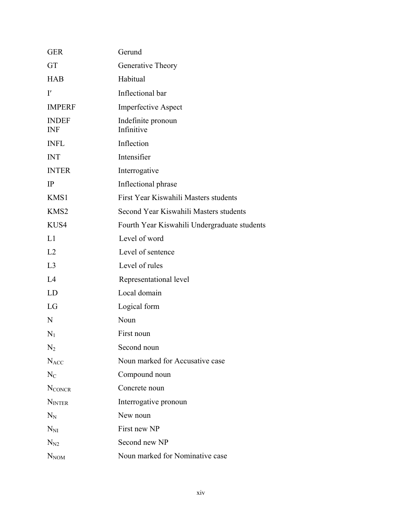| <b>GER</b>                 | Gerund                                       |
|----------------------------|----------------------------------------------|
| GT                         | Generative Theory                            |
| <b>HAB</b>                 | Habitual                                     |
| $\mathbf{I}'$              | Inflectional bar                             |
| <b>IMPERF</b>              | <b>Imperfective Aspect</b>                   |
| <b>INDEF</b><br><b>INF</b> | Indefinite pronoun<br>Infinitive             |
| <b>INFL</b>                | Inflection                                   |
| <b>INT</b>                 | Intensifier                                  |
| <b>INTER</b>               | Interrogative                                |
| IP                         | Inflectional phrase                          |
| KMS1                       | First Year Kiswahili Masters students        |
| KMS2                       | Second Year Kiswahili Masters students       |
| KUS4                       | Fourth Year Kiswahili Undergraduate students |
| L1                         | Level of word                                |
| L2                         | Level of sentence                            |
| L <sub>3</sub>             | Level of rules                               |
| L4                         | Representational level                       |
| LD                         | Local domain                                 |
| LG                         | Logical form                                 |
| N                          | Noun                                         |
| $N_1$                      | First noun                                   |
| N <sub>2</sub>             | Second noun                                  |
| $N_{ACC}$                  | Noun marked for Accusative case              |
| $N_{C}$                    | Compound noun                                |
| <b>NCONCR</b>              | Concrete noun                                |
| <b>NINTER</b>              | Interrogative pronoun                        |
| $N_N$                      | New noun                                     |
| $N_{\rm NI}$               | First new NP                                 |
| $N_{N2}$                   | Second new NP                                |
| $N_{NOM}$                  | Noun marked for Nominative case              |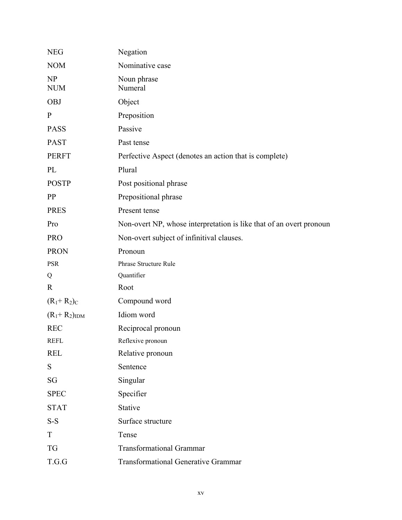| <b>NEG</b>          | Negation                                                            |
|---------------------|---------------------------------------------------------------------|
| <b>NOM</b>          | Nominative case                                                     |
| NP<br><b>NUM</b>    | Noun phrase<br>Numeral                                              |
| <b>OBJ</b>          | Object                                                              |
| $\mathbf{P}$        | Preposition                                                         |
| <b>PASS</b>         | Passive                                                             |
| <b>PAST</b>         | Past tense                                                          |
| <b>PERFT</b>        | Perfective Aspect (denotes an action that is complete)              |
| PL                  | Plural                                                              |
| <b>POSTP</b>        | Post positional phrase                                              |
| <b>PP</b>           | Prepositional phrase                                                |
| <b>PRES</b>         | Present tense                                                       |
| Pro                 | Non-overt NP, whose interpretation is like that of an overt pronoun |
| <b>PRO</b>          | Non-overt subject of infinitival clauses.                           |
| <b>PRON</b>         | Pronoun                                                             |
| <b>PSR</b>          | Phrase Structure Rule                                               |
| Q                   | Quantifier                                                          |
| $\mathbf{R}$        | Root                                                                |
| $(R_1 + R_2)_C$     | Compound word                                                       |
| $(R_1 + R_2)_{IDM}$ | Idiom word                                                          |
| <b>REC</b>          | Reciprocal pronoun                                                  |
| <b>REFL</b>         | Reflexive pronoun                                                   |
| <b>REL</b>          | Relative pronoun                                                    |
| S                   | Sentence                                                            |
| SG                  | Singular                                                            |
| <b>SPEC</b>         | Specifier                                                           |
| <b>STAT</b>         | Stative                                                             |
| $S-S$               | Surface structure                                                   |
| T                   | Tense                                                               |
| <b>TG</b>           | <b>Transformational Grammar</b>                                     |
| T.G.G               | <b>Transformational Generative Grammar</b>                          |
|                     |                                                                     |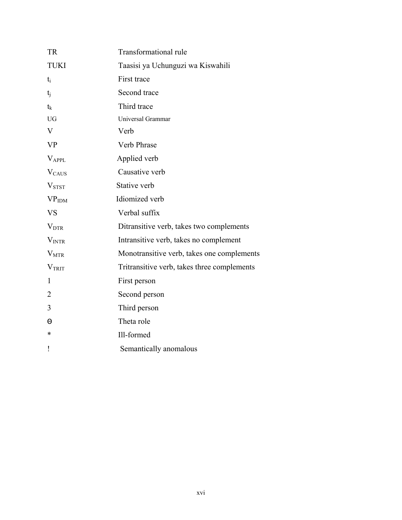| <b>TR</b>         | <b>Transformational rule</b>                |
|-------------------|---------------------------------------------|
| <b>TUKI</b>       | Taasisi ya Uchunguzi wa Kiswahili           |
| $t_i$             | First trace                                 |
| $t_{i}$           | Second trace                                |
| $t_{k}$           | Third trace                                 |
| <b>UG</b>         | Universal Grammar                           |
| V                 | Verb                                        |
| <b>VP</b>         | Verb Phrase                                 |
| <b>VAPPL</b>      | Applied verb                                |
| $V_{CAUS}$        | Causative verb                              |
| V <sub>STST</sub> | Stative verb                                |
| VP <sub>IDM</sub> | Idiomized verb                              |
| <b>VS</b>         | Verbal suffix                               |
| $V_{\text{DTR}}$  | Ditransitive verb, takes two complements    |
| V <sub>INTR</sub> | Intransitive verb, takes no complement      |
| $V_{MTR}$         | Monotransitive verb, takes one complements  |
| V <sub>TRIT</sub> | Tritransitive verb, takes three complements |
| 1                 | First person                                |
| $\overline{2}$    | Second person                               |
| 3                 | Third person                                |
| Θ                 | Theta role                                  |
| *                 | Ill-formed                                  |
| ļ                 | Semantically anomalous                      |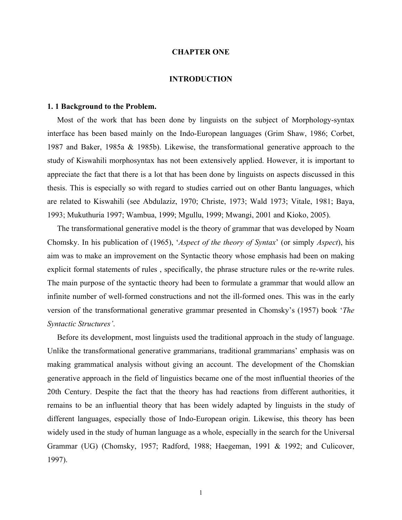### **CHAPTER ONE**

### **INTRODUCTION**

#### **1. 1 Background to the Problem.**

 Most of the work that has been done by linguists on the subject of Morphology-syntax interface has been based mainly on the Indo-European languages (Grim Shaw, 1986; Corbet, 1987 and Baker, 1985a & 1985b). Likewise, the transformational generative approach to the study of Kiswahili morphosyntax has not been extensively applied. However, it is important to appreciate the fact that there is a lot that has been done by linguists on aspects discussed in this thesis. This is especially so with regard to studies carried out on other Bantu languages, which are related to Kiswahili (see Abdulaziz, 1970; Christe, 1973; Wald 1973; Vitale, 1981; Baya, 1993; Mukuthuria 1997; Wambua, 1999; Mgullu, 1999; Mwangi, 2001 and Kioko, 2005).

 The transformational generative model is the theory of grammar that was developed by Noam Chomsky. In his publication of (1965), '*Aspect of the theory of Syntax*' (or simply *Aspect*), his aim was to make an improvement on the Syntactic theory whose emphasis had been on making explicit formal statements of rules , specifically, the phrase structure rules or the re-write rules. The main purpose of the syntactic theory had been to formulate a grammar that would allow an infinite number of well-formed constructions and not the ill-formed ones. This was in the early version of the transformational generative grammar presented in Chomsky's (1957) book '*The Syntactic Structures'*.

 Before its development, most linguists used the traditional approach in the study of language. Unlike the transformational generative grammarians, traditional grammarians' emphasis was on making grammatical analysis without giving an account. The development of the Chomskian generative approach in the field of linguistics became one of the most influential theories of the 20th Century. Despite the fact that the theory has had reactions from different authorities, it remains to be an influential theory that has been widely adapted by linguists in the study of different languages, especially those of Indo-European origin. Likewise, this theory has been widely used in the study of human language as a whole, especially in the search for the Universal Grammar (UG) (Chomsky, 1957; Radford, 1988; Haegeman, 1991 & 1992; and Culicover, 1997).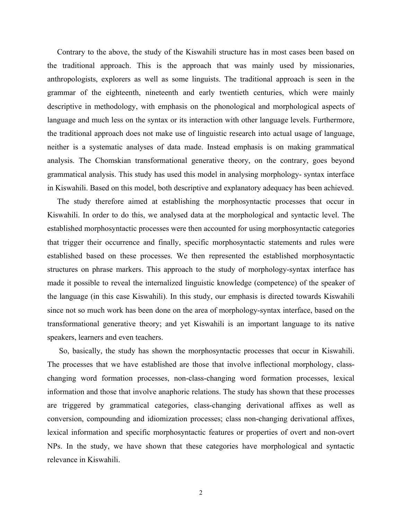Contrary to the above, the study of the Kiswahili structure has in most cases been based on the traditional approach. This is the approach that was mainly used by missionaries, anthropologists, explorers as well as some linguists. The traditional approach is seen in the grammar of the eighteenth, nineteenth and early twentieth centuries, which were mainly descriptive in methodology, with emphasis on the phonological and morphological aspects of language and much less on the syntax or its interaction with other language levels. Furthermore, the traditional approach does not make use of linguistic research into actual usage of language, neither is a systematic analyses of data made. Instead emphasis is on making grammatical analysis. The Chomskian transformational generative theory, on the contrary, goes beyond grammatical analysis. This study has used this model in analysing morphology- syntax interface in Kiswahili. Based on this model, both descriptive and explanatory adequacy has been achieved.

 The study therefore aimed at establishing the morphosyntactic processes that occur in Kiswahili. In order to do this, we analysed data at the morphological and syntactic level. The established morphosyntactic processes were then accounted for using morphosyntactic categories that trigger their occurrence and finally, specific morphosyntactic statements and rules were established based on these processes. We then represented the established morphosyntactic structures on phrase markers. This approach to the study of morphology-syntax interface has made it possible to reveal the internalized linguistic knowledge (competence) of the speaker of the language (in this case Kiswahili). In this study, our emphasis is directed towards Kiswahili since not so much work has been done on the area of morphology-syntax interface, based on the transformational generative theory; and yet Kiswahili is an important language to its native speakers, learners and even teachers.

 So, basically, the study has shown the morphosyntactic processes that occur in Kiswahili. The processes that we have established are those that involve inflectional morphology, classchanging word formation processes, non-class-changing word formation processes, lexical information and those that involve anaphoric relations. The study has shown that these processes are triggered by grammatical categories, class-changing derivational affixes as well as conversion, compounding and idiomization processes; class non-changing derivational affixes, lexical information and specific morphosyntactic features or properties of overt and non-overt NPs. In the study, we have shown that these categories have morphological and syntactic relevance in Kiswahili.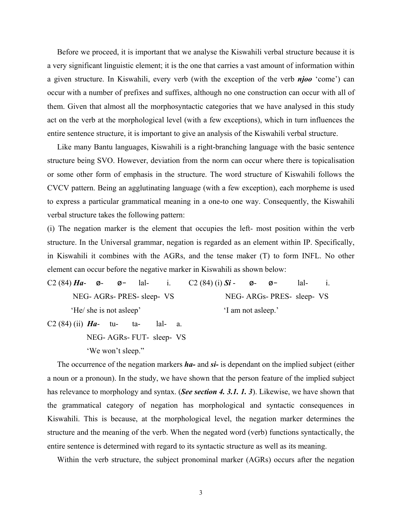Before we proceed, it is important that we analyse the Kiswahili verbal structure because it is a very significant linguistic element; it is the one that carries a vast amount of information within a given structure. In Kiswahili, every verb (with the exception of the verb *njoo* 'come') can occur with a number of prefixes and suffixes, although no one construction can occur with all of them. Given that almost all the morphosyntactic categories that we have analysed in this study act on the verb at the morphological level (with a few exceptions), which in turn influences the entire sentence structure, it is important to give an analysis of the Kiswahili verbal structure.

 Like many Bantu languages, Kiswahili is a right-branching language with the basic sentence structure being SVO. However, deviation from the norm can occur where there is topicalisation or some other form of emphasis in the structure. The word structure of Kiswahili follows the CVCV pattern. Being an agglutinating language (with a few exception), each morpheme is used to express a particular grammatical meaning in a one-to one way. Consequently, the Kiswahili verbal structure takes the following pattern:

(i) The negation marker is the element that occupies the left- most position within the verb structure. In the Universal grammar, negation is regarded as an element within IP. Specifically, in Kiswahili it combines with the AGRs, and the tense maker (T) to form INFL. No other element can occur before the negative marker in Kiswahili as shown below:

C2 (84)  $Ha - \phi - \phi - \text{la}$ - lal- i. C2 (84) (i)  $Si - \phi - \phi - \text{la}$ - lal- i. NEG- AGRs- PRES- sleep- VS NEG- ARGs- PRES- sleep- VS 'He/ she is not asleep' 'I am not asleep.'

C2 (84) (ii) *Ha*- tu- ta- lal- a. NEG- AGRs- FUT- sleep- VS 'We won't sleep."

 The occurrence of the negation markers *ha-* and *si-* is dependant on the implied subject (either a noun or a pronoun). In the study, we have shown that the person feature of the implied subject has relevance to morphology and syntax. (*See section 4. 3.1. 1. 3*). Likewise, we have shown that the grammatical category of negation has morphological and syntactic consequences in Kiswahili. This is because, at the morphological level, the negation marker determines the structure and the meaning of the verb. When the negated word (verb) functions syntactically, the entire sentence is determined with regard to its syntactic structure as well as its meaning.

Within the verb structure, the subject pronominal marker (AGRs) occurs after the negation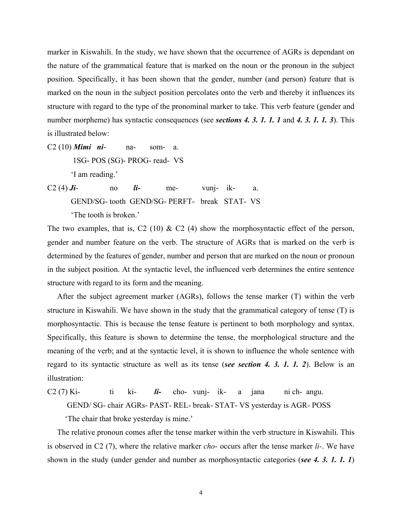marker in Kiswahili. In the study, we have shown that the occurrence of AGRs is dependant on the nature of the grammatical feature that is marked on the noun or the pronoun in the subject position. Specifically, it has been shown that the gender, number (and person) feature that is marked on the noun in the subject position percolates onto the verb and thereby it influences its structure with regard to the type of the pronominal marker to take. This verb feature (gender and number morpheme) has syntactic consequences (see *sections 4. 3. 1. 1. 1* and *4. 3. 1. 1. 3*). This is illustrated below:

- C2 (10) *Mimi ni* na- som- a. 1SG- POS (SG)- PROG- read- VS 'I am reading.'
- C2 (4)  $J\mathbf{i}$  no  $\mathbf{i}$  me- vunj- ik- a. GEND/SG- tooth GEND/SG- PERFT- break STAT- VS 'The tooth is broken.'

The two examples, that is, C2 (10)  $\&$  C2 (4) show the morphosyntactic effect of the person, gender and number feature on the verb. The structure of AGRs that is marked on the verb is determined by the features of gender, number and person that are marked on the noun or pronoun in the subject position. At the syntactic level, the influenced verb determines the entire sentence structure with regard to its form and the meaning.

 After the subject agreement marker (AGRs), follows the tense marker (T) within the verb structure in Kiswahili. We have shown in the study that the grammatical category of tense (T) is morphosyntactic. This is because the tense feature is pertinent to both morphology and syntax. Specifically, this feature is shown to determine the tense, the morphological structure and the meaning of the verb; and at the syntactic level, it is shown to influence the whole sentence with regard to its syntactic structure as well as its tense (*see section 4. 3. 1. 1. 2*). Below is an illustration:

C2 (7) Ki- ti ki-  $\mathbf{i}$ - cho- vunj- ik- a jana ni ch- angu. GEND/ SG- chair AGRs- PAST- REL- break- STAT- VS yesterday is AGR- POSS 'The chair that broke yesterday is mine.'

 The relative pronoun comes after the tense marker within the verb structure in Kiswahili. This is observed in C2 (7), where the relative marker *cho-* occurs after the tense marker *li-*. We have shown in the study (under gender and number as morphosyntactic categories (*see 4. 3. 1. 1. 1*)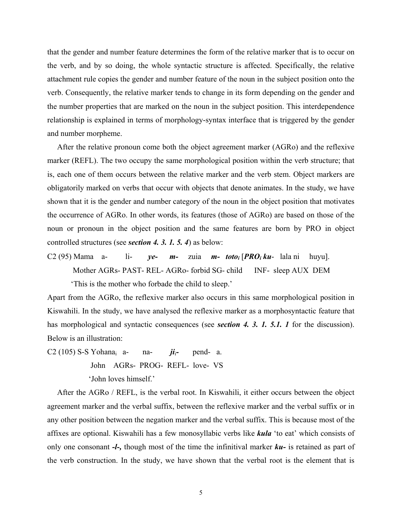that the gender and number feature determines the form of the relative marker that is to occur on the verb, and by so doing, the whole syntactic structure is affected. Specifically, the relative attachment rule copies the gender and number feature of the noun in the subject position onto the verb. Consequently, the relative marker tends to change in its form depending on the gender and the number properties that are marked on the noun in the subject position. This interdependence relationship is explained in terms of morphology-syntax interface that is triggered by the gender and number morpheme.

 After the relative pronoun come both the object agreement marker (AGRo) and the reflexive marker (REFL). The two occupy the same morphological position within the verb structure; that is, each one of them occurs between the relative marker and the verb stem. Object markers are obligatorily marked on verbs that occur with objects that denote animates. In the study, we have shown that it is the gender and number category of the noun in the object position that motivates the occurrence of AGRo. In other words, its features (those of AGRo) are based on those of the noun or pronoun in the object position and the same features are born by PRO in object controlled structures (see *section 4. 3. 1. 5. 4*) as below:

C2 (95) Mama a- li- *ye- m-* zuia *m- totoi* [*PROi ku*- lala ni huyu]. Mother AGRs- PAST- REL- AGRo- forbid SG- child INF- sleep AUX DEM 'This is the mother who forbade the child to sleep.'

Apart from the AGRo, the reflexive marker also occurs in this same morphological position in Kiswahili. In the study, we have analysed the reflexive marker as a morphosyntactic feature that has morphological and syntactic consequences (see *section 4. 3. 1. 5.1. 1* for the discussion). Below is an illustration:

C2 (105) S-S Yohana<sub>i</sub> a- na-  $\ddot{\mathbf{i}}$ <sub>i</sub>- pend- a. John AGRs- PROG- REFL- love- VS 'John loves himself.'

 After the AGRo / REFL, is the verbal root. In Kiswahili, it either occurs between the object agreement marker and the verbal suffix, between the reflexive marker and the verbal suffix or in any other position between the negation marker and the verbal suffix. This is because most of the affixes are optional. Kiswahili has a few monosyllabic verbs like *kula* 'to eat' which consists of only one consonant *-l-,* though most of the time the infinitival marker *ku-* is retained as part of the verb construction. In the study, we have shown that the verbal root is the element that is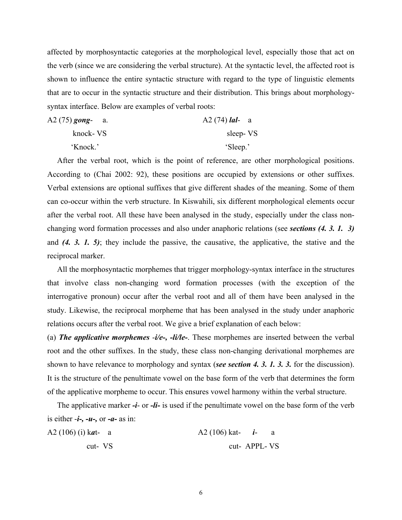affected by morphosyntactic categories at the morphological level, especially those that act on the verb (since we are considering the verbal structure). At the syntactic level, the affected root is shown to influence the entire syntactic structure with regard to the type of linguistic elements that are to occur in the syntactic structure and their distribution. This brings about morphologysyntax interface. Below are examples of verbal roots:

| A2 (75) gong- a. | $A2(74)$ <i>lal</i> - a |  |
|------------------|-------------------------|--|
| knock- VS        | sleep-VS                |  |
| 'Knock.'         | 'Sleep.'                |  |

 After the verbal root, which is the point of reference, are other morphological positions. According to (Chai 2002: 92), these positions are occupied by extensions or other suffixes. Verbal extensions are optional suffixes that give different shades of the meaning. Some of them can co-occur within the verb structure. In Kiswahili, six different morphological elements occur after the verbal root. All these have been analysed in the study, especially under the class nonchanging word formation processes and also under anaphoric relations (see *sections (4. 3. 1. 3)*  and *(4. 3. 1. 5)*; they include the passive, the causative, the applicative, the stative and the reciprocal marker.

 All the morphosyntactic morphemes that trigger morphology-syntax interface in the structures that involve class non-changing word formation processes (with the exception of the interrogative pronoun) occur after the verbal root and all of them have been analysed in the study. Likewise, the reciprocal morpheme that has been analysed in the study under anaphoric relations occurs after the verbal root. We give a brief explanation of each below:

(a) *The applicative morphemes* -*i/e-, -li/le-*. These morphemes are inserted between the verbal root and the other suffixes. In the study, these class non-changing derivational morphemes are shown to have relevance to morphology and syntax (*see section 4. 3. 1. 3. 3.* for the discussion). It is the structure of the penultimate vowel on the base form of the verb that determines the form of the applicative morpheme to occur. This ensures vowel harmony within the verbal structure.

 The applicative marker *-i*- or *-li-* is used if the penultimate vowel on the base form of the verb is either -*i-, -u-,* or *-a-* as in:

| A2 (106) (i) kat- a | $A2(106)$ kat- <i>i</i> - a |               |  |
|---------------------|-----------------------------|---------------|--|
| cut-VS              |                             | cut- APPL- VS |  |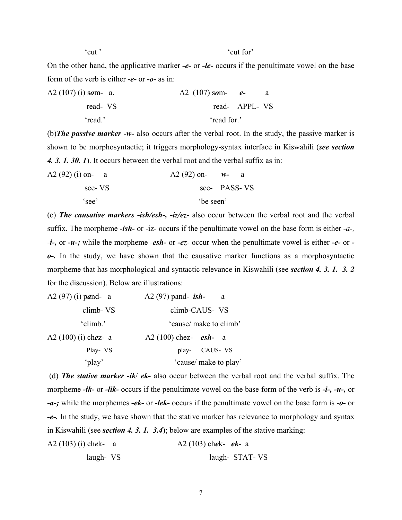'cut '  $\cdot$  'cut for'

On the other hand, the applicative marker *-e-* or *-le-* occurs if the penultimate vowel on the base form of the verb is either *-e-* or *-o-* as in:

| A2 $(107)$ (i) som- a. | A2 $(107)$ som- e- |  |
|------------------------|--------------------|--|
| read VS                | read- APPL- VS     |  |
| read '                 | read for.'         |  |

(b)*The passive marker -w-* also occurs after the verbal root. In the study, the passive marker is shown to be morphosyntactic; it triggers morphology-syntax interface in Kiswahili (*see section 4. 3. 1. 30. 1*). It occurs between the verbal root and the verbal suffix as in:

| A2 (92) (i) on- a | A2 (92) on- $w$ - a |              |
|-------------------|---------------------|--------------|
| see-VS            |                     | see- PASS-VS |
| 'see'             | be seen'            |              |

(c) *The causative markers -ish/esh-, -iz/ez-* also occur between the verbal root and the verbal suffix. The morpheme *-ish-* or -iz- occurs if the penultimate vowel on the base form is either *-a-,* -*i-,* or *-u-;* while the morpheme -*esh-* or *-ez*- occur when the penultimate vowel is either *-e-* or *o-.* In the study, we have shown that the causative marker functions as a morphosyntactic morpheme that has morphological and syntactic relevance in Kiswahili (see *section 4. 3. 1. 3. 2*  for the discussion). Below are illustrations:

| A2 $(97)$ $(i)$ pand- a  | A2 $(97)$ pand- ish-<br>a     |
|--------------------------|-------------------------------|
| climb-VS                 | climb-CAUS- VS                |
| 'climb.'                 | 'cause/ make to climb'        |
| A2 $(100)$ $(i)$ chez- a | A2 (100) chez- <i>esh</i> - a |
| Play- VS                 | CAUS- VS<br>play-             |
| 'play'                   | 'cause/ make to play'         |

 (d) *The stative marker -ik*/ *ek-* also occur between the verbal root and the verbal suffix. The morpheme *-ik-* or *-lik-* occurs if the penultimate vowel on the base form of the verb is *-i-, -u-,* or *-a-;* while the morphemes *-ek-* or *-lek-* occurs if the penultimate vowel on the base form is -*o-* or *-e-.* In the study, we have shown that the stative marker has relevance to morphology and syntax in Kiswahili (see *section 4. 3. 1. 3.4*); below are examples of the stative marking:

```
A2 (103) (i) chek- a A2 (103) chek- ek- a 
laugh- VS laugh- STAT- VS
```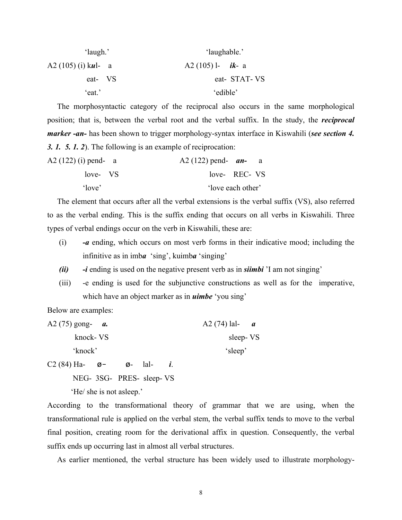| 'laugh.'              | 'laughable.'              |
|-----------------------|---------------------------|
| A2 $(105)$ (i) kul- a | A2 (105) l- <i>ik</i> - a |
| eat- VS               | eat-STAT-VS               |
| 'eat.'                | 'edible'                  |

 The morphosyntactic category of the reciprocal also occurs in the same morphological position; that is, between the verbal root and the verbal suffix. In the study, the *reciprocal marker -an-* has been shown to trigger morphology-syntax interface in Kiswahili (*see section 4. 3. 1. 5. 1. 2*). The following is an example of reciprocation:

| $A2(122)$ (i) pend- a | A2 (122) pend- $an-$ |  |
|-----------------------|----------------------|--|
| love- VS              | love- REC- VS        |  |
| 'love'                | 'love each other'    |  |

 The element that occurs after all the verbal extensions is the verbal suffix (VS), also referred to as the verbal ending. This is the suffix ending that occurs on all verbs in Kiswahili. Three types of verbal endings occur on the verb in Kiswahili, these are:

- (i) *-a* ending, which occurs on most verb forms in their indicative mood; including the infinitive as in imb*a* 'sing', kuimb*a* 'singing'
- *(ii) -i* ending is used on the negative present verb as in *siimbi* 'I am not singing'
- (iii) -e ending is used for the subjunctive constructions as well as for the imperative, which have an object marker as in *uimbe* 'you sing'

Below are examples:

| A2 (75) gong- $a$ . | A2 (74) lal- $a$ |
|---------------------|------------------|
| knock-VS            | sleep-VS         |
| 'knock'             | 'sleep'          |

C2 (84) Ha-  $\emptyset$ -  $\emptyset$ - lal- *i*.

NEG- 3SG- PRES- sleep- VS

'He/ she is not asleep.'

According to the transformational theory of grammar that we are using, when the transformational rule is applied on the verbal stem, the verbal suffix tends to move to the verbal final position, creating room for the derivational affix in question. Consequently, the verbal suffix ends up occurring last in almost all verbal structures.

As earlier mentioned, the verbal structure has been widely used to illustrate morphology-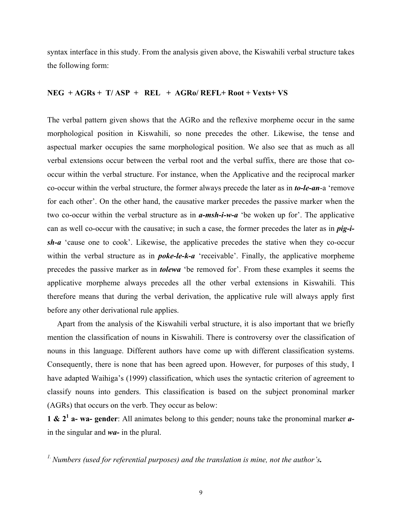syntax interface in this study. From the analysis given above, the Kiswahili verbal structure takes the following form:

## **NEG + AGRs + T/ ASP + REL + AGRo/ REFL+ Root + Vexts+ VS**

The verbal pattern given shows that the AGRo and the reflexive morpheme occur in the same morphological position in Kiswahili, so none precedes the other. Likewise, the tense and aspectual marker occupies the same morphological position. We also see that as much as all verbal extensions occur between the verbal root and the verbal suffix, there are those that cooccur within the verbal structure. For instance, when the Applicative and the reciprocal marker co-occur within the verbal structure, the former always precede the later as in *to-le-an*-a 'remove for each other'. On the other hand, the causative marker precedes the passive marker when the two co-occur within the verbal structure as in *a-msh-i-w-a* 'be woken up for'. The applicative can as well co-occur with the causative; in such a case, the former precedes the later as in *pig-ish-a* 'cause one to cook'. Likewise, the applicative precedes the stative when they co-occur within the verbal structure as in *poke-le-k-a* 'receivable'. Finally, the applicative morpheme precedes the passive marker as in *tolewa* 'be removed for'. From these examples it seems the applicative morpheme always precedes all the other verbal extensions in Kiswahili. This therefore means that during the verbal derivation, the applicative rule will always apply first before any other derivational rule applies.

 Apart from the analysis of the Kiswahili verbal structure, it is also important that we briefly mention the classification of nouns in Kiswahili. There is controversy over the classification of nouns in this language. Different authors have come up with different classification systems. Consequently, there is none that has been agreed upon. However, for purposes of this study, I have adapted Waihiga's (1999) classification, which uses the syntactic criterion of agreement to classify nouns into genders. This classification is based on the subject pronominal marker (AGRs) that occurs on the verb. They occur as below:

**1 & 21 a- wa- gender**: All animates belong to this gender; nouns take the pronominal marker *a*in the singular and *wa-* in the plural.

*1. Numbers (used for referential purposes) and the translation is mine, not the author's.*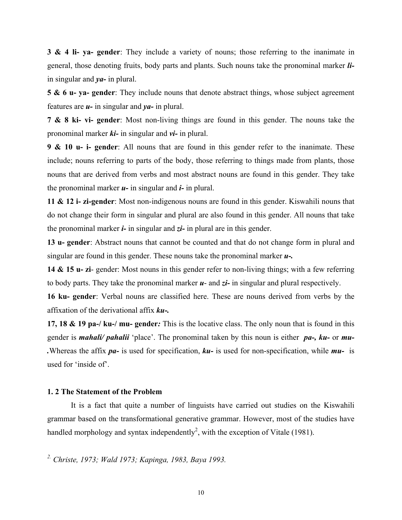**3 & 4 li- ya- gender**: They include a variety of nouns; those referring to the inanimate in general, those denoting fruits, body parts and plants. Such nouns take the pronominal marker *li*in singular and *ya-* in plural.

**5 & 6 u- ya- gender**: They include nouns that denote abstract things, whose subject agreement features are *u-* in singular and *ya-* in plural.

**7 & 8 ki- vi- gender**: Most non-living things are found in this gender. The nouns take the pronominal marker *ki-* in singular and *vi-* in plural.

**9 & 10 u- i- gender**: All nouns that are found in this gender refer to the inanimate. These include; nouns referring to parts of the body, those referring to things made from plants, those nouns that are derived from verbs and most abstract nouns are found in this gender. They take the pronominal marker *u-* in singular and *i-* in plural.

**11 & 12 i- zi-gender**: Most non-indigenous nouns are found in this gender. Kiswahili nouns that do not change their form in singular and plural are also found in this gender. All nouns that take the pronominal marker *i-* in singular and *zi-* in plural are in this gender.

**13 u- gender**: Abstract nouns that cannot be counted and that do not change form in plural and singular are found in this gender. These nouns take the pronominal marker *u-.*

**14 & 15 u- zi**- gender: Most nouns in this gender refer to non-living things; with a few referring to body parts. They take the pronominal marker *u*- and *zi-* in singular and plural respectively.

**16 ku- gender**: Verbal nouns are classified here. These are nouns derived from verbs by the affixation of the derivational affix *ku-.*

**17, 18 & 19 pa-/ ku-/ mu- gender***:* This is the locative class. The only noun that is found in this gender is *mahali/ pahalii* 'place'. The pronominal taken by this noun is either *pa-, ku-* or *mu- .*Whereas the affix *pa-* is used for specification, *ku-* is used for non-specification, while *mu-* is used for 'inside of'.

#### **1. 2 The Statement of the Problem**

 It is a fact that quite a number of linguists have carried out studies on the Kiswahili grammar based on the transformational generative grammar. However, most of the studies have handled morphology and syntax independently<sup>2</sup>, with the exception of Vitale (1981).

*2. Christe, 1973; Wald 1973; Kapinga, 1983, Baya 1993.*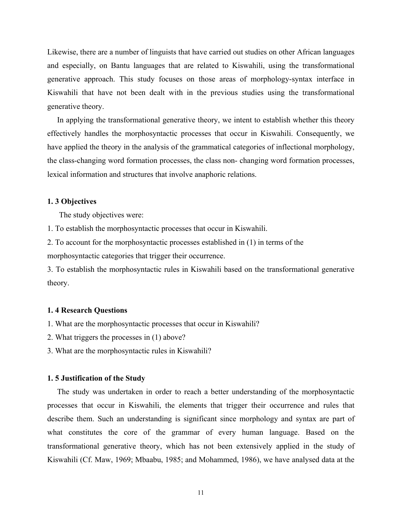Likewise, there are a number of linguists that have carried out studies on other African languages and especially, on Bantu languages that are related to Kiswahili, using the transformational generative approach. This study focuses on those areas of morphology-syntax interface in Kiswahili that have not been dealt with in the previous studies using the transformational generative theory.

 In applying the transformational generative theory, we intent to establish whether this theory effectively handles the morphosyntactic processes that occur in Kiswahili. Consequently, we have applied the theory in the analysis of the grammatical categories of inflectional morphology, the class-changing word formation processes, the class non- changing word formation processes, lexical information and structures that involve anaphoric relations.

#### **1. 3 Objectives**

The study objectives were:

1. To establish the morphosyntactic processes that occur in Kiswahili.

2. To account for the morphosyntactic processes established in (1) in terms of the

morphosyntactic categories that trigger their occurrence.

3. To establish the morphosyntactic rules in Kiswahili based on the transformational generative theory.

## **1. 4 Research Questions**

1. What are the morphosyntactic processes that occur in Kiswahili?

- 2. What triggers the processes in (1) above?
- 3. What are the morphosyntactic rules in Kiswahili?

#### **1. 5 Justification of the Study**

 The study was undertaken in order to reach a better understanding of the morphosyntactic processes that occur in Kiswahili, the elements that trigger their occurrence and rules that describe them. Such an understanding is significant since morphology and syntax are part of what constitutes the core of the grammar of every human language. Based on the transformational generative theory, which has not been extensively applied in the study of Kiswahili (Cf. Maw, 1969; Mbaabu, 1985; and Mohammed, 1986), we have analysed data at the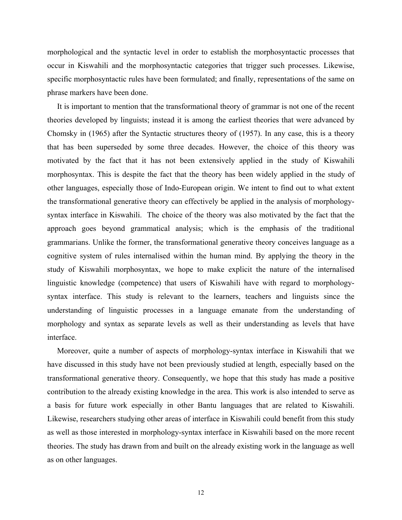morphological and the syntactic level in order to establish the morphosyntactic processes that occur in Kiswahili and the morphosyntactic categories that trigger such processes. Likewise, specific morphosyntactic rules have been formulated; and finally, representations of the same on phrase markers have been done.

 It is important to mention that the transformational theory of grammar is not one of the recent theories developed by linguists; instead it is among the earliest theories that were advanced by Chomsky in (1965) after the Syntactic structures theory of (1957). In any case, this is a theory that has been superseded by some three decades. However, the choice of this theory was motivated by the fact that it has not been extensively applied in the study of Kiswahili morphosyntax. This is despite the fact that the theory has been widely applied in the study of other languages, especially those of Indo-European origin. We intent to find out to what extent the transformational generative theory can effectively be applied in the analysis of morphologysyntax interface in Kiswahili. The choice of the theory was also motivated by the fact that the approach goes beyond grammatical analysis; which is the emphasis of the traditional grammarians. Unlike the former, the transformational generative theory conceives language as a cognitive system of rules internalised within the human mind. By applying the theory in the study of Kiswahili morphosyntax, we hope to make explicit the nature of the internalised linguistic knowledge (competence) that users of Kiswahili have with regard to morphologysyntax interface. This study is relevant to the learners, teachers and linguists since the understanding of linguistic processes in a language emanate from the understanding of morphology and syntax as separate levels as well as their understanding as levels that have interface.

 Moreover, quite a number of aspects of morphology-syntax interface in Kiswahili that we have discussed in this study have not been previously studied at length, especially based on the transformational generative theory. Consequently, we hope that this study has made a positive contribution to the already existing knowledge in the area. This work is also intended to serve as a basis for future work especially in other Bantu languages that are related to Kiswahili. Likewise, researchers studying other areas of interface in Kiswahili could benefit from this study as well as those interested in morphology-syntax interface in Kiswahili based on the more recent theories. The study has drawn from and built on the already existing work in the language as well as on other languages.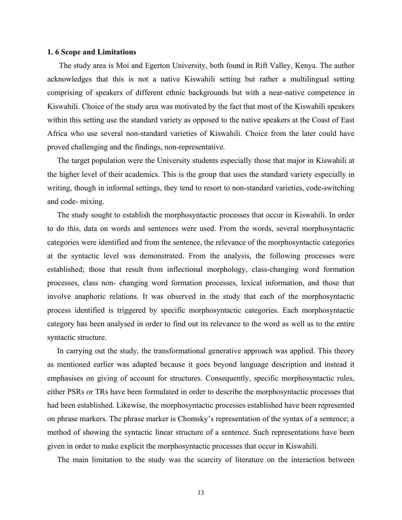#### **1. 6 Scope and Limitations**

 The study area is Moi and Egerton University, both found in Rift Valley, Kenya. The author acknowledges that this is not a native Kiswahili setting but rather a multilingual setting comprising of speakers of different ethnic backgrounds but with a near-native competence in Kiswahili. Choice of the study area was motivated by the fact that most of the Kiswahili speakers within this setting use the standard variety as opposed to the native speakers at the Coast of East Africa who use several non-standard varieties of Kiswahili. Choice from the later could have proved challenging and the findings, non-representative.

 The target population were the University students especially those that major in Kiswahili at the higher level of their academics. This is the group that uses the standard variety especially in writing, though in informal settings, they tend to resort to non-standard varieties, code-switching and code- mixing.

 The study sought to establish the morphosyntactic processes that occur in Kiswahili. In order to do this, data on words and sentences were used. From the words, several morphosyntactic categories were identified and from the sentence, the relevance of the morphosyntactic categories at the syntactic level was demonstrated. From the analysis, the following processes were established; those that result from inflectional morphology, class-changing word formation processes, class non- changing word formation processes, lexical information, and those that involve anaphoric relations. It was observed in the study that each of the morphosyntactic process identified is triggered by specific morphosyntactic categories. Each morphosyntactic category has been analysed in order to find out its relevance to the word as well as to the entire syntactic structure.

 In carrying out the study, the transformational generative approach was applied. This theory as mentioned earlier was adapted because it goes beyond language description and instead it emphasises on giving of account for structures. Consequently, specific morphosyntactic rules, either PSRs or TRs have been formulated in order to describe the morphosyntactic processes that had been established. Likewise, the morphosyntactic processes established have been represented on phrase markers. The phrase marker is Chomsky's representation of the syntax of a sentence; a method of showing the syntactic linear structure of a sentence. Such representations have been given in order to make explicit the morphosyntactic processes that occur in Kiswahili.

The main limitation to the study was the scarcity of literature on the interaction between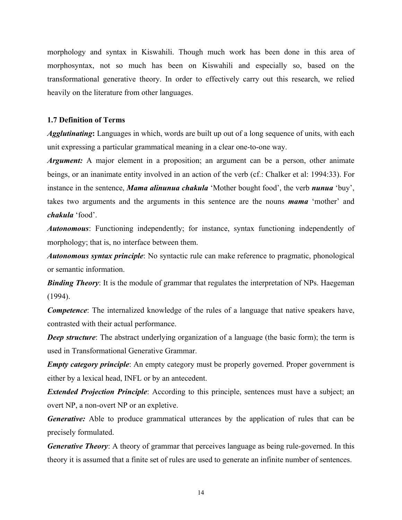morphology and syntax in Kiswahili. Though much work has been done in this area of morphosyntax, not so much has been on Kiswahili and especially so, based on the transformational generative theory. In order to effectively carry out this research, we relied heavily on the literature from other languages.

## **1.7 Definition of Terms**

*Agglutinating***:** Languages in which, words are built up out of a long sequence of units, with each unit expressing a particular grammatical meaning in a clear one-to-one way.

*Argument:* A major element in a proposition; an argument can be a person, other animate beings, or an inanimate entity involved in an action of the verb (cf.: Chalker et al: 1994:33). For instance in the sentence, *Mama alinunua chakula* 'Mother bought food', the verb *nunua* 'buy', takes two arguments and the arguments in this sentence are the nouns *mama* 'mother' and *chakula* 'food'.

*Autonomous*: Functioning independently; for instance, syntax functioning independently of morphology; that is, no interface between them.

*Autonomous syntax principle*: No syntactic rule can make reference to pragmatic, phonological or semantic information.

**Binding Theory**: It is the module of grammar that regulates the interpretation of NPs. Haegeman (1994).

*Competence*: The internalized knowledge of the rules of a language that native speakers have, contrasted with their actual performance.

*Deep structure*: The abstract underlying organization of a language (the basic form); the term is used in Transformational Generative Grammar.

*Empty category principle*: An empty category must be properly governed. Proper government is either by a lexical head, INFL or by an antecedent.

*Extended Projection Principle*: According to this principle, sentences must have a subject; an overt NP, a non-overt NP or an expletive.

*Generative:* Able to produce grammatical utterances by the application of rules that can be precisely formulated.

*Generative Theory*: A theory of grammar that perceives language as being rule-governed. In this theory it is assumed that a finite set of rules are used to generate an infinite number of sentences.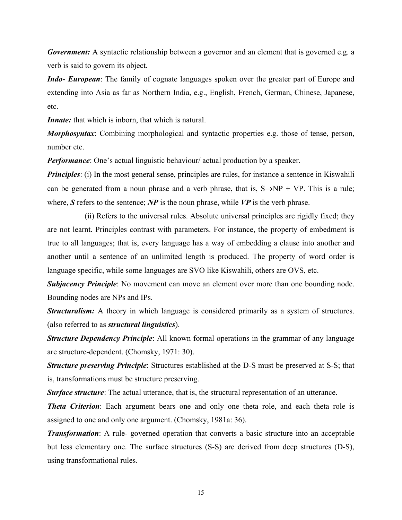*Government:* A syntactic relationship between a governor and an element that is governed e.g. a verb is said to govern its object.

*Indo- European*: The family of cognate languages spoken over the greater part of Europe and extending into Asia as far as Northern India, e.g., English, French, German, Chinese, Japanese, etc.

*Innate:* that which is inborn, that which is natural.

*Morphosyntax*: Combining morphological and syntactic properties e.g. those of tense, person, number etc.

*Performance*: One's actual linguistic behaviour/ actual production by a speaker.

*Principles*: (i) In the most general sense, principles are rules, for instance a sentence in Kiswahili can be generated from a noun phrase and a verb phrase, that is,  $S \rightarrow NP + VP$ . This is a rule; where,  $S$  refers to the sentence;  $NP$  is the noun phrase, while  $VP$  is the verb phrase.

 (ii) Refers to the universal rules. Absolute universal principles are rigidly fixed; they are not learnt. Principles contrast with parameters. For instance, the property of embedment is true to all languages; that is, every language has a way of embedding a clause into another and another until a sentence of an unlimited length is produced. The property of word order is language specific, while some languages are SVO like Kiswahili, others are OVS, etc.

**Subjacency Principle**: No movement can move an element over more than one bounding node. Bounding nodes are NPs and IPs.

*Structuralism:* A theory in which language is considered primarily as a system of structures. (also referred to as *structural linguistics*).

*Structure Dependency Principle*: All known formal operations in the grammar of any language are structure-dependent. (Chomsky, 1971: 30).

*Structure preserving Principle*: Structures established at the D-S must be preserved at S-S; that is, transformations must be structure preserving.

**Surface structure**: The actual utterance, that is, the structural representation of an utterance.

*Theta Criterion*: Each argument bears one and only one theta role, and each theta role is assigned to one and only one argument. (Chomsky, 1981a: 36).

*Transformation*: A rule- governed operation that converts a basic structure into an acceptable but less elementary one. The surface structures (S-S) are derived from deep structures (D-S), using transformational rules.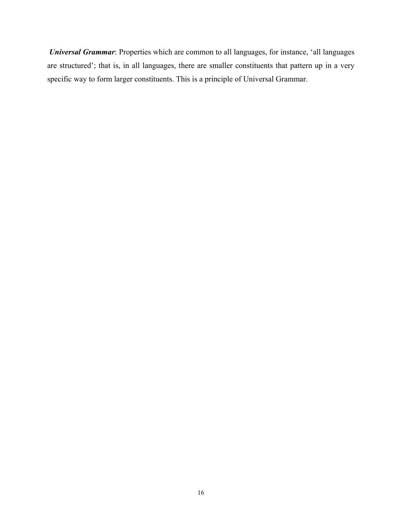*Universal Grammar*: Properties which are common to all languages, for instance, 'all languages are structured'; that is, in all languages, there are smaller constituents that pattern up in a very specific way to form larger constituents. This is a principle of Universal Grammar.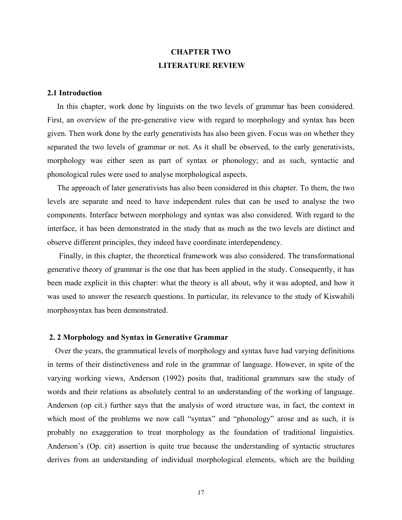# **CHAPTER TWO LITERATURE REVIEW**

## **2.1 Introduction**

 In this chapter, work done by linguists on the two levels of grammar has been considered. First, an overview of the pre-generative view with regard to morphology and syntax has been given. Then work done by the early generativists has also been given. Focus was on whether they separated the two levels of grammar or not. As it shall be observed, to the early generativists, morphology was either seen as part of syntax or phonology; and as such, syntactic and phonological rules were used to analyse morphological aspects.

 The approach of later generativists has also been considered in this chapter. To them, the two levels are separate and need to have independent rules that can be used to analyse the two components. Interface between morphology and syntax was also considered. With regard to the interface, it has been demonstrated in the study that as much as the two levels are distinct and observe different principles, they indeed have coordinate interdependency.

 Finally, in this chapter, the theoretical framework was also considered. The transformational generative theory of grammar is the one that has been applied in the study. Consequently, it has been made explicit in this chapter: what the theory is all about, why it was adopted, and how it was used to answer the research questions. In particular, its relevance to the study of Kiswahili morphosyntax has been demonstrated.

### **2. 2 Morphology and Syntax in Generative Grammar**

 Over the years, the grammatical levels of morphology and syntax have had varying definitions in terms of their distinctiveness and role in the grammar of language. However, in spite of the varying working views, Anderson (1992) posits that, traditional grammars saw the study of words and their relations as absolutely central to an understanding of the working of language. Anderson (op cit.) further says that the analysis of word structure was, in fact, the context in which most of the problems we now call "syntax" and "phonology" arose and as such, it is probably no exaggeration to treat morphology as the foundation of traditional linguistics. Anderson's (Op. cit) assertion is quite true because the understanding of syntactic structures derives from an understanding of individual morphological elements, which are the building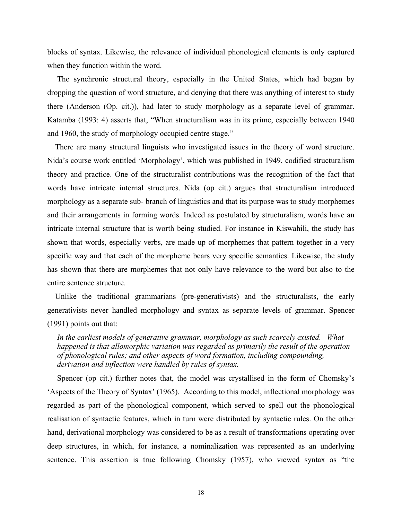blocks of syntax. Likewise, the relevance of individual phonological elements is only captured when they function within the word.

 The synchronic structural theory, especially in the United States, which had began by dropping the question of word structure, and denying that there was anything of interest to study there (Anderson (Op. cit.)), had later to study morphology as a separate level of grammar. Katamba (1993: 4) asserts that, "When structuralism was in its prime, especially between 1940 and 1960, the study of morphology occupied centre stage."

 There are many structural linguists who investigated issues in the theory of word structure. Nida's course work entitled 'Morphology', which was published in 1949, codified structuralism theory and practice. One of the structuralist contributions was the recognition of the fact that words have intricate internal structures. Nida (op cit.) argues that structuralism introduced morphology as a separate sub- branch of linguistics and that its purpose was to study morphemes and their arrangements in forming words. Indeed as postulated by structuralism, words have an intricate internal structure that is worth being studied. For instance in Kiswahili, the study has shown that words, especially verbs, are made up of morphemes that pattern together in a very specific way and that each of the morpheme bears very specific semantics. Likewise, the study has shown that there are morphemes that not only have relevance to the word but also to the entire sentence structure.

 Unlike the traditional grammarians (pre-generativists) and the structuralists, the early generativists never handled morphology and syntax as separate levels of grammar. Spencer (1991) points out that:

 *In the earliest models of generative grammar, morphology as such scarcely existed. What happened is that allomorphic variation was regarded as primarily the result of the operation of phonological rules; and other aspects of word formation, including compounding, derivation and inflection were handled by rules of syntax.* 

Spencer (op cit.) further notes that, the model was crystallised in the form of Chomsky's 'Aspects of the Theory of Syntax' (1965). According to this model, inflectional morphology was regarded as part of the phonological component, which served to spell out the phonological realisation of syntactic features, which in turn were distributed by syntactic rules. On the other hand, derivational morphology was considered to be as a result of transformations operating over deep structures, in which, for instance, a nominalization was represented as an underlying sentence. This assertion is true following Chomsky (1957), who viewed syntax as "the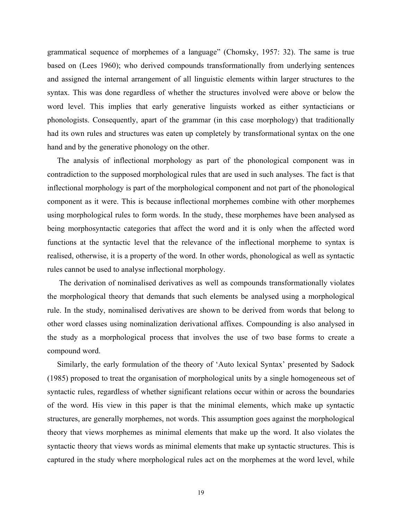grammatical sequence of morphemes of a language" (Chomsky, 1957: 32). The same is true based on (Lees 1960); who derived compounds transformationally from underlying sentences and assigned the internal arrangement of all linguistic elements within larger structures to the syntax. This was done regardless of whether the structures involved were above or below the word level. This implies that early generative linguists worked as either syntacticians or phonologists. Consequently, apart of the grammar (in this case morphology) that traditionally had its own rules and structures was eaten up completely by transformational syntax on the one hand and by the generative phonology on the other.

 The analysis of inflectional morphology as part of the phonological component was in contradiction to the supposed morphological rules that are used in such analyses. The fact is that inflectional morphology is part of the morphological component and not part of the phonological component as it were. This is because inflectional morphemes combine with other morphemes using morphological rules to form words. In the study, these morphemes have been analysed as being morphosyntactic categories that affect the word and it is only when the affected word functions at the syntactic level that the relevance of the inflectional morpheme to syntax is realised, otherwise, it is a property of the word. In other words, phonological as well as syntactic rules cannot be used to analyse inflectional morphology.

 The derivation of nominalised derivatives as well as compounds transformationally violates the morphological theory that demands that such elements be analysed using a morphological rule. In the study, nominalised derivatives are shown to be derived from words that belong to other word classes using nominalization derivational affixes. Compounding is also analysed in the study as a morphological process that involves the use of two base forms to create a compound word.

 Similarly, the early formulation of the theory of 'Auto lexical Syntax' presented by Sadock (1985) proposed to treat the organisation of morphological units by a single homogeneous set of syntactic rules, regardless of whether significant relations occur within or across the boundaries of the word. His view in this paper is that the minimal elements, which make up syntactic structures, are generally morphemes, not words. This assumption goes against the morphological theory that views morphemes as minimal elements that make up the word. It also violates the syntactic theory that views words as minimal elements that make up syntactic structures. This is captured in the study where morphological rules act on the morphemes at the word level, while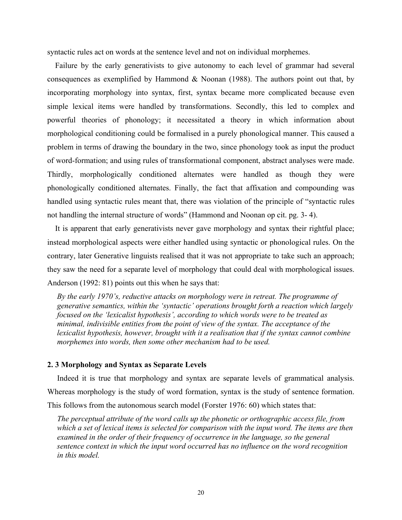syntactic rules act on words at the sentence level and not on individual morphemes.

 Failure by the early generativists to give autonomy to each level of grammar had several consequences as exemplified by Hammond  $&$  Noonan (1988). The authors point out that, by incorporating morphology into syntax, first, syntax became more complicated because even simple lexical items were handled by transformations. Secondly, this led to complex and powerful theories of phonology; it necessitated a theory in which information about morphological conditioning could be formalised in a purely phonological manner. This caused a problem in terms of drawing the boundary in the two, since phonology took as input the product of word-formation; and using rules of transformational component, abstract analyses were made. Thirdly, morphologically conditioned alternates were handled as though they were phonologically conditioned alternates. Finally, the fact that affixation and compounding was handled using syntactic rules meant that, there was violation of the principle of "syntactic rules not handling the internal structure of words" (Hammond and Noonan op cit. pg. 3- 4).

 It is apparent that early generativists never gave morphology and syntax their rightful place; instead morphological aspects were either handled using syntactic or phonological rules. On the contrary, later Generative linguists realised that it was not appropriate to take such an approach; they saw the need for a separate level of morphology that could deal with morphological issues. Anderson (1992: 81) points out this when he says that:

 *By the early 1970's, reductive attacks on morphology were in retreat. The programme of generative semantics, within the 'syntactic' operations brought forth a reaction which largely focused on the 'lexicalist hypothesis', according to which words were to be treated as minimal, indivisible entities from the point of view of the syntax. The acceptance of the lexicalist hypothesis, however, brought with it a realisation that if the syntax cannot combine morphemes into words, then some other mechanism had to be used.* 

## **2. 3 Morphology and Syntax as Separate Levels**

 Indeed it is true that morphology and syntax are separate levels of grammatical analysis. Whereas morphology is the study of word formation, syntax is the study of sentence formation. This follows from the autonomous search model (Forster 1976: 60) which states that:

 *The perceptual attribute of the word calls up the phonetic or orthographic access file, from which a set of lexical items is selected for comparison with the input word. The items are then examined in the order of their frequency of occurrence in the language, so the general sentence context in which the input word occurred has no influence on the word recognition in this model.*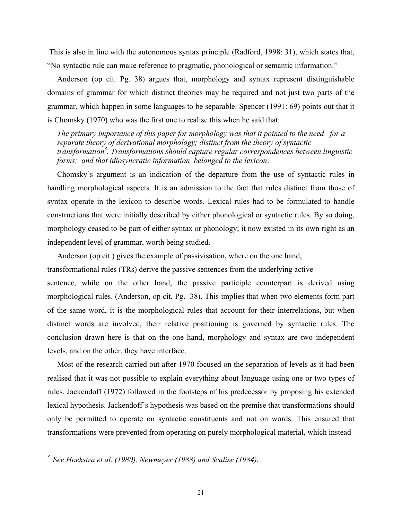This is also in line with the autonomous syntax principle (Radford, 1998: 31), which states that, "No syntactic rule can make reference to pragmatic, phonological or semantic information."

 Anderson (op cit. Pg. 38) argues that, morphology and syntax represent distinguishable domains of grammar for which distinct theories may be required and not just two parts of the grammar, which happen in some languages to be separable. Spencer (1991: 69) points out that it is Chomsky (1970) who was the first one to realise this when he said that:

 *The primary importance of this paper for morphology was that it pointed to the need for a separate theory of derivational morphology; distinct from the theory of syntactic transformation<sup>3</sup> . Transformations should capture regular correspondences between linguistic forms; and that idiosyncratic information belonged to the lexicon*.

 Chomsky's argument is an indication of the departure from the use of syntactic rules in handling morphological aspects. It is an admission to the fact that rules distinct from those of syntax operate in the lexicon to describe words. Lexical rules had to be formulated to handle constructions that were initially described by either phonological or syntactic rules. By so doing, morphology ceased to be part of either syntax or phonology; it now existed in its own right as an independent level of grammar, worth being studied.

Anderson (op cit.) gives the example of passivisation, where on the one hand,

transformational rules (TRs) derive the passive sentences from the underlying active

sentence, while on the other hand, the passive participle counterpart is derived using morphological rules. (Anderson, op cit. Pg. 38). This implies that when two elements form part of the same word, it is the morphological rules that account for their interrelations, but when distinct words are involved, their relative positioning is governed by syntactic rules. The conclusion drawn here is that on the one hand, morphology and syntax are two independent levels, and on the other, they have interface.

 Most of the research carried out after 1970 focused on the separation of levels as it had been realised that it was not possible to explain everything about language using one or two types of rules. Jackendoff (1972) followed in the footsteps of his predecessor by proposing his extended lexical hypothesis. Jackendoff's hypothesis was based on the premise that transformations should only be permitted to operate on syntactic constituents and not on words. This ensured that transformations were prevented from operating on purely morphological material, which instead

*3. See Hoekstra et al. (1980), Newmeyer (1988) and Scalise (1984).*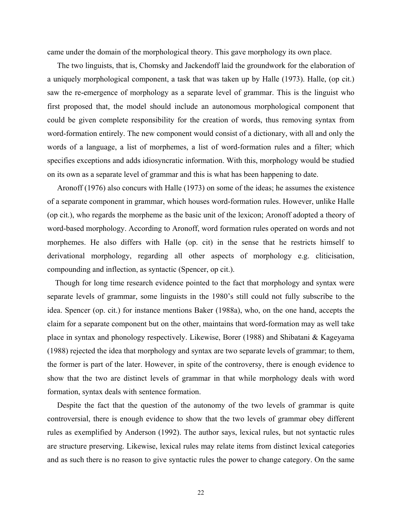came under the domain of the morphological theory. This gave morphology its own place.

 The two linguists, that is, Chomsky and Jackendoff laid the groundwork for the elaboration of a uniquely morphological component, a task that was taken up by Halle (1973). Halle, (op cit.) saw the re-emergence of morphology as a separate level of grammar. This is the linguist who first proposed that, the model should include an autonomous morphological component that could be given complete responsibility for the creation of words, thus removing syntax from word-formation entirely. The new component would consist of a dictionary, with all and only the words of a language, a list of morphemes, a list of word-formation rules and a filter; which specifies exceptions and adds idiosyncratic information. With this, morphology would be studied on its own as a separate level of grammar and this is what has been happening to date.

 Aronoff (1976) also concurs with Halle (1973) on some of the ideas; he assumes the existence of a separate component in grammar, which houses word-formation rules. However, unlike Halle (op cit.), who regards the morpheme as the basic unit of the lexicon; Aronoff adopted a theory of word-based morphology. According to Aronoff, word formation rules operated on words and not morphemes. He also differs with Halle (op. cit) in the sense that he restricts himself to derivational morphology, regarding all other aspects of morphology e.g. cliticisation, compounding and inflection, as syntactic (Spencer, op cit.).

 Though for long time research evidence pointed to the fact that morphology and syntax were separate levels of grammar, some linguists in the 1980's still could not fully subscribe to the idea. Spencer (op. cit.) for instance mentions Baker (1988a), who, on the one hand, accepts the claim for a separate component but on the other, maintains that word-formation may as well take place in syntax and phonology respectively. Likewise, Borer (1988) and Shibatani & Kageyama (1988) rejected the idea that morphology and syntax are two separate levels of grammar; to them, the former is part of the later. However, in spite of the controversy, there is enough evidence to show that the two are distinct levels of grammar in that while morphology deals with word formation, syntax deals with sentence formation.

 Despite the fact that the question of the autonomy of the two levels of grammar is quite controversial, there is enough evidence to show that the two levels of grammar obey different rules as exemplified by Anderson (1992). The author says, lexical rules, but not syntactic rules are structure preserving. Likewise, lexical rules may relate items from distinct lexical categories and as such there is no reason to give syntactic rules the power to change category. On the same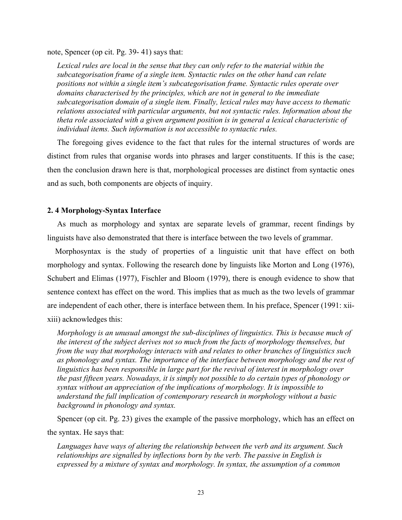note, Spencer (op cit. Pg. 39- 41) says that:

 *Lexical rules are local in the sense that they can only refer to the material within the subcategorisation frame of a single item. Syntactic rules on the other hand can relate positions not within a single item's subcategorisation frame. Syntactic rules operate over domains characterised by the principles, which are not in general to the immediate subcategorisation domain of a single item. Finally, lexical rules may have access to thematic relations associated with particular arguments, but not syntactic rules. Information about the theta role associated with a given argument position is in general a lexical characteristic of individual items. Such information is not accessible to syntactic rules.* 

 The foregoing gives evidence to the fact that rules for the internal structures of words are distinct from rules that organise words into phrases and larger constituents. If this is the case; then the conclusion drawn here is that, morphological processes are distinct from syntactic ones and as such, both components are objects of inquiry.

# **2. 4 Morphology-Syntax Interface**

 As much as morphology and syntax are separate levels of grammar, recent findings by linguists have also demonstrated that there is interface between the two levels of grammar.

 Morphosyntax is the study of properties of a linguistic unit that have effect on both morphology and syntax. Following the research done by linguists like Morton and Long (1976), Schubert and Elimas (1977), Fischler and Bloom (1979), there is enough evidence to show that sentence context has effect on the word. This implies that as much as the two levels of grammar are independent of each other, there is interface between them. In his preface, Spencer (1991: xiixiii) acknowledges this:

 *Morphology is an unusual amongst the sub-disciplines of linguistics. This is because much of the interest of the subject derives not so much from the facts of morphology themselves, but from the way that morphology interacts with and relates to other branches of linguistics such as phonology and syntax. The importance of the interface between morphology and the rest of linguistics has been responsible in large part for the revival of interest in morphology over the past fifteen years. Nowadays, it is simply not possible to do certain types of phonology or syntax without an appreciation of the implications of morphology. It is impossible to understand the full implication of contemporary research in morphology without a basic background in phonology and syntax.* 

 Spencer (op cit. Pg. 23) gives the example of the passive morphology, which has an effect on the syntax. He says that:

 *Languages have ways of altering the relationship between the verb and its argument. Such relationships are signalled by inflections born by the verb. The passive in English is expressed by a mixture of syntax and morphology. In syntax, the assumption of a common*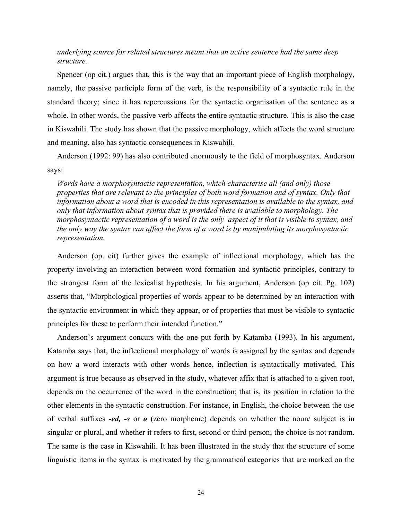# *underlying source for related structures meant that an active sentence had the same deep structure.*

 Spencer (op cit.) argues that, this is the way that an important piece of English morphology, namely, the passive participle form of the verb, is the responsibility of a syntactic rule in the standard theory; since it has repercussions for the syntactic organisation of the sentence as a whole. In other words, the passive verb affects the entire syntactic structure. This is also the case in Kiswahili. The study has shown that the passive morphology, which affects the word structure and meaning, also has syntactic consequences in Kiswahili.

 Anderson (1992: 99) has also contributed enormously to the field of morphosyntax. Anderson says:

 *Words have a morphosyntactic representation, which characterise all (and only) those properties that are relevant to the principles of both word formation and of syntax. Only that information about a word that is encoded in this representation is available to the syntax, and only that information about syntax that is provided there is available to morphology. The morphosyntactic representation of a word is the only aspect of it that is visible to syntax, and the only way the syntax can affect the form of a word is by manipulating its morphosyntactic representation.* 

 Anderson (op. cit) further gives the example of inflectional morphology, which has the property involving an interaction between word formation and syntactic principles, contrary to the strongest form of the lexicalist hypothesis. In his argument, Anderson (op cit. Pg. 102) asserts that, "Morphological properties of words appear to be determined by an interaction with the syntactic environment in which they appear, or of properties that must be visible to syntactic principles for these to perform their intended function."

 Anderson's argument concurs with the one put forth by Katamba (1993). In his argument, Katamba says that, the inflectional morphology of words is assigned by the syntax and depends on how a word interacts with other words hence, inflection is syntactically motivated. This argument is true because as observed in the study, whatever affix that is attached to a given root, depends on the occurrence of the word in the construction; that is, its position in relation to the other elements in the syntactic construction. For instance, in English, the choice between the use of verbal suffixes *-ed, -s* or *ø* (zero morpheme) depends on whether the noun/ subject is in singular or plural, and whether it refers to first, second or third person; the choice is not random. The same is the case in Kiswahili. It has been illustrated in the study that the structure of some linguistic items in the syntax is motivated by the grammatical categories that are marked on the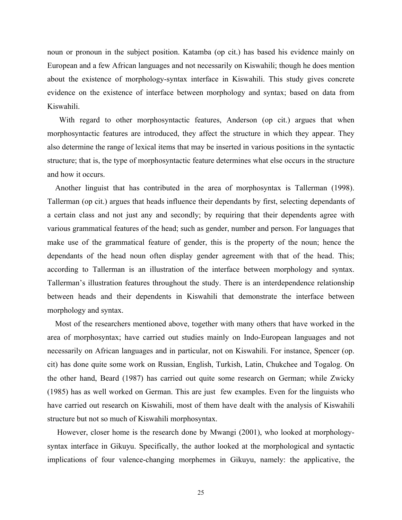noun or pronoun in the subject position. Katamba (op cit.) has based his evidence mainly on European and a few African languages and not necessarily on Kiswahili; though he does mention about the existence of morphology-syntax interface in Kiswahili. This study gives concrete evidence on the existence of interface between morphology and syntax; based on data from Kiswahili.

 With regard to other morphosyntactic features, Anderson (op cit.) argues that when morphosyntactic features are introduced, they affect the structure in which they appear. They also determine the range of lexical items that may be inserted in various positions in the syntactic structure; that is, the type of morphosyntactic feature determines what else occurs in the structure and how it occurs.

 Another linguist that has contributed in the area of morphosyntax is Tallerman (1998). Tallerman (op cit.) argues that heads influence their dependants by first, selecting dependants of a certain class and not just any and secondly; by requiring that their dependents agree with various grammatical features of the head; such as gender, number and person. For languages that make use of the grammatical feature of gender, this is the property of the noun; hence the dependants of the head noun often display gender agreement with that of the head. This; according to Tallerman is an illustration of the interface between morphology and syntax. Tallerman's illustration features throughout the study. There is an interdependence relationship between heads and their dependents in Kiswahili that demonstrate the interface between morphology and syntax.

 Most of the researchers mentioned above, together with many others that have worked in the area of morphosyntax; have carried out studies mainly on Indo-European languages and not necessarily on African languages and in particular, not on Kiswahili. For instance, Spencer (op. cit) has done quite some work on Russian, English, Turkish, Latin, Chukchee and Togalog. On the other hand, Beard (1987) has carried out quite some research on German; while Zwicky (1985) has as well worked on German. This are just few examples. Even for the linguists who have carried out research on Kiswahili, most of them have dealt with the analysis of Kiswahili structure but not so much of Kiswahili morphosyntax.

 However, closer home is the research done by Mwangi (2001), who looked at morphologysyntax interface in Gikuyu. Specifically, the author looked at the morphological and syntactic implications of four valence-changing morphemes in Gikuyu, namely: the applicative, the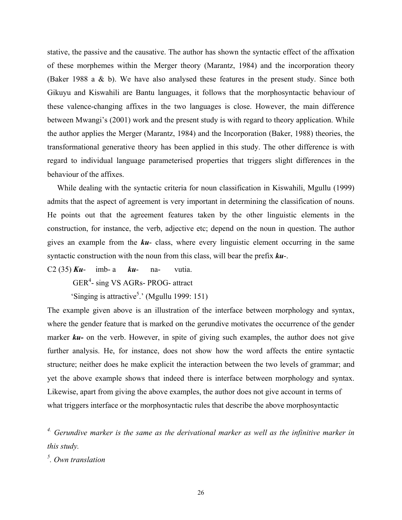stative, the passive and the causative. The author has shown the syntactic effect of the affixation of these morphemes within the Merger theory (Marantz, 1984) and the incorporation theory (Baker 1988 a & b). We have also analysed these features in the present study. Since both Gikuyu and Kiswahili are Bantu languages, it follows that the morphosyntactic behaviour of these valence-changing affixes in the two languages is close. However, the main difference between Mwangi's (2001) work and the present study is with regard to theory application. While the author applies the Merger (Marantz, 1984) and the Incorporation (Baker, 1988) theories, the transformational generative theory has been applied in this study. The other difference is with regard to individual language parameterised properties that triggers slight differences in the behaviour of the affixes.

 While dealing with the syntactic criteria for noun classification in Kiswahili, Mgullu (1999) admits that the aspect of agreement is very important in determining the classification of nouns. He points out that the agreement features taken by the other linguistic elements in the construction, for instance, the verb, adjective etc; depend on the noun in question. The author gives an example from the *ku*- class, where every linguistic element occurring in the same syntactic construction with the noun from this class, will bear the prefix *ku*-.

C2 (35) *Ku*- imb- a *ku*- na- vutia.

GER<sup>4</sup>- sing VS AGRs- PROG- attract

'Singing is attractive<sup>5</sup>.' (Mgullu 1999: 151)

The example given above is an illustration of the interface between morphology and syntax, where the gender feature that is marked on the gerundive motivates the occurrence of the gender marker **ku**- on the verb. However, in spite of giving such examples, the author does not give further analysis. He, for instance, does not show how the word affects the entire syntactic structure; neither does he make explicit the interaction between the two levels of grammar; and yet the above example shows that indeed there is interface between morphology and syntax. Likewise, apart from giving the above examples, the author does not give account in terms of what triggers interface or the morphosyntactic rules that describe the above morphosyntactic

*4. Gerundive marker is the same as the derivational marker as well as the infinitive marker in this study.* 

*5 . Own translation*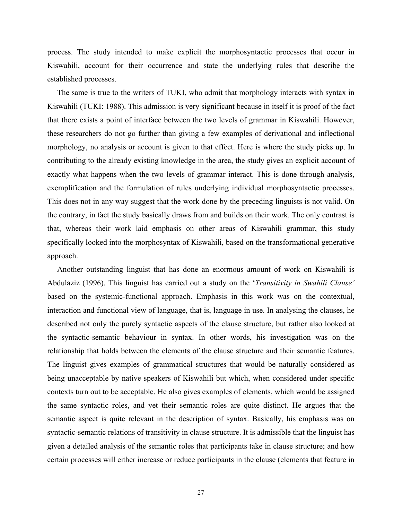process. The study intended to make explicit the morphosyntactic processes that occur in Kiswahili, account for their occurrence and state the underlying rules that describe the established processes.

 The same is true to the writers of TUKI, who admit that morphology interacts with syntax in Kiswahili (TUKI: 1988). This admission is very significant because in itself it is proof of the fact that there exists a point of interface between the two levels of grammar in Kiswahili. However, these researchers do not go further than giving a few examples of derivational and inflectional morphology, no analysis or account is given to that effect. Here is where the study picks up. In contributing to the already existing knowledge in the area, the study gives an explicit account of exactly what happens when the two levels of grammar interact. This is done through analysis, exemplification and the formulation of rules underlying individual morphosyntactic processes. This does not in any way suggest that the work done by the preceding linguists is not valid. On the contrary, in fact the study basically draws from and builds on their work. The only contrast is that, whereas their work laid emphasis on other areas of Kiswahili grammar, this study specifically looked into the morphosyntax of Kiswahili, based on the transformational generative approach.

 Another outstanding linguist that has done an enormous amount of work on Kiswahili is Abdulaziz (1996). This linguist has carried out a study on the '*Transitivity in Swahili Clause'* based on the systemic-functional approach. Emphasis in this work was on the contextual, interaction and functional view of language, that is, language in use. In analysing the clauses, he described not only the purely syntactic aspects of the clause structure, but rather also looked at the syntactic-semantic behaviour in syntax. In other words, his investigation was on the relationship that holds between the elements of the clause structure and their semantic features. The linguist gives examples of grammatical structures that would be naturally considered as being unacceptable by native speakers of Kiswahili but which, when considered under specific contexts turn out to be acceptable. He also gives examples of elements, which would be assigned the same syntactic roles, and yet their semantic roles are quite distinct. He argues that the semantic aspect is quite relevant in the description of syntax. Basically, his emphasis was on syntactic-semantic relations of transitivity in clause structure. It is admissible that the linguist has given a detailed analysis of the semantic roles that participants take in clause structure; and how certain processes will either increase or reduce participants in the clause (elements that feature in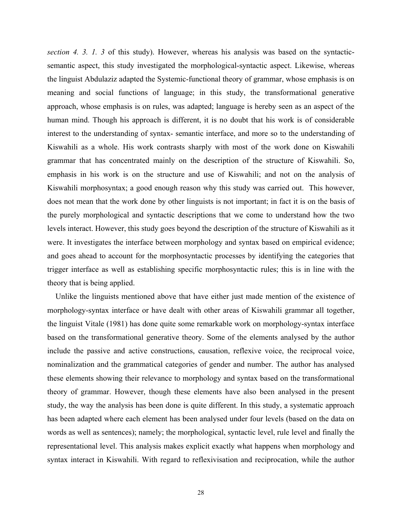*section 4. 3. 1. 3* of this study). However, whereas his analysis was based on the syntacticsemantic aspect, this study investigated the morphological-syntactic aspect. Likewise, whereas the linguist Abdulaziz adapted the Systemic-functional theory of grammar, whose emphasis is on meaning and social functions of language; in this study, the transformational generative approach, whose emphasis is on rules, was adapted; language is hereby seen as an aspect of the human mind. Though his approach is different, it is no doubt that his work is of considerable interest to the understanding of syntax- semantic interface, and more so to the understanding of Kiswahili as a whole. His work contrasts sharply with most of the work done on Kiswahili grammar that has concentrated mainly on the description of the structure of Kiswahili. So, emphasis in his work is on the structure and use of Kiswahili; and not on the analysis of Kiswahili morphosyntax; a good enough reason why this study was carried out. This however, does not mean that the work done by other linguists is not important; in fact it is on the basis of the purely morphological and syntactic descriptions that we come to understand how the two levels interact. However, this study goes beyond the description of the structure of Kiswahili as it were. It investigates the interface between morphology and syntax based on empirical evidence; and goes ahead to account for the morphosyntactic processes by identifying the categories that trigger interface as well as establishing specific morphosyntactic rules; this is in line with the theory that is being applied.

 Unlike the linguists mentioned above that have either just made mention of the existence of morphology-syntax interface or have dealt with other areas of Kiswahili grammar all together, the linguist Vitale (1981) has done quite some remarkable work on morphology-syntax interface based on the transformational generative theory. Some of the elements analysed by the author include the passive and active constructions, causation, reflexive voice, the reciprocal voice, nominalization and the grammatical categories of gender and number. The author has analysed these elements showing their relevance to morphology and syntax based on the transformational theory of grammar. However, though these elements have also been analysed in the present study, the way the analysis has been done is quite different. In this study, a systematic approach has been adapted where each element has been analysed under four levels (based on the data on words as well as sentences); namely; the morphological, syntactic level, rule level and finally the representational level. This analysis makes explicit exactly what happens when morphology and syntax interact in Kiswahili. With regard to reflexivisation and reciprocation, while the author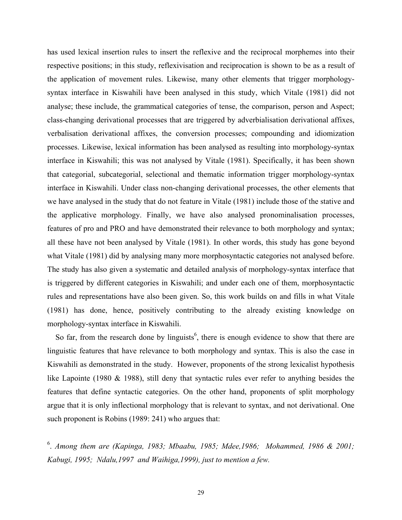has used lexical insertion rules to insert the reflexive and the reciprocal morphemes into their respective positions; in this study, reflexivisation and reciprocation is shown to be as a result of the application of movement rules. Likewise, many other elements that trigger morphologysyntax interface in Kiswahili have been analysed in this study, which Vitale (1981) did not analyse; these include, the grammatical categories of tense, the comparison, person and Aspect; class-changing derivational processes that are triggered by adverbialisation derivational affixes, verbalisation derivational affixes, the conversion processes; compounding and idiomization processes. Likewise, lexical information has been analysed as resulting into morphology-syntax interface in Kiswahili; this was not analysed by Vitale (1981). Specifically, it has been shown that categorial, subcategorial, selectional and thematic information trigger morphology-syntax interface in Kiswahili. Under class non-changing derivational processes, the other elements that we have analysed in the study that do not feature in Vitale (1981) include those of the stative and the applicative morphology. Finally, we have also analysed pronominalisation processes, features of pro and PRO and have demonstrated their relevance to both morphology and syntax; all these have not been analysed by Vitale (1981). In other words, this study has gone beyond what Vitale (1981) did by analysing many more morphosyntactic categories not analysed before. The study has also given a systematic and detailed analysis of morphology-syntax interface that is triggered by different categories in Kiswahili; and under each one of them, morphosyntactic rules and representations have also been given. So, this work builds on and fills in what Vitale (1981) has done, hence, positively contributing to the already existing knowledge on morphology-syntax interface in Kiswahili.

So far, from the research done by linguists<sup>6</sup>, there is enough evidence to show that there are linguistic features that have relevance to both morphology and syntax. This is also the case in Kiswahili as demonstrated in the study. However, proponents of the strong lexicalist hypothesis like Lapointe (1980 & 1988), still deny that syntactic rules ever refer to anything besides the features that define syntactic categories. On the other hand, proponents of split morphology argue that it is only inflectional morphology that is relevant to syntax, and not derivational. One such proponent is Robins (1989: 241) who argues that:

6 . *Among them are (Kapinga, 1983; Mbaabu, 1985; Mdee,1986; Mohammed, 1986 & 2001; Kabugi, 1995; Ndalu,1997 and Waihiga,1999), just to mention a few.*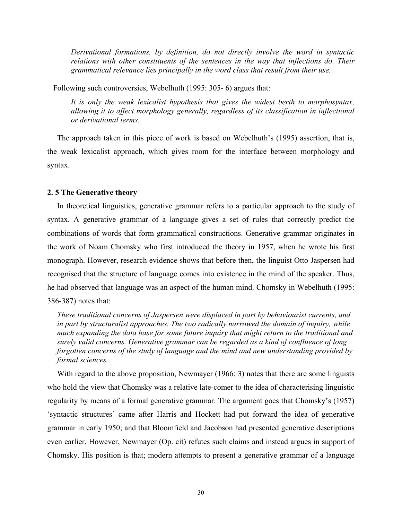*Derivational formations, by definition, do not directly involve the word in syntactic relations with other constituents of the sentences in the way that inflections do. Their grammatical relevance lies principally in the word class that result from their use.* 

Following such controversies, Webelhuth (1995: 305- 6) argues that:

*It is only the weak lexicalist hypothesis that gives the widest berth to morphosyntax, allowing it to affect morphology generally, regardless of its classification in inflectional or derivational terms.* 

 The approach taken in this piece of work is based on Webelhuth's (1995) assertion, that is, the weak lexicalist approach, which gives room for the interface between morphology and syntax.

# **2. 5 The Generative theory**

 In theoretical linguistics, generative grammar refers to a particular approach to the study of syntax. A generative grammar of a language gives a set of rules that correctly predict the combinations of words that form grammatical constructions. Generative grammar originates in the work of Noam Chomsky who first introduced the theory in 1957, when he wrote his first monograph. However, research evidence shows that before then, the linguist Otto Jaspersen had recognised that the structure of language comes into existence in the mind of the speaker. Thus, he had observed that language was an aspect of the human mind. Chomsky in Webelhuth (1995: 386-387) notes that:

 *These traditional concerns of Jaspersen were displaced in part by behaviourist currents, and in part by structuralist approaches. The two radically narrowed the domain of inquiry, while much expanding the data base for some future inquiry that might return to the traditional and surely valid concerns. Generative grammar can be regarded as a kind of confluence of long forgotten concerns of the study of language and the mind and new understanding provided by formal sciences.* 

With regard to the above proposition, Newmayer (1966: 3) notes that there are some linguists who hold the view that Chomsky was a relative late-comer to the idea of characterising linguistic regularity by means of a formal generative grammar. The argument goes that Chomsky's (1957) 'syntactic structures' came after Harris and Hockett had put forward the idea of generative grammar in early 1950; and that Bloomfield and Jacobson had presented generative descriptions even earlier. However, Newmayer (Op. cit) refutes such claims and instead argues in support of Chomsky. His position is that; modern attempts to present a generative grammar of a language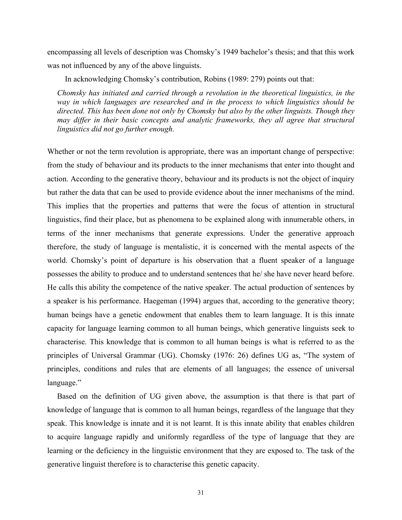encompassing all levels of description was Chomsky's 1949 bachelor's thesis; and that this work was not influenced by any of the above linguists.

In acknowledging Chomsky's contribution, Robins (1989: 279) points out that:

*Chomsky has initiated and carried through a revolution in the theoretical linguistics, in the way in which languages are researched and in the process to which linguistics should be directed. This has been done not only by Chomsky but also by the other linguists. Though they may differ in their basic concepts and analytic frameworks, they all agree that structural linguistics did not go further enough.*

Whether or not the term revolution is appropriate, there was an important change of perspective: from the study of behaviour and its products to the inner mechanisms that enter into thought and action. According to the generative theory, behaviour and its products is not the object of inquiry but rather the data that can be used to provide evidence about the inner mechanisms of the mind. This implies that the properties and patterns that were the focus of attention in structural linguistics, find their place, but as phenomena to be explained along with innumerable others, in terms of the inner mechanisms that generate expressions. Under the generative approach therefore, the study of language is mentalistic, it is concerned with the mental aspects of the world. Chomsky's point of departure is his observation that a fluent speaker of a language possesses the ability to produce and to understand sentences that he/ she have never heard before. He calls this ability the competence of the native speaker. The actual production of sentences by a speaker is his performance. Haegeman (1994) argues that, according to the generative theory; human beings have a genetic endowment that enables them to learn language. It is this innate capacity for language learning common to all human beings, which generative linguists seek to characterise. This knowledge that is common to all human beings is what is referred to as the principles of Universal Grammar (UG). Chomsky (1976: 26) defines UG as, "The system of principles, conditions and rules that are elements of all languages; the essence of universal language."

 Based on the definition of UG given above, the assumption is that there is that part of knowledge of language that is common to all human beings, regardless of the language that they speak. This knowledge is innate and it is not learnt. It is this innate ability that enables children to acquire language rapidly and uniformly regardless of the type of language that they are learning or the deficiency in the linguistic environment that they are exposed to. The task of the generative linguist therefore is to characterise this genetic capacity.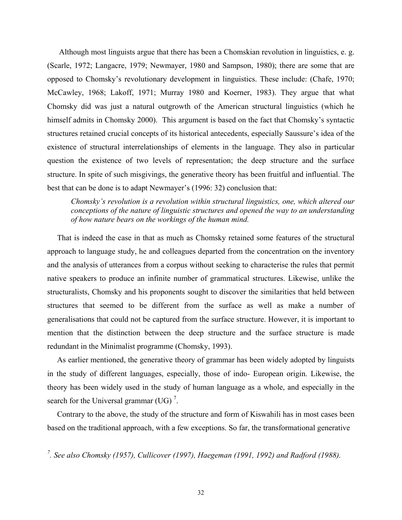Although most linguists argue that there has been a Chomskian revolution in linguistics, e. g. (Scarle, 1972; Langacre, 1979; Newmayer, 1980 and Sampson, 1980); there are some that are opposed to Chomsky's revolutionary development in linguistics. These include: (Chafe, 1970; McCawley, 1968; Lakoff, 1971; Murray 1980 and Koerner, 1983). They argue that what Chomsky did was just a natural outgrowth of the American structural linguistics (which he himself admits in Chomsky 2000). This argument is based on the fact that Chomsky's syntactic structures retained crucial concepts of its historical antecedents, especially Saussure's idea of the existence of structural interrelationships of elements in the language. They also in particular question the existence of two levels of representation; the deep structure and the surface structure. In spite of such misgivings, the generative theory has been fruitful and influential. The best that can be done is to adapt Newmayer's (1996: 32) conclusion that:

*Chomsky's revolution is a revolution within structural linguistics, one, which altered our conceptions of the nature of linguistic structures and opened the way to an understanding of how nature bears on the workings of the human mind.* 

 That is indeed the case in that as much as Chomsky retained some features of the structural approach to language study, he and colleagues departed from the concentration on the inventory and the analysis of utterances from a corpus without seeking to characterise the rules that permit native speakers to produce an infinite number of grammatical structures. Likewise, unlike the structuralists, Chomsky and his proponents sought to discover the similarities that held between structures that seemed to be different from the surface as well as make a number of generalisations that could not be captured from the surface structure. However, it is important to mention that the distinction between the deep structure and the surface structure is made redundant in the Minimalist programme (Chomsky, 1993).

 As earlier mentioned, the generative theory of grammar has been widely adopted by linguists in the study of different languages, especially, those of indo- European origin. Likewise, the theory has been widely used in the study of human language as a whole, and especially in the search for the Universal grammar (UG)<sup> $^7$ </sup>.

 Contrary to the above, the study of the structure and form of Kiswahili has in most cases been based on the traditional approach, with a few exceptions. So far, the transformational generative

*7 . See also Chomsky (1957), Cullicover (1997), Haegeman (1991, 1992) and Radford (1988).*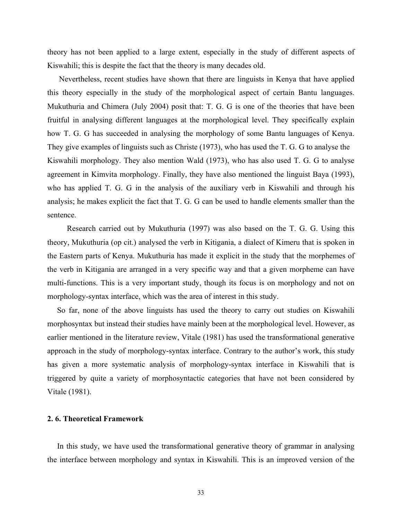theory has not been applied to a large extent, especially in the study of different aspects of Kiswahili; this is despite the fact that the theory is many decades old.

 Nevertheless, recent studies have shown that there are linguists in Kenya that have applied this theory especially in the study of the morphological aspect of certain Bantu languages. Mukuthuria and Chimera (July 2004) posit that: T. G. G is one of the theories that have been fruitful in analysing different languages at the morphological level. They specifically explain how T. G. G has succeeded in analysing the morphology of some Bantu languages of Kenya. They give examples of linguists such as Christe (1973), who has used the T. G. G to analyse the Kiswahili morphology. They also mention Wald (1973), who has also used T. G. G to analyse agreement in Kimvita morphology. Finally, they have also mentioned the linguist Baya (1993), who has applied T. G. G in the analysis of the auxiliary verb in Kiswahili and through his analysis; he makes explicit the fact that T. G. G can be used to handle elements smaller than the sentence.

 Research carried out by Mukuthuria (1997) was also based on the T. G. G. Using this theory, Mukuthuria (op cit.) analysed the verb in Kitigania, a dialect of Kimeru that is spoken in the Eastern parts of Kenya. Mukuthuria has made it explicit in the study that the morphemes of the verb in Kitigania are arranged in a very specific way and that a given morpheme can have multi-functions. This is a very important study, though its focus is on morphology and not on morphology-syntax interface, which was the area of interest in this study.

 So far, none of the above linguists has used the theory to carry out studies on Kiswahili morphosyntax but instead their studies have mainly been at the morphological level. However, as earlier mentioned in the literature review, Vitale (1981) has used the transformational generative approach in the study of morphology-syntax interface. Contrary to the author's work, this study has given a more systematic analysis of morphology-syntax interface in Kiswahili that is triggered by quite a variety of morphosyntactic categories that have not been considered by Vitale (1981).

# **2. 6. Theoretical Framework**

 In this study, we have used the transformational generative theory of grammar in analysing the interface between morphology and syntax in Kiswahili. This is an improved version of the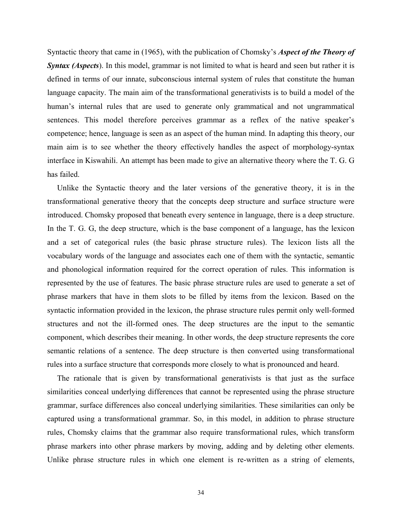Syntactic theory that came in (1965), with the publication of Chomsky's *Aspect of the Theory of Syntax (Aspects*). In this model, grammar is not limited to what is heard and seen but rather it is defined in terms of our innate, subconscious internal system of rules that constitute the human language capacity. The main aim of the transformational generativists is to build a model of the human's internal rules that are used to generate only grammatical and not ungrammatical sentences. This model therefore perceives grammar as a reflex of the native speaker's competence; hence, language is seen as an aspect of the human mind. In adapting this theory, our main aim is to see whether the theory effectively handles the aspect of morphology-syntax interface in Kiswahili. An attempt has been made to give an alternative theory where the T. G. G has failed.

 Unlike the Syntactic theory and the later versions of the generative theory, it is in the transformational generative theory that the concepts deep structure and surface structure were introduced. Chomsky proposed that beneath every sentence in language, there is a deep structure. In the T. G. G, the deep structure, which is the base component of a language, has the lexicon and a set of categorical rules (the basic phrase structure rules). The lexicon lists all the vocabulary words of the language and associates each one of them with the syntactic, semantic and phonological information required for the correct operation of rules. This information is represented by the use of features. The basic phrase structure rules are used to generate a set of phrase markers that have in them slots to be filled by items from the lexicon. Based on the syntactic information provided in the lexicon, the phrase structure rules permit only well-formed structures and not the ill-formed ones. The deep structures are the input to the semantic component, which describes their meaning. In other words, the deep structure represents the core semantic relations of a sentence. The deep structure is then converted using transformational rules into a surface structure that corresponds more closely to what is pronounced and heard.

 The rationale that is given by transformational generativists is that just as the surface similarities conceal underlying differences that cannot be represented using the phrase structure grammar, surface differences also conceal underlying similarities. These similarities can only be captured using a transformational grammar. So, in this model, in addition to phrase structure rules, Chomsky claims that the grammar also require transformational rules, which transform phrase markers into other phrase markers by moving, adding and by deleting other elements. Unlike phrase structure rules in which one element is re-written as a string of elements,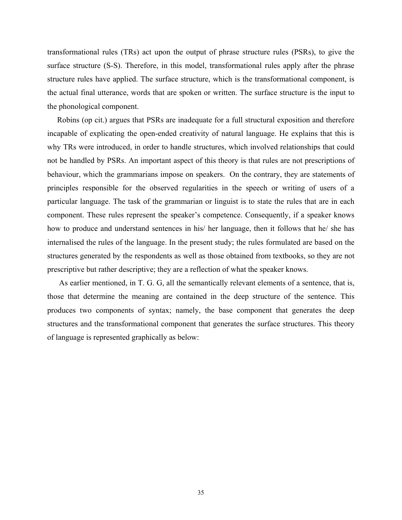transformational rules (TRs) act upon the output of phrase structure rules (PSRs), to give the surface structure (S-S). Therefore, in this model, transformational rules apply after the phrase structure rules have applied. The surface structure, which is the transformational component, is the actual final utterance, words that are spoken or written. The surface structure is the input to the phonological component.

 Robins (op cit.) argues that PSRs are inadequate for a full structural exposition and therefore incapable of explicating the open-ended creativity of natural language. He explains that this is why TRs were introduced, in order to handle structures, which involved relationships that could not be handled by PSRs. An important aspect of this theory is that rules are not prescriptions of behaviour, which the grammarians impose on speakers. On the contrary, they are statements of principles responsible for the observed regularities in the speech or writing of users of a particular language. The task of the grammarian or linguist is to state the rules that are in each component. These rules represent the speaker's competence. Consequently, if a speaker knows how to produce and understand sentences in his/ her language, then it follows that he/ she has internalised the rules of the language. In the present study; the rules formulated are based on the structures generated by the respondents as well as those obtained from textbooks, so they are not prescriptive but rather descriptive; they are a reflection of what the speaker knows.

 As earlier mentioned, in T. G. G, all the semantically relevant elements of a sentence, that is, those that determine the meaning are contained in the deep structure of the sentence. This produces two components of syntax; namely, the base component that generates the deep structures and the transformational component that generates the surface structures. This theory of language is represented graphically as below: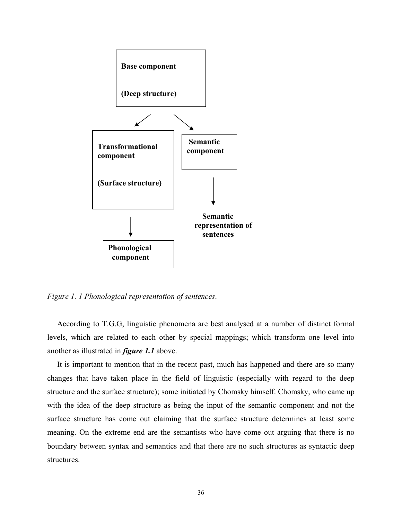

*Figure 1. 1 Phonological representation of sentences*.

 According to T.G.G, linguistic phenomena are best analysed at a number of distinct formal levels, which are related to each other by special mappings; which transform one level into another as illustrated in *figure 1.1* above.

 It is important to mention that in the recent past, much has happened and there are so many changes that have taken place in the field of linguistic (especially with regard to the deep structure and the surface structure); some initiated by Chomsky himself. Chomsky, who came up with the idea of the deep structure as being the input of the semantic component and not the surface structure has come out claiming that the surface structure determines at least some meaning. On the extreme end are the semantists who have come out arguing that there is no boundary between syntax and semantics and that there are no such structures as syntactic deep structures.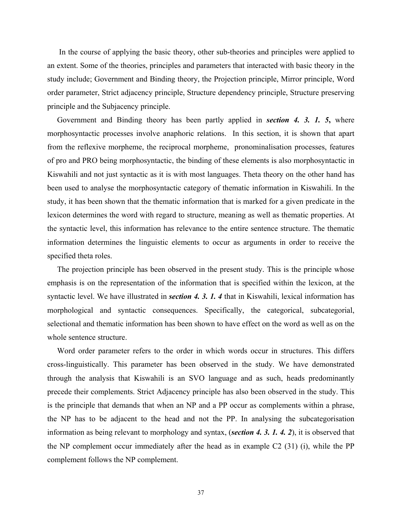In the course of applying the basic theory, other sub-theories and principles were applied to an extent. Some of the theories, principles and parameters that interacted with basic theory in the study include; Government and Binding theory, the Projection principle, Mirror principle, Word order parameter, Strict adjacency principle, Structure dependency principle, Structure preserving principle and the Subjacency principle.

 Government and Binding theory has been partly applied in *section 4. 3. 1. 5***,** where morphosyntactic processes involve anaphoric relations. In this section, it is shown that apart from the reflexive morpheme, the reciprocal morpheme, pronominalisation processes, features of pro and PRO being morphosyntactic, the binding of these elements is also morphosyntactic in Kiswahili and not just syntactic as it is with most languages. Theta theory on the other hand has been used to analyse the morphosyntactic category of thematic information in Kiswahili. In the study, it has been shown that the thematic information that is marked for a given predicate in the lexicon determines the word with regard to structure, meaning as well as thematic properties. At the syntactic level, this information has relevance to the entire sentence structure. The thematic information determines the linguistic elements to occur as arguments in order to receive the specified theta roles.

 The projection principle has been observed in the present study. This is the principle whose emphasis is on the representation of the information that is specified within the lexicon, at the syntactic level. We have illustrated in *section 4. 3. 1. 4* that in Kiswahili, lexical information has morphological and syntactic consequences. Specifically, the categorical, subcategorial, selectional and thematic information has been shown to have effect on the word as well as on the whole sentence structure.

 Word order parameter refers to the order in which words occur in structures. This differs cross-linguistically. This parameter has been observed in the study. We have demonstrated through the analysis that Kiswahili is an SVO language and as such, heads predominantly precede their complements. Strict Adjacency principle has also been observed in the study. This is the principle that demands that when an NP and a PP occur as complements within a phrase, the NP has to be adjacent to the head and not the PP. In analysing the subcategorisation information as being relevant to morphology and syntax, (*section 4. 3. 1. 4. 2*), it is observed that the NP complement occur immediately after the head as in example C2 (31) (i), while the PP complement follows the NP complement.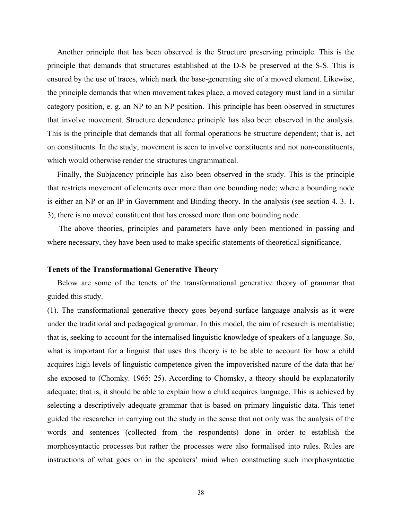Another principle that has been observed is the Structure preserving principle. This is the principle that demands that structures established at the D-S be preserved at the S-S. This is ensured by the use of traces, which mark the base-generating site of a moved element. Likewise, the principle demands that when movement takes place, a moved category must land in a similar category position, e. g. an NP to an NP position. This principle has been observed in structures that involve movement. Structure dependence principle has also been observed in the analysis. This is the principle that demands that all formal operations be structure dependent; that is, act on constituents. In the study, movement is seen to involve constituents and not non-constituents, which would otherwise render the structures ungrammatical.

 Finally, the Subjacency principle has also been observed in the study. This is the principle that restricts movement of elements over more than one bounding node; where a bounding node is either an NP or an IP in Government and Binding theory. In the analysis (see section 4. 3. 1. 3), there is no moved constituent that has crossed more than one bounding node.

 The above theories, principles and parameters have only been mentioned in passing and where necessary, they have been used to make specific statements of theoretical significance.

## **Tenets of the Transformational Generative Theory**

 Below are some of the tenets of the transformational generative theory of grammar that guided this study.

(1). The transformational generative theory goes beyond surface language analysis as it were under the traditional and pedagogical grammar. In this model, the aim of research is mentalistic; that is, seeking to account for the internalised linguistic knowledge of speakers of a language. So, what is important for a linguist that uses this theory is to be able to account for how a child acquires high levels of linguistic competence given the impoverished nature of the data that he/ she exposed to (Chomky. 1965: 25). According to Chomsky, a theory should be explanatorily adequate; that is, it should be able to explain how a child acquires language. This is achieved by selecting a descriptively adequate grammar that is based on primary linguistic data. This tenet guided the researcher in carrying out the study in the sense that not only was the analysis of the words and sentences (collected from the respondents) done in order to establish the morphosyntactic processes but rather the processes were also formalised into rules. Rules are instructions of what goes on in the speakers' mind when constructing such morphosyntactic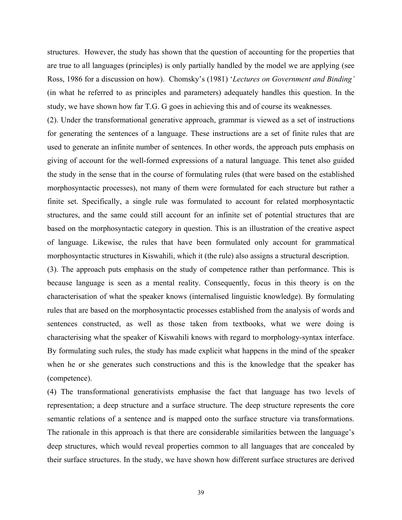structures. However, the study has shown that the question of accounting for the properties that are true to all languages (principles) is only partially handled by the model we are applying (see Ross, 1986 for a discussion on how). Chomsky's (1981) '*Lectures on Government and Binding'* (in what he referred to as principles and parameters) adequately handles this question. In the study, we have shown how far T.G. G goes in achieving this and of course its weaknesses.

(2). Under the transformational generative approach, grammar is viewed as a set of instructions for generating the sentences of a language. These instructions are a set of finite rules that are used to generate an infinite number of sentences. In other words, the approach puts emphasis on giving of account for the well-formed expressions of a natural language. This tenet also guided the study in the sense that in the course of formulating rules (that were based on the established morphosyntactic processes), not many of them were formulated for each structure but rather a finite set. Specifically, a single rule was formulated to account for related morphosyntactic structures, and the same could still account for an infinite set of potential structures that are based on the morphosyntactic category in question. This is an illustration of the creative aspect of language. Likewise, the rules that have been formulated only account for grammatical morphosyntactic structures in Kiswahili, which it (the rule) also assigns a structural description.

(3). The approach puts emphasis on the study of competence rather than performance. This is because language is seen as a mental reality. Consequently, focus in this theory is on the characterisation of what the speaker knows (internalised linguistic knowledge). By formulating rules that are based on the morphosyntactic processes established from the analysis of words and sentences constructed, as well as those taken from textbooks, what we were doing is characterising what the speaker of Kiswahili knows with regard to morphology-syntax interface. By formulating such rules, the study has made explicit what happens in the mind of the speaker when he or she generates such constructions and this is the knowledge that the speaker has (competence).

(4) The transformational generativists emphasise the fact that language has two levels of representation; a deep structure and a surface structure. The deep structure represents the core semantic relations of a sentence and is mapped onto the surface structure via transformations. The rationale in this approach is that there are considerable similarities between the language's deep structures, which would reveal properties common to all languages that are concealed by their surface structures. In the study, we have shown how different surface structures are derived

39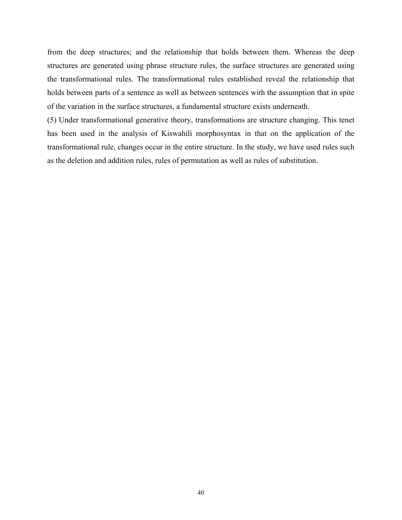from the deep structures; and the relationship that holds between them. Whereas the deep structures are generated using phrase structure rules, the surface structures are generated using the transformational rules. The transformational rules established reveal the relationship that holds between parts of a sentence as well as between sentences with the assumption that in spite of the variation in the surface structures, a fundamental structure exists underneath.

(5) Under transformational generative theory, transformations are structure changing. This tenet has been used in the analysis of Kiswahili morphosyntax in that on the application of the transformational rule, changes occur in the entire structure. In the study, we have used rules such as the deletion and addition rules, rules of permutation as well as rules of substitution.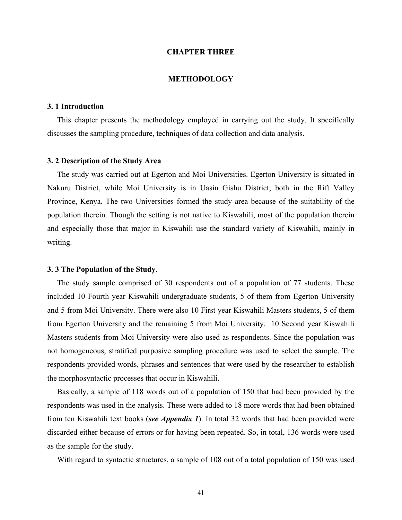# **CHAPTER THREE**

# **METHODOLOGY**

# **3. 1 Introduction**

 This chapter presents the methodology employed in carrying out the study. It specifically discusses the sampling procedure, techniques of data collection and data analysis.

# **3. 2 Description of the Study Area**

 The study was carried out at Egerton and Moi Universities. Egerton University is situated in Nakuru District, while Moi University is in Uasin Gishu District; both in the Rift Valley Province, Kenya. The two Universities formed the study area because of the suitability of the population therein. Though the setting is not native to Kiswahili, most of the population therein and especially those that major in Kiswahili use the standard variety of Kiswahili, mainly in writing.

## **3. 3 The Population of the Study**.

 The study sample comprised of 30 respondents out of a population of 77 students. These included 10 Fourth year Kiswahili undergraduate students, 5 of them from Egerton University and 5 from Moi University. There were also 10 First year Kiswahili Masters students, 5 of them from Egerton University and the remaining 5 from Moi University. 10 Second year Kiswahili Masters students from Moi University were also used as respondents. Since the population was not homogeneous, stratified purposive sampling procedure was used to select the sample. The respondents provided words, phrases and sentences that were used by the researcher to establish the morphosyntactic processes that occur in Kiswahili.

 Basically, a sample of 118 words out of a population of 150 that had been provided by the respondents was used in the analysis. These were added to 18 more words that had been obtained from ten Kiswahili text books (*see Appendix 1*). In total 32 words that had been provided were discarded either because of errors or for having been repeated. So, in total, 136 words were used as the sample for the study.

With regard to syntactic structures, a sample of 108 out of a total population of 150 was used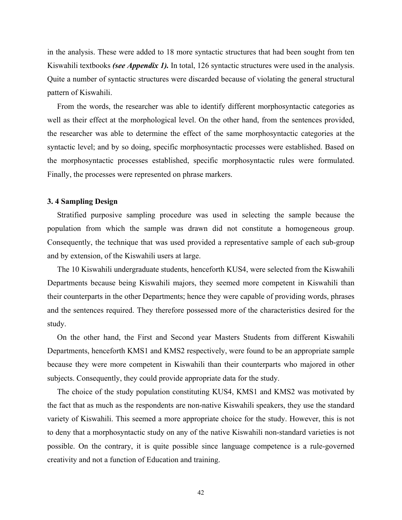in the analysis. These were added to 18 more syntactic structures that had been sought from ten Kiswahili textbooks *(see Appendix 1).* In total, 126 syntactic structures were used in the analysis. Quite a number of syntactic structures were discarded because of violating the general structural pattern of Kiswahili.

 From the words, the researcher was able to identify different morphosyntactic categories as well as their effect at the morphological level. On the other hand, from the sentences provided, the researcher was able to determine the effect of the same morphosyntactic categories at the syntactic level; and by so doing, specific morphosyntactic processes were established. Based on the morphosyntactic processes established, specific morphosyntactic rules were formulated. Finally, the processes were represented on phrase markers.

# **3. 4 Sampling Design**

 Stratified purposive sampling procedure was used in selecting the sample because the population from which the sample was drawn did not constitute a homogeneous group. Consequently, the technique that was used provided a representative sample of each sub-group and by extension, of the Kiswahili users at large.

 The 10 Kiswahili undergraduate students, henceforth KUS4, were selected from the Kiswahili Departments because being Kiswahili majors, they seemed more competent in Kiswahili than their counterparts in the other Departments; hence they were capable of providing words, phrases and the sentences required. They therefore possessed more of the characteristics desired for the study.

 On the other hand, the First and Second year Masters Students from different Kiswahili Departments, henceforth KMS1 and KMS2 respectively, were found to be an appropriate sample because they were more competent in Kiswahili than their counterparts who majored in other subjects. Consequently, they could provide appropriate data for the study.

 The choice of the study population constituting KUS4, KMS1 and KMS2 was motivated by the fact that as much as the respondents are non-native Kiswahili speakers, they use the standard variety of Kiswahili. This seemed a more appropriate choice for the study. However, this is not to deny that a morphosyntactic study on any of the native Kiswahili non-standard varieties is not possible. On the contrary, it is quite possible since language competence is a rule-governed creativity and not a function of Education and training.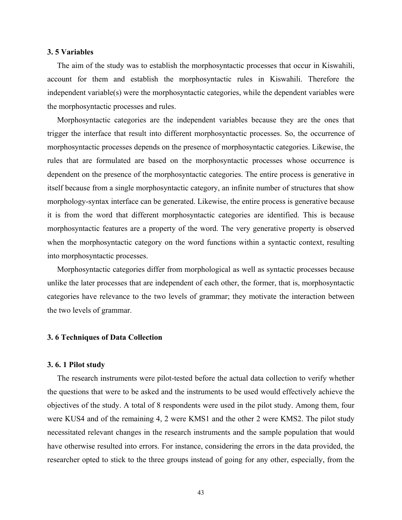# **3. 5 Variables**

 The aim of the study was to establish the morphosyntactic processes that occur in Kiswahili, account for them and establish the morphosyntactic rules in Kiswahili. Therefore the independent variable(s) were the morphosyntactic categories, while the dependent variables were the morphosyntactic processes and rules.

 Morphosyntactic categories are the independent variables because they are the ones that trigger the interface that result into different morphosyntactic processes. So, the occurrence of morphosyntactic processes depends on the presence of morphosyntactic categories. Likewise, the rules that are formulated are based on the morphosyntactic processes whose occurrence is dependent on the presence of the morphosyntactic categories. The entire process is generative in itself because from a single morphosyntactic category, an infinite number of structures that show morphology-syntax interface can be generated. Likewise, the entire process is generative because it is from the word that different morphosyntactic categories are identified. This is because morphosyntactic features are a property of the word. The very generative property is observed when the morphosyntactic category on the word functions within a syntactic context, resulting into morphosyntactic processes.

 Morphosyntactic categories differ from morphological as well as syntactic processes because unlike the later processes that are independent of each other, the former, that is, morphosyntactic categories have relevance to the two levels of grammar; they motivate the interaction between the two levels of grammar.

# **3. 6 Techniques of Data Collection**

# **3. 6. 1 Pilot study**

 The research instruments were pilot-tested before the actual data collection to verify whether the questions that were to be asked and the instruments to be used would effectively achieve the objectives of the study. A total of 8 respondents were used in the pilot study. Among them, four were KUS4 and of the remaining 4, 2 were KMS1 and the other 2 were KMS2. The pilot study necessitated relevant changes in the research instruments and the sample population that would have otherwise resulted into errors. For instance, considering the errors in the data provided, the researcher opted to stick to the three groups instead of going for any other, especially, from the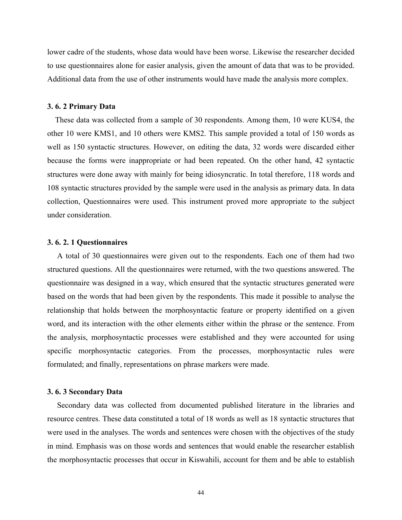lower cadre of the students, whose data would have been worse. Likewise the researcher decided to use questionnaires alone for easier analysis, given the amount of data that was to be provided. Additional data from the use of other instruments would have made the analysis more complex.

### **3. 6. 2 Primary Data**

 These data was collected from a sample of 30 respondents. Among them, 10 were KUS4, the other 10 were KMS1, and 10 others were KMS2. This sample provided a total of 150 words as well as 150 syntactic structures. However, on editing the data, 32 words were discarded either because the forms were inappropriate or had been repeated. On the other hand, 42 syntactic structures were done away with mainly for being idiosyncratic. In total therefore, 118 words and 108 syntactic structures provided by the sample were used in the analysis as primary data. In data collection, Questionnaires were used. This instrument proved more appropriate to the subject under consideration.

# **3. 6. 2. 1 Questionnaires**

 A total of 30 questionnaires were given out to the respondents. Each one of them had two structured questions. All the questionnaires were returned, with the two questions answered. The questionnaire was designed in a way, which ensured that the syntactic structures generated were based on the words that had been given by the respondents. This made it possible to analyse the relationship that holds between the morphosyntactic feature or property identified on a given word, and its interaction with the other elements either within the phrase or the sentence. From the analysis, morphosyntactic processes were established and they were accounted for using specific morphosyntactic categories. From the processes, morphosyntactic rules were formulated; and finally, representations on phrase markers were made.

# **3. 6. 3 Secondary Data**

 Secondary data was collected from documented published literature in the libraries and resource centres. These data constituted a total of 18 words as well as 18 syntactic structures that were used in the analyses. The words and sentences were chosen with the objectives of the study in mind. Emphasis was on those words and sentences that would enable the researcher establish the morphosyntactic processes that occur in Kiswahili, account for them and be able to establish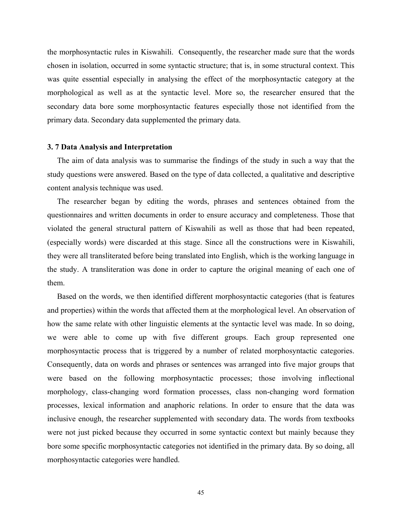the morphosyntactic rules in Kiswahili. Consequently, the researcher made sure that the words chosen in isolation, occurred in some syntactic structure; that is, in some structural context. This was quite essential especially in analysing the effect of the morphosyntactic category at the morphological as well as at the syntactic level. More so, the researcher ensured that the secondary data bore some morphosyntactic features especially those not identified from the primary data. Secondary data supplemented the primary data.

#### **3. 7 Data Analysis and Interpretation**

 The aim of data analysis was to summarise the findings of the study in such a way that the study questions were answered. Based on the type of data collected, a qualitative and descriptive content analysis technique was used.

 The researcher began by editing the words, phrases and sentences obtained from the questionnaires and written documents in order to ensure accuracy and completeness. Those that violated the general structural pattern of Kiswahili as well as those that had been repeated, (especially words) were discarded at this stage. Since all the constructions were in Kiswahili, they were all transliterated before being translated into English, which is the working language in the study. A transliteration was done in order to capture the original meaning of each one of them.

 Based on the words, we then identified different morphosyntactic categories (that is features and properties) within the words that affected them at the morphological level. An observation of how the same relate with other linguistic elements at the syntactic level was made. In so doing, we were able to come up with five different groups. Each group represented one morphosyntactic process that is triggered by a number of related morphosyntactic categories. Consequently, data on words and phrases or sentences was arranged into five major groups that were based on the following morphosyntactic processes; those involving inflectional morphology, class-changing word formation processes, class non-changing word formation processes, lexical information and anaphoric relations. In order to ensure that the data was inclusive enough, the researcher supplemented with secondary data. The words from textbooks were not just picked because they occurred in some syntactic context but mainly because they bore some specific morphosyntactic categories not identified in the primary data. By so doing, all morphosyntactic categories were handled.

45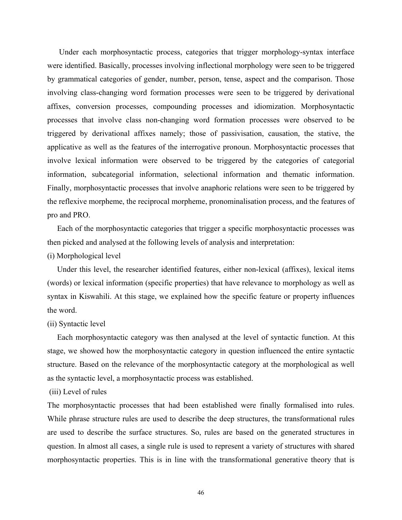Under each morphosyntactic process, categories that trigger morphology-syntax interface were identified. Basically, processes involving inflectional morphology were seen to be triggered by grammatical categories of gender, number, person, tense, aspect and the comparison. Those involving class-changing word formation processes were seen to be triggered by derivational affixes, conversion processes, compounding processes and idiomization. Morphosyntactic processes that involve class non-changing word formation processes were observed to be triggered by derivational affixes namely; those of passivisation, causation, the stative, the applicative as well as the features of the interrogative pronoun. Morphosyntactic processes that involve lexical information were observed to be triggered by the categories of categorial information, subcategorial information, selectional information and thematic information. Finally, morphosyntactic processes that involve anaphoric relations were seen to be triggered by the reflexive morpheme, the reciprocal morpheme, pronominalisation process, and the features of pro and PRO.

 Each of the morphosyntactic categories that trigger a specific morphosyntactic processes was then picked and analysed at the following levels of analysis and interpretation:

# (i) Morphological level

 Under this level, the researcher identified features, either non-lexical (affixes), lexical items (words) or lexical information (specific properties) that have relevance to morphology as well as syntax in Kiswahili. At this stage, we explained how the specific feature or property influences the word.

### (ii) Syntactic level

 Each morphosyntactic category was then analysed at the level of syntactic function. At this stage, we showed how the morphosyntactic category in question influenced the entire syntactic structure. Based on the relevance of the morphosyntactic category at the morphological as well as the syntactic level, a morphosyntactic process was established.

# (iii) Level of rules

The morphosyntactic processes that had been established were finally formalised into rules. While phrase structure rules are used to describe the deep structures, the transformational rules are used to describe the surface structures. So, rules are based on the generated structures in question. In almost all cases, a single rule is used to represent a variety of structures with shared morphosyntactic properties. This is in line with the transformational generative theory that is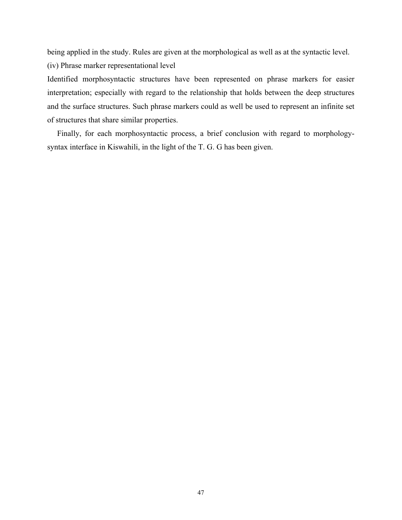being applied in the study. Rules are given at the morphological as well as at the syntactic level. (iv) Phrase marker representational level

Identified morphosyntactic structures have been represented on phrase markers for easier interpretation; especially with regard to the relationship that holds between the deep structures and the surface structures. Such phrase markers could as well be used to represent an infinite set of structures that share similar properties.

 Finally, for each morphosyntactic process, a brief conclusion with regard to morphologysyntax interface in Kiswahili, in the light of the T. G. G has been given.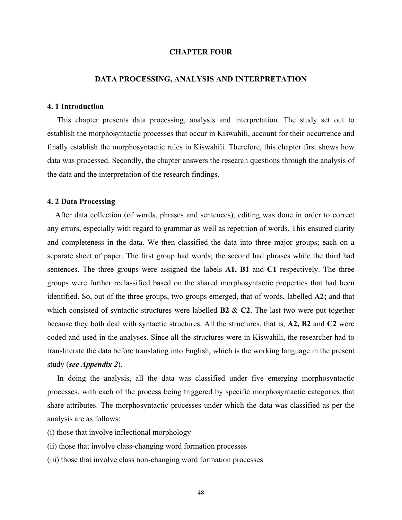# **CHAPTER FOUR**

# **DATA PROCESSING, ANALYSIS AND INTERPRETATION**

### **4. 1 Introduction**

 This chapter presents data processing, analysis and interpretation. The study set out to establish the morphosyntactic processes that occur in Kiswahili, account for their occurrence and finally establish the morphosyntactic rules in Kiswahili. Therefore, this chapter first shows how data was processed. Secondly, the chapter answers the research questions through the analysis of the data and the interpretation of the research findings.

# **4. 2 Data Processing**

 After data collection (of words, phrases and sentences), editing was done in order to correct any errors, especially with regard to grammar as well as repetition of words. This ensured clarity and completeness in the data. We then classified the data into three major groups; each on a separate sheet of paper. The first group had words; the second had phrases while the third had sentences. The three groups were assigned the labels **A1, B1** and **C1** respectively. The three groups were further reclassified based on the shared morphosyntactic properties that had been identified. So, out of the three groups, two groups emerged, that of words, labelled **A2;** and that which consisted of syntactic structures were labelled **B2** & **C2**. The last two were put together because they both deal with syntactic structures. All the structures, that is, **A2, B2** and **C2** were coded and used in the analyses. Since all the structures were in Kiswahili, the researcher had to transliterate the data before translating into English, which is the working language in the present study (*see Appendix 2*).

 In doing the analysis, all the data was classified under five emerging morphosyntactic processes, with each of the process being triggered by specific morphosyntactic categories that share attributes. The morphosyntactic processes under which the data was classified as per the analysis are as follows:

- (i) those that involve inflectional morphology
- (ii) those that involve class-changing word formation processes
- (iii) those that involve class non-changing word formation processes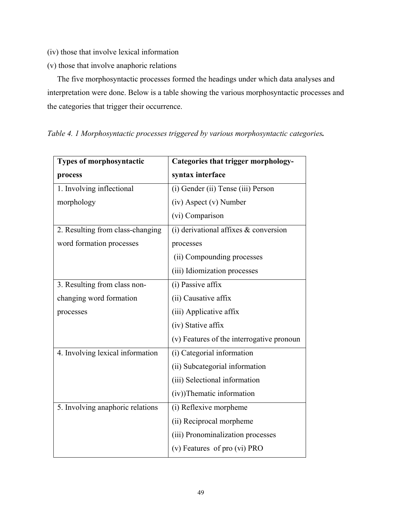- (iv) those that involve lexical information
- (v) those that involve anaphoric relations

 The five morphosyntactic processes formed the headings under which data analyses and interpretation were done. Below is a table showing the various morphosyntactic processes and the categories that trigger their occurrence.

| Types of morphosyntactic         | Categories that trigger morphology-       |
|----------------------------------|-------------------------------------------|
| process                          | syntax interface                          |
| 1. Involving inflectional        | (i) Gender (ii) Tense (iii) Person        |
| morphology                       | (iv) Aspect (v) Number                    |
|                                  | (vi) Comparison                           |
| 2. Resulting from class-changing | (i) derivational affixes $\&$ conversion  |
| word formation processes         | processes                                 |
|                                  | (ii) Compounding processes                |
|                                  | (iii) Idiomization processes              |
| 3. Resulting from class non-     | $(i)$ Passive affix                       |
| changing word formation          | (ii) Causative affix                      |
| processes                        | (iii) Applicative affix                   |
|                                  | (iv) Stative affix                        |
|                                  | (v) Features of the interrogative pronoun |
| 4. Involving lexical information | (i) Categorial information                |
|                                  | (ii) Subcategorial information            |
|                                  | (iii) Selectional information             |
|                                  | (iv))Thematic information                 |
| 5. Involving anaphoric relations | (i) Reflexive morpheme                    |
|                                  | (ii) Reciprocal morpheme                  |
|                                  | (iii) Pronominalization processes         |
|                                  | (v) Features of pro (vi) PRO              |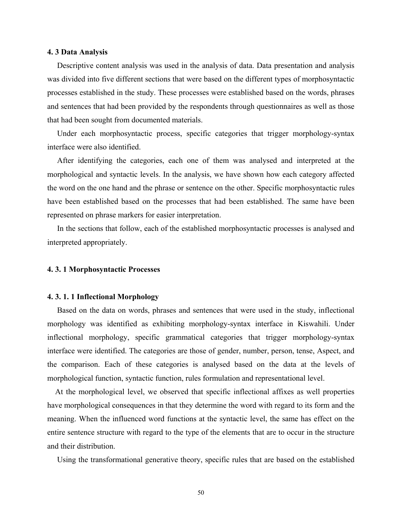# **4. 3 Data Analysis**

 Descriptive content analysis was used in the analysis of data. Data presentation and analysis was divided into five different sections that were based on the different types of morphosyntactic processes established in the study. These processes were established based on the words, phrases and sentences that had been provided by the respondents through questionnaires as well as those that had been sought from documented materials.

 Under each morphosyntactic process, specific categories that trigger morphology-syntax interface were also identified.

 After identifying the categories, each one of them was analysed and interpreted at the morphological and syntactic levels. In the analysis, we have shown how each category affected the word on the one hand and the phrase or sentence on the other. Specific morphosyntactic rules have been established based on the processes that had been established. The same have been represented on phrase markers for easier interpretation.

 In the sections that follow, each of the established morphosyntactic processes is analysed and interpreted appropriately.

# **4. 3. 1 Morphosyntactic Processes**

# **4. 3. 1. 1 Inflectional Morphology**

 Based on the data on words, phrases and sentences that were used in the study, inflectional morphology was identified as exhibiting morphology-syntax interface in Kiswahili. Under inflectional morphology, specific grammatical categories that trigger morphology-syntax interface were identified. The categories are those of gender, number, person, tense, Aspect, and the comparison. Each of these categories is analysed based on the data at the levels of morphological function, syntactic function, rules formulation and representational level.

 At the morphological level, we observed that specific inflectional affixes as well properties have morphological consequences in that they determine the word with regard to its form and the meaning. When the influenced word functions at the syntactic level, the same has effect on the entire sentence structure with regard to the type of the elements that are to occur in the structure and their distribution.

Using the transformational generative theory, specific rules that are based on the established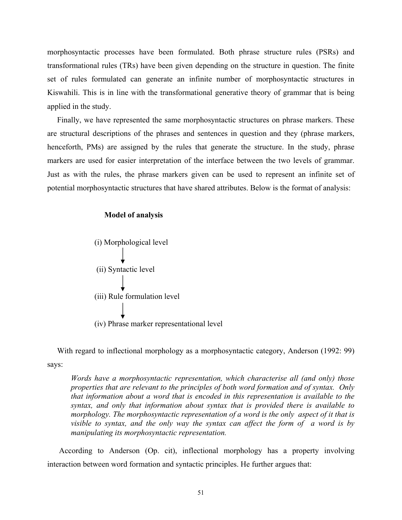morphosyntactic processes have been formulated. Both phrase structure rules (PSRs) and transformational rules (TRs) have been given depending on the structure in question. The finite set of rules formulated can generate an infinite number of morphosyntactic structures in Kiswahili. This is in line with the transformational generative theory of grammar that is being applied in the study.

 Finally, we have represented the same morphosyntactic structures on phrase markers. These are structural descriptions of the phrases and sentences in question and they (phrase markers, henceforth, PMs) are assigned by the rules that generate the structure. In the study, phrase markers are used for easier interpretation of the interface between the two levels of grammar. Just as with the rules, the phrase markers given can be used to represent an infinite set of potential morphosyntactic structures that have shared attributes. Below is the format of analysis:

# **Model of analysis**



With regard to inflectional morphology as a morphosyntactic category, Anderson (1992: 99) says:

*Words have a morphosyntactic representation, which characterise all (and only) those properties that are relevant to the principles of both word formation and of syntax. Only that information about a word that is encoded in this representation is available to the syntax, and only that information about syntax that is provided there is available to morphology. The morphosyntactic representation of a word is the only aspect of it that is visible to syntax, and the only way the syntax can affect the form of a word is by manipulating its morphosyntactic representation.*

 According to Anderson (Op. cit), inflectional morphology has a property involving interaction between word formation and syntactic principles. He further argues that: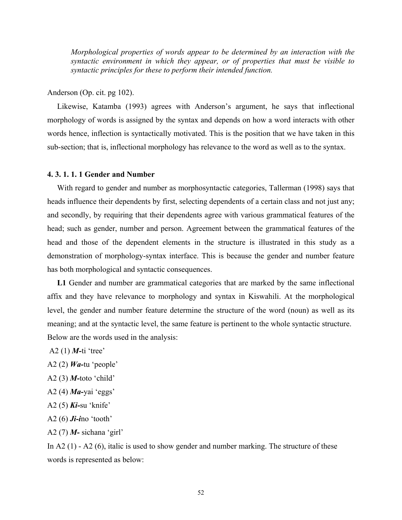*Morphological properties of words appear to be determined by an interaction with the syntactic environment in which they appear, or of properties that must be visible to syntactic principles for these to perform their intended function.*

# Anderson (Op. cit. pg 102).

 Likewise, Katamba (1993) agrees with Anderson's argument, he says that inflectional morphology of words is assigned by the syntax and depends on how a word interacts with other words hence, inflection is syntactically motivated. This is the position that we have taken in this sub-section; that is, inflectional morphology has relevance to the word as well as to the syntax.

# **4. 3. 1. 1. 1 Gender and Number**

 With regard to gender and number as morphosyntactic categories, Tallerman (1998) says that heads influence their dependents by first, selecting dependents of a certain class and not just any; and secondly, by requiring that their dependents agree with various grammatical features of the head; such as gender, number and person. Agreement between the grammatical features of the head and those of the dependent elements in the structure is illustrated in this study as a demonstration of morphology-syntax interface. This is because the gender and number feature has both morphological and syntactic consequences.

 **L1** Gender and number are grammatical categories that are marked by the same inflectional affix and they have relevance to morphology and syntax in Kiswahili. At the morphological level, the gender and number feature determine the structure of the word (noun) as well as its meaning; and at the syntactic level, the same feature is pertinent to the whole syntactic structure. Below are the words used in the analysis:

- A2 (1) *M-*ti 'tree'
- A2 (2) *Wa-*tu 'people'
- A2 (3) *M-*toto 'child'
- A2 (4) *Ma-*yai 'eggs'
- A2 (5) *Ki-*su 'knife'
- A2 (6) *Ji-i*no 'tooth'
- A2 (7) *M-* sichana 'girl'

In A2 (1) - A2 (6), italic is used to show gender and number marking. The structure of these words is represented as below: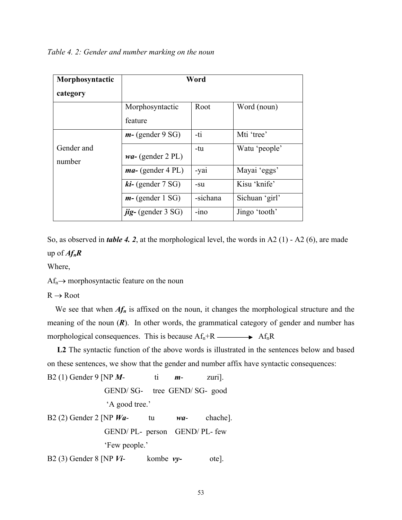*Table 4. 2: Gender and number marking on the noun* 

| Morphosyntactic<br>category | Word                           |          |                |  |  |  |
|-----------------------------|--------------------------------|----------|----------------|--|--|--|
|                             | Morphosyntactic<br>feature     | Root     | Word (noun)    |  |  |  |
|                             | $m-$ (gender 9 SG)             | -ti      | Mti 'tree'     |  |  |  |
| Gender and<br>number        | $wa-$ (gender 2 PL)            | -tu      | Watu 'people'  |  |  |  |
|                             | $ma-$ (gender 4 PL)            | -yai     | Mayai 'eggs'   |  |  |  |
|                             | $ki-$ (gender 7 SG)            | -su      | Kisu 'knife'   |  |  |  |
|                             | $m-$ (gender 1 SG)             | -sichana | Sichuan 'girl' |  |  |  |
|                             | $\mathbf{j}$ ig- (gender 3 SG) | $-1no$   | Jingo 'tooth'  |  |  |  |

So, as observed in *table 4. 2*, at the morphological level, the words in A2 (1) - A2 (6), are made up of *AfnR* 

Where,

 $Af_n \rightarrow$  morphosyntactic feature on the noun

 $R \rightarrow Root$ 

We see that when  $Af_n$  is affixed on the noun, it changes the morphological structure and the meaning of the noun  $(R)$ . In other words, the grammatical category of gender and number has morphological consequences. This is because  $Af_n + R \longrightarrow Af_nR$ 

 **L2** The syntactic function of the above words is illustrated in the sentences below and based on these sentences, we show that the gender and number affix have syntactic consequences:

```
B2 (1) Gender 9 [NP M- ti m- zuri]. 
               GEND/ SG- tree GEND/ SG- good 
               'A good tree.' 
B2 (2) Gender 2 [NP Wa- tu wa- chache]. 
               GEND/ PL- person GEND/ PL- few 
               'Few people.'
```
B2 (3) Gender 8 [NP *Vi*- kombe *vy-* ote].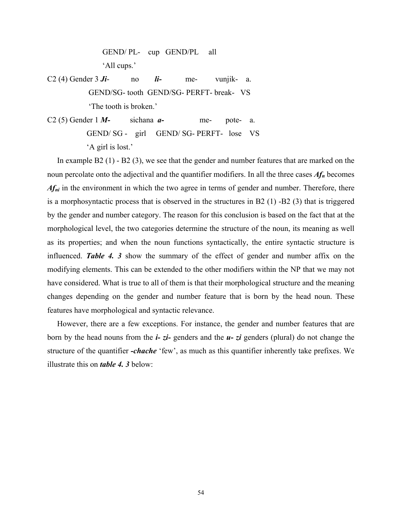GEND/ PL- cup GEND/PL all 'All cups.'

C2 (4) Gender 3 *Ji*- no *li-* me- vunjik- a. GEND/SG- tooth GEND/SG- PERFT- break- VS 'The tooth is broken.'

C2 (5) Gender 1 *M-* sichana *a-* me- pote- a. GEND/ SG - girl GEND/ SG- PERFT- lose VS 'A girl is lost.'

 In example B2 (1) - B2 (3), we see that the gender and number features that are marked on the noun percolate onto the adjectival and the quantifier modifiers. In all the three cases *Afn* becomes *Af<sub>ni</sub>* in the environment in which the two agree in terms of gender and number. Therefore, there is a morphosyntactic process that is observed in the structures in B2 (1) -B2 (3) that is triggered by the gender and number category. The reason for this conclusion is based on the fact that at the morphological level, the two categories determine the structure of the noun, its meaning as well as its properties; and when the noun functions syntactically, the entire syntactic structure is influenced. *Table 4. 3* show the summary of the effect of gender and number affix on the modifying elements. This can be extended to the other modifiers within the NP that we may not have considered. What is true to all of them is that their morphological structure and the meaning changes depending on the gender and number feature that is born by the head noun. These features have morphological and syntactic relevance.

 However, there are a few exceptions. For instance, the gender and number features that are born by the head nouns from the *i- zi-* genders and the *u- zi* genders (plural) do not change the structure of the quantifier *-chache* 'few', as much as this quantifier inherently take prefixes. We illustrate this on *table 4. 3* below: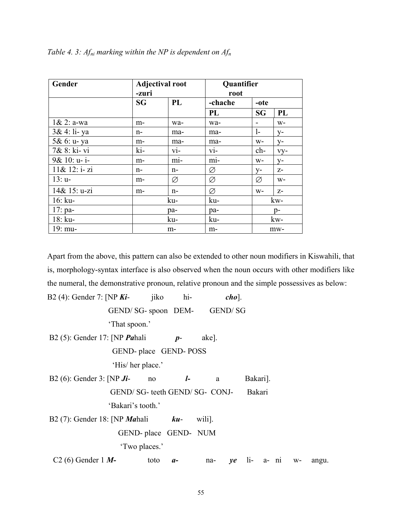| Gender         | -zuri | <b>Adjectival root</b> | Quantifier<br>root |       |        |  |
|----------------|-------|------------------------|--------------------|-------|--------|--|
|                | SG    | PL                     | -chache            | -ote  |        |  |
|                |       |                        | PL                 | SG    | PL     |  |
| $1 & 2$ : a-wa | m-    | wa-                    | wa-                |       | $W -$  |  |
| 3& 4: li-ya    | $n-$  | ma-                    | ma-                | $1-$  | $V -$  |  |
| 5& 6: u- ya    | $m-$  | ma-                    | ma-                | $W -$ | $V -$  |  |
| 7& 8: ki-vi    | ki-   | $\overline{vi}$ -      | $Vi-$              | $ch-$ | $VY$ - |  |
| 9& 10: u-i-    | m-    | $m1-$                  | $m1-$              | $W -$ | $y-$   |  |
| 11& 12: i-zi   | n-    | $n-$                   | Ø                  | $y-$  | $Z-$   |  |
| $13: u-$       | $m-$  | Ø                      | Ø                  | Ø     | $W -$  |  |
| 14& 15: u-zi   | m-    | $n-$                   | Ø                  | $W -$ | $Z-$   |  |
| $16:$ ku-      |       | ku-                    | ku-                |       | kw-    |  |
| 17: $pa-$      |       | pa-                    | pa-                |       | p-     |  |
| $18:$ ku-      |       | ku-                    | ku-                |       | kw-    |  |
| 19: mu-        |       | m-                     | m-                 |       | mw-    |  |

*Table 4. 3: Afni marking within the NP is dependent on Afn* 

Apart from the above, this pattern can also be extended to other noun modifiers in Kiswahili, that is, morphology-syntax interface is also observed when the noun occurs with other modifiers like the numeral, the demonstrative pronoun, relative pronoun and the simple possessives as below:

| B2 (4): Gender 7: [NP $Ki-$ jiko           |                        | hi-  |                                 | $cho$ ]. |                   |  |       |
|--------------------------------------------|------------------------|------|---------------------------------|----------|-------------------|--|-------|
| GEND/ SG- spoon DEM-                       |                        |      | GEND/SG                         |          |                   |  |       |
| 'That spoon.'                              |                        |      |                                 |          |                   |  |       |
| B2 $(5)$ : Gender 17: [NP <i>Pahali</i>    | $p-$                   |      | ake].                           |          |                   |  |       |
|                                            | GEND- place GEND- POSS |      |                                 |          |                   |  |       |
| 'His/ her place.'                          |                        |      |                                 |          |                   |  |       |
| B2 (6): Gender 3: [NP $J\mathbf{i}$ -      | no                     |      | $l$ -<br>a                      |          | Bakari].          |  |       |
|                                            |                        |      | GEND/ SG- teeth GEND/ SG- CONJ- |          | Bakari            |  |       |
| 'Bakari's tooth.'                          |                        |      |                                 |          |                   |  |       |
| B2 (7): Gender 18: [NP <i>Mahali</i> $ku-$ |                        |      | wili].                          |          |                   |  |       |
|                                            | GEND- place GEND- NUM  |      |                                 |          |                   |  |       |
|                                            | 'Two places.'          |      |                                 |          |                   |  |       |
| $C2(6)$ Gender 1 <i>M</i> -                | toto                   | $a-$ | na-                             |          | $ye$ li- a- ni w- |  | angu. |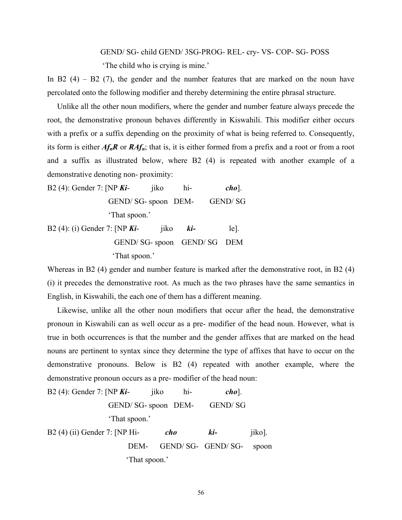# GEND/ SG- child GEND/ 3SG-PROG- REL- cry- VS- COP- SG- POSS 'The child who is crying is mine.'

In B2  $(4)$  – B2  $(7)$ , the gender and the number features that are marked on the noun have percolated onto the following modifier and thereby determining the entire phrasal structure.

 Unlike all the other noun modifiers, where the gender and number feature always precede the root, the demonstrative pronoun behaves differently in Kiswahili. This modifier either occurs with a prefix or a suffix depending on the proximity of what is being referred to. Consequently, its form is either  $Af_nR$  or  $RAf_n$ ; that is, it is either formed from a prefix and a root or from a root and a suffix as illustrated below, where B2 (4) is repeated with another example of a demonstrative denoting non- proximity:

B2 (4): Gender 7: [NP *Ki*- jiko hi- *cho*]. GEND/ SG- spoon DEM- GEND/ SG 'That spoon.'

B2 (4): (i) Gender 7: [NP *Ki*- jiko *ki-* le]. GEND/ SG- spoon GEND/ SG DEM 'That spoon.'

Whereas in B2 (4) gender and number feature is marked after the demonstrative root, in B2 (4) (i) it precedes the demonstrative root. As much as the two phrases have the same semantics in English, in Kiswahili, the each one of them has a different meaning.

 Likewise, unlike all the other noun modifiers that occur after the head, the demonstrative pronoun in Kiswahili can as well occur as a pre- modifier of the head noun. However, what is true in both occurrences is that the number and the gender affixes that are marked on the head nouns are pertinent to syntax since they determine the type of affixes that have to occur on the demonstrative pronouns. Below is B2 (4) repeated with another example, where the demonstrative pronoun occurs as a pre- modifier of the head noun:

| B2 (4): Gender 7: [NP $Ki-$   |                    | 11 <sub>KO</sub> | hi- | $cho$ ].          |        |  |
|-------------------------------|--------------------|------------------|-----|-------------------|--------|--|
|                               | GEND/SG-spoon DEM- |                  |     | <b>GEND/SG</b>    |        |  |
|                               | 'That spoon.'      |                  |     |                   |        |  |
| B2 (4) (ii) Gender 7: [NP Hi- |                    |                  | cho | ki-               | jiko]. |  |
|                               | DEM-               |                  |     | GEND/SG- GEND/SG- | spoon  |  |
| 'That spoon.'                 |                    |                  |     |                   |        |  |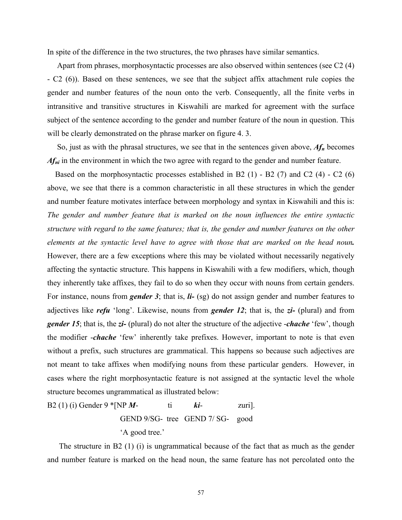In spite of the difference in the two structures, the two phrases have similar semantics.

 Apart from phrases, morphosyntactic processes are also observed within sentences (see C2 (4) - C2 (6)). Based on these sentences, we see that the subject affix attachment rule copies the gender and number features of the noun onto the verb. Consequently, all the finite verbs in intransitive and transitive structures in Kiswahili are marked for agreement with the surface subject of the sentence according to the gender and number feature of the noun in question. This will be clearly demonstrated on the phrase marker on figure 4. 3.

 So, just as with the phrasal structures, we see that in the sentences given above, *Afn* becomes *Af<sub>ni</sub>* in the environment in which the two agree with regard to the gender and number feature.

Based on the morphosyntactic processes established in B2  $(1)$  - B2  $(7)$  and C2  $(4)$  - C2  $(6)$ above, we see that there is a common characteristic in all these structures in which the gender and number feature motivates interface between morphology and syntax in Kiswahili and this is: *The gender and number feature that is marked on the noun influences the entire syntactic structure with regard to the same features; that is, the gender and number features on the other elements at the syntactic level have to agree with those that are marked on the head noun.* However, there are a few exceptions where this may be violated without necessarily negatively affecting the syntactic structure. This happens in Kiswahili with a few modifiers, which, though they inherently take affixes, they fail to do so when they occur with nouns from certain genders. For instance, nouns from *gender 3*; that is, *li-* (sg) do not assign gender and number features to adjectives like *refu* 'long'. Likewise, nouns from *gender 12*; that is, the *zi-* (plural) and from *gender 15*; that is, the *zi-* (plural) do not alter the structure of the adjective -*chache* 'few', though the modifier -*chache* 'few' inherently take prefixes. However, important to note is that even without a prefix, such structures are grammatical. This happens so because such adjectives are not meant to take affixes when modifying nouns from these particular genders. However, in cases where the right morphosyntactic feature is not assigned at the syntactic level the whole structure becomes ungrammatical as illustrated below:

B2 (1) (i) Gender 9 \* [NP 
$$
M
$$
-  
GEND 9/SG- tree GEND 7/ $S$ G- good  
'A good tree.'

 The structure in B2 (1) (i) is ungrammatical because of the fact that as much as the gender and number feature is marked on the head noun, the same feature has not percolated onto the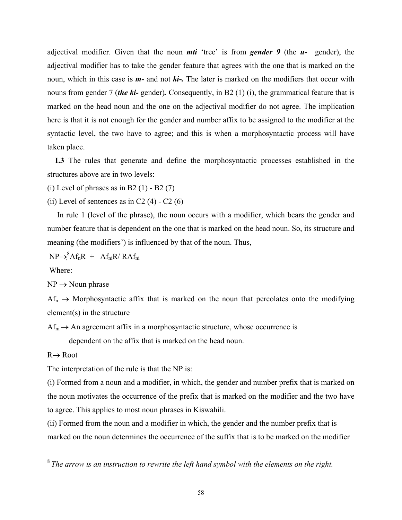adjectival modifier. Given that the noun *mti* 'tree' is from *gender 9* (the *u-* gender), the adjectival modifier has to take the gender feature that agrees with the one that is marked on the noun, which in this case is *m-* and not *ki-.* The later is marked on the modifiers that occur with nouns from gender 7 (*the ki-* gender)*.* Consequently, in B2 (1) (i), the grammatical feature that is marked on the head noun and the one on the adjectival modifier do not agree. The implication here is that it is not enough for the gender and number affix to be assigned to the modifier at the syntactic level, the two have to agree; and this is when a morphosyntactic process will have taken place.

 **L3** The rules that generate and define the morphosyntactic processes established in the structures above are in two levels:

(i) Level of phrases as in B2  $(1)$  - B2  $(7)$ 

(ii) Level of sentences as in C2  $(4)$  - C2  $(6)$ 

 In rule 1 (level of the phrase), the noun occurs with a modifier, which bears the gender and number feature that is dependent on the one that is marked on the head noun. So, its structure and meaning (the modifiers') is influenced by that of the noun. Thus,

 $NP \rightarrow ^8$ Af<sub>n</sub>R + Af<sub>ni</sub>R/ RAf<sub>ni</sub>

Where:

 $NP \rightarrow Noun phrase$ 

 $Af_n \to \text{Morphosyntactic affix that is marked on the noun that percolates onto the modifying }$ element(s) in the structure

 $Af_{ni} \rightarrow An$  agreement affix in a morphosyntactic structure, whose occurrence is

dependent on the affix that is marked on the head noun.

## $R \rightarrow R$ oot

The interpretation of the rule is that the NP is:

(i) Formed from a noun and a modifier, in which, the gender and number prefix that is marked on the noun motivates the occurrence of the prefix that is marked on the modifier and the two have to agree. This applies to most noun phrases in Kiswahili.

(ii) Formed from the noun and a modifier in which, the gender and the number prefix that is marked on the noun determines the occurrence of the suffix that is to be marked on the modifier

<sup>8</sup>*The arrow is an instruction to rewrite the left hand symbol with the elements on the right.*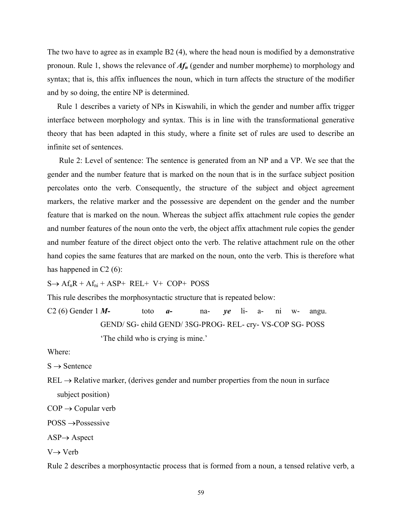The two have to agree as in example B2 (4), where the head noun is modified by a demonstrative pronoun. Rule 1, shows the relevance of *Afn* (gender and number morpheme) to morphology and syntax; that is, this affix influences the noun, which in turn affects the structure of the modifier and by so doing, the entire NP is determined.

 Rule 1 describes a variety of NPs in Kiswahili, in which the gender and number affix trigger interface between morphology and syntax. This is in line with the transformational generative theory that has been adapted in this study, where a finite set of rules are used to describe an infinite set of sentences.

 Rule 2: Level of sentence: The sentence is generated from an NP and a VP. We see that the gender and the number feature that is marked on the noun that is in the surface subject position percolates onto the verb. Consequently, the structure of the subject and object agreement markers, the relative marker and the possessive are dependent on the gender and the number feature that is marked on the noun. Whereas the subject affix attachment rule copies the gender and number features of the noun onto the verb, the object affix attachment rule copies the gender and number feature of the direct object onto the verb. The relative attachment rule on the other hand copies the same features that are marked on the noun, onto the verb. This is therefore what has happened in C<sub>2</sub> (6):

 $S \rightarrow Af_nR + Af_{ni} + ASP+ REL+ V+ COP+ POSS$ 

This rule describes the morphosyntactic structure that is repeated below:

C2 (6) Gender  $1 M$ - toto  $a$ - na-  $ye$  li- a- ni w- angu. GEND/ SG- child GEND/ 3SG-PROG- REL- cry- VS-COP SG- POSS 'The child who is crying is mine.'

Where:

 $S \rightarrow$  Sentence

 $REL \rightarrow Relative$  marker, (derives gender and number properties from the noun in surface subject position)

 $COP \rightarrow$  Copular verb

POSS →Possessive

 $ASP \rightarrow Aspect$ 

 $V \rightarrow V e r b$ 

Rule 2 describes a morphosyntactic process that is formed from a noun, a tensed relative verb, a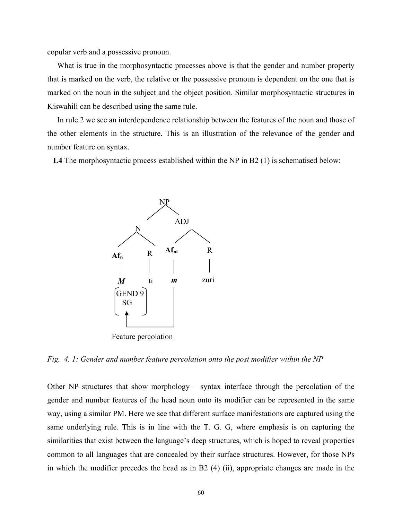copular verb and a possessive pronoun.

 What is true in the morphosyntactic processes above is that the gender and number property that is marked on the verb, the relative or the possessive pronoun is dependent on the one that is marked on the noun in the subject and the object position. Similar morphosyntactic structures in Kiswahili can be described using the same rule.

 In rule 2 we see an interdependence relationship between the features of the noun and those of the other elements in the structure. This is an illustration of the relevance of the gender and number feature on syntax.

 **L4** The morphosyntactic process established within the NP in B2 (1) is schematised below:



*Fig. 4. 1: Gender and number feature percolation onto the post modifier within the NP* 

Other NP structures that show morphology – syntax interface through the percolation of the gender and number features of the head noun onto its modifier can be represented in the same way, using a similar PM. Here we see that different surface manifestations are captured using the same underlying rule. This is in line with the T. G. G, where emphasis is on capturing the similarities that exist between the language's deep structures, which is hoped to reveal properties common to all languages that are concealed by their surface structures. However, for those NPs in which the modifier precedes the head as in B2 (4) (ii), appropriate changes are made in the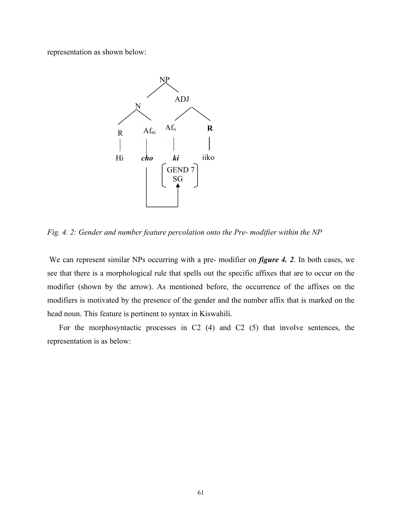representation as shown below:



*Fig. 4. 2: Gender and number feature percolation onto the Pre- modifier within the NP* 

We can represent similar NPs occurring with a pre- modifier on *figure 4. 2*. In both cases, we see that there is a morphological rule that spells out the specific affixes that are to occur on the modifier (shown by the arrow). As mentioned before, the occurrence of the affixes on the modifiers is motivated by the presence of the gender and the number affix that is marked on the head noun. This feature is pertinent to syntax in Kiswahili.

 For the morphosyntactic processes in C2 (4) and C2 (5) that involve sentences, the representation is as below: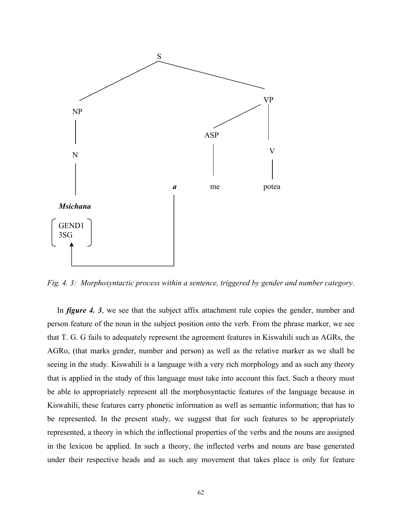

*Fig. 4. 3: Morphosyntactic process within a sentence, triggered by gender and number category*.

In *figure 4. 3*, we see that the subject affix attachment rule copies the gender, number and person feature of the noun in the subject position onto the verb. From the phrase marker, we see that T. G. G fails to adequately represent the agreement features in Kiswahili such as AGRs, the AGRo, (that marks gender, number and person) as well as the relative marker as we shall be seeing in the study. Kiswahili is a language with a very rich morphology and as such any theory that is applied in the study of this language must take into account this fact. Such a theory must be able to appropriately represent all the morphosyntactic features of the language because in Kiswahili, these features carry phonetic information as well as semantic information; that has to be represented. In the present study, we suggest that for such features to be appropriately represented, a theory in which the inflectional properties of the verbs and the nouns are assigned in the lexicon be applied. In such a theory, the inflected verbs and nouns are base generated under their respective heads and as such any movement that takes place is only for feature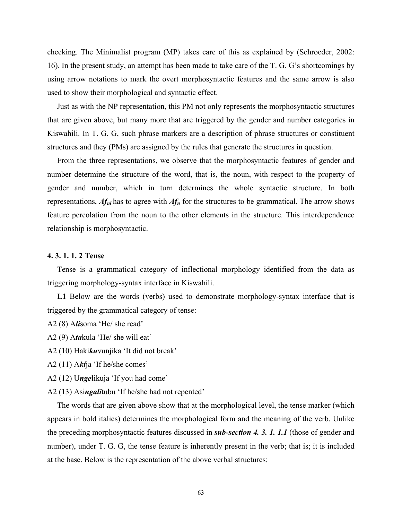checking. The Minimalist program (MP) takes care of this as explained by (Schroeder, 2002: 16). In the present study, an attempt has been made to take care of the T. G. G's shortcomings by using arrow notations to mark the overt morphosyntactic features and the same arrow is also used to show their morphological and syntactic effect.

 Just as with the NP representation, this PM not only represents the morphosyntactic structures that are given above, but many more that are triggered by the gender and number categories in Kiswahili. In T. G. G, such phrase markers are a description of phrase structures or constituent structures and they (PMs) are assigned by the rules that generate the structures in question.

 From the three representations, we observe that the morphosyntactic features of gender and number determine the structure of the word, that is, the noun, with respect to the property of gender and number, which in turn determines the whole syntactic structure. In both representations, *Afni* has to agree with *Afn* for the structures to be grammatical. The arrow shows feature percolation from the noun to the other elements in the structure. This interdependence relationship is morphosyntactic.

#### **4. 3. 1. 1. 2 Tense**

 Tense is a grammatical category of inflectional morphology identified from the data as triggering morphology-syntax interface in Kiswahili.

 **L1** Below are the words (verbs) used to demonstrate morphology-syntax interface that is triggered by the grammatical category of tense:

- A2 (8) A*li*soma 'He/ she read'
- A2 (9) A*ta*kula 'He/ she will eat'
- A2 (10) Haki*ku*vunjika 'It did not break'
- A2 (11) A*ki*ja 'If he/she comes'
- A2 (12) U*nge*likuja 'If you had come'
- A2 (13) Asi*ngali*tubu 'If he/she had not repented'

 The words that are given above show that at the morphological level, the tense marker (which appears in bold italics) determines the morphological form and the meaning of the verb. Unlike the preceding morphosyntactic features discussed in *sub-section 4. 3. 1. 1.1* (those of gender and number), under T. G. G, the tense feature is inherently present in the verb; that is; it is included at the base. Below is the representation of the above verbal structures: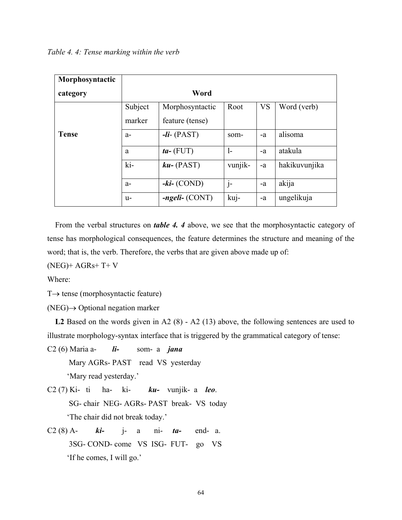| Morphosyntactic |                        |                     |         |           |               |
|-----------------|------------------------|---------------------|---------|-----------|---------------|
| category        | Word                   |                     |         |           |               |
|                 | Subject                | Morphosyntactic     | Root    | <b>VS</b> | Word (verb)   |
|                 | marker                 | feature (tense)     |         |           |               |
| <b>Tense</b>    | $a-$                   | $-Ii-(PAST)$        | som-    | -a        | alisoma       |
|                 | a                      | $ta-$ (FUT)         | $1-$    | $-a$      | atakula       |
|                 | $\overline{\text{ki}}$ | $ku-$ (PAST)        | vunjik- | $-a$      | hakikuvunjika |
|                 | $a-$                   | $-ki-(\text{COND})$ | $j-$    | -a        | akija         |
|                 | $u-$                   | $-ngeli-(CONT)$     | kuj-    | -a        | ungelikuja    |

 From the verbal structures on *table 4. 4* above, we see that the morphosyntactic category of tense has morphological consequences, the feature determines the structure and meaning of the word; that is, the verb. Therefore, the verbs that are given above made up of:

 $(NEG)+AGRs+T+V$ 

Where:

 $T\rightarrow$  tense (morphosyntactic feature)

 $(NEG) \rightarrow Optional$  negation marker

 **L2** Based on the words given in A2 (8) - A2 (13) above, the following sentences are used to illustrate morphology-syntax interface that is triggered by the grammatical category of tense:

- C2 (6) Maria a- *li-* som- a *jana* Mary AGRs- PAST read VS yesterday 'Mary read yesterday.'
- C2 (7) Ki- ti ha- ki- *ku-* vunjik- a *leo*. SG- chair NEG- AGRs- PAST break- VS today 'The chair did not break today.'
- C2 (8) A- *ki-* j- a ni- *ta-* end- a. 3SG- COND- come VS ISG- FUT- go VS 'If he comes, I will go.'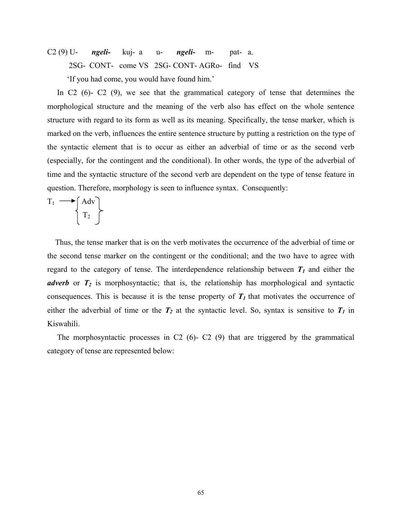C2 (9) U- *ngeli-* kuj- a u- *ngeli-* m- pat- a. 2SG- CONT- come VS 2SG- CONT- AGRo- find VS 'If you had come, you would have found him.'

In C<sub>2</sub> (6)- C<sub>2</sub> (9), we see that the grammatical category of tense that determines the morphological structure and the meaning of the verb also has effect on the whole sentence structure with regard to its form as well as its meaning. Specifically, the tense marker, which is marked on the verb, influences the entire sentence structure by putting a restriction on the type of the syntactic element that is to occur as either an adverbial of time or as the second verb (especially, for the contingent and the conditional). In other words, the type of the adverbial of time and the syntactic structure of the second verb are dependent on the type of tense feature in question. Therefore, morphology is seen to influence syntax. Consequently:

$$
T_1 \longrightarrow \begin{Bmatrix} Adv \\ T_2 \end{Bmatrix}
$$

 Thus, the tense marker that is on the verb motivates the occurrence of the adverbial of time or the second tense marker on the contingent or the conditional; and the two have to agree with regard to the category of tense. The interdependence relationship between  $T_1$  and either the *adverb* or  $T_2$  is morphosyntactic; that is, the relationship has morphological and syntactic consequences. This is because it is the tense property of  $T_1$  that motivates the occurrence of either the adverbial of time or the  $T_2$  at the syntactic level. So, syntax is sensitive to  $T_1$  in Kiswahili.

 The morphosyntactic processes in C2 (6)- C2 (9) that are triggered by the grammatical category of tense are represented below: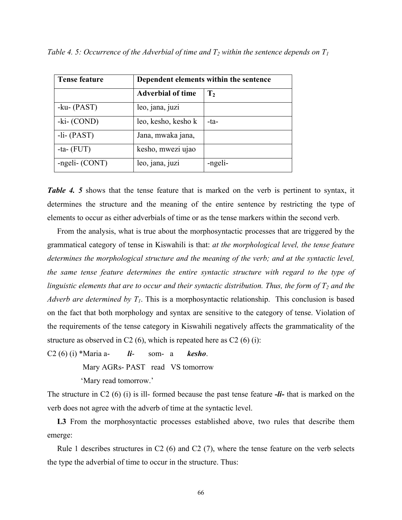| <b>Tense feature</b> | Dependent elements within the sentence |                |  |
|----------------------|----------------------------------------|----------------|--|
|                      | <b>Adverbial of time</b>               | $\mathbf{T}_2$ |  |
| -ku- $(PAST)$        | leo, jana, juzi                        |                |  |
| $-ki$ - $(COND)$     | leo, kesho, kesho k                    | -ta-           |  |
| $-Ii-(PAST)$         | Jana, mwaka jana,                      |                |  |
| -ta- $(FUT)$         | kesho, mwezi ujao                      |                |  |
| -ngeli- (CONT)       | leo, jana, juzi                        | -ngeli-        |  |

*Table 4. 5: Occurrence of the Adverbial of time and*  $T_2$  *within the sentence depends on*  $T_1$ 

**Table 4. 5** shows that the tense feature that is marked on the verb is pertinent to syntax, it determines the structure and the meaning of the entire sentence by restricting the type of elements to occur as either adverbials of time or as the tense markers within the second verb.

 From the analysis, what is true about the morphosyntactic processes that are triggered by the grammatical category of tense in Kiswahili is that: *at the morphological level, the tense feature determines the morphological structure and the meaning of the verb; and at the syntactic level, the same tense feature determines the entire syntactic structure with regard to the type of linguistic elements that are to occur and their syntactic distribution. Thus, the form of*  $T<sub>2</sub>$  *and the Adverb are determined by*  $T_1$ *.* This is a morphosyntactic relationship. This conclusion is based on the fact that both morphology and syntax are sensitive to the category of tense. Violation of the requirements of the tense category in Kiswahili negatively affects the grammaticality of the structure as observed in C2  $(6)$ , which is repeated here as C2  $(6)$   $(i)$ :

C2 (6) (i) \*Maria a- *li*- som- a *kesho*.

Mary AGRs- PAST read VS tomorrow

'Mary read tomorrow.'

The structure in C2 (6) (i) is ill- formed because the past tense feature *-li-* that is marked on the verb does not agree with the adverb of time at the syntactic level.

 **L3** From the morphosyntactic processes established above, two rules that describe them emerge:

Rule 1 describes structures in C2  $(6)$  and C2  $(7)$ , where the tense feature on the verb selects the type the adverbial of time to occur in the structure. Thus: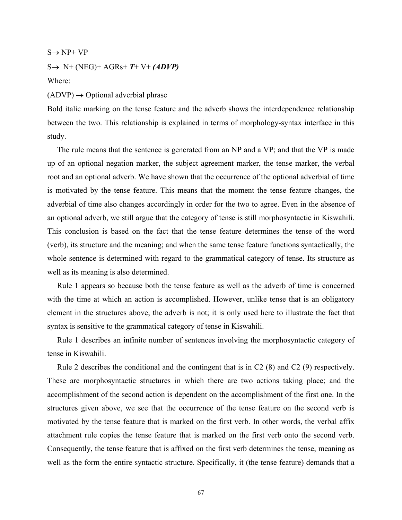$S \rightarrow NP+ VP$ 

 $S \rightarrow N+ (NEG)+AGRs+ T+ V+ (ADVP)$ 

Where:

 $(ADVP) \rightarrow$  Optional adverbial phrase

Bold italic marking on the tense feature and the adverb shows the interdependence relationship between the two. This relationship is explained in terms of morphology-syntax interface in this study.

 The rule means that the sentence is generated from an NP and a VP; and that the VP is made up of an optional negation marker, the subject agreement marker, the tense marker, the verbal root and an optional adverb. We have shown that the occurrence of the optional adverbial of time is motivated by the tense feature. This means that the moment the tense feature changes, the adverbial of time also changes accordingly in order for the two to agree. Even in the absence of an optional adverb, we still argue that the category of tense is still morphosyntactic in Kiswahili. This conclusion is based on the fact that the tense feature determines the tense of the word (verb), its structure and the meaning; and when the same tense feature functions syntactically, the whole sentence is determined with regard to the grammatical category of tense. Its structure as well as its meaning is also determined.

 Rule 1 appears so because both the tense feature as well as the adverb of time is concerned with the time at which an action is accomplished. However, unlike tense that is an obligatory element in the structures above, the adverb is not; it is only used here to illustrate the fact that syntax is sensitive to the grammatical category of tense in Kiswahili.

 Rule 1 describes an infinite number of sentences involving the morphosyntactic category of tense in Kiswahili.

 Rule 2 describes the conditional and the contingent that is in C2 (8) and C2 (9) respectively. These are morphosyntactic structures in which there are two actions taking place; and the accomplishment of the second action is dependent on the accomplishment of the first one. In the structures given above, we see that the occurrence of the tense feature on the second verb is motivated by the tense feature that is marked on the first verb. In other words, the verbal affix attachment rule copies the tense feature that is marked on the first verb onto the second verb. Consequently, the tense feature that is affixed on the first verb determines the tense, meaning as well as the form the entire syntactic structure. Specifically, it (the tense feature) demands that a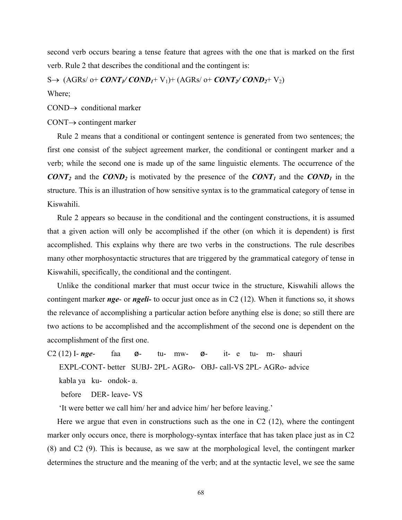second verb occurs bearing a tense feature that agrees with the one that is marked on the first verb. Rule 2 that describes the conditional and the contingent is:

 $S\rightarrow (AGRs/ o+CONT_1/COND_1+V_1)+(AGRs/ o+CONT_2/COND_2+V_2)$ Where;

 $COND \rightarrow conditional$  marker

#### CONT→ contingent marker

 Rule 2 means that a conditional or contingent sentence is generated from two sentences; the first one consist of the subject agreement marker, the conditional or contingent marker and a verb; while the second one is made up of the same linguistic elements. The occurrence of the *CONT<sub>2</sub>* and the *COND<sub>2</sub>* is motivated by the presence of the *CONT<sub>1</sub>* and the *COND<sub>1</sub>* in the structure. This is an illustration of how sensitive syntax is to the grammatical category of tense in Kiswahili.

 Rule 2 appears so because in the conditional and the contingent constructions, it is assumed that a given action will only be accomplished if the other (on which it is dependent) is first accomplished. This explains why there are two verbs in the constructions. The rule describes many other morphosyntactic structures that are triggered by the grammatical category of tense in Kiswahili, specifically, the conditional and the contingent.

 Unlike the conditional marker that must occur twice in the structure, Kiswahili allows the contingent marker *nge*- or *ngeli-* to occur just once as in C2 (12). When it functions so, it shows the relevance of accomplishing a particular action before anything else is done; so still there are two actions to be accomplished and the accomplishment of the second one is dependent on the accomplishment of the first one.

C2 (12) I- *nge*- faa ø- tu- mw- ø- it- e tu- m- shauri EXPL-CONT- better SUBJ- 2PL- AGRo- OBJ- call-VS 2PL- AGRo- advice kabla ya ku- ondok- a.

before DER- leave- VS

'It were better we call him/ her and advice him/ her before leaving.'

 Here we argue that even in constructions such as the one in C2 (12), where the contingent marker only occurs once, there is morphology-syntax interface that has taken place just as in C2 (8) and C2 (9). This is because, as we saw at the morphological level, the contingent marker determines the structure and the meaning of the verb; and at the syntactic level, we see the same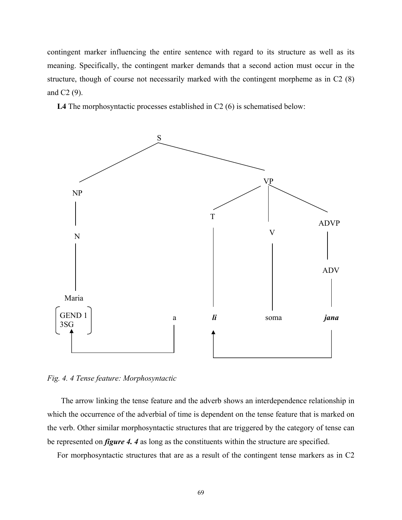contingent marker influencing the entire sentence with regard to its structure as well as its meaning. Specifically, the contingent marker demands that a second action must occur in the structure, though of course not necessarily marked with the contingent morpheme as in C2 (8) and C2 (9).

 **L4** The morphosyntactic processes established in C2 (6) is schematised below:



*Fig. 4. 4 Tense feature: Morphosyntactic* 

 The arrow linking the tense feature and the adverb shows an interdependence relationship in which the occurrence of the adverbial of time is dependent on the tense feature that is marked on the verb. Other similar morphosyntactic structures that are triggered by the category of tense can be represented on *figure 4. 4* as long as the constituents within the structure are specified.

For morphosyntactic structures that are as a result of the contingent tense markers as in C2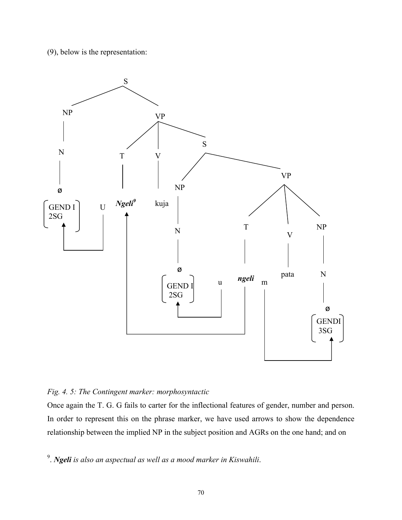(9), below is the representation:



# *Fig. 4. 5: The Contingent marker: morphosyntactic*

Once again the T. G. G fails to carter for the inflectional features of gender, number and person. In order to represent this on the phrase marker, we have used arrows to show the dependence relationship between the implied NP in the subject position and AGRs on the one hand; and on

9 . *Ngeli is also an aspectual as well as a mood marker in Kiswahili*.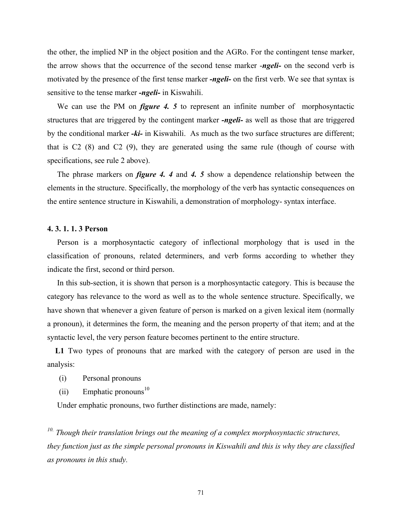the other, the implied NP in the object position and the AGRo. For the contingent tense marker, the arrow shows that the occurrence of the second tense marker -*ngeli-* on the second verb is motivated by the presence of the first tense marker *-ngeli-* on the first verb. We see that syntax is sensitive to the tense marker *-ngeli-* in Kiswahili.

We can use the PM on *figure 4. 5* to represent an infinite number of morphosyntactic structures that are triggered by the contingent marker *-ngeli-* as well as those that are triggered by the conditional marker *-ki-* in Kiswahili. As much as the two surface structures are different; that is C2 (8) and C2 (9), they are generated using the same rule (though of course with specifications, see rule 2 above).

 The phrase markers on *figure 4. 4* and *4. 5* show a dependence relationship between the elements in the structure. Specifically, the morphology of the verb has syntactic consequences on the entire sentence structure in Kiswahili, a demonstration of morphology- syntax interface.

## **4. 3. 1. 1. 3 Person**

 Person is a morphosyntactic category of inflectional morphology that is used in the classification of pronouns, related determiners, and verb forms according to whether they indicate the first, second or third person.

 In this sub-section, it is shown that person is a morphosyntactic category. This is because the category has relevance to the word as well as to the whole sentence structure. Specifically, we have shown that whenever a given feature of person is marked on a given lexical item (normally a pronoun), it determines the form, the meaning and the person property of that item; and at the syntactic level, the very person feature becomes pertinent to the entire structure.

 **L1** Two types of pronouns that are marked with the category of person are used in the analysis:

- (i) Personal pronouns
- $(iii)$  Emphatic pronouns<sup>10</sup>

Under emphatic pronouns, two further distinctions are made, namely:

*10. Though their translation brings out the meaning of a complex morphosyntactic structures, they function just as the simple personal pronouns in Kiswahili and this is why they are classified as pronouns in this study.*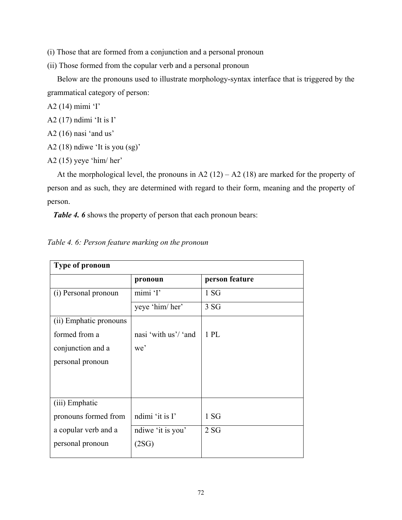- (i) Those that are formed from a conjunction and a personal pronoun
- (ii) Those formed from the copular verb and a personal pronoun

 Below are the pronouns used to illustrate morphology-syntax interface that is triggered by the grammatical category of person:

- A2 (14) mimi 'I'
- A2 (17) ndimi 'It is I'
- A2 (16) nasi 'and us'
- A2 (18) ndiwe 'It is you (sg)'
- A2 (15) yeye 'him/ her'

At the morphological level, the pronouns in A2  $(12) - A2 (18)$  are marked for the property of person and as such, they are determined with regard to their form, meaning and the property of person.

*Table 4. 6* shows the property of person that each pronoun bears:

| <b>Type of pronoun</b> |                      |                  |  |
|------------------------|----------------------|------------------|--|
|                        | pronoun              | person feature   |  |
| (i) Personal pronoun   | mimi 'I'             | 1 S <sub>G</sub> |  |
|                        | yeye 'him/ her'      | 3SG              |  |
| (ii) Emphatic pronouns |                      |                  |  |
| formed from a          | nasi 'with us'/ 'and | $1$ PL           |  |
| conjunction and a      | we'                  |                  |  |
| personal pronoun       |                      |                  |  |
|                        |                      |                  |  |
|                        |                      |                  |  |
| (iii) Emphatic         |                      |                  |  |
| pronouns formed from   | ndimi 'it is I'      | 1 S <sub>G</sub> |  |
| a copular verb and a   | ndiwe 'it is you'    | 2SG              |  |
| personal pronoun       | (2SG)                |                  |  |
|                        |                      |                  |  |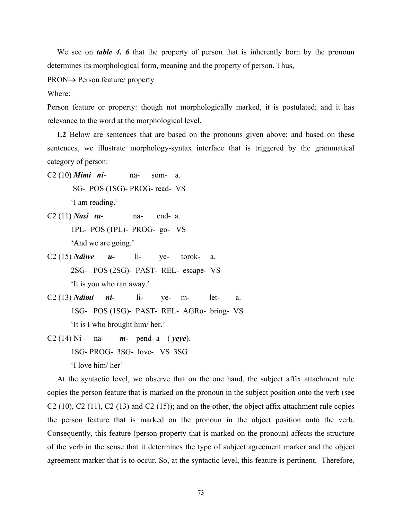We see on *table 4.* 6 that the property of person that is inherently born by the pronoun determines its morphological form, meaning and the property of person. Thus,

PRON→ Person feature/ property

Where:

Person feature or property: though not morphologically marked, it is postulated; and it has relevance to the word at the morphological level.

L<sub>2</sub> Below are sentences that are based on the pronouns given above; and based on these sentences, we illustrate morphology-syntax interface that is triggered by the grammatical category of person:

- C2 (10) *Mimi ni* na- som- a. SG- POS (1SG)- PROG- read- VS 'I am reading.'
- C2 (11) *Nasi tu* na- end- a. 1PL- POS (1PL)- PROG- go- VS 'And we are going.'
- C2 (15) *Ndiwe u-* li- ye- torok- a. 2SG- POS (2SG)- PAST- REL- escape- VS 'It is you who ran away.'
- C2 (13) *Ndimi ni-* li- ye- m- let- a. 1SG- POS (1SG)- PAST- REL- AGRo- bring- VS 'It is I who brought him/ her.'
- C2 (14) Ni na- *m-* pend- a ( *yeye*). 1SG- PROG- 3SG- love- VS 3SG 'I love him/ her'

 At the syntactic level, we observe that on the one hand, the subject affix attachment rule copies the person feature that is marked on the pronoun in the subject position onto the verb (see  $C2$  (10),  $C2$  (11),  $C2$  (13) and  $C2$  (15)); and on the other, the object affix attachment rule copies the person feature that is marked on the pronoun in the object position onto the verb. Consequently, this feature (person property that is marked on the pronoun) affects the structure of the verb in the sense that it determines the type of subject agreement marker and the object agreement marker that is to occur. So, at the syntactic level, this feature is pertinent. Therefore,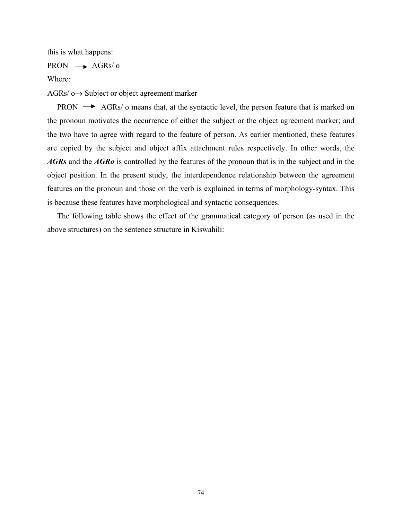this is what happens:

### $PRON \rightarrow AGRs/ o$

Where:

 $AGRs/ 0 \rightarrow Subject$  or object agreement marker

PRON  $\rightarrow$  AGRs/ o means that, at the syntactic level, the person feature that is marked on the pronoun motivates the occurrence of either the subject or the object agreement marker; and the two have to agree with regard to the feature of person. As earlier mentioned, these features are copied by the subject and object affix attachment rules respectively. In other words, the *AGRs* and the *AGRo* is controlled by the features of the pronoun that is in the subject and in the object position. In the present study, the interdependence relationship between the agreement features on the pronoun and those on the verb is explained in terms of morphology-syntax. This is because these features have morphological and syntactic consequences.

 The following table shows the effect of the grammatical category of person (as used in the above structures) on the sentence structure in Kiswahili: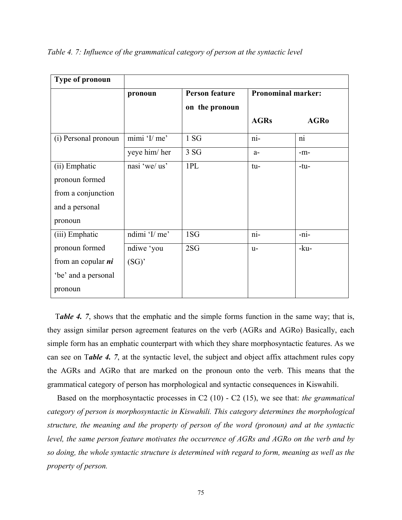| <b>Type of pronoun</b> |               |                       |                           |                 |
|------------------------|---------------|-----------------------|---------------------------|-----------------|
|                        | pronoun       | <b>Person feature</b> | <b>Pronominal marker:</b> |                 |
|                        |               | on the pronoun        |                           |                 |
|                        |               |                       | <b>AGRs</b>               | <b>AGR0</b>     |
| (i) Personal pronoun   | min' 1/me'    | 1 S <sub>G</sub>      | $\overline{\text{ni}}$    | $\overline{ni}$ |
|                        | yeye him/her  | 3 SG                  | $a-$                      | $-m-$           |
| (ii) Emphatic          | nasi 'we/ us' | 1PL                   | tu-                       | $-tu-$          |
| pronoun formed         |               |                       |                           |                 |
| from a conjunction     |               |                       |                           |                 |
| and a personal         |               |                       |                           |                 |
| pronoun                |               |                       |                           |                 |
| (iii) Emphatic         | ndimi 'I/ me' | 1SG                   | ni-                       | -ni-            |
| pronoun formed         | ndiwe 'you    | 2SG                   | $u-$                      | -ku-            |
| from an copular $ni$   | (SG)          |                       |                           |                 |
| be' and a personal     |               |                       |                           |                 |
| pronoun                |               |                       |                           |                 |

*Table 4. 7: Influence of the grammatical category of person at the syntactic level* 

 T*able 4. 7*, shows that the emphatic and the simple forms function in the same way; that is, they assign similar person agreement features on the verb (AGRs and AGRo) Basically, each simple form has an emphatic counterpart with which they share morphosyntactic features. As we can see on T*able 4. 7*, at the syntactic level, the subject and object affix attachment rules copy the AGRs and AGRo that are marked on the pronoun onto the verb. This means that the grammatical category of person has morphological and syntactic consequences in Kiswahili.

Based on the morphosyntactic processes in C2 (10) - C2 (15), we see that: *the grammatical category of person is morphosyntactic in Kiswahili. This category determines the morphological structure, the meaning and the property of person of the word (pronoun) and at the syntactic level, the same person feature motivates the occurrence of AGRs and AGRo on the verb and by so doing, the whole syntactic structure is determined with regard to form, meaning as well as the property of person.*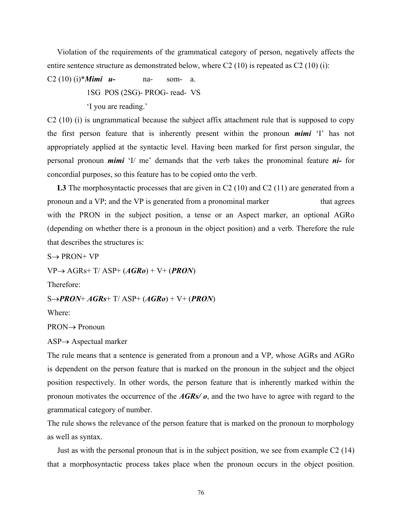Violation of the requirements of the grammatical category of person, negatively affects the entire sentence structure as demonstrated below, where C2 (10) is repeated as C2 (10) (i):

C2 (10) (i)\**Mimi u-* na- som- a. 1SG POS (2SG)- PROG- read- VS 'I you are reading.'

C2 (10) (i) is ungrammatical because the subject affix attachment rule that is supposed to copy the first person feature that is inherently present within the pronoun *mimi* 'I' has not appropriately applied at the syntactic level. Having been marked for first person singular, the personal pronoun *mimi* 'I/ me' demands that the verb takes the pronominal feature *ni-* for concordial purposes, so this feature has to be copied onto the verb.

L3 The morphosyntactic processes that are given in C2 (10) and C2 (11) are generated from a pronoun and a VP; and the VP is generated from a pronominal marker that agrees with the PRON in the subject position, a tense or an Aspect marker, an optional AGRo (depending on whether there is a pronoun in the object position) and a verb. Therefore the rule that describes the structures is:

 $S \rightarrow PRON+VP$ 

VP→ AGRs+ T/ ASP+ (*AGRo*) + V+ (*PRON*)

Therefore:

S→*PRON*+ *AGRs*+ T/ ASP+ (*AGRo*) + V+ (*PRON*)

Where:

PRON→ Pronoun

 $ASP \rightarrow Aspectual marker$ 

The rule means that a sentence is generated from a pronoun and a VP, whose AGRs and AGRo is dependent on the person feature that is marked on the pronoun in the subject and the object position respectively. In other words, the person feature that is inherently marked within the pronoun motivates the occurrence of the *AGRs/ o*, and the two have to agree with regard to the grammatical category of number.

The rule shows the relevance of the person feature that is marked on the pronoun to morphology as well as syntax.

 Just as with the personal pronoun that is in the subject position, we see from example C2 (14) that a morphosyntactic process takes place when the pronoun occurs in the object position.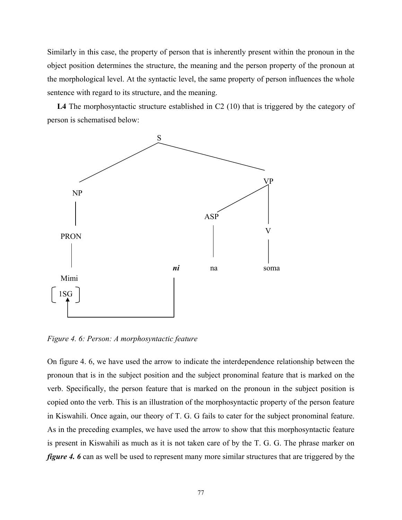Similarly in this case, the property of person that is inherently present within the pronoun in the object position determines the structure, the meaning and the person property of the pronoun at the morphological level. At the syntactic level, the same property of person influences the whole sentence with regard to its structure, and the meaning.

L4 The morphosyntactic structure established in C2 (10) that is triggered by the category of person is schematised below:



*Figure 4. 6: Person: A morphosyntactic feature* 

On figure 4. 6, we have used the arrow to indicate the interdependence relationship between the pronoun that is in the subject position and the subject pronominal feature that is marked on the verb. Specifically, the person feature that is marked on the pronoun in the subject position is copied onto the verb. This is an illustration of the morphosyntactic property of the person feature in Kiswahili. Once again, our theory of T. G. G fails to cater for the subject pronominal feature. As in the preceding examples, we have used the arrow to show that this morphosyntactic feature is present in Kiswahili as much as it is not taken care of by the T. G. G. The phrase marker on *figure 4. 6* can as well be used to represent many more similar structures that are triggered by the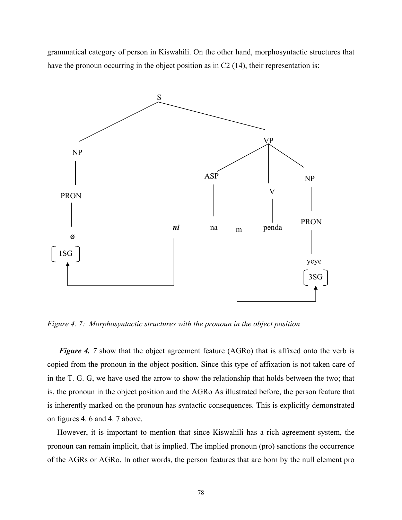grammatical category of person in Kiswahili. On the other hand, morphosyntactic structures that have the pronoun occurring in the object position as in C2 (14), their representation is:



*Figure 4. 7: Morphosyntactic structures with the pronoun in the object position* 

*Figure 4.* 7 show that the object agreement feature (AGRo) that is affixed onto the verb is copied from the pronoun in the object position. Since this type of affixation is not taken care of in the T. G. G, we have used the arrow to show the relationship that holds between the two; that is, the pronoun in the object position and the AGRo As illustrated before, the person feature that is inherently marked on the pronoun has syntactic consequences. This is explicitly demonstrated on figures 4. 6 and 4. 7 above.

 However, it is important to mention that since Kiswahili has a rich agreement system, the pronoun can remain implicit, that is implied. The implied pronoun (pro) sanctions the occurrence of the AGRs or AGRo. In other words, the person features that are born by the null element pro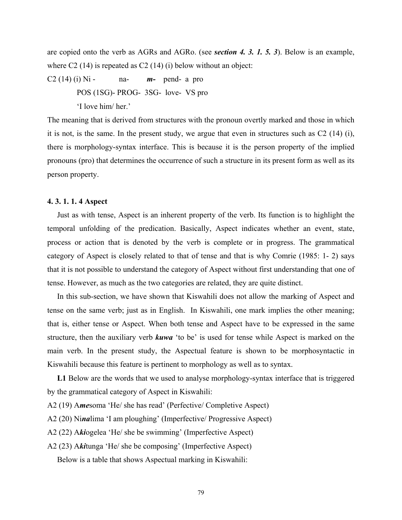are copied onto the verb as AGRs and AGRo. (see *section 4. 3. 1. 5. 3*). Below is an example, where C<sub>2</sub> (14) is repeated as C<sub>2</sub> (14) (i) below without an object:

C2 (14) (i) Ni - na- *m-* pend- a pro POS (1SG)- PROG- 3SG- love- VS pro 'I love him/ her.'

The meaning that is derived from structures with the pronoun overtly marked and those in which it is not, is the same. In the present study, we argue that even in structures such as C2 (14) (i), there is morphology-syntax interface. This is because it is the person property of the implied pronouns (pro) that determines the occurrence of such a structure in its present form as well as its person property.

#### **4. 3. 1. 1. 4 Aspect**

 Just as with tense, Aspect is an inherent property of the verb. Its function is to highlight the temporal unfolding of the predication. Basically, Aspect indicates whether an event, state, process or action that is denoted by the verb is complete or in progress. The grammatical category of Aspect is closely related to that of tense and that is why Comrie (1985: 1- 2) says that it is not possible to understand the category of Aspect without first understanding that one of tense. However, as much as the two categories are related, they are quite distinct.

 In this sub-section, we have shown that Kiswahili does not allow the marking of Aspect and tense on the same verb; just as in English. In Kiswahili, one mark implies the other meaning; that is, either tense or Aspect. When both tense and Aspect have to be expressed in the same structure, then the auxiliary verb *kuwa* 'to be' is used for tense while Aspect is marked on the main verb. In the present study, the Aspectual feature is shown to be morphosyntactic in Kiswahili because this feature is pertinent to morphology as well as to syntax.

 **L1** Below are the words that we used to analyse morphology-syntax interface that is triggered by the grammatical category of Aspect in Kiswahili:

A2 (19) A*me*soma 'He/ she has read' (Perfective/ Completive Aspect)

A2 (20) Ni*na*lima 'I am ploughing' (Imperfective/ Progressive Aspect)

A2 (22) A*ki*ogelea 'He/ she be swimming' (Imperfective Aspect)

A2 (23) A*ki*tunga 'He/ she be composing' (Imperfective Aspect)

Below is a table that shows Aspectual marking in Kiswahili: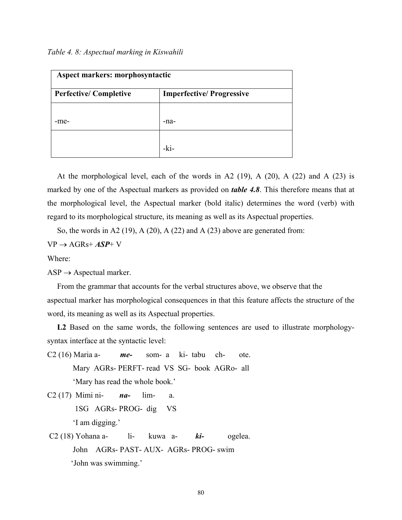| Aspect markers: morphosyntactic |                                 |  |
|---------------------------------|---------------------------------|--|
| <b>Perfective/Completive</b>    | <b>Imperfective/Progressive</b> |  |
|                                 |                                 |  |
| -me-                            | -na-                            |  |
|                                 |                                 |  |
|                                 | -ki-                            |  |

At the morphological level, each of the words in A2  $(19)$ , A  $(20)$ , A  $(22)$  and A  $(23)$  is marked by one of the Aspectual markers as provided on *table 4.8*. This therefore means that at the morphological level, the Aspectual marker (bold italic) determines the word (verb) with regard to its morphological structure, its meaning as well as its Aspectual properties.

So, the words in A2 (19), A (20), A (22) and A (23) above are generated from:

 $VP \rightarrow AGRs + ASP + V$ 

Where:

 $ASP \rightarrow Aspectual marker$ .

 From the grammar that accounts for the verbal structures above, we observe that the aspectual marker has morphological consequences in that this feature affects the structure of the word, its meaning as well as its Aspectual properties.

L2 Based on the same words, the following sentences are used to illustrate morphologysyntax interface at the syntactic level:

- C2 (16) Maria a- *me-* som- a ki- tabu ch- ote. Mary AGRs- PERFT- read VS SG- book AGRo- all 'Mary has read the whole book.' C2 (17) Mimi ni- *na-* lim- a.
	- 1SG AGRs- PROG- dig VS 'I am digging.'
- C2 (18) Yohana a- li- kuwa a- *ki-* ogelea. John AGRs- PAST- AUX- AGRs- PROG- swim 'John was swimming.'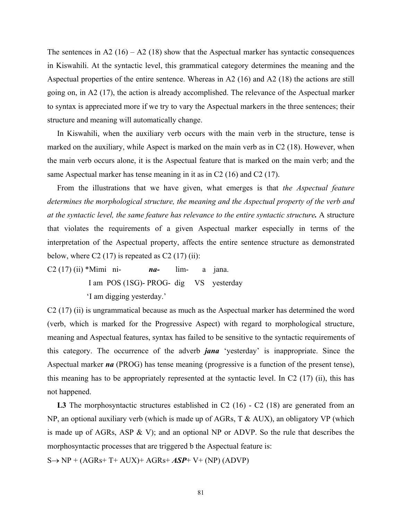The sentences in  $A2(16) - A2(18)$  show that the Aspectual marker has syntactic consequences in Kiswahili. At the syntactic level, this grammatical category determines the meaning and the Aspectual properties of the entire sentence. Whereas in A2 (16) and A2 (18) the actions are still going on, in A2 (17), the action is already accomplished. The relevance of the Aspectual marker to syntax is appreciated more if we try to vary the Aspectual markers in the three sentences; their structure and meaning will automatically change.

 In Kiswahili, when the auxiliary verb occurs with the main verb in the structure, tense is marked on the auxiliary, while Aspect is marked on the main verb as in C2 (18). However, when the main verb occurs alone, it is the Aspectual feature that is marked on the main verb; and the same Aspectual marker has tense meaning in it as in C2 (16) and C2 (17).

 From the illustrations that we have given, what emerges is that *the Aspectual feature determines the morphological structure, the meaning and the Aspectual property of the verb and at the syntactic level, the same feature has relevance to the entire syntactic structure.* A structure that violates the requirements of a given Aspectual marker especially in terms of the interpretation of the Aspectual property, affects the entire sentence structure as demonstrated below, where C2  $(17)$  is repeated as C2  $(17)$   $(ii)$ :

C2 (17) (ii) \*Mimi ni- *na-* lim- a jana. I am POS (1SG)- PROG- dig VS yesterday 'I am digging yesterday.'

C2 (17) (ii) is ungrammatical because as much as the Aspectual marker has determined the word (verb, which is marked for the Progressive Aspect) with regard to morphological structure, meaning and Aspectual features, syntax has failed to be sensitive to the syntactic requirements of this category. The occurrence of the adverb *jana* 'yesterday' is inappropriate. Since the Aspectual marker *na* (PROG) has tense meaning (progressive is a function of the present tense), this meaning has to be appropriately represented at the syntactic level. In C2 (17) (ii), this has not happened.

L3 The morphosyntactic structures established in C2 (16) - C2 (18) are generated from an NP, an optional auxiliary verb (which is made up of AGRs, T & AUX), an obligatory VP (which is made up of AGRs, ASP & V); and an optional NP or ADVP. So the rule that describes the morphosyntactic processes that are triggered b the Aspectual feature is:

 $S \rightarrow NP + (AGRs + T + AUX) + AGRs + ASP + V + (NP) (ADVP)$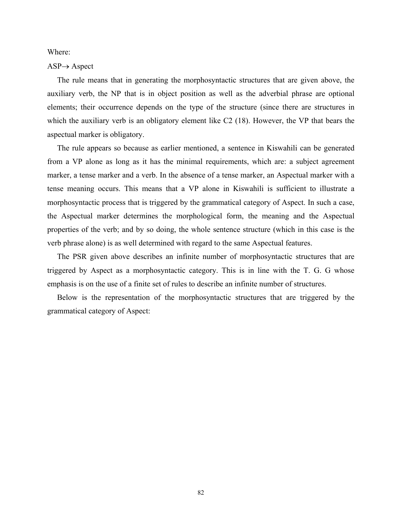Where:

#### $ASP \rightarrow Aspect$

 The rule means that in generating the morphosyntactic structures that are given above, the auxiliary verb, the NP that is in object position as well as the adverbial phrase are optional elements; their occurrence depends on the type of the structure (since there are structures in which the auxiliary verb is an obligatory element like C2 (18). However, the VP that bears the aspectual marker is obligatory.

 The rule appears so because as earlier mentioned, a sentence in Kiswahili can be generated from a VP alone as long as it has the minimal requirements, which are: a subject agreement marker, a tense marker and a verb. In the absence of a tense marker, an Aspectual marker with a tense meaning occurs. This means that a VP alone in Kiswahili is sufficient to illustrate a morphosyntactic process that is triggered by the grammatical category of Aspect. In such a case, the Aspectual marker determines the morphological form, the meaning and the Aspectual properties of the verb; and by so doing, the whole sentence structure (which in this case is the verb phrase alone) is as well determined with regard to the same Aspectual features.

 The PSR given above describes an infinite number of morphosyntactic structures that are triggered by Aspect as a morphosyntactic category. This is in line with the T. G. G whose emphasis is on the use of a finite set of rules to describe an infinite number of structures.

 Below is the representation of the morphosyntactic structures that are triggered by the grammatical category of Aspect: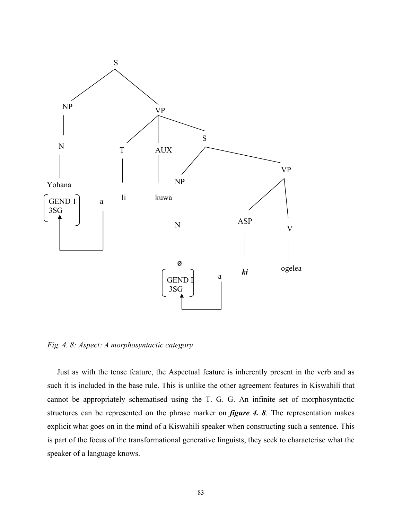

*Fig. 4. 8: Aspect: A morphosyntactic category* 

 Just as with the tense feature, the Aspectual feature is inherently present in the verb and as such it is included in the base rule. This is unlike the other agreement features in Kiswahili that cannot be appropriately schematised using the T. G. G. An infinite set of morphosyntactic structures can be represented on the phrase marker on *figure 4. 8*. The representation makes explicit what goes on in the mind of a Kiswahili speaker when constructing such a sentence. This is part of the focus of the transformational generative linguists, they seek to characterise what the speaker of a language knows.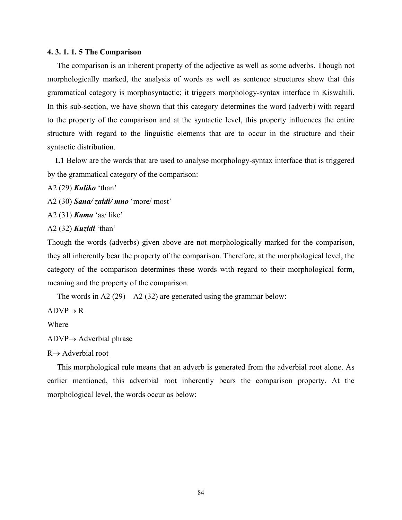### **4. 3. 1. 1. 5 The Comparison**

 The comparison is an inherent property of the adjective as well as some adverbs. Though not morphologically marked, the analysis of words as well as sentence structures show that this grammatical category is morphosyntactic; it triggers morphology-syntax interface in Kiswahili. In this sub-section, we have shown that this category determines the word (adverb) with regard to the property of the comparison and at the syntactic level, this property influences the entire structure with regard to the linguistic elements that are to occur in the structure and their syntactic distribution.

 **L1** Below are the words that are used to analyse morphology-syntax interface that is triggered by the grammatical category of the comparison:

A2 (29) *Kuliko* 'than'

A2 (30) *Sana/ zaidi/ mno* 'more/ most'

A2 (31) *Kama* 'as/ like'

A2 (32) *Kuzidi* 'than'

Though the words (adverbs) given above are not morphologically marked for the comparison, they all inherently bear the property of the comparison. Therefore, at the morphological level, the category of the comparison determines these words with regard to their morphological form, meaning and the property of the comparison.

The words in A2  $(29) - A2 (32)$  are generated using the grammar below:

 $ADVP \rightarrow R$ 

Where

 $ADVP \rightarrow$  Adverbial phrase

 $R \rightarrow$  Adverbial root

 This morphological rule means that an adverb is generated from the adverbial root alone. As earlier mentioned, this adverbial root inherently bears the comparison property. At the morphological level, the words occur as below: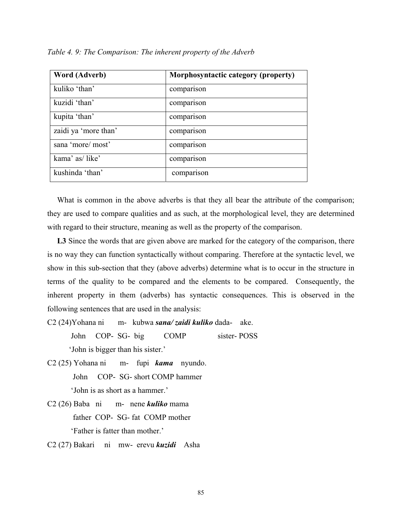| <b>Word (Adverb)</b> | Morphosyntactic category (property) |
|----------------------|-------------------------------------|
| kuliko 'than'        | comparison                          |
| kuzidi 'than'        | comparison                          |
| kupita 'than'        | comparison                          |
| zaidi ya 'more than' | comparison                          |
| sana 'more/ most'    | comparison                          |
| kama' as/like'       | comparison                          |
| kushinda 'than'      | comparison                          |

*Table 4. 9: The Comparison: The inherent property of the Adverb* 

 What is common in the above adverbs is that they all bear the attribute of the comparison; they are used to compare qualities and as such, at the morphological level, they are determined with regard to their structure, meaning as well as the property of the comparison.

 **L3** Since the words that are given above are marked for the category of the comparison, there is no way they can function syntactically without comparing. Therefore at the syntactic level, we show in this sub-section that they (above adverbs) determine what is to occur in the structure in terms of the quality to be compared and the elements to be compared. Consequently, the inherent property in them (adverbs) has syntactic consequences. This is observed in the following sentences that are used in the analysis:

- C2 (24)Yohana ni m- kubwa *sana/ zaidi kuliko* dada- ake. John COP- SG- big COMP sister- POSS 'John is bigger than his sister.'
- C2 (25) Yohana ni m- fupi *kama* nyundo. John COP- SG- short COMP hammer 'John is as short as a hammer.'
- C2 (26) Baba ni m- nene *kuliko* mama father COP- SG- fat COMP mother 'Father is fatter than mother.'
- C2 (27) Bakari ni mw- erevu *kuzidi* Asha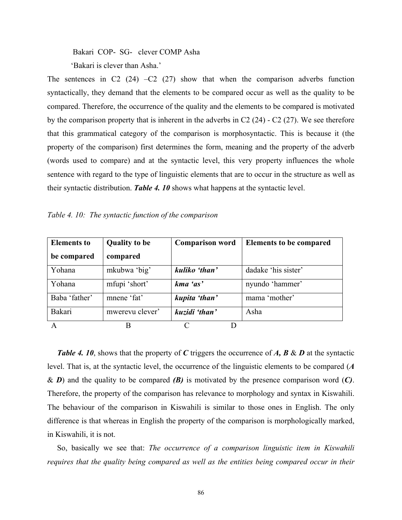Bakari COP- SG- clever COMP Asha

'Bakari is clever than Asha.'

The sentences in C2 (24) –C2 (27) show that when the comparison adverbs function syntactically, they demand that the elements to be compared occur as well as the quality to be compared. Therefore, the occurrence of the quality and the elements to be compared is motivated by the comparison property that is inherent in the adverbs in C2  $(24)$  - C2  $(27)$ . We see therefore that this grammatical category of the comparison is morphosyntactic. This is because it (the property of the comparison) first determines the form, meaning and the property of the adverb (words used to compare) and at the syntactic level, this very property influences the whole sentence with regard to the type of linguistic elements that are to occur in the structure as well as their syntactic distribution. *Table 4. 10* shows what happens at the syntactic level.

*Table 4. 10: The syntactic function of the comparison* 

| <b>Elements</b> to | <b>Quality to be</b> | <b>Comparison word</b> | <b>Elements to be compared</b> |
|--------------------|----------------------|------------------------|--------------------------------|
| be compared        | compared             |                        |                                |
| Yohana             | mkubwa 'big'         | kuliko 'than'          | dadake 'his sister'            |
| Yohana             | mfupi 'short'        | kma 'as'               | nyundo 'hammer'                |
| Baba 'father'      | mnene 'fat'          | kupita 'than'          | mama 'mother'                  |
| Bakari             | mwerevu clever'      | kuzidi 'than'          | Asha                           |
| A                  | B                    |                        |                                |

 *Table 4. 10*, shows that the property of *C* triggers the occurrence of *A, B* & *D* at the syntactic level. That is, at the syntactic level, the occurrence of the linguistic elements to be compared (*A*  & *D*) and the quality to be compared *(B)* is motivated by the presence comparison word (*C)*. Therefore, the property of the comparison has relevance to morphology and syntax in Kiswahili. The behaviour of the comparison in Kiswahili is similar to those ones in English. The only difference is that whereas in English the property of the comparison is morphologically marked, in Kiswahili, it is not.

 So, basically we see that: *The occurrence of a comparison linguistic item in Kiswahili requires that the quality being compared as well as the entities being compared occur in their*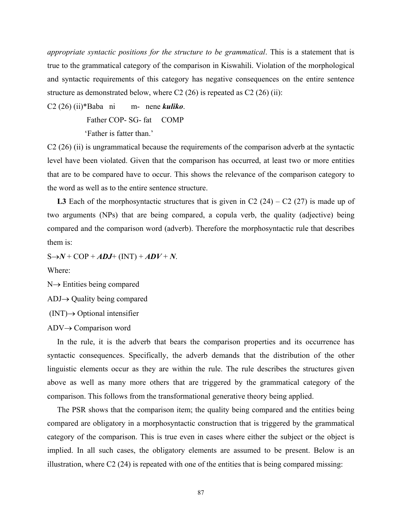*appropriate syntactic positions for the structure to be grammatical*. This is a statement that is true to the grammatical category of the comparison in Kiswahili. Violation of the morphological and syntactic requirements of this category has negative consequences on the entire sentence structure as demonstrated below, where  $C2(26)$  is repeated as  $C2(26)$  (ii):

C2 (26) (ii)\*Baba ni m- nene *kuliko*.

Father COP- SG- fat COMP

'Father is fatter than.'

C2 (26) (ii) is ungrammatical because the requirements of the comparison adverb at the syntactic level have been violated. Given that the comparison has occurred, at least two or more entities that are to be compared have to occur. This shows the relevance of the comparison category to the word as well as to the entire sentence structure.

**L3** Each of the morphosyntactic structures that is given in C2  $(24) - C2 (27)$  is made up of two arguments (NPs) that are being compared, a copula verb, the quality (adjective) being compared and the comparison word (adverb). Therefore the morphosyntactic rule that describes them is:

 $S \rightarrow N + COP + ADJ + (INT) + ADV + N$ .

Where:

N→ Entities being compared

ADJ→ Quality being compared

 $(INT) \rightarrow \text{Optional}$  intensifier

ADV→ Comparison word

 In the rule, it is the adverb that bears the comparison properties and its occurrence has syntactic consequences. Specifically, the adverb demands that the distribution of the other linguistic elements occur as they are within the rule. The rule describes the structures given above as well as many more others that are triggered by the grammatical category of the comparison. This follows from the transformational generative theory being applied.

 The PSR shows that the comparison item; the quality being compared and the entities being compared are obligatory in a morphosyntactic construction that is triggered by the grammatical category of the comparison. This is true even in cases where either the subject or the object is implied. In all such cases, the obligatory elements are assumed to be present. Below is an illustration, where  $C_2(24)$  is repeated with one of the entities that is being compared missing: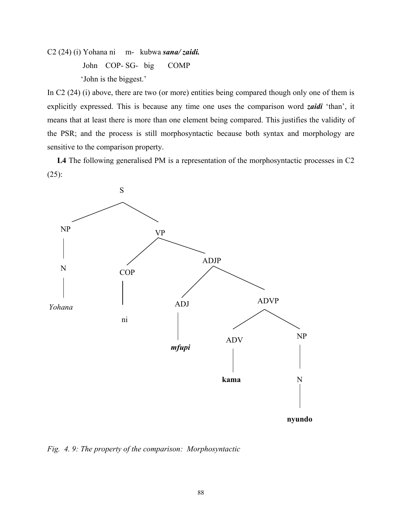C2 (24) (i) Yohana ni m- kubwa *sana/ zaidi.* John COP- SG- big COMP 'John is the biggest.'

In C2 (24) (i) above, there are two (or more) entities being compared though only one of them is explicitly expressed. This is because any time one uses the comparison word *zaidi* 'than', it means that at least there is more than one element being compared. This justifies the validity of the PSR; and the process is still morphosyntactic because both syntax and morphology are sensitive to the comparison property.

 **L4** The following generalised PM is a representation of the morphosyntactic processes in C2 (25):



*Fig. 4. 9: The property of the comparison: Morphosyntactic*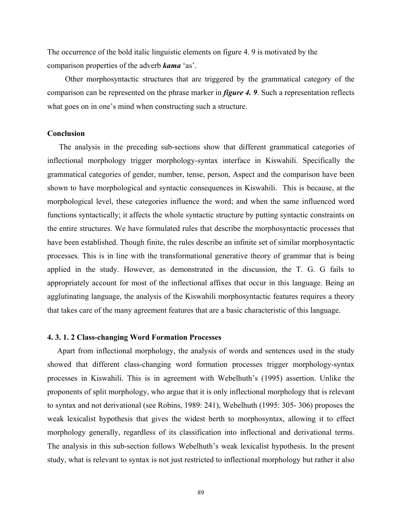The occurrence of the bold italic linguistic elements on figure 4. 9 is motivated by the comparison properties of the adverb *kama* 'as'.

 Other morphosyntactic structures that are triggered by the grammatical category of the comparison can be represented on the phrase marker in *figure 4. 9*. Such a representation reflects what goes on in one's mind when constructing such a structure.

## **Conclusion**

 The analysis in the preceding sub-sections show that different grammatical categories of inflectional morphology trigger morphology-syntax interface in Kiswahili. Specifically the grammatical categories of gender, number, tense, person, Aspect and the comparison have been shown to have morphological and syntactic consequences in Kiswahili. This is because, at the morphological level, these categories influence the word; and when the same influenced word functions syntactically; it affects the whole syntactic structure by putting syntactic constraints on the entire structures. We have formulated rules that describe the morphosyntactic processes that have been established. Though finite, the rules describe an infinite set of similar morphosyntactic processes. This is in line with the transformational generative theory of grammar that is being applied in the study. However, as demonstrated in the discussion, the T. G. G fails to appropriately account for most of the inflectional affixes that occur in this language. Being an agglutinating language, the analysis of the Kiswahili morphosyntactic features requires a theory that takes care of the many agreement features that are a basic characteristic of this language.

#### **4. 3. 1. 2 Class-changing Word Formation Processes**

 Apart from inflectional morphology, the analysis of words and sentences used in the study showed that different class-changing word formation processes trigger morphology-syntax processes in Kiswahili. This is in agreement with Webelhuth's (1995) assertion. Unlike the proponents of split morphology, who argue that it is only inflectional morphology that is relevant to syntax and not derivational (see Robins, 1989: 241), Webelhuth (1995: 305- 306) proposes the weak lexicalist hypothesis that gives the widest berth to morphosyntax, allowing it to effect morphology generally, regardless of its classification into inflectional and derivational terms. The analysis in this sub-section follows Webelhuth's weak lexicalist hypothesis. In the present study, what is relevant to syntax is not just restricted to inflectional morphology but rather it also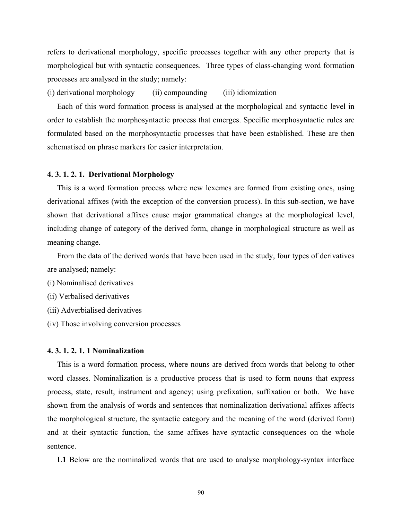refers to derivational morphology, specific processes together with any other property that is morphological but with syntactic consequences. Three types of class-changing word formation processes are analysed in the study; namely:

(i) derivational morphology (ii) compounding (iii) idiomization

 Each of this word formation process is analysed at the morphological and syntactic level in order to establish the morphosyntactic process that emerges. Specific morphosyntactic rules are formulated based on the morphosyntactic processes that have been established. These are then schematised on phrase markers for easier interpretation.

#### **4. 3. 1. 2. 1. Derivational Morphology**

This is a word formation process where new lexemes are formed from existing ones, using derivational affixes (with the exception of the conversion process). In this sub-section, we have shown that derivational affixes cause major grammatical changes at the morphological level, including change of category of the derived form, change in morphological structure as well as meaning change.

 From the data of the derived words that have been used in the study, four types of derivatives are analysed; namely:

(i) Nominalised derivatives

(ii) Verbalised derivatives

(iii) Adverbialised derivatives

(iv) Those involving conversion processes

### **4. 3. 1. 2. 1. 1 Nominalization**

 This is a word formation process, where nouns are derived from words that belong to other word classes. Nominalization is a productive process that is used to form nouns that express process, state, result, instrument and agency; using prefixation, suffixation or both. We have shown from the analysis of words and sentences that nominalization derivational affixes affects the morphological structure, the syntactic category and the meaning of the word (derived form) and at their syntactic function, the same affixes have syntactic consequences on the whole sentence.

**L1** Below are the nominalized words that are used to analyse morphology-syntax interface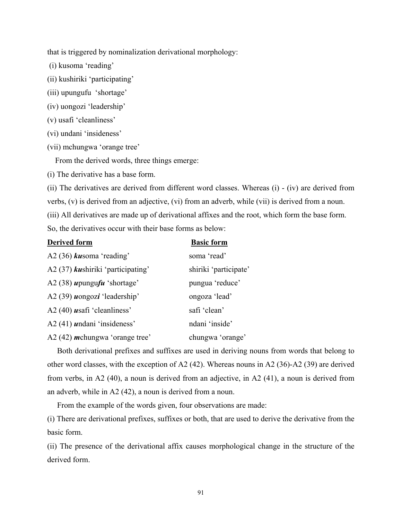that is triggered by nominalization derivational morphology:

(i) kusoma 'reading'

- (ii) kushiriki 'participating'
- (iii) upungufu 'shortage'
- (iv) uongozi 'leadership'
- (v) usafi 'cleanliness'
- (vi) undani 'insideness'
- (vii) mchungwa 'orange tree'

From the derived words, three things emerge:

(i) The derivative has a base form.

(ii) The derivatives are derived from different word classes. Whereas (i) - (iv) are derived from verbs, (v) is derived from an adjective, (vi) from an adverb, while (vii) is derived from a noun. (iii) All derivatives are made up of derivational affixes and the root, which form the base form. So, the derivatives occur with their base forms as below:

| <b>Derived form</b>                                            | <b>Basic form</b>     |
|----------------------------------------------------------------|-----------------------|
| A2 (36) $k$ usoma 'reading'                                    | soma 'read'           |
| A2 (37) kushiriki 'participating'                              | shiriki 'participate' |
| A2 (38) $\boldsymbol{\mu}$ pungu $\boldsymbol{\mu}$ 'shortage' | pungua 'reduce'       |
| A2 $(39)$ uongozi 'leadership'                                 | ongoza 'lead'         |
| A2 $(40)$ <i>usafi</i> 'cleanliness'                           | safi 'clean'          |
| $A2(41)$ <i>undani</i> 'insideness'                            | ndani 'inside'        |
| A2 $(42)$ <i>m</i> chungwa 'orange tree'                       | chungwa 'orange'      |

 Both derivational prefixes and suffixes are used in deriving nouns from words that belong to other word classes, with the exception of A2 (42). Whereas nouns in A2 (36)-A2 (39) are derived from verbs, in A2 (40), a noun is derived from an adjective, in A2 (41), a noun is derived from an adverb, while in A2 (42), a noun is derived from a noun.

From the example of the words given, four observations are made:

(i) There are derivational prefixes, suffixes or both, that are used to derive the derivative from the basic form.

(ii) The presence of the derivational affix causes morphological change in the structure of the derived form.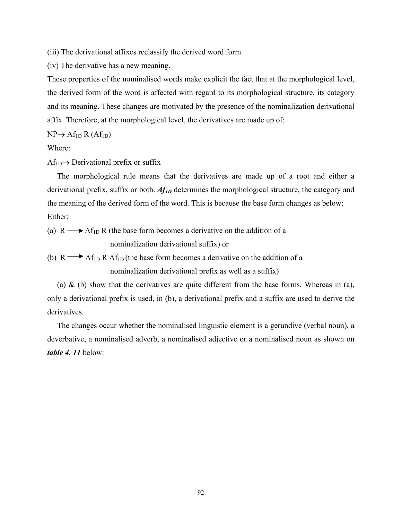(iii) The derivational affixes reclassify the derived word form.

(iv) The derivative has a new meaning.

These properties of the nominalised words make explicit the fact that at the morphological level, the derived form of the word is affected with regard to its morphological structure, its category and its meaning. These changes are motivated by the presence of the nominalization derivational affix. Therefore, at the morphological level, the derivatives are made up of:

 $NP \rightarrow Af_{1D} R (Af_{1D})$ 

Where:

 $Af_{1D} \rightarrow Derivational prefix or suffix$ 

 The morphological rule means that the derivatives are made up of a root and either a derivational prefix, suffix or both. *Af1D* determines the morphological structure, the category and the meaning of the derived form of the word. This is because the base form changes as below: Either:

(a)  $R \longrightarrow Af_{1D} R$  (the base form becomes a derivative on the addition of a nominalization derivational suffix) or

(b) R  $\rightarrow$  Af<sub>1D</sub> R Af<sub>1D</sub> (the base form becomes a derivative on the addition of a nominalization derivational prefix as well as a suffix)

(a)  $\&$  (b) show that the derivatives are quite different from the base forms. Whereas in (a), only a derivational prefix is used, in (b), a derivational prefix and a suffix are used to derive the derivatives.

 The changes occur whether the nominalised linguistic element is a gerundive (verbal noun), a deverbative, a nominalised adverb, a nominalised adjective or a nominalised noun as shown on *table 4. 11* below: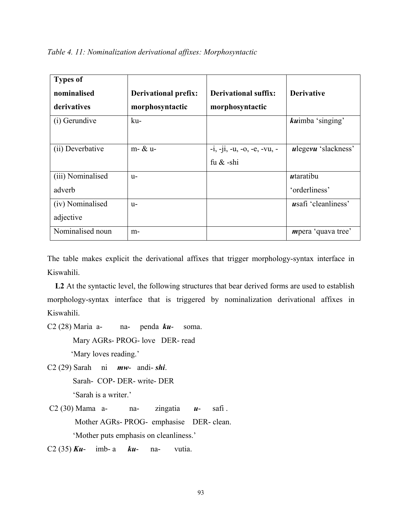| <b>Types of</b><br>nominalised<br>derivatives | <b>Derivational prefix:</b><br>morphosyntactic | <b>Derivational suffix:</b><br>morphosyntactic | <b>Derivative</b>          |
|-----------------------------------------------|------------------------------------------------|------------------------------------------------|----------------------------|
| (i) Gerundive                                 | ku-                                            |                                                | <i>kuimba</i> 'singing'    |
| (ii) Deverbative                              | m- & u-                                        | $-i, -ji, -u, -o, -e, -vu, -v$<br>fu $\&$ -shi | <i>ulegevu</i> 'slackness' |
| (iii) Nominalised                             | $U -$                                          |                                                | utaratibu                  |
| adverb                                        |                                                |                                                | 'orderliness'              |
| (iv) Nominalised                              | $U -$                                          |                                                | <i>usafi</i> 'cleanliness' |
| adjective                                     |                                                |                                                |                            |
| Nominalised noun                              | m-                                             |                                                | <i>m</i> pera 'quava tree' |

The table makes explicit the derivational affixes that trigger morphology-syntax interface in Kiswahili.

 **L2** At the syntactic level, the following structures that bear derived forms are used to establish morphology-syntax interface that is triggered by nominalization derivational affixes in Kiswahili.

- C2 (28) Maria a- na- penda *ku* soma. Mary AGRs- PROG- love DER- read 'Mary loves reading.'
- C2 (29) Sarah ni *mw* andi- *shi*. Sarah- COP- DER- write- DER 'Sarah is a writer.'
- C2 (30) Mama a- na- zingatia *u* safi . Mother AGRs- PROG- emphasise DER- clean. 'Mother puts emphasis on cleanliness.'
- C2 (35) *Ku* imb- a *ku* na- vutia.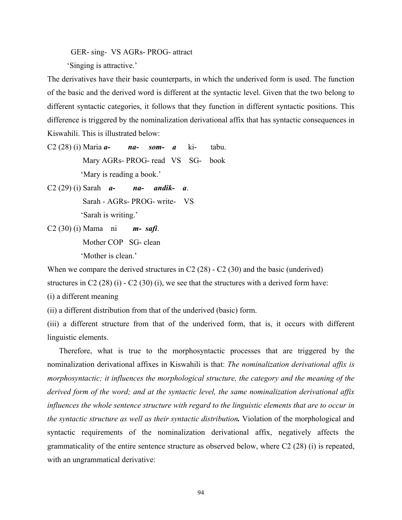GER- sing- VS AGRs- PROG- attract

'Singing is attractive.'

The derivatives have their basic counterparts, in which the underived form is used. The function of the basic and the derived word is different at the syntactic level. Given that the two belong to different syntactic categories, it follows that they function in different syntactic positions. This difference is triggered by the nominalization derivational affix that has syntactic consequences in Kiswahili. This is illustrated below:

- C2 (28) (i) Maria *a- na- som- a* ki- tabu. Mary AGRs- PROG- read VS SG- book 'Mary is reading a book.'
- C2 (29) (i) Sarah *a- na- andik- a*. Sarah - AGRs- PROG- write- VS 'Sarah is writing.'
- C2 (30) (i) Mama ni *m- safi*. Mother COP SG- clean 'Mother is clean.'

When we compare the derived structures in C2 (28) - C2 (30) and the basic (underived)

structures in C2 (28) (i)  $-$  C2 (30) (i), we see that the structures with a derived form have:

(i) a different meaning

(ii) a different distribution from that of the underived (basic) form.

(iii) a different structure from that of the underived form, that is, it occurs with different linguistic elements.

 Therefore, what is true to the morphosyntactic processes that are triggered by the nominalization derivational affixes in Kiswahili is that: *The nominalization derivational affix is morphosyntactic; it influences the morphological structure, the category and the meaning of the derived form of the word; and at the syntactic level, the same nominalization derivational affix influences the whole sentence structure with regard to the linguistic elements that are to occur in the syntactic structure as well as their syntactic distribution.* Violation of the morphological and syntactic requirements of the nominalization derivational affix, negatively affects the grammaticality of the entire sentence structure as observed below, where C2 (28) (i) is repeated, with an ungrammatical derivative: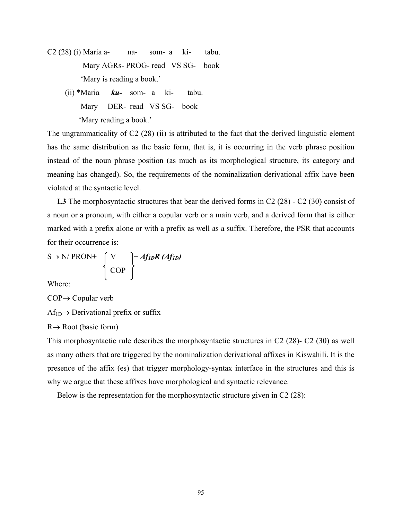- $C2(28)$  (i) Maria a- na- som- a ki- tabu. Mary AGRs- PROG- read VS SG- book 'Mary is reading a book.'
	- (ii) \*Maria *ku-* som- a ki- tabu. Mary DER- read VS SG- book 'Mary reading a book.'

The ungrammaticality of C2 (28) (ii) is attributed to the fact that the derived linguistic element has the same distribution as the basic form, that is, it is occurring in the verb phrase position instead of the noun phrase position (as much as its morphological structure, its category and meaning has changed). So, the requirements of the nominalization derivational affix have been violated at the syntactic level.

 **L3** The morphosyntactic structures that bear the derived forms in C2 (28) - C2 (30) consist of a noun or a pronoun, with either a copular verb or a main verb, and a derived form that is either marked with a prefix alone or with a prefix as well as a suffix. Therefore, the PSR that accounts for their occurrence is:

$$
S \rightarrow N/ PRON^+ \quad \left\{ \begin{array}{c} V \\ \text{COP} \end{array} \right\}^+ \quad \text{Aff}_{IDR} \quad \text{(Aff}_{ID})
$$

Where:

COP→ Copular verb

 $Af_{1D} \rightarrow Derivational prefix or suffix$ 

 $R \rightarrow Root$  (basic form)

This morphosyntactic rule describes the morphosyntactic structures in C2 (28)- C2 (30) as well as many others that are triggered by the nominalization derivational affixes in Kiswahili. It is the presence of the affix (es) that trigger morphology-syntax interface in the structures and this is why we argue that these affixes have morphological and syntactic relevance.

Below is the representation for the morphosyntactic structure given in C2 (28):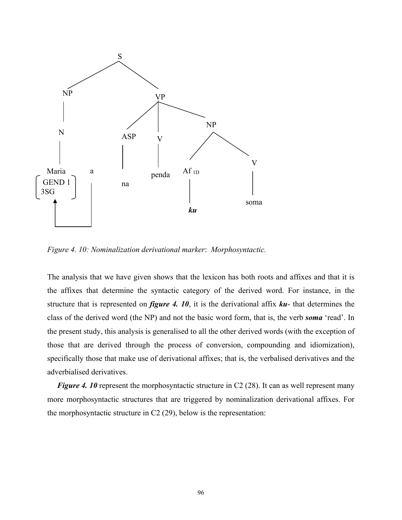

*Figure 4. 10: Nominalization derivational marker*: *Morphosyntactic.* 

The analysis that we have given shows that the lexicon has both roots and affixes and that it is the affixes that determine the syntactic category of the derived word. For instance, in the structure that is represented on *figure 4. 10*, it is the derivational affix *ku*- that determines the class of the derived word (the NP) and not the basic word form, that is, the verb *soma* 'read'. In the present study, this analysis is generalised to all the other derived words (with the exception of those that are derived through the process of conversion, compounding and idiomization), specifically those that make use of derivational affixes; that is, the verbalised derivatives and the adverbialised derivatives.

*Figure 4. 10* represent the morphosyntactic structure in C2 (28). It can as well represent many more morphosyntactic structures that are triggered by nominalization derivational affixes. For the morphosyntactic structure in C2 (29), below is the representation: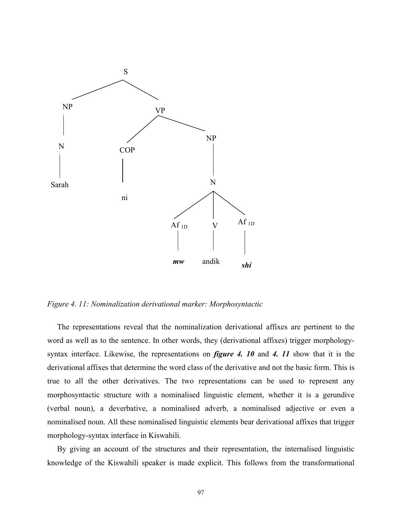

*Figure 4. 11: Nominalization derivational marker: Morphosyntactic* 

 The representations reveal that the nominalization derivational affixes are pertinent to the word as well as to the sentence. In other words, they (derivational affixes) trigger morphologysyntax interface. Likewise, the representations on *figure 4. 10* and *4. 11* show that it is the derivational affixes that determine the word class of the derivative and not the basic form. This is true to all the other derivatives. The two representations can be used to represent any morphosyntactic structure with a nominalised linguistic element, whether it is a gerundive (verbal noun), a deverbative, a nominalised adverb, a nominalised adjective or even a nominalised noun. All these nominalised linguistic elements bear derivational affixes that trigger morphology-syntax interface in Kiswahili.

 By giving an account of the structures and their representation, the internalised linguistic knowledge of the Kiswahili speaker is made explicit. This follows from the transformational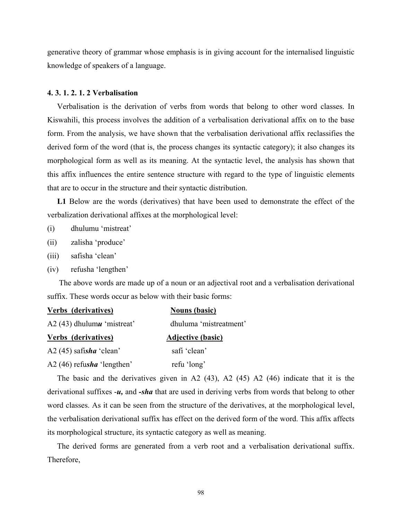generative theory of grammar whose emphasis is in giving account for the internalised linguistic knowledge of speakers of a language.

## **4. 3. 1. 2. 1. 2 Verbalisation**

 Verbalisation is the derivation of verbs from words that belong to other word classes. In Kiswahili, this process involves the addition of a verbalisation derivational affix on to the base form. From the analysis, we have shown that the verbalisation derivational affix reclassifies the derived form of the word (that is, the process changes its syntactic category); it also changes its morphological form as well as its meaning. At the syntactic level, the analysis has shown that this affix influences the entire sentence structure with regard to the type of linguistic elements that are to occur in the structure and their syntactic distribution.

 **L1** Below are the words (derivatives) that have been used to demonstrate the effect of the verbalization derivational affixes at the morphological level:

- (i) dhulumu 'mistreat'
- (ii) zalisha 'produce'
- (iii) safisha 'clean'
- (iv) refusha 'lengthen'

 The above words are made up of a noun or an adjectival root and a verbalisation derivational suffix. These words occur as below with their basic forms:

| Verbs (derivatives)          | <b>Nouns</b> (basic)     |
|------------------------------|--------------------------|
| A2 $(43)$ dhulumu 'mistreat' | dhuluma 'mistreatment'   |
| Verbs (derivatives)          | <b>Adjective (basic)</b> |
| A2 $(45)$ safisha 'clean'    | safi 'clean'             |
| A2 (46) refusha 'lengthen'   | refu 'long'              |

 The basic and the derivatives given in A2 (43), A2 (45) A2 (46) indicate that it is the derivational suffixes -*u,* and *-sha* that are used in deriving verbs from words that belong to other word classes. As it can be seen from the structure of the derivatives, at the morphological level, the verbalisation derivational suffix has effect on the derived form of the word. This affix affects its morphological structure, its syntactic category as well as meaning.

 The derived forms are generated from a verb root and a verbalisation derivational suffix. Therefore,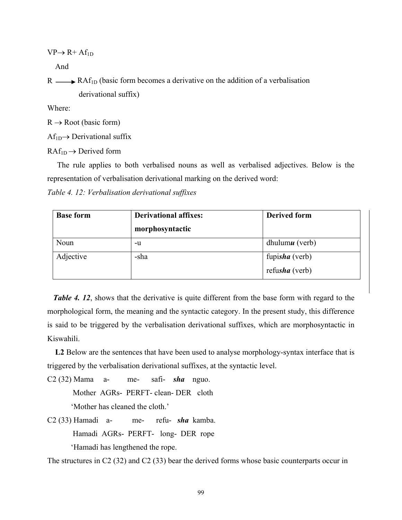$VP \rightarrow R+Af_{1D}$ 

And

 $R \longrightarrow RAF<sub>1D</sub>$  (basic form becomes a derivative on the addition of a verbalisation derivational suffix)

Where:

 $R \rightarrow$  Root (basic form)

 $Af_{1D} \rightarrow Derivational$  suffix

 $RAf<sub>1D</sub> \rightarrow Derived form$ 

 The rule applies to both verbalised nouns as well as verbalised adjectives. Below is the representation of verbalisation derivational marking on the derived word:

*Table 4. 12: Verbalisation derivational suffixes* 

| <b>Base form</b> | <b>Derivational affixes:</b> | <b>Derived form</b> |
|------------------|------------------------------|---------------------|
|                  | morphosyntactic              |                     |
| Noun             | -u                           | dhulum $u$ (verb)   |
| Adjective        | -sha                         | fupisha (verb)      |
|                  |                              | refusha (verb)      |

*Table 4. 12*, shows that the derivative is quite different from the base form with regard to the morphological form, the meaning and the syntactic category. In the present study, this difference is said to be triggered by the verbalisation derivational suffixes, which are morphosyntactic in Kiswahili.

 **L2** Below are the sentences that have been used to analyse morphology-syntax interface that is triggered by the verbalisation derivational suffixes, at the syntactic level.

C2 (32) Mama a- me- safi- *sha* nguo. Mother AGRs- PERFT- clean- DER cloth

'Mother has cleaned the cloth.'

C2 (33) Hamadi a- me- refu- *sha* kamba. Hamadi AGRs- PERFT- long- DER rope 'Hamadi has lengthened the rope.

The structures in C2 (32) and C2 (33) bear the derived forms whose basic counterparts occur in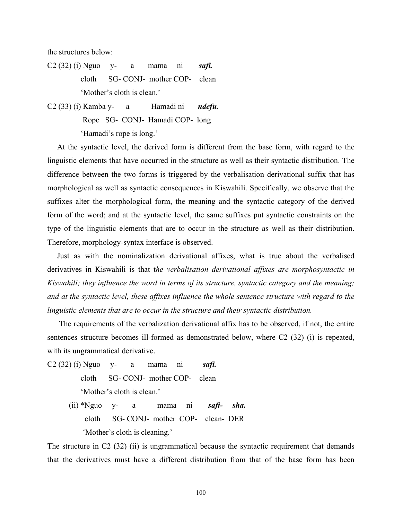the structures below:

- C2 (32) (i) Nguo y- a mama ni *safi.* cloth SG- CONJ- mother COP- clean 'Mother's cloth is clean.'
- C2 (33) (i) Kamba y- a Hamadi ni *ndefu.* Rope SG- CONJ- Hamadi COP- long 'Hamadi's rope is long.'

 At the syntactic level, the derived form is different from the base form, with regard to the linguistic elements that have occurred in the structure as well as their syntactic distribution. The difference between the two forms is triggered by the verbalisation derivational suffix that has morphological as well as syntactic consequences in Kiswahili. Specifically, we observe that the suffixes alter the morphological form, the meaning and the syntactic category of the derived form of the word; and at the syntactic level, the same suffixes put syntactic constraints on the type of the linguistic elements that are to occur in the structure as well as their distribution. Therefore, morphology-syntax interface is observed.

Just as with the nominalization derivational affixes, what is true about the verbalised derivatives in Kiswahili is that t*he verbalisation derivational affixes are morphosyntactic in Kiswahili; they influence the word in terms of its structure, syntactic category and the meaning; and at the syntactic level, these affixes influence the whole sentence structure with regard to the linguistic elements that are to occur in the structure and their syntactic distribution.* 

 The requirements of the verbalization derivational affix has to be observed, if not, the entire sentences structure becomes ill-formed as demonstrated below, where C2 (32) (i) is repeated, with its ungrammatical derivative.

- C2 (32) (i) Nguo y- a mama ni *safi.* cloth SG- CONJ- mother COP- clean 'Mother's cloth is clean.'
	- (ii) \*Nguo y- a mama ni *safi- sha.* cloth SG- CONJ- mother COP- clean- DER 'Mother's cloth is cleaning.'

The structure in C2 (32) (ii) is ungrammatical because the syntactic requirement that demands that the derivatives must have a different distribution from that of the base form has been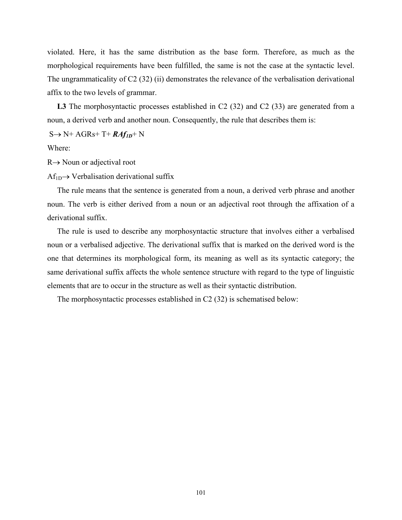violated. Here, it has the same distribution as the base form. Therefore, as much as the morphological requirements have been fulfilled, the same is not the case at the syntactic level. The ungrammaticality of C2 (32) (ii) demonstrates the relevance of the verbalisation derivational affix to the two levels of grammar.

L3 The morphosyntactic processes established in C2 (32) and C2 (33) are generated from a noun, a derived verb and another noun. Consequently, the rule that describes them is:

S→ N+ AGRs+ T+ *RAf1D*+ N

Where:

R→ Noun or adjectival root

 $Af_{1D} \rightarrow Verbalisation$  derivational suffix

 The rule means that the sentence is generated from a noun, a derived verb phrase and another noun. The verb is either derived from a noun or an adjectival root through the affixation of a derivational suffix.

 The rule is used to describe any morphosyntactic structure that involves either a verbalised noun or a verbalised adjective. The derivational suffix that is marked on the derived word is the one that determines its morphological form, its meaning as well as its syntactic category; the same derivational suffix affects the whole sentence structure with regard to the type of linguistic elements that are to occur in the structure as well as their syntactic distribution.

The morphosyntactic processes established in C2 (32) is schematised below: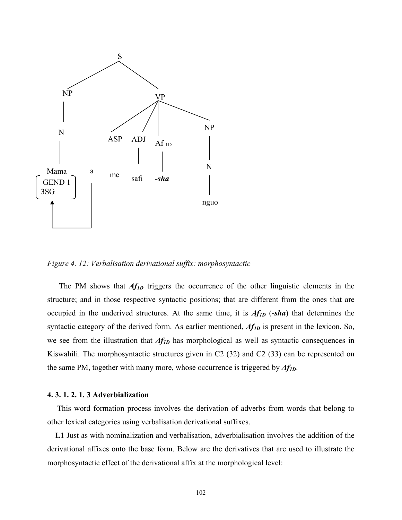

*Figure 4. 12: Verbalisation derivational suffix: morphosyntactic* 

The PM shows that *Af<sub>1D</sub>* triggers the occurrence of the other linguistic elements in the structure; and in those respective syntactic positions; that are different from the ones that are occupied in the underived structures. At the same time, it is *Af1D* (-*sha*) that determines the syntactic category of the derived form. As earlier mentioned,  $Af_{ID}$  is present in the lexicon. So, we see from the illustration that  $Af_{1D}$  has morphological as well as syntactic consequences in Kiswahili. The morphosyntactic structures given in C2 (32) and C2 (33) can be represented on the same PM, together with many more, whose occurrence is triggered by *Af1D*.

## **4. 3. 1. 2. 1. 3 Adverbialization**

 This word formation process involves the derivation of adverbs from words that belong to other lexical categories using verbalisation derivational suffixes.

 **L1** Just as with nominalization and verbalisation, adverbialisation involves the addition of the derivational affixes onto the base form. Below are the derivatives that are used to illustrate the morphosyntactic effect of the derivational affix at the morphological level: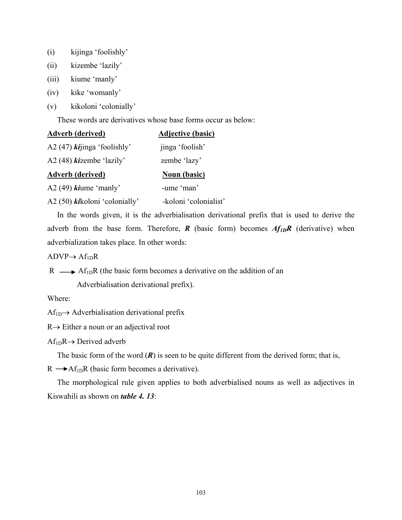- (i) kijinga 'foolishly'
- (ii) kizembe 'lazily'
- (iii) kiume 'manly'
- (iv) kike 'womanly'
- (v) kikoloni 'colonially'

These words are derivatives whose base forms occur as below:

| <b>Adverb (derived)</b>                            | <b>Adjective (basic)</b> |
|----------------------------------------------------|--------------------------|
| A2 (47) $\boldsymbol{k}$ <i>i</i> inga 'foolishly' | jinga 'foolish'          |
| A2 $(48)$ <i>ki</i> zembe 'lazily'                 | zembe 'lazy'             |
| <b>Adverb</b> (derived)                            | <b>Noun (basic)</b>      |
| A2 $(49)$ <i>ki</i> ume 'manly'                    | -ume 'man'               |
| A2 (50) kikoloni 'colonially'                      | -koloni 'colonialist'    |

 In the words given, it is the adverbialisation derivational prefix that is used to derive the adverb from the base form. Therefore,  $\vec{R}$  (basic form) becomes  $Af_{ID}R$  (derivative) when adverbialization takes place. In other words:

 $ADVP \rightarrow Af_{1D}R$ 

 $R \longrightarrow Af_{1D}R$  (the basic form becomes a derivative on the addition of an

Adverbialisation derivational prefix).

Where:

 $Af_{1D} \rightarrow$  Adverbialisation derivational prefix

R→ Either a noun or an adjectival root

 $Af_{1D}R \rightarrow Derived adverb$ 

The basic form of the word  $(R)$  is seen to be quite different from the derived form; that is,

 $R \rightarrow Af_{1D}R$  (basic form becomes a derivative).

 The morphological rule given applies to both adverbialised nouns as well as adjectives in Kiswahili as shown on *table 4. 13*: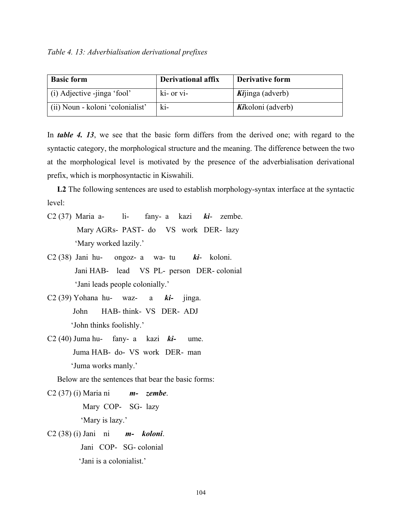*Table 4. 13: Adverbialisation derivational prefixes* 

| <b>Basic form</b>                | <b>Derivational affix</b> | Derivative form          |
|----------------------------------|---------------------------|--------------------------|
| (i) Adjective -jinga 'fool'      | ki- or vi-                | <i>Ki</i> jinga (adverb) |
| (ii) Noun - koloni 'colonialist' | ki-                       | Kikoloni (adverb)        |

In *table 4. 13*, we see that the basic form differs from the derived one; with regard to the syntactic category, the morphological structure and the meaning. The difference between the two at the morphological level is motivated by the presence of the adverbialisation derivational prefix, which is morphosyntactic in Kiswahili.

 **L2** The following sentences are used to establish morphology-syntax interface at the syntactic level:

- C2 (37) Maria a- li- fany- a kazi *ki* zembe. Mary AGRs- PAST- do VS work DER- lazy 'Mary worked lazily.'
- C2 (38) Jani hu- ongoz- a wa- tu *ki* koloni. Jani HAB- lead VS PL- person DER- colonial 'Jani leads people colonially.'
- C2 (39) Yohana hu- waz- a *ki-* jinga. John HAB- think- VS DER- ADJ 'John thinks foolishly.'
- C2 (40) Juma hu- fany- a kazi *ki-* ume. Juma HAB- do- VS work DER- man 'Juma works manly.'

Below are the sentences that bear the basic forms:

C2 (37) (i) Maria ni *m- zembe*. Mary COP- SG- lazy 'Mary is lazy.' C2 (38) (i) Jani ni *m- koloni*. Jani COP- SG- colonial 'Jani is a colonialist.'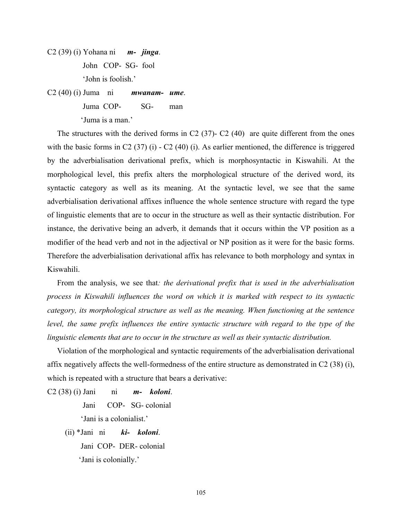C2 (39) (i) Yohana ni *m- jinga*. John COP- SG- fool 'John is foolish.'

C2 (40) (i) Juma ni *mwanam- ume*. Juma COP- SG- man 'Juma is a man.'

The structures with the derived forms in C2  $(37)$ - C2  $(40)$  are quite different from the ones with the basic forms in C2 (37) (i) - C2 (40) (i). As earlier mentioned, the difference is triggered by the adverbialisation derivational prefix, which is morphosyntactic in Kiswahili. At the morphological level, this prefix alters the morphological structure of the derived word, its syntactic category as well as its meaning. At the syntactic level, we see that the same adverbialisation derivational affixes influence the whole sentence structure with regard the type of linguistic elements that are to occur in the structure as well as their syntactic distribution. For instance, the derivative being an adverb, it demands that it occurs within the VP position as a modifier of the head verb and not in the adjectival or NP position as it were for the basic forms. Therefore the adverbialisation derivational affix has relevance to both morphology and syntax in Kiswahili.

 From the analysis, we see that*: the derivational prefix that is used in the adverbialisation process in Kiswahili influences the word on which it is marked with respect to its syntactic category, its morphological structure as well as the meaning. When functioning at the sentence level, the same prefix influences the entire syntactic structure with regard to the type of the linguistic elements that are to occur in the structure as well as their syntactic distribution.* 

 Violation of the morphological and syntactic requirements of the adverbialisation derivational affix negatively affects the well-formedness of the entire structure as demonstrated in C2 (38) (i), which is repeated with a structure that bears a derivative:

C2 (38) (i) Jani ni *m- koloni*.

Jani COP- SG- colonial

'Jani is a colonialist.'

 (ii) \*Jani ni *ki- koloni*. Jani COP- DER- colonial 'Jani is colonially.'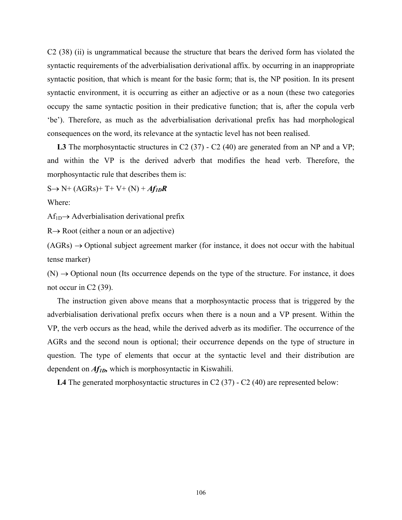C2 (38) (ii) is ungrammatical because the structure that bears the derived form has violated the syntactic requirements of the adverbialisation derivational affix. by occurring in an inappropriate syntactic position, that which is meant for the basic form; that is, the NP position. In its present syntactic environment, it is occurring as either an adjective or as a noun (these two categories occupy the same syntactic position in their predicative function; that is, after the copula verb 'be'). Therefore, as much as the adverbialisation derivational prefix has had morphological consequences on the word, its relevance at the syntactic level has not been realised.

L3 The morphosyntactic structures in C2 (37) - C2 (40) are generated from an NP and a VP; and within the VP is the derived adverb that modifies the head verb. Therefore, the morphosyntactic rule that describes them is:

 $S \rightarrow N^+ (AGRs)$ + T+ V+ (N) +  $Af_{ID}R$ 

Where:

 $Af_{1D} \rightarrow$  Adverbialisation derivational prefix

 $R \rightarrow Root$  (either a noun or an adjective)

 $(AGRs) \rightarrow$  Optional subject agreement marker (for instance, it does not occur with the habitual tense marker)

 $(N) \rightarrow$  Optional noun (Its occurrence depends on the type of the structure. For instance, it does not occur in C2 (39).

 The instruction given above means that a morphosyntactic process that is triggered by the adverbialisation derivational prefix occurs when there is a noun and a VP present. Within the VP, the verb occurs as the head, while the derived adverb as its modifier. The occurrence of the AGRs and the second noun is optional; their occurrence depends on the type of structure in question. The type of elements that occur at the syntactic level and their distribution are dependent on *Af1D,* which is morphosyntactic in Kiswahili.

L4 The generated morphosyntactic structures in C2 (37) - C2 (40) are represented below: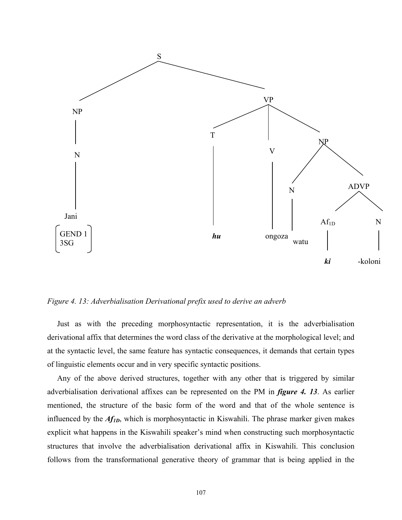

*Figure 4. 13: Adverbialisation Derivational prefix used to derive an adverb* 

 Just as with the preceding morphosyntactic representation, it is the adverbialisation derivational affix that determines the word class of the derivative at the morphological level; and at the syntactic level, the same feature has syntactic consequences, it demands that certain types of linguistic elements occur and in very specific syntactic positions.

 Any of the above derived structures, together with any other that is triggered by similar adverbialisation derivational affixes can be represented on the PM in *figure 4. 13*. As earlier mentioned, the structure of the basic form of the word and that of the whole sentence is influenced by the *Af1D*, which is morphosyntactic in Kiswahili. The phrase marker given makes explicit what happens in the Kiswahili speaker's mind when constructing such morphosyntactic structures that involve the adverbialisation derivational affix in Kiswahili. This conclusion follows from the transformational generative theory of grammar that is being applied in the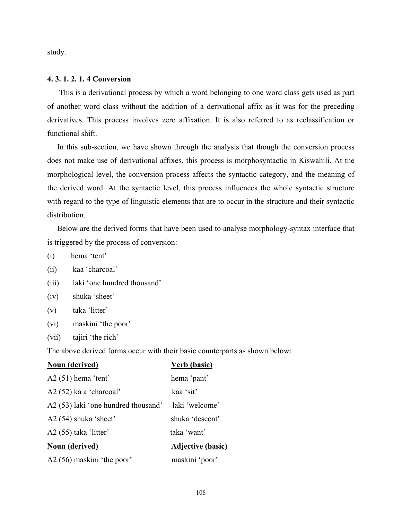study.

# **4. 3. 1. 2. 1. 4 Conversion**

 This is a derivational process by which a word belonging to one word class gets used as part of another word class without the addition of a derivational affix as it was for the preceding derivatives. This process involves zero affixation. It is also referred to as reclassification or functional shift.

 In this sub-section, we have shown through the analysis that though the conversion process does not make use of derivational affixes, this process is morphosyntactic in Kiswahili. At the morphological level, the conversion process affects the syntactic category, and the meaning of the derived word. At the syntactic level, this process influences the whole syntactic structure with regard to the type of linguistic elements that are to occur in the structure and their syntactic distribution.

 Below are the derived forms that have been used to analyse morphology-syntax interface that is triggered by the process of conversion:

(i) hema 'tent'

- (ii) kaa 'charcoal'
- (iii) laki 'one hundred thousand'
- (iv) shuka 'sheet'
- (v) taka 'litter'
- (vi) maskini 'the poor'
- (vii) tajiri 'the rich'

The above derived forms occur with their basic counterparts as shown below:

| <b>Noun (derived)</b>               | <b>Verb</b> (basic)      |
|-------------------------------------|--------------------------|
| $A2(51)$ hema 'tent'                | hema 'pant'              |
| $A2(52)$ ka a 'charcoal'            | kaa 'sit'                |
| A2 (53) laki 'one hundred thousand' | laki 'welcome'           |
| $A2(54)$ shuka 'sheet'              | shuka 'descent'          |
| $A2(55)$ taka 'litter'              | taka 'want'              |
| Noun (derived)                      | <b>Adjective (basic)</b> |
| A2 (56) maskini 'the poor'          | maskini 'poor'           |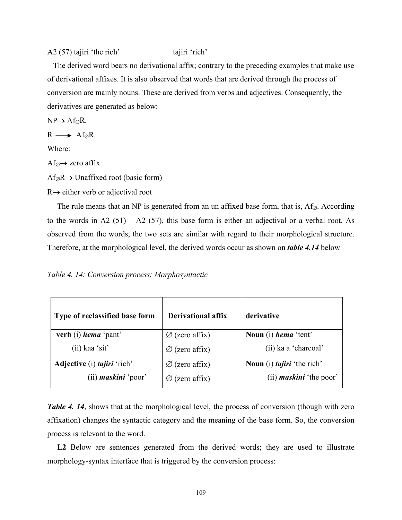# A2 (57) tajiri 'the rich' tajiri 'rich'

 The derived word bears no derivational affix; contrary to the preceding examples that make use of derivational affixes. It is also observed that words that are derived through the process of conversion are mainly nouns. These are derived from verbs and adjectives. Consequently, the derivatives are generated as below:

 $NP \rightarrow Af_{\emptyset}R$ .

 $R \longrightarrow Af_{\emptyset}R$ .

Where:

 $Af \circ \rightarrow$  zero affix

 $Af_{\emptyset}R \rightarrow$  Unaffixed root (basic form)

R→ either verb or adjectival root

The rule means that an NP is generated from an un affixed base form, that is,  $Af_{\emptyset}$ . According to the words in A2 (51) – A2 (57), this base form is either an adjectival or a verbal root. As observed from the words, the two sets are similar with regard to their morphological structure. Therefore, at the morphological level, the derived words occur as shown on *table 4.14* below

|  |  |  | Table 4. 14: Conversion process: Morphosyntactic |
|--|--|--|--------------------------------------------------|
|--|--|--|--------------------------------------------------|

| Type of reclassified base form            | <b>Derivational affix</b>  | derivative                        |
|-------------------------------------------|----------------------------|-----------------------------------|
| verb (i) <i>hema</i> 'pant'               | $\varnothing$ (zero affix) | Noun (i) hema 'tent'              |
| $(ii)$ kaa 'sit'                          | $\varnothing$ (zero affix) | (ii) ka a 'charcoal'              |
| <b>Adjective</b> (i) <i>tajiri</i> 'rich' | $\varnothing$ (zero affix) | Noun (i) <i>tajiri</i> 'the rich' |
| $(ii)$ maskini 'poor'                     | $\varnothing$ (zero affix) | (ii) <i>maskini</i> 'the poor'    |

*Table 4. 14*, shows that at the morphological level, the process of conversion (though with zero affixation) changes the syntactic category and the meaning of the base form. So, the conversion process is relevant to the word.

 **L2** Below are sentences generated from the derived words; they are used to illustrate morphology-syntax interface that is triggered by the conversion process: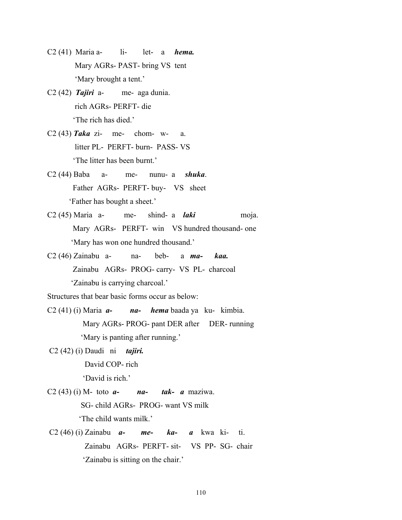- C2 (41) Maria a- li- let- a *hema.* Mary AGRs- PAST- bring VS tent 'Mary brought a tent.'
- C2 (42) *Tajiri* a- me- aga dunia. rich AGRs- PERFT- die 'The rich has died.'
- C2 (43) *Taka* zi- me- chom- w- a. litter PL- PERFT- burn- PASS- VS 'The litter has been burnt.'
- C2 (44) Baba a- me- nunu- a *shuka*. Father AGRs- PERFT- buy- VS sheet 'Father has bought a sheet.'
- C2 (45) Maria a- me- shind- a *laki* moja. Mary AGRs- PERFT- win VS hundred thousand- one 'Mary has won one hundred thousand.'
- C2 (46) Zainabu a- na- beb- a *ma- kaa.* Zainabu AGRs- PROG- carry- VS PL- charcoal 'Zainabu is carrying charcoal.'

Structures that bear basic forms occur as below:

- C2 (41) (i) Maria *a- na- hema* baada ya ku- kimbia. Mary AGRs- PROG- pant DER after DER- running 'Mary is panting after running.'
- C2 (42) (i) Daudi ni *tajiri.* David COP- rich 'David is rich.'
- C2 (43) (i) M- toto *a- na- tak- a* maziwa. SG- child AGRs- PROG- want VS milk 'The child wants milk.'
- C2 (46) (i) Zainabu *a- me- ka- a* kwa ki- ti. Zainabu AGRs- PERFT- sit- VS PP- SG- chair 'Zainabu is sitting on the chair.'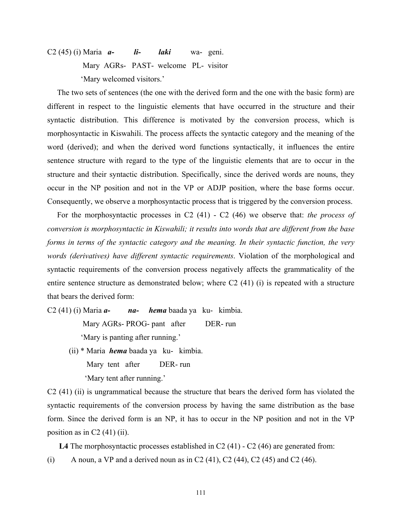C2 (45) (i) Maria *a- li- laki* wa- geni. Mary AGRs- PAST- welcome PL- visitor 'Mary welcomed visitors.'

 The two sets of sentences (the one with the derived form and the one with the basic form) are different in respect to the linguistic elements that have occurred in the structure and their syntactic distribution. This difference is motivated by the conversion process, which is morphosyntactic in Kiswahili. The process affects the syntactic category and the meaning of the word (derived); and when the derived word functions syntactically, it influences the entire sentence structure with regard to the type of the linguistic elements that are to occur in the structure and their syntactic distribution. Specifically, since the derived words are nouns, they occur in the NP position and not in the VP or ADJP position, where the base forms occur. Consequently, we observe a morphosyntactic process that is triggered by the conversion process.

 For the morphosyntactic processes in C2 (41) - C2 (46) we observe that: *the process of conversion is morphosyntactic in Kiswahili; it results into words that are different from the base forms in terms of the syntactic category and the meaning. In their syntactic function, the very words (derivatives) have different syntactic requirements*. Violation of the morphological and syntactic requirements of the conversion process negatively affects the grammaticality of the entire sentence structure as demonstrated below; where C2 (41) (i) is repeated with a structure that bears the derived form:

C2 (41) (i) Maria *a- na- hema* baada ya ku- kimbia. Mary AGRs- PROG- pant after DER- run 'Mary is panting after running.'

> (ii) \* Maria *hema* baada ya ku- kimbia. Mary tent after DER- run 'Mary tent after running.'

C2 (41) (ii) is ungrammatical because the structure that bears the derived form has violated the syntactic requirements of the conversion process by having the same distribution as the base form. Since the derived form is an NP, it has to occur in the NP position and not in the VP position as in  $C2(41)$  (ii).

L4 The morphosyntactic processes established in C2 (41) - C2 (46) are generated from: (i) A noun, a VP and a derived noun as in C2 (41), C2 (44), C2 (45) and C2 (46).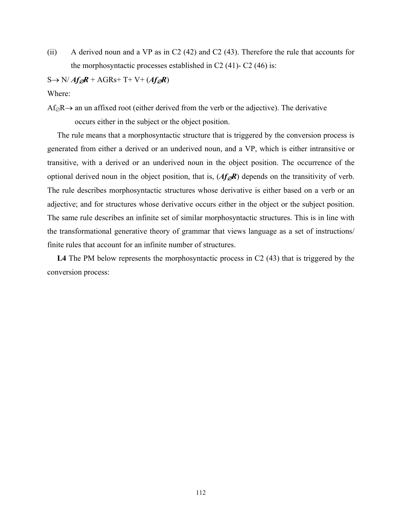(ii) A derived noun and a VP as in C2 (42) and C2 (43). Therefore the rule that accounts for the morphosyntactic processes established in C2  $(41)$ - C2  $(46)$  is:

 $S \rightarrow N/ Af \mathscr{R} + AGR$ s+ T+ V+  $(Af \mathscr{R})$ 

Where:

 $Af_{\emptyset}R\rightarrow$  an un affixed root (either derived from the verb or the adjective). The derivative occurs either in the subject or the object position.

 The rule means that a morphosyntactic structure that is triggered by the conversion process is generated from either a derived or an underived noun, and a VP, which is either intransitive or transitive, with a derived or an underived noun in the object position. The occurrence of the optional derived noun in the object position, that is,  $(Af_{\mathscr{A}}R)$  depends on the transitivity of verb. The rule describes morphosyntactic structures whose derivative is either based on a verb or an adjective; and for structures whose derivative occurs either in the object or the subject position. The same rule describes an infinite set of similar morphosyntactic structures. This is in line with the transformational generative theory of grammar that views language as a set of instructions/ finite rules that account for an infinite number of structures.

 **L4** The PM below represents the morphosyntactic process in C2 (43) that is triggered by the conversion process: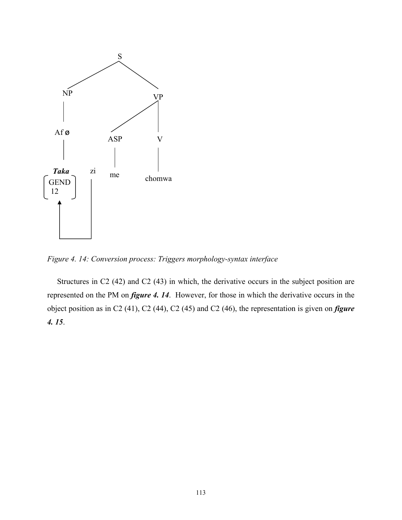

*Figure 4. 14: Conversion process: Triggers morphology-syntax interface* 

 Structures in C2 (42) and C2 (43) in which, the derivative occurs in the subject position are represented on the PM on *figure 4. 14*. However, for those in which the derivative occurs in the object position as in C2 (41), C2 (44), C2 (45) and C2 (46), the representation is given on *figure 4. 15*.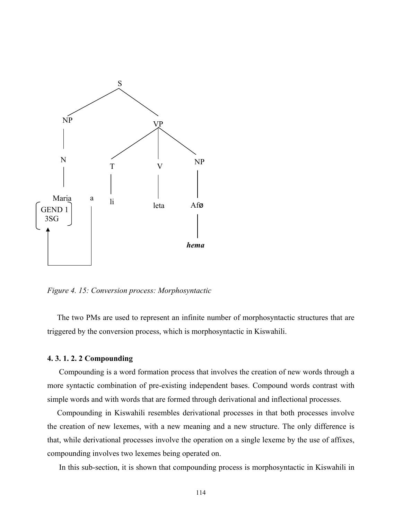

*Figure 4. 15: Conversion process: Morphosyntactic* 

 The two PMs are used to represent an infinite number of morphosyntactic structures that are triggered by the conversion process, which is morphosyntactic in Kiswahili.

### **4. 3. 1. 2. 2 Compounding**

 Compounding is a word formation process that involves the creation of new words through a more syntactic combination of pre-existing independent bases. Compound words contrast with simple words and with words that are formed through derivational and inflectional processes.

 Compounding in Kiswahili resembles derivational processes in that both processes involve the creation of new lexemes, with a new meaning and a new structure. The only difference is that, while derivational processes involve the operation on a single lexeme by the use of affixes, compounding involves two lexemes being operated on.

In this sub-section, it is shown that compounding process is morphosyntactic in Kiswahili in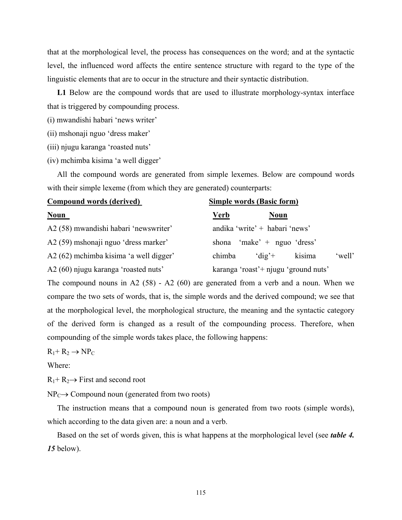that at the morphological level, the process has consequences on the word; and at the syntactic level, the influenced word affects the entire sentence structure with regard to the type of the linguistic elements that are to occur in the structure and their syntactic distribution.

 **L1** Below are the compound words that are used to illustrate morphology-syntax interface that is triggered by compounding process.

- (i) mwandishi habari 'news writer'
- (ii) mshonaji nguo 'dress maker'
- (iii) njugu karanga 'roasted nuts'
- (iv) mchimba kisima 'a well digger'

 All the compound words are generated from simple lexemes. Below are compound words with their simple lexeme (from which they are generated) counterparts:

| <b>Compound words (derived)</b>        | <b>Simple words (Basic form)</b>                           |  |  |
|----------------------------------------|------------------------------------------------------------|--|--|
| <b>Noun</b>                            | <u>Verb</u><br><b>Noun</b>                                 |  |  |
| A2 (58) mwandishi habari 'newswriter'  | andika 'write' + habari 'news'                             |  |  |
| A2 (59) mshonaji nguo 'dress marker'   | shona 'make' + nguo 'dress'                                |  |  |
| A2 (62) mchimba kisima 'a well digger' | 'well'<br>$^{\circ}$ dig' <sup>+</sup><br>chimba<br>kisima |  |  |
| A2 (60) njugu karanga 'roasted nuts'   | karanga 'roast' + njugu 'ground nuts'                      |  |  |

The compound nouns in A2 (58) - A2 (60) are generated from a verb and a noun. When we compare the two sets of words, that is, the simple words and the derived compound; we see that at the morphological level, the morphological structure, the meaning and the syntactic category of the derived form is changed as a result of the compounding process. Therefore, when compounding of the simple words takes place, the following happens:

 $R_1$ +  $R_2 \rightarrow NP_C$ 

Where:

 $R_1$ +  $R_2$  + First and second root

 $NP_C \rightarrow Compound$  noun (generated from two roots)

 The instruction means that a compound noun is generated from two roots (simple words), which according to the data given are: a noun and a verb.

 Based on the set of words given, this is what happens at the morphological level (see *table 4. 15* below).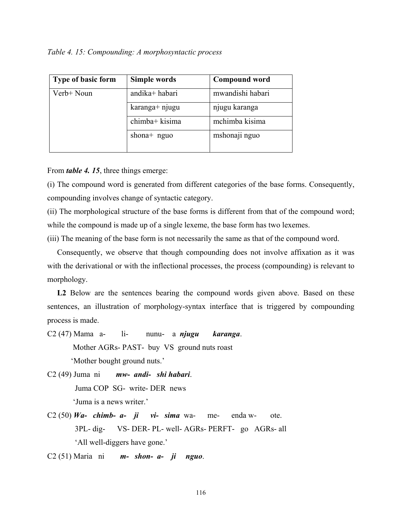*Table 4. 15: Compounding: A morphosyntactic process* 

| Type of basic form | Simple words   | <b>Compound word</b> |
|--------------------|----------------|----------------------|
| Verb+ Noun         | andika+habari  | mwandishi habari     |
|                    | karanga+ njugu | njugu karanga        |
|                    | chimba+ kisima | mchimba kisima       |
|                    | shona $+$ nguo | mshonaji nguo        |

From *table 4. 15*, three things emerge:

(i) The compound word is generated from different categories of the base forms. Consequently, compounding involves change of syntactic category.

(ii) The morphological structure of the base forms is different from that of the compound word; while the compound is made up of a single lexeme, the base form has two lexemes.

(iii) The meaning of the base form is not necessarily the same as that of the compound word.

 Consequently, we observe that though compounding does not involve affixation as it was with the derivational or with the inflectional processes, the process (compounding) is relevant to morphology.

L<sub>2</sub> Below are the sentences bearing the compound words given above. Based on these sentences, an illustration of morphology-syntax interface that is triggered by compounding process is made.

C2 (47) Mama a- li- nunu- a *njugu karanga*. Mother AGRs- PAST- buy VS ground nuts roast 'Mother bought ground nuts.'

C2 (49) Juma ni *mw- andi- shi habari*. Juma COP SG- write- DER news 'Juma is a news writer.'

- C2 (50)  $W_a$  *chimb*  $a$  *ji*  $vi$  *sima* wa- me- enda w- ote. 3PL- dig- VS- DER- PL- well- AGRs- PERFT- go AGRs- all 'All well-diggers have gone.'
- C2 (51) Maria ni *m- shon- a- ji nguo*.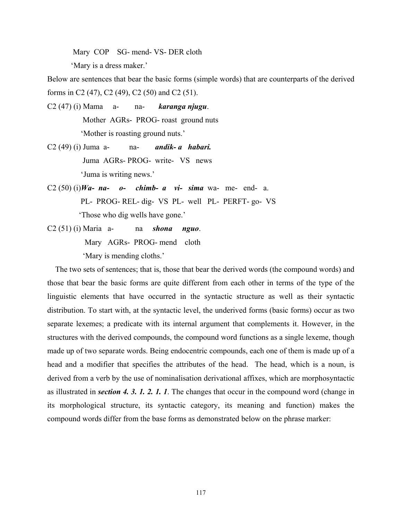Mary COP SG- mend- VS- DER cloth

'Mary is a dress maker.'

Below are sentences that bear the basic forms (simple words) that are counterparts of the derived forms in C2 (47), C2 (49), C2 (50) and C2 (51).

- C2 (47) (i) Mama a- na- *karanga njugu*. Mother AGRs- PROG- roast ground nuts 'Mother is roasting ground nuts.'
- C2 (49) (i) Juma a- na- *andik- a habari.*  Juma AGRs- PROG- write- VS news 'Juma is writing news.'
- C2 (50) (i)*Wa- na- o- chimb- a vi- sima* wa- me- end- a. PL- PROG- REL- dig- VS PL- well PL- PERFT- go- VS 'Those who dig wells have gone.'
- C2 (51) (i) Maria a- na *shona nguo*. Mary AGRs- PROG- mend cloth 'Mary is mending cloths.'

 The two sets of sentences; that is, those that bear the derived words (the compound words) and those that bear the basic forms are quite different from each other in terms of the type of the linguistic elements that have occurred in the syntactic structure as well as their syntactic distribution. To start with, at the syntactic level, the underived forms (basic forms) occur as two separate lexemes; a predicate with its internal argument that complements it. However, in the structures with the derived compounds, the compound word functions as a single lexeme, though made up of two separate words. Being endocentric compounds, each one of them is made up of a head and a modifier that specifies the attributes of the head. The head, which is a noun, is derived from a verb by the use of nominalisation derivational affixes, which are morphosyntactic as illustrated in *section 4. 3. 1. 2. 1. 1*. The changes that occur in the compound word (change in its morphological structure, its syntactic category, its meaning and function) makes the compound words differ from the base forms as demonstrated below on the phrase marker: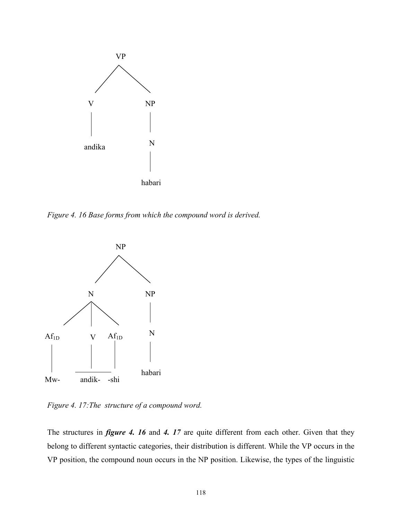

*Figure 4. 16 Base forms from which the compound word is derived.* 



*Figure 4. 17:The structure of a compound word.* 

The structures in *figure 4. 16* and *4. 17* are quite different from each other. Given that they belong to different syntactic categories, their distribution is different. While the VP occurs in the VP position, the compound noun occurs in the NP position. Likewise, the types of the linguistic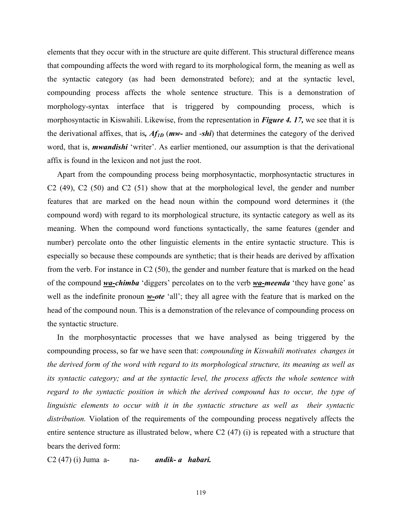elements that they occur with in the structure are quite different. This structural difference means that compounding affects the word with regard to its morphological form, the meaning as well as the syntactic category (as had been demonstrated before); and at the syntactic level, compounding process affects the whole sentence structure. This is a demonstration of morphology-syntax interface that is triggered by compounding process, which is morphosyntactic in Kiswahili. Likewise, from the representation in *Figure 4. 17,* we see that it is the derivational affixes, that is*, Af1D* (*mw-* and -*shi*) that determines the category of the derived word, that is, *mwandishi* 'writer'. As earlier mentioned, our assumption is that the derivational affix is found in the lexicon and not just the root.

 Apart from the compounding process being morphosyntactic, morphosyntactic structures in C2 (49), C2 (50) and C2 (51) show that at the morphological level, the gender and number features that are marked on the head noun within the compound word determines it (the compound word) with regard to its morphological structure, its syntactic category as well as its meaning. When the compound word functions syntactically, the same features (gender and number) percolate onto the other linguistic elements in the entire syntactic structure. This is especially so because these compounds are synthetic; that is their heads are derived by affixation from the verb. For instance in C2 (50), the gender and number feature that is marked on the head of the compound *wa-chimba* 'diggers' percolates on to the verb *wa-meenda* 'they have gone' as well as the indefinite pronoun *w-ote* 'all'; they all agree with the feature that is marked on the head of the compound noun. This is a demonstration of the relevance of compounding process on the syntactic structure.

 In the morphosyntactic processes that we have analysed as being triggered by the compounding process, so far we have seen that: *compounding in Kiswahili motivates changes in the derived form of the word with regard to its morphological structure, its meaning as well as its syntactic category; and at the syntactic level, the process affects the whole sentence with regard to the syntactic position in which the derived compound has to occur, the type of linguistic elements to occur with it in the syntactic structure as well as their syntactic distribution.* Violation of the requirements of the compounding process negatively affects the entire sentence structure as illustrated below, where C2 (47) (i) is repeated with a structure that bears the derived form:

C2 (47) (i) Juma a- na- *andik- a habari.*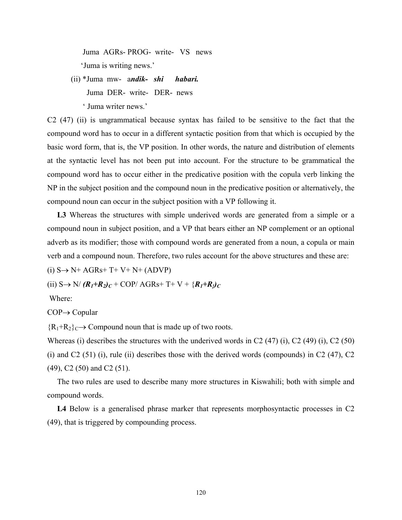Juma AGRs- PROG- write- VS news 'Juma is writing news.'

 (ii) \*Juma mw- a*ndik- shi habari.*  Juma DER- write- DER- news ' Juma writer news.'

C2 (47) (ii) is ungrammatical because syntax has failed to be sensitive to the fact that the compound word has to occur in a different syntactic position from that which is occupied by the basic word form, that is, the VP position. In other words, the nature and distribution of elements at the syntactic level has not been put into account. For the structure to be grammatical the compound word has to occur either in the predicative position with the copula verb linking the NP in the subject position and the compound noun in the predicative position or alternatively, the compound noun can occur in the subject position with a VP following it.

 **L3** Whereas the structures with simple underived words are generated from a simple or a compound noun in subject position, and a VP that bears either an NP complement or an optional adverb as its modifier; those with compound words are generated from a noun, a copula or main verb and a compound noun. Therefore, two rules account for the above structures and these are:

 $(i)$  S $\rightarrow$  N+ AGRs+ T+ V+ N+ (ADVP)

(ii)  $S \rightarrow N/(R_1+R_2)_C$  + COP/ AGRs+ T+ V +  $\{R_1+R_2\}_C$ 

Where:

COP→ Copular

 ${R_1+R_2}\subset$  Compound noun that is made up of two roots.

Whereas (i) describes the structures with the underived words in C2 (47) (i), C2 (49) (i), C2 (50) (i) and C2 (51) (i), rule (ii) describes those with the derived words (compounds) in C2 (47), C2 (49), C2 (50) and C2 (51).

 The two rules are used to describe many more structures in Kiswahili; both with simple and compound words.

 **L4** Below is a generalised phrase marker that represents morphosyntactic processes in C2 (49), that is triggered by compounding process.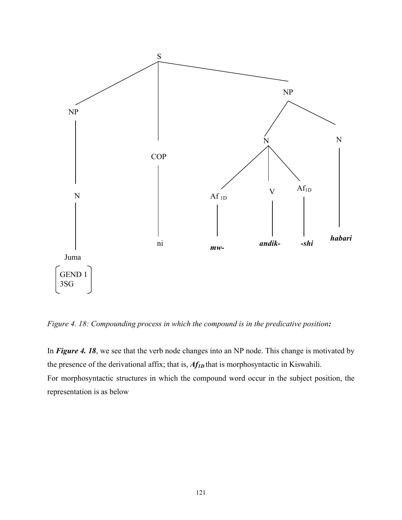

*Figure 4. 18: Compounding process in which the compound is in the predicative position:* 

In *Figure 4. 18*, we see that the verb node changes into an NP node. This change is motivated by the presence of the derivational affix; that is, *Af<sub>1D</sub>* that is morphosyntactic in Kiswahili. For morphosyntactic structures in which the compound word occur in the subject position, the representation is as below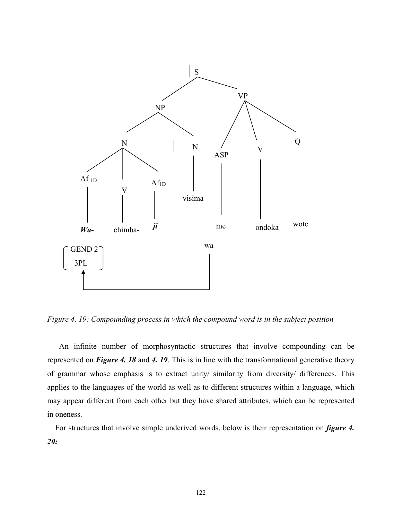

*Figure 4. 19: Compounding process in which the compound word is in the subject position* 

 An infinite number of morphosyntactic structures that involve compounding can be represented on *Figure 4. 18* and *4. 19*. This is in line with the transformational generative theory of grammar whose emphasis is to extract unity/ similarity from diversity/ differences. This applies to the languages of the world as well as to different structures within a language, which may appear different from each other but they have shared attributes, which can be represented in oneness.

 For structures that involve simple underived words, below is their representation on *figure 4. 20:*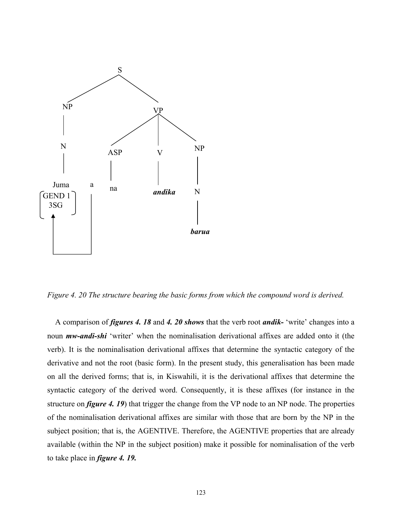

*Figure 4. 20 The structure bearing the basic forms from which the compound word is derived.* 

A comparison of *figures 4. 18* and *4. 20 shows* that the verb root *andik-* 'write' changes into a noun *mw-andi-shi* 'writer' when the nominalisation derivational affixes are added onto it (the verb). It is the nominalisation derivational affixes that determine the syntactic category of the derivative and not the root (basic form). In the present study, this generalisation has been made on all the derived forms; that is, in Kiswahili, it is the derivational affixes that determine the syntactic category of the derived word. Consequently, it is these affixes (for instance in the structure on *figure 4. 19*) that trigger the change from the VP node to an NP node. The properties of the nominalisation derivational affixes are similar with those that are born by the NP in the subject position; that is, the AGENTIVE. Therefore, the AGENTIVE properties that are already available (within the NP in the subject position) make it possible for nominalisation of the verb to take place in *figure 4. 19.*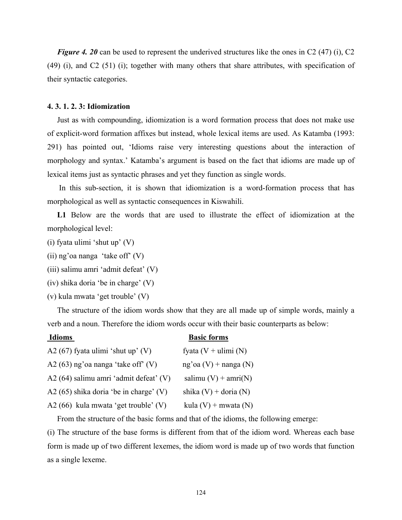*Figure 4. 20* can be used to represent the underived structures like the ones in C2 (47) (i), C2 (49) (i), and C2 (51) (i); together with many others that share attributes, with specification of their syntactic categories.

## **4. 3. 1. 2. 3: Idiomization**

 Just as with compounding, idiomization is a word formation process that does not make use of explicit-word formation affixes but instead, whole lexical items are used. As Katamba (1993: 291) has pointed out, 'Idioms raise very interesting questions about the interaction of morphology and syntax.' Katamba's argument is based on the fact that idioms are made up of lexical items just as syntactic phrases and yet they function as single words.

 In this sub-section, it is shown that idiomization is a word-formation process that has morphological as well as syntactic consequences in Kiswahili.

 **L1** Below are the words that are used to illustrate the effect of idiomization at the morphological level:

- (i) fyata ulimi 'shut up' (V)
- (ii) ng'oa nanga 'take off' (V)
- (iii) salimu amri 'admit defeat' (V)
- (iv) shika doria 'be in charge' (V)
- (v) kula mwata 'get trouble' (V)

 The structure of the idiom words show that they are all made up of simple words, mainly a verb and a noun. Therefore the idiom words occur with their basic counterparts as below:

# **Idioms** Basic forms

| A2 $(67)$ fyata ulimi 'shut up' (V)      | fyata $(V + ulimi(N)$     |
|------------------------------------------|---------------------------|
| A2 $(63)$ ng'oa nanga 'take off' $(V)$   | ng'oa $(V)$ + nanga $(N)$ |
| A2 (64) salimu amri 'admit defeat' (V)   | salimu $(V)$ + amri $(N)$ |
| A2 $(65)$ shika doria 'be in charge' (V) | shika $(V)$ + doria $(N)$ |
| A2 (66) kula mwata 'get trouble' (V)     | kula $(V)$ + mwata $(N)$  |

From the structure of the basic forms and that of the idioms, the following emerge:

(i) The structure of the base forms is different from that of the idiom word. Whereas each base form is made up of two different lexemes, the idiom word is made up of two words that function as a single lexeme.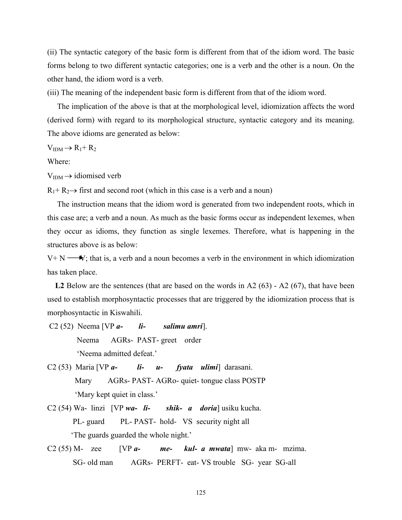(ii) The syntactic category of the basic form is different from that of the idiom word. The basic forms belong to two different syntactic categories; one is a verb and the other is a noun. On the other hand, the idiom word is a verb.

(iii) The meaning of the independent basic form is different from that of the idiom word.

 The implication of the above is that at the morphological level, idiomization affects the word (derived form) with regard to its morphological structure, syntactic category and its meaning. The above idioms are generated as below:

 $V<sub>IDM</sub> \rightarrow R_1 + R_2$ 

Where:

 $V<sub>IDM</sub> \rightarrow$  idiomised verb

 $R_1$ +  $R_2$  + first and second root (which in this case is a verb and a noun)

 The instruction means that the idiom word is generated from two independent roots, which in this case are; a verb and a noun. As much as the basic forms occur as independent lexemes, when they occur as idioms, they function as single lexemes. Therefore, what is happening in the structures above is as below:

 $V+N$ ; that is, a verb and a noun becomes a verb in the environment in which idiomization has taken place.

L2 Below are the sentences (that are based on the words in A2 (63) - A2 (67), that have been used to establish morphosyntactic processes that are triggered by the idiomization process that is morphosyntactic in Kiswahili.

- C2 (52) Neema [VP *a- li- salimu amri*]. Neema AGRs- PAST- greet order 'Neema admitted defeat.'
- C2 (53) Maria [VP *a- li- u- fyata ulimi*] darasani. Mary AGRs- PAST- AGRo- quiet- tongue class POSTP 'Mary kept quiet in class.'
- C2 (54) Wa- linzi [VP *wa- li- shik- a doria*] usiku kucha. PL- guard PL- PAST- hold- VS security night all 'The guards guarded the whole night.'
- C2 (55) M- zee [VP *a- me- kul- a mwata*] mw- aka m- mzima. SG- old man AGRs- PERFT- eat- VS trouble SG- year SG-all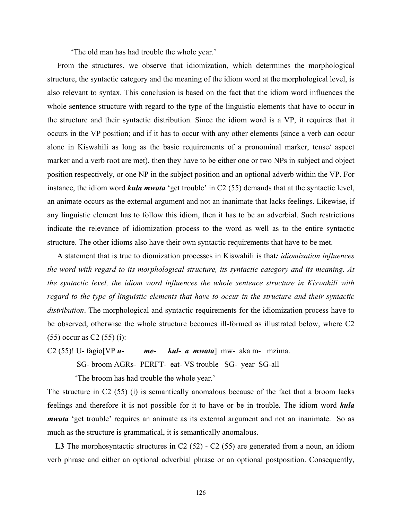'The old man has had trouble the whole year.'

 From the structures, we observe that idiomization, which determines the morphological structure, the syntactic category and the meaning of the idiom word at the morphological level, is also relevant to syntax. This conclusion is based on the fact that the idiom word influences the whole sentence structure with regard to the type of the linguistic elements that have to occur in the structure and their syntactic distribution. Since the idiom word is a VP, it requires that it occurs in the VP position; and if it has to occur with any other elements (since a verb can occur alone in Kiswahili as long as the basic requirements of a pronominal marker, tense/ aspect marker and a verb root are met), then they have to be either one or two NPs in subject and object position respectively, or one NP in the subject position and an optional adverb within the VP. For instance, the idiom word *kula mwata* 'get trouble' in C2 (55) demands that at the syntactic level, an animate occurs as the external argument and not an inanimate that lacks feelings. Likewise, if any linguistic element has to follow this idiom, then it has to be an adverbial. Such restrictions indicate the relevance of idiomization process to the word as well as to the entire syntactic structure. The other idioms also have their own syntactic requirements that have to be met.

 A statement that is true to diomization processes in Kiswahili is that*: idiomization influences the word with regard to its morphological structure, its syntactic category and its meaning. At the syntactic level, the idiom word influences the whole sentence structure in Kiswahili with regard to the type of linguistic elements that have to occur in the structure and their syntactic distribution*. The morphological and syntactic requirements for the idiomization process have to be observed, otherwise the whole structure becomes ill-formed as illustrated below, where C2 (55) occur as C2 (55) (i):

C2 (55)! U- fagio[VP *u- me- kul- a mwata*] mw- aka m- mzima. SG- broom AGRs- PERFT- eat- VS trouble SG- year SG-all

'The broom has had trouble the whole year.'

The structure in C2 (55) (i) is semantically anomalous because of the fact that a broom lacks feelings and therefore it is not possible for it to have or be in trouble. The idiom word *kula mwata* 'get trouble' requires an animate as its external argument and not an inanimate. So as much as the structure is grammatical, it is semantically anomalous.

L3 The morphosyntactic structures in C2 (52) - C2 (55) are generated from a noun, an idiom verb phrase and either an optional adverbial phrase or an optional postposition. Consequently,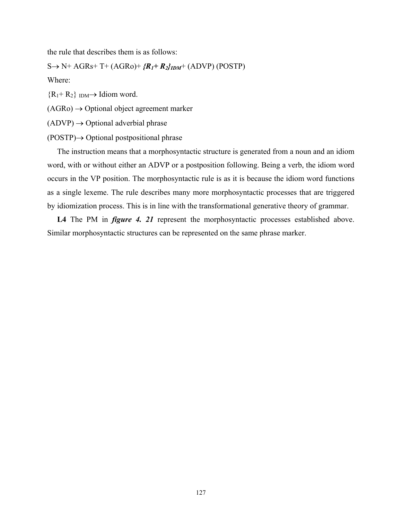the rule that describes them is as follows:

 $S \rightarrow N^+ AGRs^+ T^+ (AGRo)^+ {R_I + R_2} I_{IDM}^+ (ADVP) (POSTP)$ 

Where:

 ${R_1+R_2}$  IDM  $\rightarrow$  Idiom word.

 $(AGRo) \rightarrow \text{Optional object agreement marker}$ 

 $(ADVP) \rightarrow \text{Optional adverbial phrase}$ 

(POSTP)→ Optional postpositional phrase

 The instruction means that a morphosyntactic structure is generated from a noun and an idiom word, with or without either an ADVP or a postposition following. Being a verb, the idiom word occurs in the VP position. The morphosyntactic rule is as it is because the idiom word functions as a single lexeme. The rule describes many more morphosyntactic processes that are triggered by idiomization process. This is in line with the transformational generative theory of grammar.

L4 The PM in *figure 4. 21* represent the morphosyntactic processes established above. Similar morphosyntactic structures can be represented on the same phrase marker.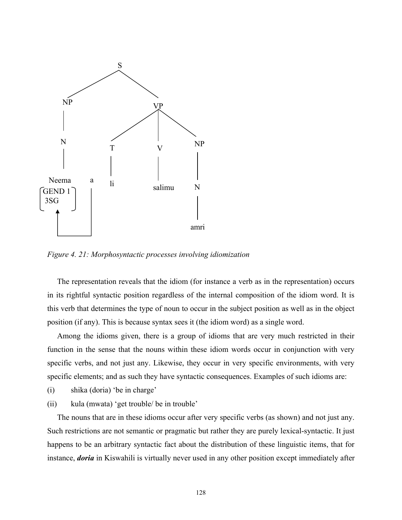

*Figure 4. 21: Morphosyntactic processes involving idiomization* 

 The representation reveals that the idiom (for instance a verb as in the representation) occurs in its rightful syntactic position regardless of the internal composition of the idiom word. It is this verb that determines the type of noun to occur in the subject position as well as in the object position (if any). This is because syntax sees it (the idiom word) as a single word.

 Among the idioms given, there is a group of idioms that are very much restricted in their function in the sense that the nouns within these idiom words occur in conjunction with very specific verbs, and not just any. Likewise, they occur in very specific environments, with very specific elements; and as such they have syntactic consequences. Examples of such idioms are:

- (i) shika (doria) 'be in charge'
- (ii) kula (mwata) 'get trouble/ be in trouble'

 The nouns that are in these idioms occur after very specific verbs (as shown) and not just any. Such restrictions are not semantic or pragmatic but rather they are purely lexical-syntactic. It just happens to be an arbitrary syntactic fact about the distribution of these linguistic items, that for instance, *doria* in Kiswahili is virtually never used in any other position except immediately after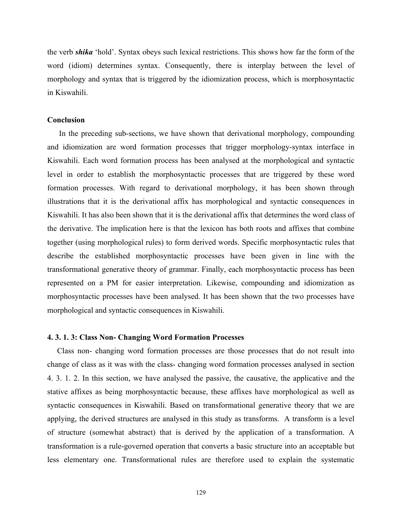the verb *shika* 'hold'. Syntax obeys such lexical restrictions. This shows how far the form of the word (idiom) determines syntax. Consequently, there is interplay between the level of morphology and syntax that is triggered by the idiomization process, which is morphosyntactic in Kiswahili.

#### **Conclusion**

 In the preceding sub-sections, we have shown that derivational morphology, compounding and idiomization are word formation processes that trigger morphology-syntax interface in Kiswahili. Each word formation process has been analysed at the morphological and syntactic level in order to establish the morphosyntactic processes that are triggered by these word formation processes. With regard to derivational morphology, it has been shown through illustrations that it is the derivational affix has morphological and syntactic consequences in Kiswahili. It has also been shown that it is the derivational affix that determines the word class of the derivative. The implication here is that the lexicon has both roots and affixes that combine together (using morphological rules) to form derived words. Specific morphosyntactic rules that describe the established morphosyntactic processes have been given in line with the transformational generative theory of grammar. Finally, each morphosyntactic process has been represented on a PM for easier interpretation. Likewise, compounding and idiomization as morphosyntactic processes have been analysed. It has been shown that the two processes have morphological and syntactic consequences in Kiswahili.

#### **4. 3. 1. 3: Class Non- Changing Word Formation Processes**

 Class non- changing word formation processes are those processes that do not result into change of class as it was with the class- changing word formation processes analysed in section 4. 3. 1. 2. In this section, we have analysed the passive, the causative, the applicative and the stative affixes as being morphosyntactic because, these affixes have morphological as well as syntactic consequences in Kiswahili. Based on transformational generative theory that we are applying, the derived structures are analysed in this study as transforms. A transform is a level of structure (somewhat abstract) that is derived by the application of a transformation. A transformation is a rule-governed operation that converts a basic structure into an acceptable but less elementary one. Transformational rules are therefore used to explain the systematic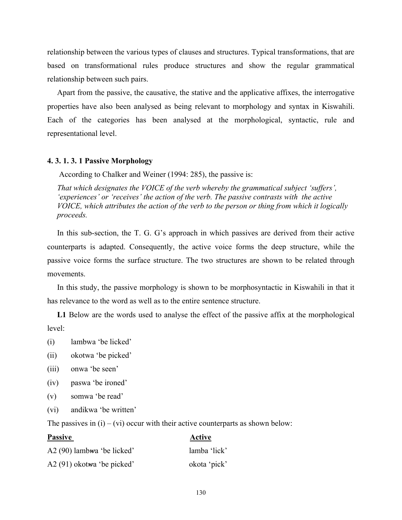relationship between the various types of clauses and structures. Typical transformations, that are based on transformational rules produce structures and show the regular grammatical relationship between such pairs.

 Apart from the passive, the causative, the stative and the applicative affixes, the interrogative properties have also been analysed as being relevant to morphology and syntax in Kiswahili. Each of the categories has been analysed at the morphological, syntactic, rule and representational level.

# **4. 3. 1. 3. 1 Passive Morphology**

According to Chalker and Weiner (1994: 285), the passive is:

 *That which designates the VOICE of the verb whereby the grammatical subject 'suffers', 'experiences' or 'receives' the action of the verb. The passive contrasts with the active VOICE, which attributes the action of the verb to the person or thing from which it logically proceeds.* 

 In this sub-section, the T. G. G's approach in which passives are derived from their active counterparts is adapted. Consequently, the active voice forms the deep structure, while the passive voice forms the surface structure. The two structures are shown to be related through movements.

 In this study, the passive morphology is shown to be morphosyntactic in Kiswahili in that it has relevance to the word as well as to the entire sentence structure.

 **L1** Below are the words used to analyse the effect of the passive affix at the morphological level:

- (i) lambwa 'be licked'
- (ii) okotwa 'be picked'
- (iii) onwa 'be seen'
- (iv) paswa 'be ironed'
- (v) somwa 'be read'
- (vi) andikwa 'be written'

The passives in  $(i) - (vi)$  occur with their active counterparts as shown below:

| <b>Passive</b>              | Active       |
|-----------------------------|--------------|
| A2 (90) lambwa 'be licked'  | lamba 'lick' |
| $A2(91)$ okotwa 'be picked' | okota 'pick' |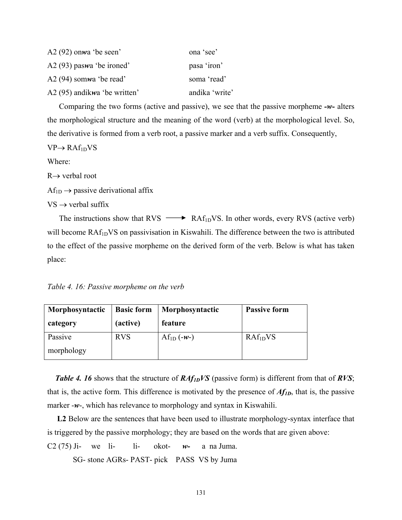| $A2(92)$ onwa 'be seen'      | ona 'see'      |
|------------------------------|----------------|
| $A2(93)$ paswa 'be ironed'   | pasa 'iron'    |
| $A2(94)$ somwa 'be read'     | soma 'read'    |
| A2 (95) andikwa 'be written' | andika 'write' |

 Comparing the two forms (active and passive), we see that the passive morpheme *-w-* alters the morphological structure and the meaning of the word (verb) at the morphological level. So, the derivative is formed from a verb root, a passive marker and a verb suffix. Consequently,

 $VP \rightarrow RAf_{1D}VS$ 

Where:

R→ verbal root

 $Af_{1D} \rightarrow$  passive derivational affix

 $VS \rightarrow$  verbal suffix

The instructions show that RVS  $\longrightarrow$  RAf<sub>1D</sub>VS. In other words, every RVS (active verb) will become RAf<sub>1D</sub>VS on passivisation in Kiswahili. The difference between the two is attributed to the effect of the passive morpheme on the derived form of the verb. Below is what has taken place:

*Table 4. 16: Passive morpheme on the verb* 

| Morphosyntactic | <b>Basic form</b> | Morphosyntactic | <b>Passive form</b>  |
|-----------------|-------------------|-----------------|----------------------|
| category        | (active)          | feature         |                      |
| Passive         | <b>RVS</b>        | $Af_{1D}(-w-)$  | RAf <sub>1D</sub> VS |
| morphology      |                   |                 |                      |

 *Table 4. 16* shows that the structure of *RAf1DVS* (passive form) is different from that of *RVS*; that is, the active form. This difference is motivated by the presence of *Af1D*, that is, the passive marker -*w*-, which has relevance to morphology and syntax in Kiswahili.

 **L2** Below are the sentences that have been used to illustrate morphology-syntax interface that is triggered by the passive morphology; they are based on the words that are given above:

C2 (75) Ji- we li- li- okot- *w-* a na Juma.

SG- stone AGRs- PAST- pick PASS VS by Juma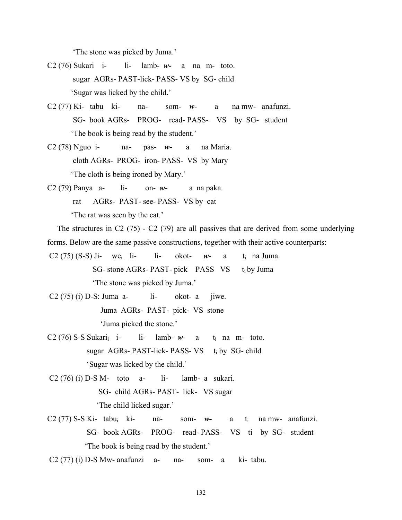'The stone was picked by Juma.'

- C2 (76) Sukari i- li- lamb- *w-* a na m- toto. sugar AGRs- PAST-lick- PASS- VS by SG- child 'Sugar was licked by the child.'
- C2 (77) Ki- tabu ki- na- som- *w* a na mw- anafunzi. SG- book AGRs- PROG- read- PASS- VS by SG- student 'The book is being read by the student.'
- C2 (78) Nguo i- na- pas- *w-* a na Maria. cloth AGRs- PROG- iron- PASS- VS by Mary 'The cloth is being ironed by Mary.'
- C2 (79) Panya a- li- on- *w* a na paka. rat AGRs- PAST- see- PASS- VS by cat 'The rat was seen by the cat.'

 The structures in C2 (75) - C2 (79) are all passives that are derived from some underlying forms. Below are the same passive constructions, together with their active counterparts:

- C2 (75) (S-S) Ji- we<sub>i</sub> li- li- okot-  $w$  a t<sub>i</sub> na Juma. SG- stone AGRs- PAST- pick PASS VS t<sub>i</sub> by Juma 'The stone was picked by Juma.'
- $C2(75)$  (i) D-S: Juma a- li- okot- a jiwe. Juma AGRs- PAST- pick- VS stone 'Juma picked the stone.'
- $C2 (76) S-S Sukari<sub>i</sub> i-$  li- lamb-  $w-$  a t<sub>i</sub> na m- toto. sugar AGRs- PAST-lick- PASS-  $VS$  t<sub>i</sub> by SG- child 'Sugar was licked by the child.'
- $C2 (76) (i) D-S M- toto a- ii- lamb- a sukari.$  SG- child AGRs- PAST- lick- VS sugar 'The child licked sugar.'
- C2 (77) S-S Ki- tabui ki- na- som- *w-* a ti na mw- anafunzi. SG- book AGRs- PROG- read- PASS- VS ti by SG- student 'The book is being read by the student.'
- $C2 (77)$  (i) D-S Mw- anafunzi a- na- som- a ki- tabu.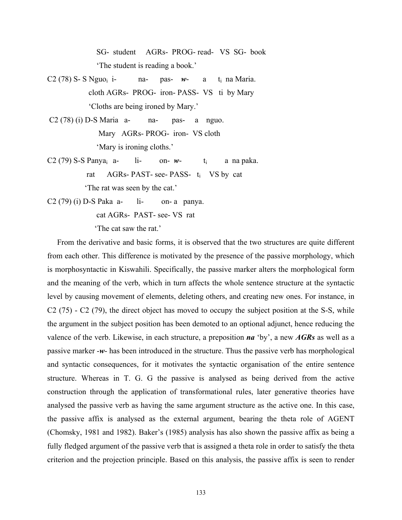SG- student AGRs- PROG- read- VS SG- book 'The student is reading a book.'

- C2 (78) S- S Nguo<sub>i</sub> i- na- pas-  $w$  a t<sub>i</sub> na Maria. cloth AGRs- PROG- iron- PASS- VS ti by Mary 'Cloths are being ironed by Mary.'
- $C2(78)$  (i) D-S Maria a- na- pas- a nguo. Mary AGRs- PROG- iron- VS cloth 'Mary is ironing cloths.'
- C2 (79) S-S Panya<sub>i</sub> a- li- on-  $w$  t<sub>i</sub> a na paka. rat AGRs- PAST- see- PASS- ti VS by cat 'The rat was seen by the cat.'
- $C2(79)$  (i) D-S Paka a- li- on- a panya.

cat AGRs- PAST- see- VS rat

'The cat saw the rat.'

 From the derivative and basic forms, it is observed that the two structures are quite different from each other. This difference is motivated by the presence of the passive morphology, which is morphosyntactic in Kiswahili. Specifically, the passive marker alters the morphological form and the meaning of the verb, which in turn affects the whole sentence structure at the syntactic level by causing movement of elements, deleting others, and creating new ones. For instance, in C2 (75) - C2 (79), the direct object has moved to occupy the subject position at the S-S, while the argument in the subject position has been demoted to an optional adjunct, hence reducing the valence of the verb. Likewise, in each structure, a preposition *na* 'by', a new *AGRs* as well as a passive marker -*w*- has been introduced in the structure. Thus the passive verb has morphological and syntactic consequences, for it motivates the syntactic organisation of the entire sentence structure. Whereas in T. G. G the passive is analysed as being derived from the active construction through the application of transformational rules, later generative theories have analysed the passive verb as having the same argument structure as the active one. In this case, the passive affix is analysed as the external argument, bearing the theta role of AGENT (Chomsky, 1981 and 1982). Baker's (1985) analysis has also shown the passive affix as being a fully fledged argument of the passive verb that is assigned a theta role in order to satisfy the theta criterion and the projection principle. Based on this analysis, the passive affix is seen to render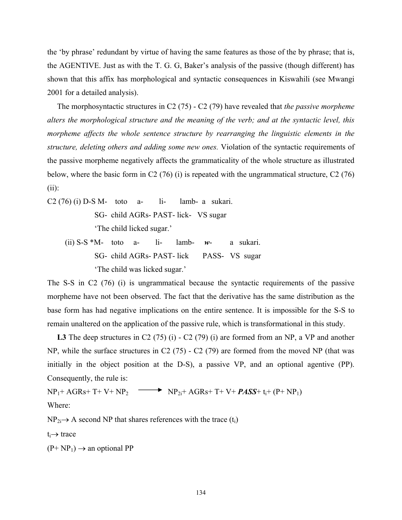the 'by phrase' redundant by virtue of having the same features as those of the by phrase; that is, the AGENTIVE. Just as with the T. G. G, Baker's analysis of the passive (though different) has shown that this affix has morphological and syntactic consequences in Kiswahili (see Mwangi 2001 for a detailed analysis).

 The morphosyntactic structures in C2 (75) - C2 (79) have revealed that *the passive morpheme alters the morphological structure and the meaning of the verb; and at the syntactic level, this morpheme affects the whole sentence structure by rearranging the linguistic elements in the structure, deleting others and adding some new ones.* Violation of the syntactic requirements of the passive morpheme negatively affects the grammaticality of the whole structure as illustrated below, where the basic form in C2 (76) (i) is repeated with the ungrammatical structure, C2 (76) (ii):

 $C2 (76) (i) D-S M- toto a- ii- lamb- a sukari.$  SG- child AGRs- PAST- lick- VS sugar 'The child licked sugar.' (ii) S-S \*M- toto a- li- lamb- *w*- a sukari.

 SG- child AGRs- PAST- lick PASS- VS sugar 'The child was licked sugar.'

The S-S in C2 (76) (i) is ungrammatical because the syntactic requirements of the passive morpheme have not been observed. The fact that the derivative has the same distribution as the base form has had negative implications on the entire sentence. It is impossible for the S-S to remain unaltered on the application of the passive rule, which is transformational in this study.

L3 The deep structures in C2 (75) (i) - C2 (79) (i) are formed from an NP, a VP and another NP, while the surface structures in C2 (75) - C2 (79) are formed from the moved NP (that was initially in the object position at the D-S), a passive VP, and an optional agentive (PP). Consequently, the rule is:

 $NP_1+AGRs+T+VP+NP_2$   $\longrightarrow$   $NP_{2i}+AGRs+T+V+$  *PASS*+ t<sub>i</sub>+ (P+ NP<sub>1</sub>) Where:

 $NP_{2i} \rightarrow A$  second NP that shares references with the trace (t<sub>i</sub>)

ti→ trace

 $(P+ NP_1) \rightarrow$  an optional PP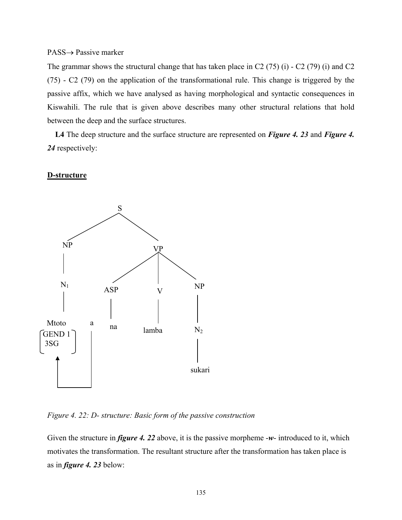#### PASS→ Passive marker

The grammar shows the structural change that has taken place in C2 (75) (i) - C2 (79) (i) and C2 (75) - C2 (79) on the application of the transformational rule. This change is triggered by the passive affix, which we have analysed as having morphological and syntactic consequences in Kiswahili. The rule that is given above describes many other structural relations that hold between the deep and the surface structures.

 **L4** The deep structure and the surface structure are represented on *Figure 4. 23* and *Figure 4. 24* respectively:

### **D-structure**



*Figure 4. 22: D- structure: Basic form of the passive construction* 

Given the structure in *figure 4. 22* above, it is the passive morpheme -*w*- introduced to it, which motivates the transformation. The resultant structure after the transformation has taken place is as in *figure 4. 23* below: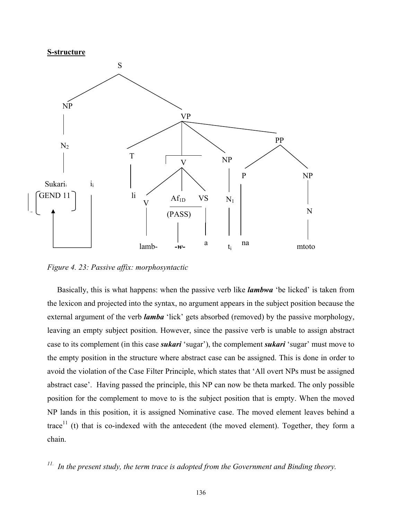

*Figure 4. 23: Passive affix: morphosyntactic* 

Basically, this is what happens: when the passive verb like *lambwa* 'be licked' is taken from the lexicon and projected into the syntax, no argument appears in the subject position because the external argument of the verb *lamba* 'lick' gets absorbed (removed) by the passive morphology, leaving an empty subject position. However, since the passive verb is unable to assign abstract case to its complement (in this case *sukari* 'sugar'), the complement *sukari* 'sugar' must move to the empty position in the structure where abstract case can be assigned. This is done in order to avoid the violation of the Case Filter Principle, which states that 'All overt NPs must be assigned abstract case'. Having passed the principle, this NP can now be theta marked. The only possible position for the complement to move to is the subject position that is empty. When the moved NP lands in this position, it is assigned Nominative case. The moved element leaves behind a trace<sup>11</sup> (t) that is co-indexed with the antecedent (the moved element). Together, they form a chain.

*11. In the present study, the term trace is adopted from the Government and Binding theory.*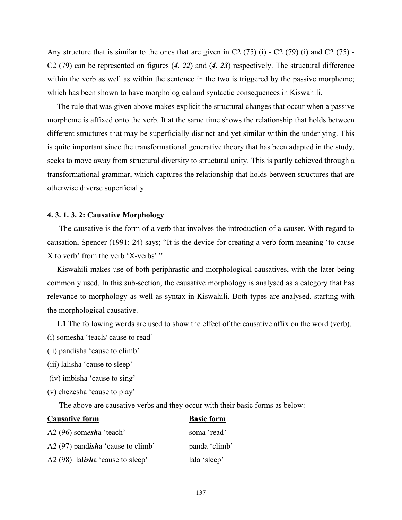Any structure that is similar to the ones that are given in C2  $(75)$  (i) - C2  $(79)$  (i) and C2  $(75)$  -C2 (79) can be represented on figures (*4. 22*) and (*4. 23*) respectively. The structural difference within the verb as well as within the sentence in the two is triggered by the passive morpheme; which has been shown to have morphological and syntactic consequences in Kiswahili.

 The rule that was given above makes explicit the structural changes that occur when a passive morpheme is affixed onto the verb. It at the same time shows the relationship that holds between different structures that may be superficially distinct and yet similar within the underlying. This is quite important since the transformational generative theory that has been adapted in the study, seeks to move away from structural diversity to structural unity. This is partly achieved through a transformational grammar, which captures the relationship that holds between structures that are otherwise diverse superficially.

### **4. 3. 1. 3. 2: Causative Morphology**

 The causative is the form of a verb that involves the introduction of a causer. With regard to causation, Spencer (1991: 24) says; "It is the device for creating a verb form meaning 'to cause X to verb' from the verb 'X-verbs'."

 Kiswahili makes use of both periphrastic and morphological causatives, with the later being commonly used. In this sub-section, the causative morphology is analysed as a category that has relevance to morphology as well as syntax in Kiswahili. Both types are analysed, starting with the morphological causative.

**L1** The following words are used to show the effect of the causative affix on the word (verb).

- (i) somesha 'teach/ cause to read'
- (ii) pandisha 'cause to climb'
- (iii) lalisha 'cause to sleep'
- (iv) imbisha 'cause to sing'
- (v) chezesha 'cause to play'

The above are causative verbs and they occur with their basic forms as below:

## **Causative form Basic form**

| A2 $(96)$ somesha 'teach'          | soma 'read'   |
|------------------------------------|---------------|
| A2 (97) pandisha 'cause to climb'  | panda 'climb' |
| A2 $(98)$ lalisha 'cause to sleep' | lala 'sleep'  |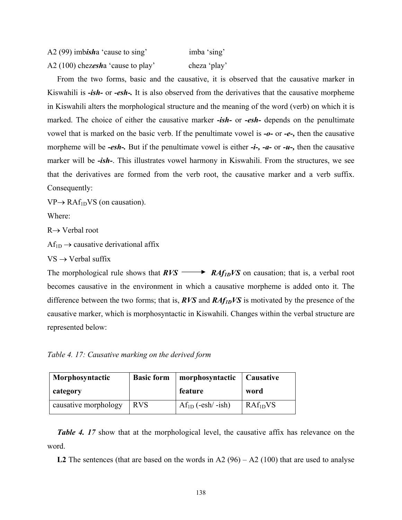| A2 (99) imbisha 'cause to sing'   | imba 'sing'  |
|-----------------------------------|--------------|
| A2 (100) chezesha 'cause to play' | cheza 'play' |

 From the two forms, basic and the causative, it is observed that the causative marker in Kiswahili is *-ish-* or *-esh-.* It is also observed from the derivatives that the causative morpheme in Kiswahili alters the morphological structure and the meaning of the word (verb) on which it is marked. The choice of either the causative marker *-ish-* or *-esh-* depends on the penultimate vowel that is marked on the basic verb. If the penultimate vowel is *-o-* or *-e-,* then the causative morpheme will be *-esh-.* But if the penultimate vowel is either *-i-, -a-* or *-u-,* then the causative marker will be *-ish-*. This illustrates vowel harmony in Kiswahili. From the structures, we see that the derivatives are formed from the verb root, the causative marker and a verb suffix. Consequently:

 $VP \rightarrow RAf_{1D}VS$  (on causation).

Where:

R→ Verbal root

 $Af_{1D} \rightarrow$  causative derivational affix

 $VS \rightarrow V$ erbal suffix

The morphological rule shows that  $RVS \longrightarrow RAf_{1D}VS$  on causation; that is, a verbal root becomes causative in the environment in which a causative morpheme is added onto it. The difference between the two forms; that is, *RVS* and *RAf1DVS* is motivated by the presence of the causative marker, which is morphosyntactic in Kiswahili. Changes within the verbal structure are represented below:

*Table 4. 17: Causative marking on the derived form* 

| Morphosyntactic      | <b>Basic form</b> | morphosyntactic   Causative |              |
|----------------------|-------------------|-----------------------------|--------------|
| category             |                   | feature                     | word         |
| causative morphology | <b>RVS</b>        | $Af_{1D}$ (-esh/-ish)       | $RAf_{1D}VS$ |

*Table 4. 17* show that at the morphological level, the causative affix has relevance on the word.

**L2** The sentences (that are based on the words in A2  $(96) - A2 (100)$  that are used to analyse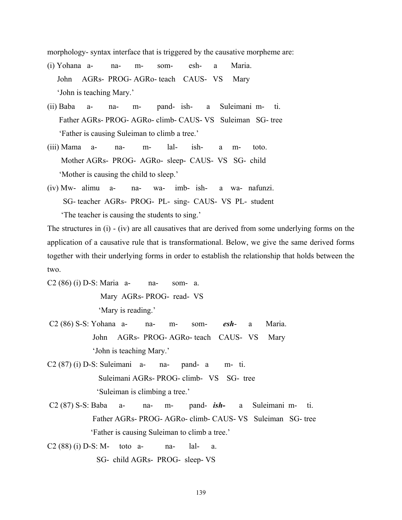morphology- syntax interface that is triggered by the causative morpheme are:

- (i) Yohana a- na- m- som- esh- a Maria. John AGRs- PROG- AGRo- teach CAUS- VS Mary 'John is teaching Mary.'
- (ii) Baba a- na- m- pand- ish- a Suleimani m- ti. Father AGRs- PROG- AGRo- climb- CAUS- VS Suleiman SG- tree 'Father is causing Suleiman to climb a tree.'
- (iii) Mama a- na- m- lal- ish- a m- toto. Mother AGRs- PROG- AGRo- sleep- CAUS- VS SG- child 'Mother is causing the child to sleep.'
- (iv) Mw- alimu a- na- wa- imb- ish- a wa- nafunzi. SG- teacher AGRs- PROG- PL- sing- CAUS- VS PL- student 'The teacher is causing the students to sing.'

The structures in (i) - (iv) are all causatives that are derived from some underlying forms on the application of a causative rule that is transformational. Below, we give the same derived forms together with their underlying forms in order to establish the relationship that holds between the two.

- C2 (86) (i) D-S: Maria a- na- som- a. Mary AGRs- PROG- read- VS 'Mary is reading.'
- C2 (86) S-S: Yohana a- na- m- som- *esh* a Maria. John AGRs- PROG- AGRo- teach CAUS- VS Mary 'John is teaching Mary.'
- $C2(87)$  (i) D-S: Suleimani a- na- pand- a m- ti. Suleimani AGRs- PROG- climb- VS SG- tree 'Suleiman is climbing a tree.'
- C2 (87) S-S: Baba a- na- m- pand- *ish-* a Suleimani m- ti. Father AGRs- PROG- AGRo- climb- CAUS- VS Suleiman SG- tree 'Father is causing Suleiman to climb a tree.'

 $C2 (88) (i) D-S: M-$  toto a- na- lal- a. SG- child AGRs- PROG- sleep- VS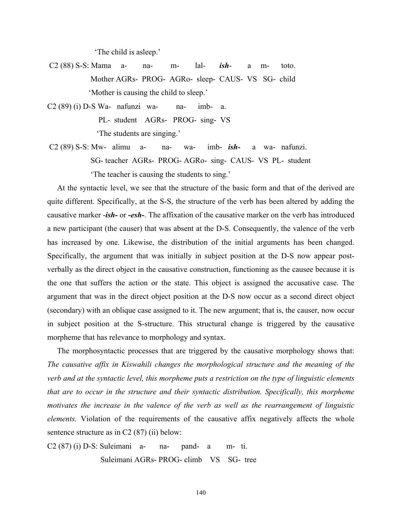'The child is asleep.'

- C2 (88) S-S: Mama a- na- m- lal- *ish* a m- toto. Mother AGRs- PROG- AGRo- sleep- CAUS- VS SG- child 'Mother is causing the child to sleep.'
- $C2 (89) (i) D-S Wa- nafunzi wa- na- imb- a.$  PL- student AGRs- PROG- sing- VS 'The students are singing.'
- C2 (89) S-S: Mw- alimu a- na- wa- imb- *ish-* a wa- nafunzi. SG- teacher AGRs- PROG- AGRo- sing- CAUS- VS PL- student 'The teacher is causing the students to sing.'

 At the syntactic level, we see that the structure of the basic form and that of the derived are quite different. Specifically, at the S-S, the structure of the verb has been altered by adding the causative marker -*ish-* or *-esh-*. The affixation of the causative marker on the verb has introduced a new participant (the causer) that was absent at the D-S. Consequently, the valence of the verb has increased by one. Likewise, the distribution of the initial arguments has been changed. Specifically, the argument that was initially in subject position at the D-S now appear postverbally as the direct object in the causative construction, functioning as the causee because it is the one that suffers the action or the state. This object is assigned the accusative case. The argument that was in the direct object position at the D-S now occur as a second direct object (secondary) with an oblique case assigned to it. The new argument; that is, the causer, now occur in subject position at the S-structure. This structural change is triggered by the causative morpheme that has relevance to morphology and syntax.

 The morphosyntactic processes that are triggered by the causative morphology shows that: *The causative affix in Kiswahili changes the morphological structure and the meaning of the verb and at the syntactic level, this morpheme puts a restriction on the type of linguistic elements that are to occur in the structure and their syntactic distribution. Specifically, this morpheme motivates the increase in the valence of the verb as well as the rearrangement of linguistic elements.* Violation of the requirements of the causative affix negatively affects the whole sentence structure as in C2 (87) (ii) below:

 $C2(87)$  (i) D-S: Suleimani a- na- pand- a m- ti. Suleimani AGRs- PROG- climb VS SG- tree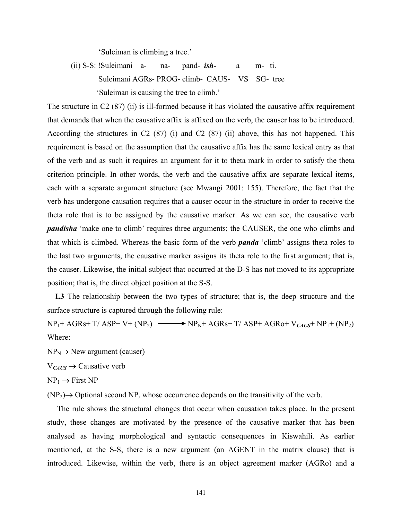'Suleiman is climbing a tree.'

 (ii) S-S: !Suleimani a- na- pand- *ish-* a m- ti. Suleimani AGRs- PROG- climb- CAUS- VS SG- tree 'Suleiman is causing the tree to climb.'

The structure in C2 (87) (ii) is ill-formed because it has violated the causative affix requirement that demands that when the causative affix is affixed on the verb, the causer has to be introduced. According the structures in C2 (87) (i) and C2 (87) (ii) above, this has not happened. This requirement is based on the assumption that the causative affix has the same lexical entry as that of the verb and as such it requires an argument for it to theta mark in order to satisfy the theta criterion principle. In other words, the verb and the causative affix are separate lexical items, each with a separate argument structure (see Mwangi 2001: 155). Therefore, the fact that the verb has undergone causation requires that a causer occur in the structure in order to receive the theta role that is to be assigned by the causative marker. As we can see, the causative verb *pandisha* 'make one to climb' requires three arguments; the CAUSER, the one who climbs and that which is climbed. Whereas the basic form of the verb *panda* 'climb' assigns theta roles to the last two arguments, the causative marker assigns its theta role to the first argument; that is, the causer. Likewise, the initial subject that occurred at the D-S has not moved to its appropriate position; that is, the direct object position at the S-S.

L3 The relationship between the two types of structure; that is, the deep structure and the surface structure is captured through the following rule:

 $NP_1+AGRs+T/ASP+V+(NP_2) \longrightarrow NP_N+AGRs+T/ASP+AGRo+V<sub>CAUS</sub>+NP_1+(NP_2)$ Where:

 $NP_N \rightarrow New argument (causer)$ 

V*CAUS* → Causative verb

 $NP_1 \rightarrow First NP$ 

 $(NP_2) \rightarrow$  Optional second NP, whose occurrence depends on the transitivity of the verb.

 The rule shows the structural changes that occur when causation takes place. In the present study, these changes are motivated by the presence of the causative marker that has been analysed as having morphological and syntactic consequences in Kiswahili. As earlier mentioned, at the S-S, there is a new argument (an AGENT in the matrix clause) that is introduced. Likewise, within the verb, there is an object agreement marker (AGRo) and a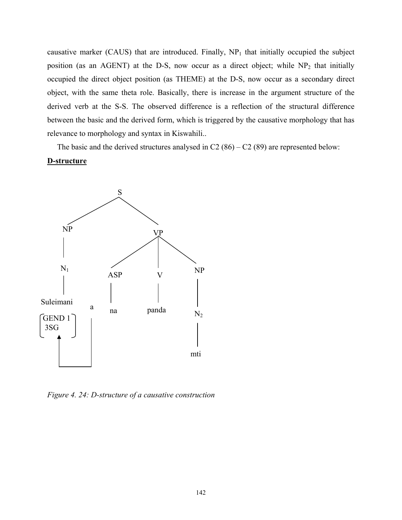causative marker (CAUS) that are introduced. Finally,  $NP_1$  that initially occupied the subject position (as an AGENT) at the D-S, now occur as a direct object; while  $NP_2$  that initially occupied the direct object position (as THEME) at the D-S, now occur as a secondary direct object, with the same theta role. Basically, there is increase in the argument structure of the derived verb at the S-S. The observed difference is a reflection of the structural difference between the basic and the derived form, which is triggered by the causative morphology that has relevance to morphology and syntax in Kiswahili..

The basic and the derived structures analysed in  $C2(86) - C2(89)$  are represented below: **D-structure**



*Figure 4. 24: D-structure of a causative construction*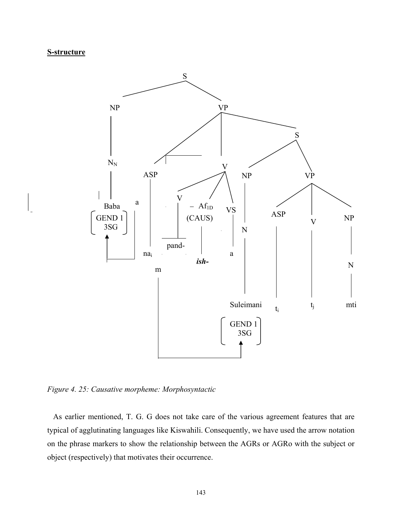# **S-structure**



*Figure 4. 25: Causative morpheme: Morphosyntactic* 

As earlier mentioned, T. G. G does not take care of the various agreement features that are typical of agglutinating languages like Kiswahili. Consequently, we have used the arrow notation on the phrase markers to show the relationship between the AGRs or AGRo with the subject or object (respectively) that motivates their occurrence.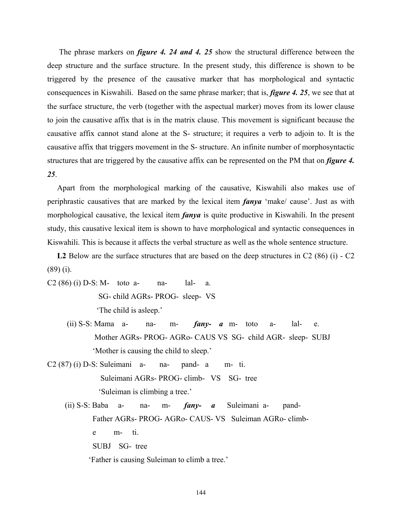The phrase markers on *figure 4. 24 and 4. 25* show the structural difference between the deep structure and the surface structure. In the present study, this difference is shown to be triggered by the presence of the causative marker that has morphological and syntactic consequences in Kiswahili. Based on the same phrase marker; that is, *figure 4. 25*, we see that at the surface structure, the verb (together with the aspectual marker) moves from its lower clause to join the causative affix that is in the matrix clause. This movement is significant because the causative affix cannot stand alone at the S- structure; it requires a verb to adjoin to. It is the causative affix that triggers movement in the S- structure. An infinite number of morphosyntactic structures that are triggered by the causative affix can be represented on the PM that on *figure 4. 25*.

 Apart from the morphological marking of the causative, Kiswahili also makes use of periphrastic causatives that are marked by the lexical item *fanya* 'make/ cause'. Just as with morphological causative, the lexical item *fanya* is quite productive in Kiswahili. In the present study, this causative lexical item is shown to have morphological and syntactic consequences in Kiswahili. This is because it affects the verbal structure as well as the whole sentence structure.

 **L2** Below are the surface structures that are based on the deep structures in C2 (86) (i) - C2 (89) (i).

- $C2 (86) (i) D-S: M-$  toto a- na- lal- a. SG- child AGRs- PROG- sleep- VS 'The child is asleep.'
	- (ii) S-S: Mama a- na- m- *fany- a* m- toto a- lal- e. Mother AGRs- PROG- AGRo- CAUS VS SG- child AGR- sleep- SUBJ 'Mother is causing the child to sleep.'
- $C2(87)$  (i) D-S: Suleimani a- na- pand- a m- ti. Suleimani AGRs- PROG- climb- VS SG- tree 'Suleiman is climbing a tree.'
- (ii) S-S: Baba a- na- m- *fany- a* Suleimani a- pand- Father AGRs- PROG- AGRo- CAUS- VS Suleiman AGRo- climb e m- ti. SUBJ SG- tree

'Father is causing Suleiman to climb a tree.'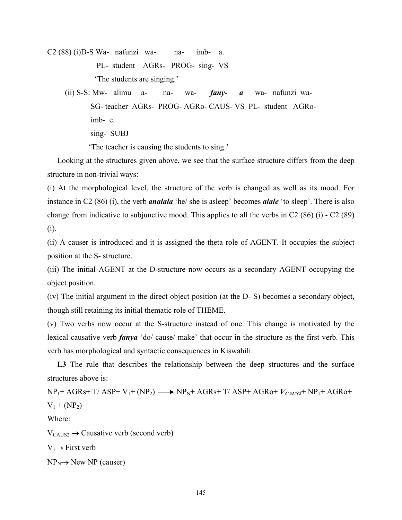$C2 (88) (i)D-S Wa$ - nafunzi wa- na- imb- a. PL- student AGRs- PROG- sing- VS 'The students are singing.'

 (ii) S-S: Mw- alimu a- na- wa- *fany- a* wa- nafunzi wa- SG- teacher AGRs- PROG- AGRo- CAUS- VS PL- student AGRo imb- e. sing- SUBJ

'The teacher is causing the students to sing.'

 Looking at the structures given above, we see that the surface structure differs from the deep structure in non-trivial ways:

(i) At the morphological level, the structure of the verb is changed as well as its mood. For instance in C2 (86) (i), the verb *analala* 'he/ she is asleep' becomes *alale* 'to sleep'. There is also change from indicative to subjunctive mood. This applies to all the verbs in C2 (86) (i) - C2 (89) (i).

(ii) A causer is introduced and it is assigned the theta role of AGENT. It occupies the subject position at the S- structure.

(iii) The initial AGENT at the D-structure now occurs as a secondary AGENT occupying the object position.

(iv) The initial argument in the direct object position (at the D- S) becomes a secondary object, though still retaining its initial thematic role of THEME.

(v) Two verbs now occur at the S-structure instead of one. This change is motivated by the lexical causative verb *fanya* 'do/ cause/ make' that occur in the structure as the first verb. This verb has morphological and syntactic consequences in Kiswahili.

L3 The rule that describes the relationship between the deep structures and the surface structures above is:

 $NP_1+AGRs+T/ASP+V_1+(NP_2) \longrightarrow NP_N+AGRs+T/ASP+AGRo+V_{CAUS2}+NP_1+AGRo+$  $V_1 + (NP_2)$ Where:  $V_{CAUS2} \rightarrow$  Causative verb (second verb)  $V_1 \rightarrow$  First verb

 $NP_N \rightarrow New NP$  (causer)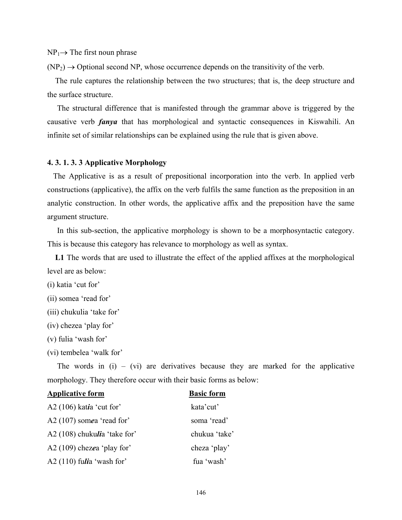$NP_1 \rightarrow The first noun phrase$ 

 $(NP_2) \rightarrow$  Optional second NP, whose occurrence depends on the transitivity of the verb.

 The rule captures the relationship between the two structures; that is, the deep structure and the surface structure.

 The structural difference that is manifested through the grammar above is triggered by the causative verb *fanya* that has morphological and syntactic consequences in Kiswahili. An infinite set of similar relationships can be explained using the rule that is given above.

#### **4. 3. 1. 3. 3 Applicative Morphology**

 The Applicative is as a result of prepositional incorporation into the verb. In applied verb constructions (applicative), the affix on the verb fulfils the same function as the preposition in an analytic construction. In other words, the applicative affix and the preposition have the same argument structure.

 In this sub-section, the applicative morphology is shown to be a morphosyntactic category. This is because this category has relevance to morphology as well as syntax.

 **L1** The words that are used to illustrate the effect of the applied affixes at the morphological level are as below:

(i) katia 'cut for'

- (ii) somea 'read for'
- (iii) chukulia 'take for'
- (iv) chezea 'play for'
- (v) fulia 'wash for'

(vi) tembelea 'walk for'

The words in  $(i)$  –  $(vi)$  are derivatives because they are marked for the applicative morphology. They therefore occur with their basic forms as below:

#### **Applicative form Basic form**

| A2 $(106)$ katia 'cut for'   | kata'cut'     |
|------------------------------|---------------|
| A2 $(107)$ somea 'read for'  | soma 'read'   |
| A2 (108) chukulia 'take for' | chukua 'take' |
| A2 $(109)$ chezea 'play for' | cheza 'play'  |
| A2 $(110)$ fulia 'wash for'  | fua 'wash'    |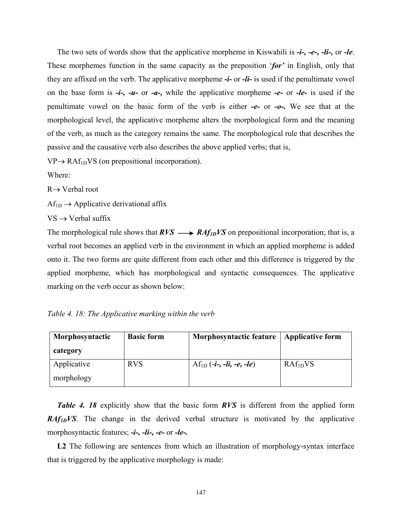The two sets of words show that the applicative morpheme in Kiswahili is *-i-, -e-, -li-,* or *-le*. These morphemes function in the same capacity as the preposition '*for'* in English, only that they are affixed on the verb. The applicative morpheme *-i-* or *-li-* is used if the penultimate vowel on the base form is *-i-, -u-* or *-a-,* while the applicative morpheme *-e-* or *-le-* is used if the penultimate vowel on the basic form of the verb is either *-e-* or *-o-.* We see that at the morphological level, the applicative morpheme alters the morphological form and the meaning of the verb, as much as the category remains the same. The morphological rule that describes the passive and the causative verb also describes the above applied verbs; that is,

 $VP \rightarrow RAf_{1D}VS$  (on prepositional incorporation).

Where:

R→ Verbal root

 $Af_{1D} \rightarrow Applicative$  derivational affix

 $VS \rightarrow V$ erbal suffix

The morphological rule shows that  $RVS \longrightarrow RAf_{ID}VS$  on prepositional incorporation; that is, a verbal root becomes an applied verb in the environment in which an applied morpheme is added onto it. The two forms are quite different from each other and this difference is triggered by the applied morpheme, which has morphological and syntactic consequences. The applicative marking on the verb occur as shown below:

*Table 4. 18: The Applicative marking within the verb* 

| Morphosyntactic | <b>Basic form</b> | <b>Morphosyntactic feature</b> | <b>Applicative form</b> |
|-----------------|-------------------|--------------------------------|-------------------------|
| category        |                   |                                |                         |
| Applicative     | <b>RVS</b>        | $Af_{1D}(-i-, -li, -e, -le)$   | RAf <sub>1D</sub> VS    |
| morphology      |                   |                                |                         |

 *Table 4. 18* explicitly show that the basic form *RVS* is different from the applied form *RAf<sub>1D</sub>VS*. The change in the derived verbal structure is motivated by the applicative morphosyntactic features; *-i-, -li-, -e-* or *-le-.*

L2 The following are sentences from which an illustration of morphology-syntax interface that is triggered by the applicative morphology is made: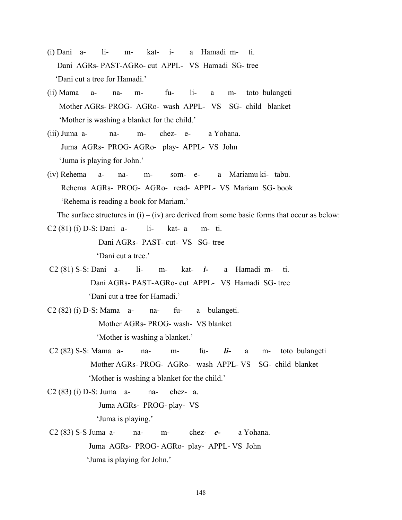- (i) Dani a- li- m- kat- i- a Hamadi m- ti. Dani AGRs- PAST-AGRo- cut APPL- VS Hamadi SG- tree 'Dani cut a tree for Hamadi.'
- (ii) Mama a- na- m- fu- li- a m- toto bulangeti Mother AGRs- PROG- AGRo- wash APPL- VS SG- child blanket 'Mother is washing a blanket for the child.'
- (iii) Juma a- na- m- chez- e- a Yohana. Juma AGRs- PROG- AGRo- play- APPL- VS John 'Juma is playing for John.'
- (iv) Rehema a- na- m- som- e- a Mariamu ki- tabu. Rehema AGRs- PROG- AGRo- read- APPL- VS Mariam SG- book 'Rehema is reading a book for Mariam.'

The surface structures in  $(i) - (iv)$  are derived from some basic forms that occur as below:

C2 (81) (i) D-S: Dani a- li- kat- a m- ti. Dani AGRs- PAST- cut- VS SG- tree 'Dani cut a tree.'

- C2 (81) S-S: Dani a- li- m- kat- *i-* a Hamadi m- ti. Dani AGRs- PAST-AGRo- cut APPL- VS Hamadi SG- tree 'Dani cut a tree for Hamadi.'
- $C2 (82) (i) D-S: Mama$  a- na- fu- a bulangeti. Mother AGRs- PROG- wash- VS blanket 'Mother is washing a blanket.'
- C2 (82) S-S: Mama a- na- m- fu- *li-* a m- toto bulangeti Mother AGRs- PROG- AGRo- wash APPL- VS SG- child blanket 'Mother is washing a blanket for the child.'
- C2 (83) (i) D-S: Juma a- na- chez- a. Juma AGRs- PROG- play- VS 'Juma is playing.'
- C2 (83) S-S Juma a- na- m- chez- *e-* a Yohana. Juma AGRs- PROG- AGRo- play- APPL- VS John 'Juma is playing for John.'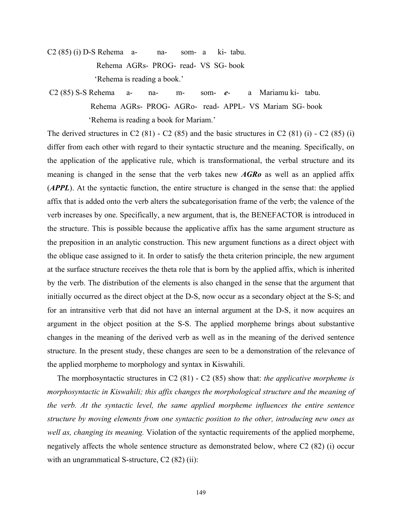- C2 (85) (i) D-S Rehema a- na- som- a ki- tabu. Rehema AGRs- PROG- read- VS SG- book 'Rehema is reading a book.'
- C2 (85) S-S Rehema a- na- m- som- *e* a Mariamu ki- tabu. Rehema AGRs- PROG- AGRo- read- APPL- VS Mariam SG- book 'Rehema is reading a book for Mariam.'

The derived structures in C2  $(81)$  - C2  $(85)$  and the basic structures in C2  $(81)$  (i) - C2  $(85)$  (i) differ from each other with regard to their syntactic structure and the meaning. Specifically, on the application of the applicative rule, which is transformational, the verbal structure and its meaning is changed in the sense that the verb takes new *AGRo* as well as an applied affix (*APPL*). At the syntactic function, the entire structure is changed in the sense that: the applied affix that is added onto the verb alters the subcategorisation frame of the verb; the valence of the verb increases by one. Specifically, a new argument, that is, the BENEFACTOR is introduced in the structure. This is possible because the applicative affix has the same argument structure as the preposition in an analytic construction. This new argument functions as a direct object with the oblique case assigned to it. In order to satisfy the theta criterion principle, the new argument at the surface structure receives the theta role that is born by the applied affix, which is inherited by the verb. The distribution of the elements is also changed in the sense that the argument that initially occurred as the direct object at the D-S, now occur as a secondary object at the S-S; and for an intransitive verb that did not have an internal argument at the D-S, it now acquires an argument in the object position at the S-S. The applied morpheme brings about substantive changes in the meaning of the derived verb as well as in the meaning of the derived sentence structure. In the present study, these changes are seen to be a demonstration of the relevance of the applied morpheme to morphology and syntax in Kiswahili.

 The morphosyntactic structures in C2 (81) - C2 (85) show that: *the applicative morpheme is morphosyntactic in Kiswahili; this affix changes the morphological structure and the meaning of the verb. At the syntactic level, the same applied morpheme influences the entire sentence structure by moving elements from one syntactic position to the other, introducing new ones as well as, changing its meaning.* Violation of the syntactic requirements of the applied morpheme, negatively affects the whole sentence structure as demonstrated below, where C2 (82) (i) occur with an ungrammatical S-structure, C2 (82) (ii):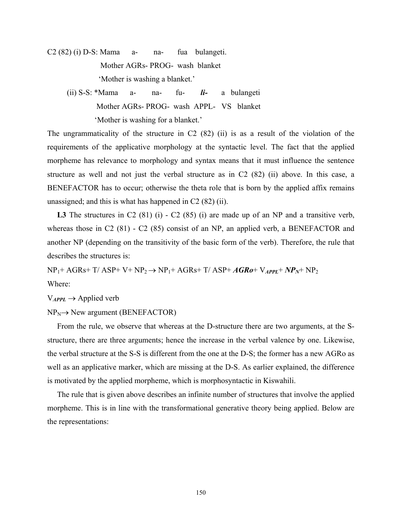C2 (82) (i) D-S: Mama a- na- fua bulangeti. Mother AGRs- PROG- wash blanket 'Mother is washing a blanket.'

 (ii) S-S: \*Mama a- na- fu- *li-* a bulangeti Mother AGRs- PROG- wash APPL- VS blanket 'Mother is washing for a blanket.'

The ungrammaticality of the structure in C2 (82) (ii) is as a result of the violation of the requirements of the applicative morphology at the syntactic level. The fact that the applied morpheme has relevance to morphology and syntax means that it must influence the sentence structure as well and not just the verbal structure as in C2 (82) (ii) above. In this case, a BENEFACTOR has to occur; otherwise the theta role that is born by the applied affix remains unassigned; and this is what has happened in C2 (82) (ii).

L3 The structures in C2 (81) (i) - C2 (85) (i) are made up of an NP and a transitive verb, whereas those in C2 (81) - C2 (85) consist of an NP, an applied verb, a BENEFACTOR and another NP (depending on the transitivity of the basic form of the verb). Therefore, the rule that describes the structures is:

 $NP_1+AGRs+T/ASP+V+NP_2 \rightarrow NP_1+AGRs+T/ASP+AGRo+V_{APPL}+NP_N+NP_2$ Where:

 $V_{APPL} \rightarrow$  Applied verb

 $NP_N \rightarrow New argument (BEREFACTOR)$ 

 From the rule, we observe that whereas at the D-structure there are two arguments, at the Sstructure, there are three arguments; hence the increase in the verbal valence by one. Likewise, the verbal structure at the S-S is different from the one at the D-S; the former has a new AGRo as well as an applicative marker, which are missing at the D-S. As earlier explained, the difference is motivated by the applied morpheme, which is morphosyntactic in Kiswahili.

 The rule that is given above describes an infinite number of structures that involve the applied morpheme. This is in line with the transformational generative theory being applied. Below are the representations: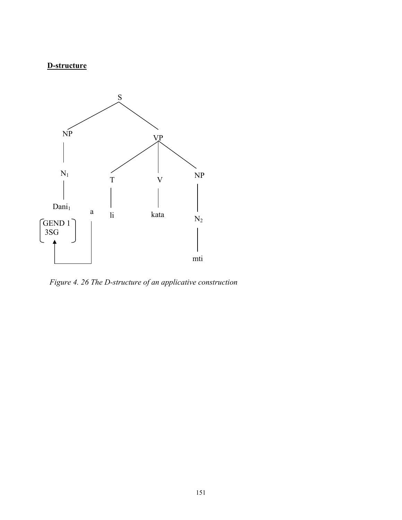# **D-structure**



*Figure 4. 26 The D-structure of an applicative construction*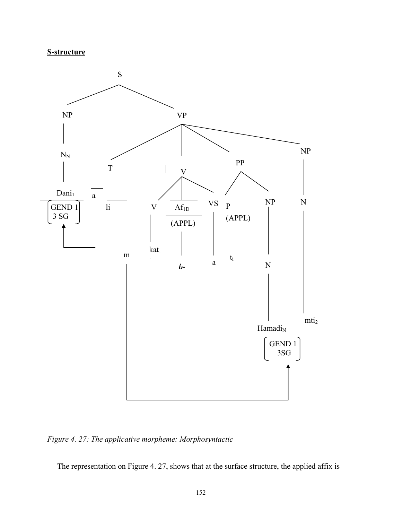**S-structure**



*Figure 4. 27: The applicative morpheme: Morphosyntactic* 

The representation on Figure 4. 27, shows that at the surface structure, the applied affix is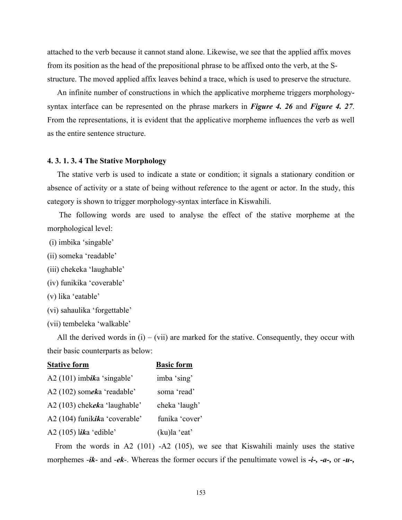attached to the verb because it cannot stand alone. Likewise, we see that the applied affix moves from its position as the head of the prepositional phrase to be affixed onto the verb, at the Sstructure. The moved applied affix leaves behind a trace, which is used to preserve the structure.

 An infinite number of constructions in which the applicative morpheme triggers morphologysyntax interface can be represented on the phrase markers in *Figure 4. 26* and *Figure 4. 27*. From the representations, it is evident that the applicative morpheme influences the verb as well as the entire sentence structure.

#### **4. 3. 1. 3. 4 The Stative Morphology**

 The stative verb is used to indicate a state or condition; it signals a stationary condition or absence of activity or a state of being without reference to the agent or actor. In the study, this category is shown to trigger morphology-syntax interface in Kiswahili.

 The following words are used to analyse the effect of the stative morpheme at the morphological level:

- (i) imbika 'singable'
- (ii) someka 'readable'
- (iii) chekeka 'laughable'
- (iv) funikika 'coverable'
- (v) lika 'eatable'
- (vi) sahaulika 'forgettable'
- (vii) tembeleka 'walkable'

All the derived words in  $(i) - (vii)$  are marked for the stative. Consequently, they occur with their basic counterparts as below:

| <b>Stative form</b>           | <b>Basic form</b> |
|-------------------------------|-------------------|
| $A2(101)$ imbika 'singable'   | imba 'sing'       |
| A2 (102) someka 'readable'    | soma 'read'       |
| A2 (103) chekeka 'laughable'  | cheka 'laugh'     |
| A2 (104) funikika 'coverable' | funika 'cover'    |
| A2 (105) lika 'edible'        | (ku)la 'eat'      |

 From the words in A2 (101) -A2 (105), we see that Kiswahili mainly uses the stative morphemes -*ik*- and -*ek*-. Whereas the former occurs if the penultimate vowel is *-i-, -a-,* or *-u-,*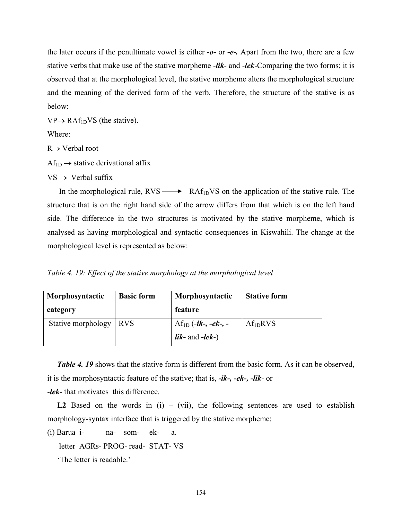the later occurs if the penultimate vowel is either *-o-* or *-e-.* Apart from the two, there are a few stative verbs that make use of the stative morpheme -*lik*- and -*lek*-Comparing the two forms; it is observed that at the morphological level, the stative morpheme alters the morphological structure and the meaning of the derived form of the verb. Therefore, the structure of the stative is as below:

 $VP \rightarrow RAf_{1D}VS$  (the stative).

Where:

R→ Verbal root

 $Af_{1D} \rightarrow$  stative derivational affix

 $VS \rightarrow$  Verbal suffix

In the morphological rule,  $RVS \longrightarrow RAf_{1D}VS$  on the application of the stative rule. The structure that is on the right hand side of the arrow differs from that which is on the left hand side. The difference in the two structures is motivated by the stative morpheme, which is analysed as having morphological and syntactic consequences in Kiswahili. The change at the morphological level is represented as below:

*Table 4. 19: Effect of the stative morphology at the morphological level* 

| Morphosyntactic    | <b>Basic form</b> | Morphosyntactic                                   | <b>Stative form</b>  |
|--------------------|-------------------|---------------------------------------------------|----------------------|
| category           |                   | feature                                           |                      |
| Stative morphology | I RVS             | Af <sub>1D</sub> (- <i>ik-</i> , - <i>ek-</i> , - | Af <sub>1D</sub> RVS |
|                    |                   | <i>lik</i> - and $-$ <i>lek</i> $-)$              |                      |

**Table 4. 19** shows that the stative form is different from the basic form. As it can be observed, it is the morphosyntactic feature of the stative; that is, *-ik-, -ek-, -lik*- or

-*lek*- that motivates this difference.

**L2** Based on the words in  $(i) - (vii)$ , the following sentences are used to establish morphology-syntax interface that is triggered by the stative morpheme:

(i) Barua i- na- som- ek- a.

letter AGRs- PROG- read- STAT- VS

'The letter is readable.'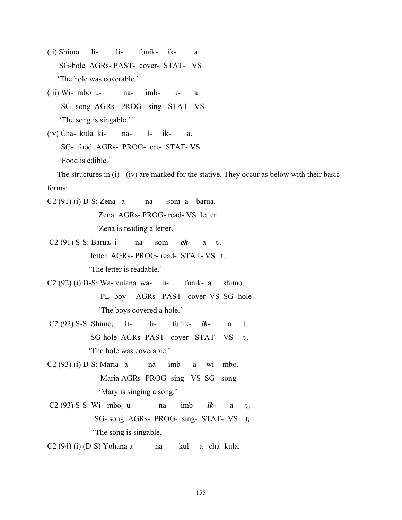- (ii) Shimo li- li- funik- ik- a. SG-hole AGRs- PAST- cover- STAT- VS 'The hole was coverable.'
- (iii) Wi- mbo u- na- imb- ik- a. SG- song AGRs- PROG- sing- STAT- VS 'The song is singable.'
- (iv) Cha- kula ki- na- l- ik- a. SG- food AGRs- PROG- eat- STAT- VS 'Food is edible.'

 The structures in (i) - (iv) are marked for the stative. They occur as below with their basic forms:

C2 (91) (i) D-S: Zena a- na- som- a barua.

Zena AGRs- PROG- read- VS letter

'Zena is reading a letter.'

- C2 (91) S-S: Baruai i- na- som- *ek-* a ti. letter AGRs- PROG- read- STAT- VS ti. 'The letter is readable.'
- $C2 (92) (i) D-S$ : Wa- vulana wa- li- funik- a shimo. PL- boy AGRs- PAST- cover VS SG- hole 'The boys covered a hole.'
- C2 (92) S-S: Shimoi li- li- funik- *ik-* a ti. SG-hole AGRs- PAST- cover- STAT- VS ti. 'The hole was coverable.'
- $C2 (93) (i) D-S$ : Maria a- na- imb- a wi- mbo. Maria AGRs- PROG- sing- VS SG- song 'Mary is singing a song.'
- C2 (93) S-S: Wi- mboi u- na- imb- *ik-* a ti. SG- song AGRs- PROG- sing- STAT- VS ti 'The song is singable.
- C2 (94) (i) (D-S) Yohana a- na- kul- a cha- kula.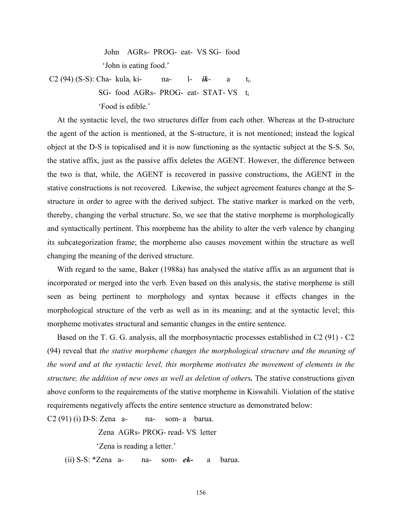John AGRs- PROG- eat- VS SG- food 'John is eating food.'

 C2 (94) (S-S): Cha- kulai ki- na- l- *ik*- a ti. SG- food AGRs- PROG- eat- STAT- VS ti 'Food is edible.'

 At the syntactic level, the two structures differ from each other. Whereas at the D-structure the agent of the action is mentioned, at the S-structure, it is not mentioned; instead the logical object at the D-S is topicalised and it is now functioning as the syntactic subject at the S-S. So, the stative affix, just as the passive affix deletes the AGENT. However, the difference between the two is that, while, the AGENT is recovered in passive constructions, the AGENT in the stative constructions is not recovered. Likewise, the subject agreement features change at the Sstructure in order to agree with the derived subject. The stative marker is marked on the verb, thereby, changing the verbal structure. So, we see that the stative morpheme is morphologically and syntactically pertinent. This morpheme has the ability to alter the verb valence by changing its subcategorization frame; the morpheme also causes movement within the structure as well changing the meaning of the derived structure.

 With regard to the same, Baker (1988a) has analysed the stative affix as an argument that is incorporated or merged into the verb. Even based on this analysis, the stative morpheme is still seen as being pertinent to morphology and syntax because it effects changes in the morphological structure of the verb as well as in its meaning; and at the syntactic level; this morpheme motivates structural and semantic changes in the entire sentence.

 Based on the T. G. G. analysis, all the morphosyntactic processes established in C2 (91) - C2 (94) reveal that *the stative morpheme changes the morphological structure and the meaning of the word and at the syntactic level, this morpheme motivates the movement of elements in the structure, the addition of new ones as well as deletion of others.* The stative constructions given above conform to the requirements of the stative morpheme in Kiswahili. Violation of the stative requirements negatively affects the entire sentence structure as demonstrated below:

 $C2(91)$  (i) D-S: Zena a- na- som- a barua.

Zena AGRs- PROG- read- VS letter

'Zena is reading a letter.'

(ii) S-S: \*Zena a- na- som- *ek-* a barua.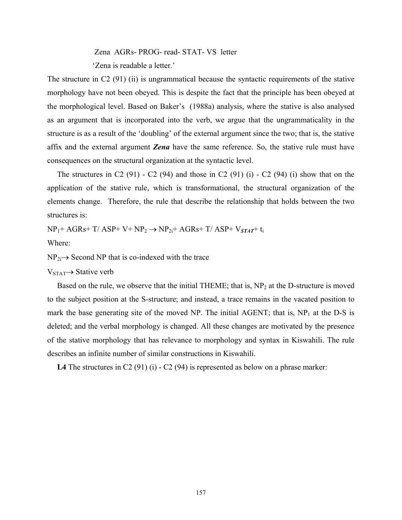Zena AGRs- PROG- read- STAT- VS letter

'Zena is readable a letter.'

The structure in C2 (91) (ii) is ungrammatical because the syntactic requirements of the stative morphology have not been obeyed. This is despite the fact that the principle has been obeyed at the morphological level. Based on Baker's (1988a) analysis, where the stative is also analysed as an argument that is incorporated into the verb, we argue that the ungrammaticality in the structure is as a result of the 'doubling' of the external argument since the two; that is, the stative affix and the external argument *Zena* have the same reference. So, the stative rule must have consequences on the structural organization at the syntactic level.

The structures in C2 (91) - C2 (94) and those in C2 (91) (i) - C2 (94) (i) show that on the application of the stative rule, which is transformational, the structural organization of the elements change. Therefore, the rule that describe the relationship that holds between the two structures is:

 $NP_1$ + AGRs+ T/ ASP+ V+  $NP_2$   $\rightarrow$   $NP_{2i}$ + AGRs+ T/ ASP+  $V_{STAT}$ + t<sub>i</sub>

Where:

 $NP_{2i}\rightarrow$  Second NP that is co-indexed with the trace

 $V_{STAT}\rightarrow$  Stative verb

Based on the rule, we observe that the initial THEME; that is, NP<sub>2</sub> at the D-structure is moved to the subject position at the S-structure; and instead, a trace remains in the vacated position to mark the base generating site of the moved NP. The initial AGENT; that is,  $NP<sub>1</sub>$  at the D-S is deleted; and the verbal morphology is changed. All these changes are motivated by the presence of the stative morphology that has relevance to morphology and syntax in Kiswahili. The rule describes an infinite number of similar constructions in Kiswahili.

L4 The structures in C2 (91) (i) - C2 (94) is represented as below on a phrase marker: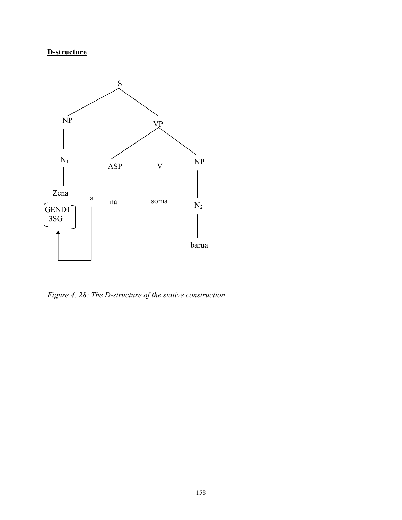# **D-structure**



*Figure 4. 28: The D-structure of the stative construction*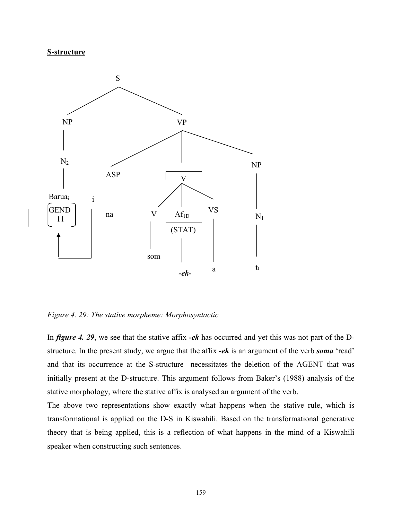#### **S-structure**



*Figure 4. 29: The stative morpheme: Morphosyntactic* 

In *figure 4. 29*, we see that the stative affix *-ek* has occurred and yet this was not part of the Dstructure. In the present study, we argue that the affix *-ek* is an argument of the verb *soma* 'read' and that its occurrence at the S-structure necessitates the deletion of the AGENT that was initially present at the D-structure. This argument follows from Baker's (1988) analysis of the stative morphology, where the stative affix is analysed an argument of the verb.

The above two representations show exactly what happens when the stative rule, which is transformational is applied on the D-S in Kiswahili. Based on the transformational generative theory that is being applied, this is a reflection of what happens in the mind of a Kiswahili speaker when constructing such sentences.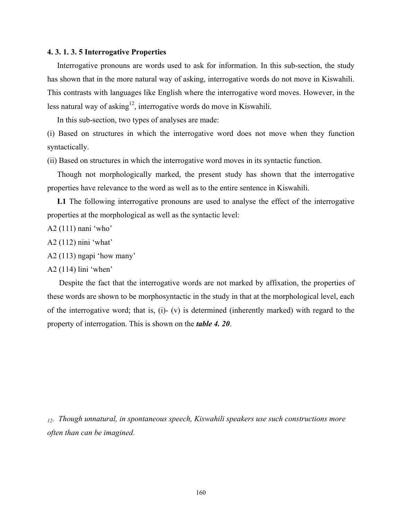#### **4. 3. 1. 3. 5 Interrogative Properties**

 Interrogative pronouns are words used to ask for information. In this sub-section, the study has shown that in the more natural way of asking, interrogative words do not move in Kiswahili. This contrasts with languages like English where the interrogative word moves. However, in the less natural way of asking<sup>12</sup>, interrogative words do move in Kiswahili.

In this sub-section, two types of analyses are made:

(i) Based on structures in which the interrogative word does not move when they function syntactically.

(ii) Based on structures in which the interrogative word moves in its syntactic function.

 Though not morphologically marked, the present study has shown that the interrogative properties have relevance to the word as well as to the entire sentence in Kiswahili.

 **L1** The following interrogative pronouns are used to analyse the effect of the interrogative properties at the morphological as well as the syntactic level:

- A2 (111) nani 'who'
- A2 (112) nini 'what'
- A2 (113) ngapi 'how many'

A2 (114) lini 'when'

 Despite the fact that the interrogative words are not marked by affixation, the properties of these words are shown to be morphosyntactic in the study in that at the morphological level, each of the interrogative word; that is, (i)- (v) is determined (inherently marked) with regard to the property of interrogation. This is shown on the *table 4. 20*.

*12. Though unnatural, in spontaneous speech, Kiswahili speakers use such constructions more often than can be imagined.*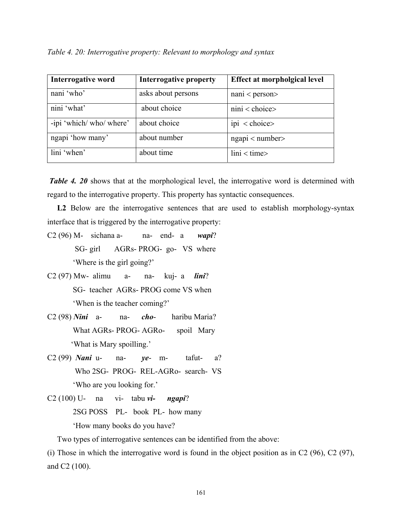*Table 4. 20: Interrogative property: Relevant to morphology and syntax* 

| <b>Interrogative word</b> | Interrogative property | Effect at morpholgical level |
|---------------------------|------------------------|------------------------------|
| nani 'who'                | asks about persons     | $nani <$ person $>$          |
| nini 'what'               | about choice           | $nini <$ choice>             |
| -ipi 'which/ who/ where'  | about choice           | ipi < choice>                |
| ngapi 'how many'          | about number           | ngapi < number>              |
| lini 'when'               | about time             | $\text{lini} < \text{time}$  |

*Table 4. 20* shows that at the morphological level, the interrogative word is determined with regard to the interrogative property. This property has syntactic consequences.

L2 Below are the interrogative sentences that are used to establish morphology-syntax interface that is triggered by the interrogative property:

- C2 (96) M- sichana a- na- end- a *wapi*? SG- girl AGRs- PROG- go- VS where 'Where is the girl going?'
- C2 (97) Mw- alimu a- na- kuj- a *lini*? SG- teacher AGRs- PROG come VS when 'When is the teacher coming?'
- C2 (98) *Nini* a- na- *cho* haribu Maria? What AGRs- PROG- AGRo- spoil Mary 'What is Mary spoilling.'
- C2 (99) *Nani* u- na- *ye* m- tafut- a? Who 2SG- PROG- REL-AGRo- search- VS 'Who are you looking for.'
- C2 (100) U- na vi- tabu *vi- ngapi*?

2SG POSS PL- book PL- how many

'How many books do you have?

Two types of interrogative sentences can be identified from the above:

(i) Those in which the interrogative word is found in the object position as in C2 (96), C2 (97), and C2 (100).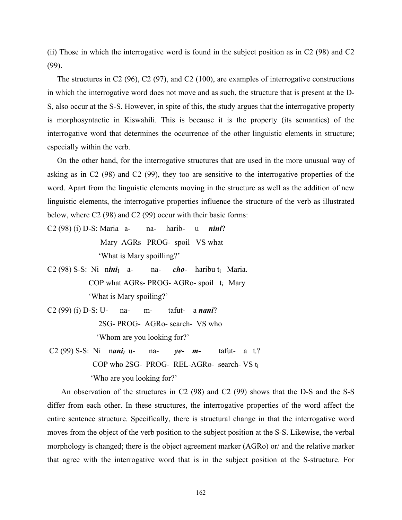(ii) Those in which the interrogative word is found in the subject position as in C2 (98) and C2 (99).

 The structures in C2 (96), C2 (97), and C2 (100), are examples of interrogative constructions in which the interrogative word does not move and as such, the structure that is present at the D-S, also occur at the S-S. However, in spite of this, the study argues that the interrogative property is morphosyntactic in Kiswahili. This is because it is the property (its semantics) of the interrogative word that determines the occurrence of the other linguistic elements in structure; especially within the verb.

 On the other hand, for the interrogative structures that are used in the more unusual way of asking as in C2 (98) and C2 (99), they too are sensitive to the interrogative properties of the word. Apart from the linguistic elements moving in the structure as well as the addition of new linguistic elements, the interrogative properties influence the structure of the verb as illustrated below, where C2 (98) and C2 (99) occur with their basic forms:

C2 (98) (i) D-S: Maria a- na- harib- u *nini*? Mary AGRs PROG- spoil VS what 'What is Mary spoilling?'

- C2 (98) S-S: Ni nini<sub>I</sub> a- na- *cho* haribu t<sub>i</sub> Maria. COP what AGRs- PROG- AGRo- spoil  $t_i$  Mary 'What is Mary spoiling?'
- C2 (99) (i) D-S: U- na- m- tafut- a *nani*? 2SG- PROG- AGRo- search- VS who 'Whom are you looking for?'
- C2 (99) S-S: Ni n*anii* u- na- *ye- m-* tafut- a ti? COP who 2SG- PROG- REL-AGRo- search- VS ti 'Who are you looking for?'

 An observation of the structures in C2 (98) and C2 (99) shows that the D-S and the S-S differ from each other. In these structures, the interrogative properties of the word affect the entire sentence structure. Specifically, there is structural change in that the interrogative word moves from the object of the verb position to the subject position at the S-S. Likewise, the verbal morphology is changed; there is the object agreement marker (AGRo) or/ and the relative marker that agree with the interrogative word that is in the subject position at the S-structure. For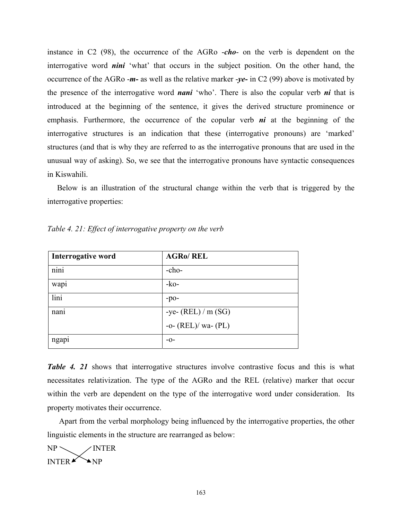instance in C2 (98), the occurrence of the AGRo -*cho*- on the verb is dependent on the interrogative word *nini* 'what' that occurs in the subject position. On the other hand, the occurrence of the AGRo -*m-* as well as the relative marker -*ye-* in C2 (99) above is motivated by the presence of the interrogative word *nani* 'who'. There is also the copular verb *ni* that is introduced at the beginning of the sentence, it gives the derived structure prominence or emphasis. Furthermore, the occurrence of the copular verb *ni* at the beginning of the interrogative structures is an indication that these (interrogative pronouns) are 'marked' structures (and that is why they are referred to as the interrogative pronouns that are used in the unusual way of asking). So, we see that the interrogative pronouns have syntactic consequences in Kiswahili.

 Below is an illustration of the structural change within the verb that is triggered by the interrogative properties:

| Interrogative word                                    | <b>AGRO/REL</b>         |
|-------------------------------------------------------|-------------------------|
| $\ddot{\phantom{0}}$<br>n <sub>1</sub> n <sub>1</sub> | $-cho-$                 |
| wap <sub>1</sub>                                      | $-ko-$                  |
| lini                                                  | $-po-$                  |
| nani                                                  | -ye- $(REL) / m (SG)$   |
|                                                       | -o- $(REL)/$ wa- $(PL)$ |
| ngapi                                                 | $-0-$                   |

*Table 4. 21: Effect of interrogative property on the verb* 

**Table 4. 21** shows that interrogative structures involve contrastive focus and this is what necessitates relativization. The type of the AGRo and the REL (relative) marker that occur within the verb are dependent on the type of the interrogative word under consideration. Its property motivates their occurrence.

 Apart from the verbal morphology being influenced by the interrogative properties, the other linguistic elements in the structure are rearranged as below:

 $NP \diagdown$  /INTER INTER $\blacktriangleright$  NP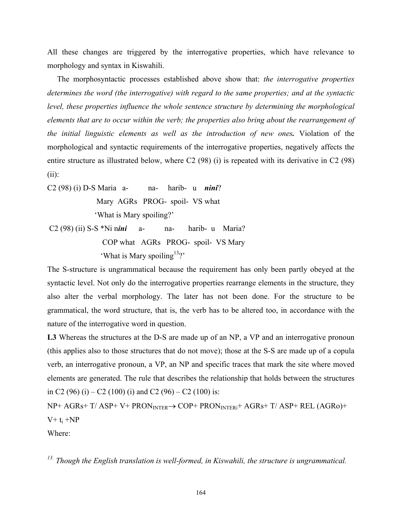All these changes are triggered by the interrogative properties, which have relevance to morphology and syntax in Kiswahili.

The morphosyntactic processes established above show that: *the interrogative properties determines the word (the interrogative) with regard to the same properties; and at the syntactic level, these properties influence the whole sentence structure by determining the morphological elements that are to occur within the verb; the properties also bring about the rearrangement of the initial linguistic elements as well as the introduction of new ones.* Violation of the morphological and syntactic requirements of the interrogative properties, negatively affects the entire structure as illustrated below, where C2 (98) (i) is repeated with its derivative in C2 (98) (ii):

C2 (98) (i) D-S Maria a- na- harib- u *nini*? Mary AGRs PROG- spoil- VS what 'What is Mary spoiling?' C2 (98) (ii) S-S \*Ni n*ini* a- na- harib- u Maria?

COP what AGRs PROG- spoil- VS Mary

'What is Mary spoiling<sup>13</sup>?'

The S-structure is ungrammatical because the requirement has only been partly obeyed at the syntactic level. Not only do the interrogative properties rearrange elements in the structure, they also alter the verbal morphology. The later has not been done. For the structure to be grammatical, the word structure, that is, the verb has to be altered too, in accordance with the nature of the interrogative word in question.

L3 Whereas the structures at the D-S are made up of an NP, a VP and an interrogative pronoun (this applies also to those structures that do not move); those at the S-S are made up of a copula verb, an interrogative pronoun, a VP, an NP and specific traces that mark the site where moved elements are generated. The rule that describes the relationship that holds between the structures in C2 (96) (i) – C2 (100) (i) and C2 (96) – C2 (100) is:

NP+ AGRs+ T/ ASP+ V+ PRON<sub>INTER</sub> → COP+ PRON<sub>INTERi</sub>+ AGRs+ T/ ASP+ REL (AGRo)+  $V+ t_i + NP$ 

Where:

*13. Though the English translation is well-formed, in Kiswahili, the structure is ungrammatical.*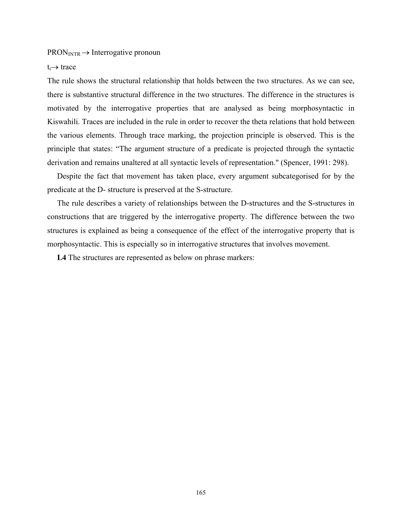$PRON<sub>INTR</sub> \rightarrow Interrogative pronoun$ 

#### $t_i \rightarrow \text{trace}$

The rule shows the structural relationship that holds between the two structures. As we can see, there is substantive structural difference in the two structures. The difference in the structures is motivated by the interrogative properties that are analysed as being morphosyntactic in Kiswahili. Traces are included in the rule in order to recover the theta relations that hold between the various elements. Through trace marking, the projection principle is observed. This is the principle that states: "The argument structure of a predicate is projected through the syntactic derivation and remains unaltered at all syntactic levels of representation." (Spencer, 1991: 298).

 Despite the fact that movement has taken place, every argument subcategorised for by the predicate at the D- structure is preserved at the S-structure.

 The rule describes a variety of relationships between the D-structures and the S-structures in constructions that are triggered by the interrogative property. The difference between the two structures is explained as being a consequence of the effect of the interrogative property that is morphosyntactic. This is especially so in interrogative structures that involves movement.

 **L4** The structures are represented as below on phrase markers: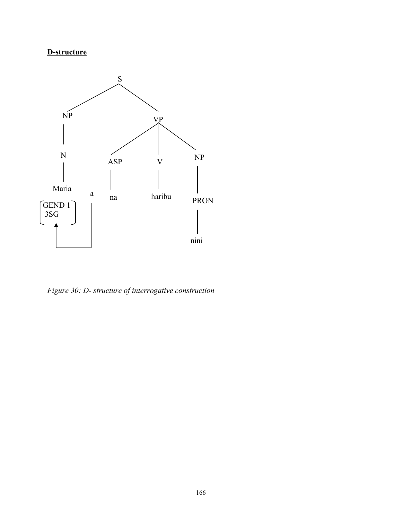# **D-structure**



*Figure 30: D- structure of interrogative construction*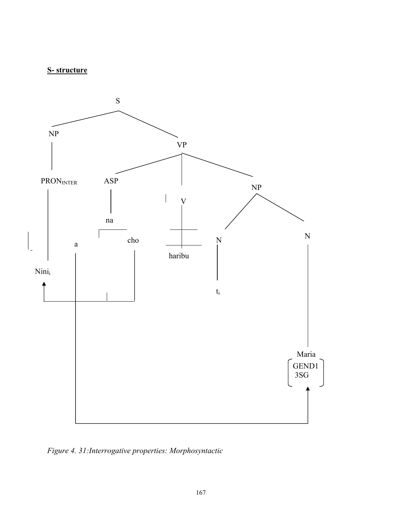# **S- structure**



*Figure 4. 31:Interrogative properties: Morphosyntactic*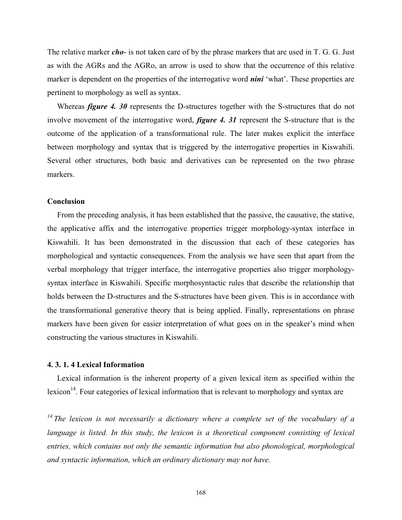The relative marker *cho*- is not taken care of by the phrase markers that are used in T. G. G. Just as with the AGRs and the AGRo, an arrow is used to show that the occurrence of this relative marker is dependent on the properties of the interrogative word *nini* 'what'. These properties are pertinent to morphology as well as syntax.

Whereas *figure 4. 30* represents the D-structures together with the S-structures that do not involve movement of the interrogative word, *figure 4. 31* represent the S-structure that is the outcome of the application of a transformational rule. The later makes explicit the interface between morphology and syntax that is triggered by the interrogative properties in Kiswahili. Several other structures, both basic and derivatives can be represented on the two phrase markers.

#### **Conclusion**

 From the preceding analysis, it has been established that the passive, the causative, the stative, the applicative affix and the interrogative properties trigger morphology-syntax interface in Kiswahili. It has been demonstrated in the discussion that each of these categories has morphological and syntactic consequences. From the analysis we have seen that apart from the verbal morphology that trigger interface, the interrogative properties also trigger morphologysyntax interface in Kiswahili. Specific morphosyntactic rules that describe the relationship that holds between the D-structures and the S-structures have been given. This is in accordance with the transformational generative theory that is being applied. Finally, representations on phrase markers have been given for easier interpretation of what goes on in the speaker's mind when constructing the various structures in Kiswahili.

### **4. 3. 1. 4 Lexical Information**

 Lexical information is the inherent property of a given lexical item as specified within the lexicon<sup>14</sup>. Four categories of lexical information that is relevant to morphology and syntax are

*14.The lexicon is not necessarily a dictionary where a complete set of the vocabulary of a language is listed. In this study, the lexicon is a theoretical component consisting of lexical entries, which contains not only the semantic information but also phonological, morphological and syntactic information, which an ordinary dictionary may not have.*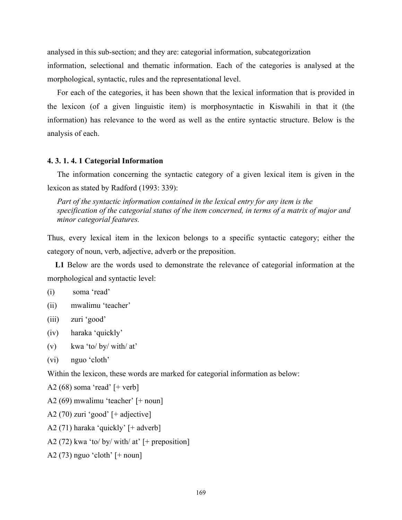analysed in this sub-section; and they are: categorial information, subcategorization

information, selectional and thematic information. Each of the categories is analysed at the morphological, syntactic, rules and the representational level.

 For each of the categories, it has been shown that the lexical information that is provided in the lexicon (of a given linguistic item) is morphosyntactic in Kiswahili in that it (the information) has relevance to the word as well as the entire syntactic structure. Below is the analysis of each.

#### **4. 3. 1. 4. 1 Categorial Information**

 The information concerning the syntactic category of a given lexical item is given in the lexicon as stated by Radford (1993: 339):

 *Part of the syntactic information contained in the lexical entry for any item is the specification of the categorial status of the item concerned, in terms of a matrix of major and minor categorial features.* 

Thus, every lexical item in the lexicon belongs to a specific syntactic category; either the category of noun, verb, adjective, adverb or the preposition.

 **L1** Below are the words used to demonstrate the relevance of categorial information at the morphological and syntactic level:

- (i) soma 'read'
- (ii) mwalimu 'teacher'
- (iii) zuri 'good'
- (iv) haraka 'quickly'
- (v) kwa 'to/ by/ with/ at'
- (vi) nguo 'cloth'

Within the lexicon, these words are marked for categorial information as below:

- A2 (68) soma 'read' [+ verb]
- A2 (69) mwalimu 'teacher' [+ noun]
- A2 (70) zuri 'good' [+ adjective]
- A2 (71) haraka 'quickly' [+ adverb]
- A2 (72) kwa 'to/ by/ with/ at' [+ preposition]
- A2 (73) nguo 'cloth'  $[+$  noun]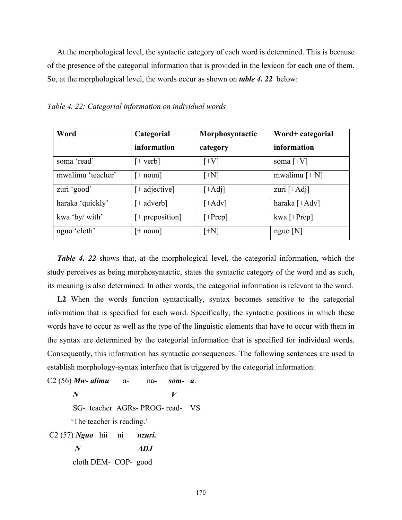At the morphological level, the syntactic category of each word is determined. This is because of the presence of the categorial information that is provided in the lexicon for each one of them. So, at the morphological level, the words occur as shown on *table 4. 22* below:

| Word              | Categorial        | Morphosyntactic | Word+ categorial |
|-------------------|-------------------|-----------------|------------------|
|                   | information       | category        | information      |
| soma 'read'       | $[+ \text{verb}]$ | $[+V]$          | soma $[+V]$      |
| mwalimu 'teacher' | $[+$ noun]        | $[+N]$          | mwalimu $[+N]$   |
| zuri 'good'       | $[+$ adjective]   | $[+Adi]$        | zuri $[+Adj]$    |
| haraka 'quickly'  | $[+$ adverb]      | $[+Adv]$        | haraka [+Adv]    |
| kwa 'by/ with'    | $[+$ preposition] | $[+Prep]$       | kwa $[+Prep]$    |
| nguo 'cloth'      | $[+$ noun]        | $[+N]$          | nguo [N]         |

*Table 4. 22: Categorial information on individual words* 

*Table 4. 22* shows that, at the morphological level, the categorial information, which the study perceives as being morphosyntactic, states the syntactic category of the word and as such, its meaning is also determined. In other words, the categorial information is relevant to the word.

L<sub>2</sub> When the words function syntactically, syntax becomes sensitive to the categorial information that is specified for each word. Specifically, the syntactic positions in which these words have to occur as well as the type of the linguistic elements that have to occur with them in the syntax are determined by the categorial information that is specified for individual words. Consequently, this information has syntactic consequences. The following sentences are used to establish morphology-syntax interface that is triggered by the categorial information:

C2 (56) *Mw- alimu* a- na*- som- a*. *N V*  SG- teacher AGRs- PROG- read- VS 'The teacher is reading.' C2 (57) *Nguo* hii ni *nzuri. N ADJ*  cloth DEM- COP- good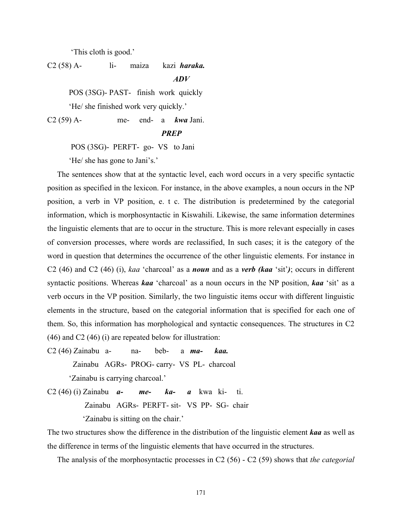'This cloth is good.'

C2 (58) A- li- maiza kazi *haraka.*

*ADV* 

POS (3SG)- PAST- finish work quickly

'He/ she finished work very quickly.'

C2 (59) A- me- end- a *kwa* Jani.

 *PREP* 

POS (3SG)- PERFT- go- VS to Jani

'He/ she has gone to Jani's.'

 The sentences show that at the syntactic level, each word occurs in a very specific syntactic position as specified in the lexicon. For instance, in the above examples, a noun occurs in the NP position, a verb in VP position, e. t c. The distribution is predetermined by the categorial information, which is morphosyntactic in Kiswahili. Likewise, the same information determines the linguistic elements that are to occur in the structure. This is more relevant especially in cases of conversion processes, where words are reclassified, In such cases; it is the category of the word in question that determines the occurrence of the other linguistic elements. For instance in C2 (46) and C2 (46) (i), *kaa* 'charcoal' as a *noun* and as a *verb (kaa* 'sit'*)*; occurs in different syntactic positions. Whereas *kaa* 'charcoal' as a noun occurs in the NP position, *kaa* 'sit' as a verb occurs in the VP position. Similarly, the two linguistic items occur with different linguistic elements in the structure, based on the categorial information that is specified for each one of them. So, this information has morphological and syntactic consequences. The structures in C2 (46) and C2 (46) (i) are repeated below for illustration:

C2 (46) Zainabu a- na- beb- a *ma- kaa.*

Zainabu AGRs- PROG- carry- VS PL- charcoal

'Zainabu is carrying charcoal.'

C2 (46) (i) Zainabu *a- me- ka- a* kwa ki- ti. Zainabu AGRs- PERFT- sit- VS PP- SG- chair

'Zainabu is sitting on the chair.'

The two structures show the difference in the distribution of the linguistic element *kaa* as well as the difference in terms of the linguistic elements that have occurred in the structures.

The analysis of the morphosyntactic processes in C2 (56) - C2 (59) shows that *the categorial*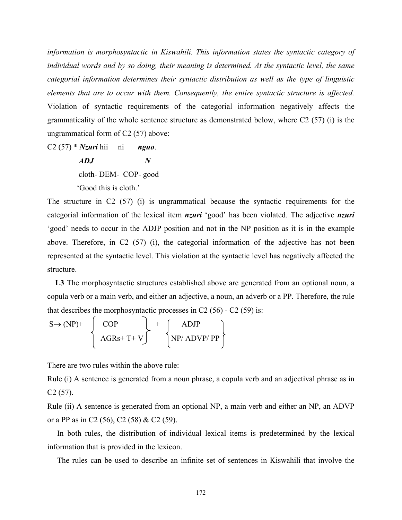*information is morphosyntactic in Kiswahili. This information states the syntactic category of individual words and by so doing, their meaning is determined. At the syntactic level, the same categorial information determines their syntactic distribution as well as the type of linguistic elements that are to occur with them. Consequently, the entire syntactic structure is affected.* Violation of syntactic requirements of the categorial information negatively affects the grammaticality of the whole sentence structure as demonstrated below, where C2 (57) (i) is the ungrammatical form of C2 (57) above:

C2 (57) \* *Nzuri* hii ni *nguo*.

 *ADJ N*  cloth- DEM- COP- good 'Good this is cloth.'

The structure in C2 (57) (i) is ungrammatical because the syntactic requirements for the categorial information of the lexical item *nzuri* 'good' has been violated. The adjective *nzuri* 'good' needs to occur in the ADJP position and not in the NP position as it is in the example above. Therefore, in C2 (57) (i), the categorial information of the adjective has not been represented at the syntactic level. This violation at the syntactic level has negatively affected the structure.

L3 The morphosyntactic structures established above are generated from an optional noun, a copula verb or a main verb, and either an adjective, a noun, an adverb or a PP. Therefore, the rule that describes the morphosyntactic processes in C2  $(56)$  - C2  $(59)$  is:

$$
S \rightarrow (NP)^{+}
$$
  
 
$$
\left\{\begin{array}{c} COP \\ AGRs + T + V \end{array}\right\} + \left\{\begin{array}{c} ADJP \\ NP/\ ADVP/PP \end{array}\right\}
$$

There are two rules within the above rule:

Rule (i) A sentence is generated from a noun phrase, a copula verb and an adjectival phrase as in C2 (57).

Rule (ii) A sentence is generated from an optional NP, a main verb and either an NP, an ADVP or a PP as in C2 (56), C2 (58) & C2 (59).

 In both rules, the distribution of individual lexical items is predetermined by the lexical information that is provided in the lexicon.

The rules can be used to describe an infinite set of sentences in Kiswahili that involve the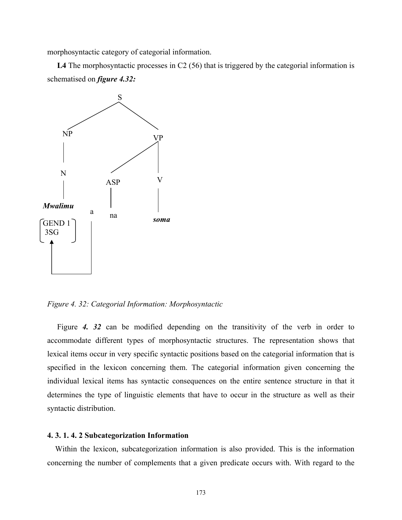morphosyntactic category of categorial information.

L4 The morphosyntactic processes in C2 (56) that is triggered by the categorial information is schematised on *figure 4.32:* 



*Figure 4. 32: Categorial Information: Morphosyntactic* 

Figure 4. 32 can be modified depending on the transitivity of the verb in order to accommodate different types of morphosyntactic structures. The representation shows that lexical items occur in very specific syntactic positions based on the categorial information that is specified in the lexicon concerning them. The categorial information given concerning the individual lexical items has syntactic consequences on the entire sentence structure in that it determines the type of linguistic elements that have to occur in the structure as well as their syntactic distribution.

#### **4. 3. 1. 4. 2 Subcategorization Information**

 Within the lexicon, subcategorization information is also provided. This is the information concerning the number of complements that a given predicate occurs with. With regard to the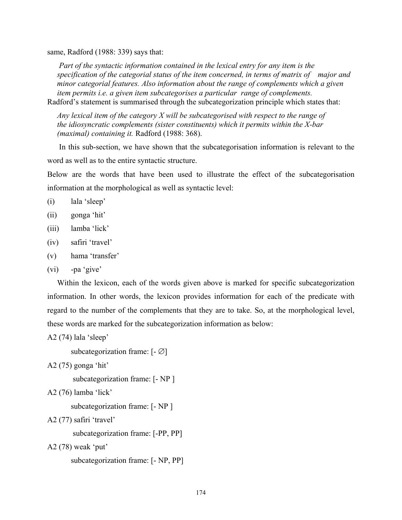same, Radford (1988: 339) says that:

 *Part of the syntactic information contained in the lexical entry for any item is the specification of the categorial status of the item concerned, in terms of matrix of major and minor categorial features. Also information about the range of complements which a given item permits i.e. a given item subcategorises a particular range of complements.*  Radford's statement is summarised through the subcategorization principle which states that:

 *Any lexical item of the category X will be subcategorised with respect to the range of the idiosyncratic complements (sister constituents) which it permits within the X-bar (maximal) containing it.* Radford (1988: 368).

 In this sub-section, we have shown that the subcategorisation information is relevant to the word as well as to the entire syntactic structure.

Below are the words that have been used to illustrate the effect of the subcategorisation information at the morphological as well as syntactic level:

- (i) lala 'sleep'
- (ii) gonga 'hit'
- (iii) lamba 'lick'
- (iv) safiri 'travel'
- (v) hama 'transfer'
- (vi) -pa 'give'

 Within the lexicon, each of the words given above is marked for specific subcategorization information. In other words, the lexicon provides information for each of the predicate with regard to the number of the complements that they are to take. So, at the morphological level, these words are marked for the subcategorization information as below:

A2 (74) lala 'sleep'

subcategorization frame:  $[-\emptyset]$ 

```
A2 (75) gonga 'hit'
```
subcategorization frame: [- NP ]

```
A2 (76) lamba 'lick'
```
subcategorization frame: [- NP ]

A2 (77) safiri 'travel'

subcategorization frame: [-PP, PP]

A2 (78) weak 'put'

```
 subcategorization frame: [- NP, PP]
```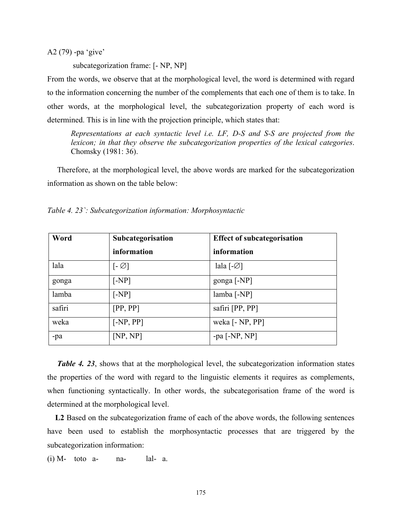A2 (79) -pa 'give'

subcategorization frame: [- NP, NP]

From the words, we observe that at the morphological level, the word is determined with regard to the information concerning the number of the complements that each one of them is to take. In other words, at the morphological level, the subcategorization property of each word is determined. This is in line with the projection principle, which states that:

*Representations at each syntactic level i.e. LF, D-S and S-S are projected from the lexicon; in that they observe the subcategorization properties of the lexical categories*. Chomsky (1981: 36).

 Therefore, at the morphological level, the above words are marked for the subcategorization information as shown on the table below:

| Word   | Subcategorisation            | <b>Effect of subcategorisation</b> |
|--------|------------------------------|------------------------------------|
|        | information                  | information                        |
| lala   | $\lceil -\varnothing \rceil$ | lala $\lceil -\varnothing \rceil$  |
| gonga  | $[-NP]$                      | gonga [-NP]                        |
| lamba  | [NP]                         | $lamba$ [-NP]                      |
| safiri | [PP, PP]                     | safiri [PP, PP]                    |
| weka   | $[-NP, PP]$                  | weka [- NP, PP]                    |
| -pa    | [NP, NP]                     | -pa $[-NP, NP]$                    |

*Table 4. 23`: Subcategorization information: Morphosyntactic* 

*Table 4. 23*, shows that at the morphological level, the subcategorization information states the properties of the word with regard to the linguistic elements it requires as complements, when functioning syntactically. In other words, the subcategorisation frame of the word is determined at the morphological level.

 **L2** Based on the subcategorization frame of each of the above words, the following sentences have been used to establish the morphosyntactic processes that are triggered by the subcategorization information:

 $(i)$  M- toto a- na- lal- a.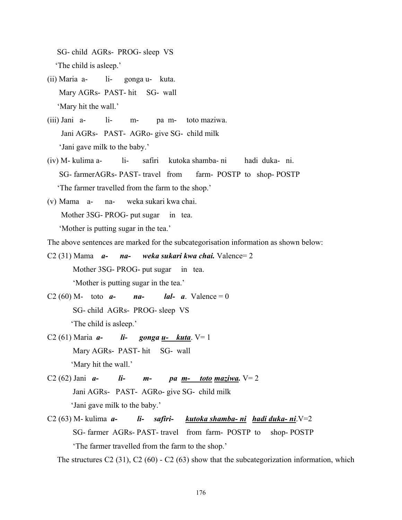SG- child AGRs- PROG- sleep VS 'The child is asleep.'

- (ii) Maria a- li- gonga u- kuta. Mary AGRs- PAST- hit SG- wall 'Mary hit the wall.'
- (iii) Jani a- li- m- pa m- toto maziwa. Jani AGRs- PAST- AGRo- give SG- child milk 'Jani gave milk to the baby.'
- (iv) M- kulima a- li- safiri kutoka shamba- ni hadi duka- ni. SG- farmerAGRs- PAST- travel from farm- POSTP to shop- POSTP 'The farmer travelled from the farm to the shop.'
- (v) Mama a- na- weka sukari kwa chai. Mother 3SG- PROG- put sugar in tea.

'Mother is putting sugar in the tea.'

The above sentences are marked for the subcategorisation information as shown below:

- C2 (31) Mama *a- na- weka sukari kwa chai.* Valence= 2 Mother 3SG- PROG- put sugar in tea. 'Mother is putting sugar in the tea.'
- C2 (60) M- toto  $a$  *na- lal- a*. Valence = 0 SG- child AGRs- PROG- sleep VS 'The child is asleep.'
- C2 (61) Maria *a- li- gonga u- kuta*. V= 1 Mary AGRs- PAST- hit SG- wall 'Mary hit the wall.'
- C2 (62) Jani  $a$  *li*  $m$   $pa$   $m$   $toto$   $maxiwa$ .  $V=2$  Jani AGRs- PAST- AGRo- give SG- child milk 'Jani gave milk to the baby.'
- C2 (63) M- kulima *a- li- safiri- kutoka shamba- ni hadi duka- ni*.V=2 SG- farmer AGRs- PAST- travel from farm- POSTPto shop- POSTP 'The farmer travelled from the farm to the shop.'

The structures C2 (31), C2 (60) - C2 (63) show that the subcategorization information, which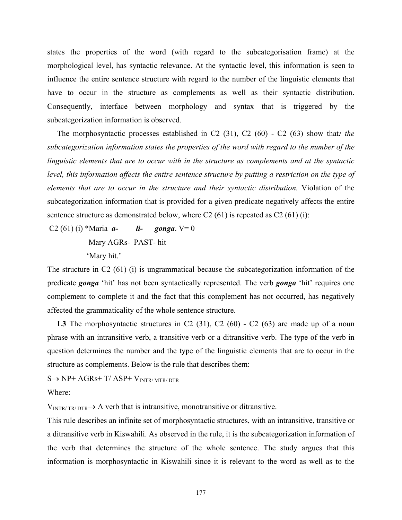states the properties of the word (with regard to the subcategorisation frame) at the morphological level, has syntactic relevance. At the syntactic level, this information is seen to influence the entire sentence structure with regard to the number of the linguistic elements that have to occur in the structure as complements as well as their syntactic distribution. Consequently, interface between morphology and syntax that is triggered by the subcategorization information is observed.

The morphosyntactic processes established in C2 (31), C2 (60) - C2 (63) show that*: the subcategorization information states the properties of the word with regard to the number of the linguistic elements that are to occur with in the structure as complements and at the syntactic level, this information affects the entire sentence structure by putting a restriction on the type of elements that are to occur in the structure and their syntactic distribution.* Violation of the subcategorization information that is provided for a given predicate negatively affects the entire sentence structure as demonstrated below, where  $C_2$  (61) is repeated as  $C_2$  (61) (i):

C2 (61) (i) \*Maria *a*- *li- gonga*. V= 0 Mary AGRs- PAST- hit 'Mary hit.'

The structure in C2 (61) (i) is ungrammatical because the subcategorization information of the predicate *gonga* 'hit' has not been syntactically represented. The verb *gonga* 'hit' requires one complement to complete it and the fact that this complement has not occurred, has negatively affected the grammaticality of the whole sentence structure.

L3 The morphosyntactic structures in C2 (31), C2 (60) - C2 (63) are made up of a noun phrase with an intransitive verb, a transitive verb or a ditransitive verb. The type of the verb in question determines the number and the type of the linguistic elements that are to occur in the structure as complements. Below is the rule that describes them:

 $S \rightarrow NP+ AGRs+T/ ASP+V<sub>INTR/MTR/DTR</sub>$ 

Where:

 $V_{\text{INTR}/\text{TR}/\text{DTR}} \rightarrow A$  verb that is intransitive, monotransitive or ditransitive.

This rule describes an infinite set of morphosyntactic structures, with an intransitive, transitive or a ditransitive verb in Kiswahili. As observed in the rule, it is the subcategorization information of the verb that determines the structure of the whole sentence. The study argues that this information is morphosyntactic in Kiswahili since it is relevant to the word as well as to the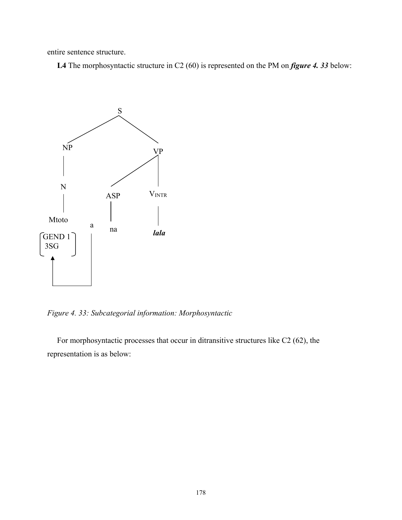entire sentence structure.

 **L4** The morphosyntactic structure in C2 (60) is represented on the PM on *figure 4. 33* below:



*Figure 4. 33: Subcategorial information: Morphosyntactic* 

 For morphosyntactic processes that occur in ditransitive structures like C2 (62), the representation is as below: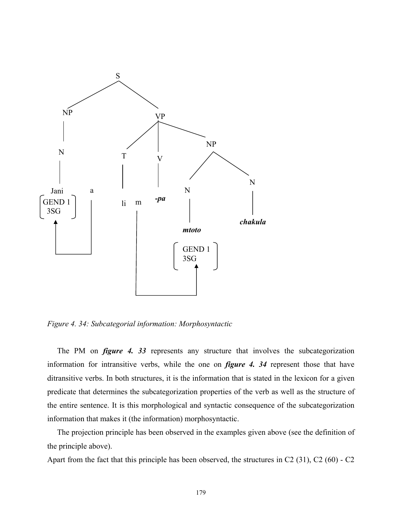

*Figure 4. 34: Subcategorial information: Morphosyntactic* 

 The PM on *figure 4. 33* represents any structure that involves the subcategorization information for intransitive verbs, while the one on *figure 4. 34* represent those that have ditransitive verbs. In both structures, it is the information that is stated in the lexicon for a given predicate that determines the subcategorization properties of the verb as well as the structure of the entire sentence. It is this morphological and syntactic consequence of the subcategorization information that makes it (the information) morphosyntactic.

 The projection principle has been observed in the examples given above (see the definition of the principle above).

Apart from the fact that this principle has been observed, the structures in C2 (31), C2 (60) - C2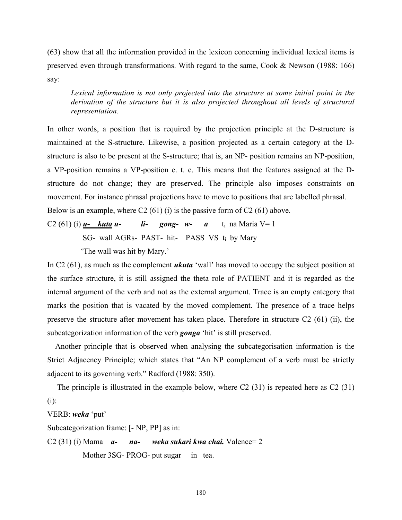(63) show that all the information provided in the lexicon concerning individual lexical items is preserved even through transformations. With regard to the same, Cook & Newson (1988: 166) say:

*Lexical information is not only projected into the structure at some initial point in the*  derivation of the structure but it is also projected throughout all levels of structural *representation.* 

In other words, a position that is required by the projection principle at the D-structure is maintained at the S-structure. Likewise, a position projected as a certain category at the Dstructure is also to be present at the S-structure; that is, an NP- position remains an NP-position, a VP-position remains a VP-position e. t. c. This means that the features assigned at the Dstructure do not change; they are preserved. The principle also imposes constraints on movement. For instance phrasal projections have to move to positions that are labelled phrasal. Below is an example, where C2 (61) (i) is the passive form of C2 (61) above.

C2 (61) (i)  $u$ - *kuta u*- *li*- *gong-*  $w$ - *a* t<sub>i</sub> na Maria V= 1

SG- wall AGRs- PAST- hit- PASS VS t<sub>i</sub> by Mary

'The wall was hit by Mary.'

In C2 (61), as much as the complement *ukuta* 'wall' has moved to occupy the subject position at the surface structure, it is still assigned the theta role of PATIENT and it is regarded as the internal argument of the verb and not as the external argument. Trace is an empty category that marks the position that is vacated by the moved complement. The presence of a trace helps preserve the structure after movement has taken place. Therefore in structure C2 (61) (ii), the subcategorization information of the verb *gonga* 'hit' is still preserved.

 Another principle that is observed when analysing the subcategorisation information is the Strict Adjacency Principle; which states that "An NP complement of a verb must be strictly adjacent to its governing verb." Radford (1988: 350).

 The principle is illustrated in the example below, where C2 (31) is repeated here as C2 (31) (i):

VERB: *weka* 'put'

Subcategorization frame: [- NP, PP] as in:

C2 (31) (i) Mama *a- na- weka sukari kwa chai.* Valence= 2 Mother 3SG- PROG- put sugar in tea.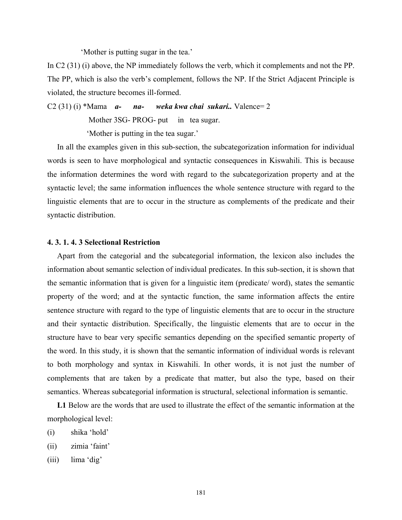'Mother is putting sugar in the tea.'

In C2 (31) (i) above, the NP immediately follows the verb, which it complements and not the PP. The PP, which is also the verb's complement, follows the NP. If the Strict Adjacent Principle is violated, the structure becomes ill-formed.

C2 (31) (i) \*Mama *a- na- weka kwa chai sukari..* Valence= 2

Mother 3SG- PROG- put in tea sugar.

'Mother is putting in the tea sugar.'

 In all the examples given in this sub-section, the subcategorization information for individual words is seen to have morphological and syntactic consequences in Kiswahili. This is because the information determines the word with regard to the subcategorization property and at the syntactic level; the same information influences the whole sentence structure with regard to the linguistic elements that are to occur in the structure as complements of the predicate and their syntactic distribution.

# **4. 3. 1. 4. 3 Selectional Restriction**

 Apart from the categorial and the subcategorial information, the lexicon also includes the information about semantic selection of individual predicates. In this sub-section, it is shown that the semantic information that is given for a linguistic item (predicate/ word), states the semantic property of the word; and at the syntactic function, the same information affects the entire sentence structure with regard to the type of linguistic elements that are to occur in the structure and their syntactic distribution. Specifically, the linguistic elements that are to occur in the structure have to bear very specific semantics depending on the specified semantic property of the word. In this study, it is shown that the semantic information of individual words is relevant to both morphology and syntax in Kiswahili. In other words, it is not just the number of complements that are taken by a predicate that matter, but also the type, based on their semantics. Whereas subcategorial information is structural, selectional information is semantic.

 **L1** Below are the words that are used to illustrate the effect of the semantic information at the morphological level:

- (i) shika 'hold'
- (ii) zimia 'faint'
- (iii) lima 'dig'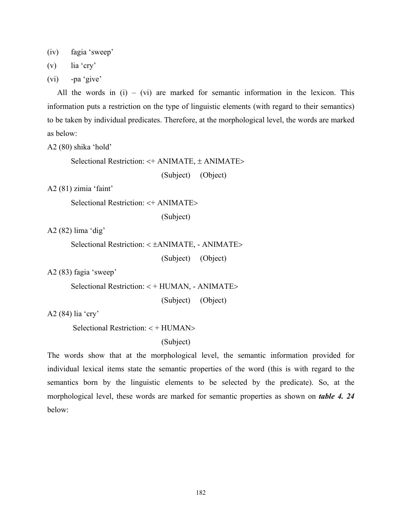(iv) fagia 'sweep'

(v) lia 'cry'

(vi) -pa 'give'

All the words in  $(i) - (vi)$  are marked for semantic information in the lexicon. This information puts a restriction on the type of linguistic elements (with regard to their semantics) to be taken by individual predicates. Therefore, at the morphological level, the words are marked as below:

A2 (80) shika 'hold'

Selectional Restriction: <+ ANIMATE, ± ANIMATE>

(Subject) (Object)

A2 (81) zimia 'faint'

Selectional Restriction: <+ ANIMATE>

(Subject)

A2 (82) lima 'dig'

Selectional Restriction: < ±ANIMATE, - ANIMATE>

(Subject) (Object)

A2 (83) fagia 'sweep'

Selectional Restriction: < + HUMAN, - ANIMATE>

(Subject) (Object)

A2 (84) lia 'cry'

Selectional Restriction: < + HUMAN>

(Subject)

The words show that at the morphological level, the semantic information provided for individual lexical items state the semantic properties of the word (this is with regard to the semantics born by the linguistic elements to be selected by the predicate). So, at the morphological level, these words are marked for semantic properties as shown on *table 4. 24*  below: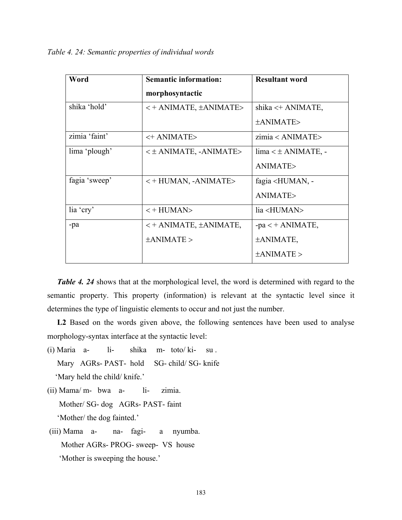*Table 4. 24: Semantic properties of individual words* 

| Word          | <b>Semantic information:</b>              | <b>Resultant word</b>               |
|---------------|-------------------------------------------|-------------------------------------|
|               | morphosyntactic                           |                                     |
| shika 'hold'  | $\lt$ + ANIMATE, $\pm$ ANIMATE>           | shika $\lt$ + ANIMATE,              |
|               |                                           | ±ANIMATE>                           |
| zimia 'faint' | <+ ANIMATE>                               | zimia < ANIMATE>                    |
| lima 'plough' | $\lt t$ ANIMATE, -ANIMATE>                | $\lim_{z \to \infty}$ ANIMATE, -    |
|               |                                           | ANIMATE>                            |
| fagia 'sweep' | $\lt$ + HUMAN, -ANIMATE>                  | fagia <human, -<="" td=""></human,> |
|               |                                           | ANIMATE>                            |
| lia 'cry'     | $\left\langle +\text{HUMAN}\right\rangle$ | lia <human></human>                 |
| -pa           | $\lt$ + ANIMATE, $\pm$ ANIMATE,           | $-pa < + ANIMATE$ ,                 |
|               | $\pm$ ANIMATE >                           | $\pm$ ANIMATE,                      |
|               |                                           | $\pm$ ANIMATE >                     |

*Table 4. 24* shows that at the morphological level, the word is determined with regard to the semantic property. This property (information) is relevant at the syntactic level since it determines the type of linguistic elements to occur and not just the number.

 **L2** Based on the words given above, the following sentences have been used to analyse morphology-syntax interface at the syntactic level:

- (i) Maria a- li- shika m- toto/ ki- su . Mary AGRs- PAST- hold SG- child/ SG- knife 'Mary held the child/ knife.'
- (ii) Mama/ m- bwa a- li- zimia. Mother/ SG- dog AGRs- PAST- faint 'Mother/ the dog fainted.'
- (iii) Mama a- na- fagi- a nyumba. Mother AGRs- PROG- sweep- VS house 'Mother is sweeping the house.'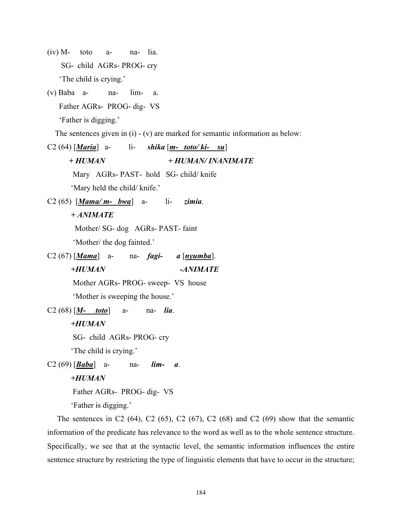- $(iv)$  M- toto a- na- lia. SG- child AGRs- PROG- cry 'The child is crying.'
- (v) Baba a- na- lim- a. Father AGRs- PROG- dig- VS 'Father is digging.'

The sentences given in (i) - (v) are marked for semantic information as below:

C2 (64) [*Maria*] a- li- *shika* [*m- toto/ ki- su*]  *+ HUMAN + HUMAN/ INANIMATE*  Mary AGRs- PAST- hold SG- child/ knife 'Mary held the child/ knife.' C2 (65) [*Mama/ m- bwa*] a- li- *zimia*.  *+ ANIMATE*  Mother/ SG- dog AGRs- PAST- faint 'Mother/ the dog fainted.' C2 (67) [*Mama*] a- na- *fagi- a* [*nyumba*].  *+HUMAN -ANIMATE*  Mother AGRs- PROG- sweep- VS house 'Mother is sweeping the house.' C2 (68) [*M- toto*] a- na- *lia*. *+HUMAN*  SG- child AGRs- PROG- cry 'The child is crying.' C2 (69) [*Baba*] a- na- *lim- a*.  *+HUMAN*  Father AGRs- PROG- dig- VS 'Father is digging.'

The sentences in C2  $(64)$ , C2  $(65)$ , C2  $(67)$ , C2  $(68)$  and C2  $(69)$  show that the semantic information of the predicate has relevance to the word as well as to the whole sentence structure. Specifically, we see that at the syntactic level, the semantic information influences the entire sentence structure by restricting the type of linguistic elements that have to occur in the structure;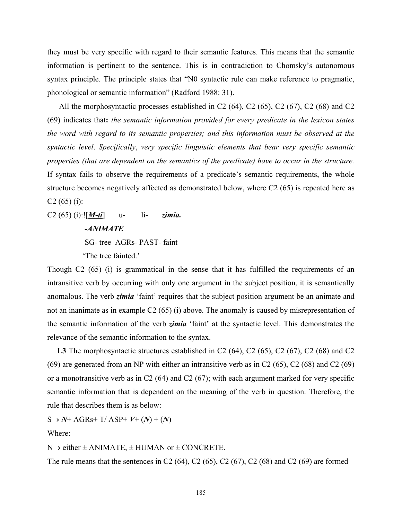they must be very specific with regard to their semantic features. This means that the semantic information is pertinent to the sentence. This is in contradiction to Chomsky's autonomous syntax principle. The principle states that "N0 syntactic rule can make reference to pragmatic, phonological or semantic information" (Radford 1988: 31).

All the morphosyntactic processes established in C2 (64), C2 (65), C2 (67), C2 (68) and C2 (69) indicates that**:** *the semantic information provided for every predicate in the lexicon states the word with regard to its semantic properties; and this information must be observed at the syntactic level*. *Specifically*, *very specific linguistic elements that bear very specific semantic properties (that are dependent on the semantics of the predicate) have to occur in the structure.* If syntax fails to observe the requirements of a predicate's semantic requirements, the whole structure becomes negatively affected as demonstrated below, where C2 (65) is repeated here as  $C2(65)(i)$ :

C2 (65) (i):![*M-ti*] u- li- *zimia. -ANIMATE*  SG- tree AGRs- PAST- faint 'The tree fainted.'

Though C2 (65) (i) is grammatical in the sense that it has fulfilled the requirements of an intransitive verb by occurring with only one argument in the subject position, it is semantically anomalous. The verb *zimia* 'faint' requires that the subject position argument be an animate and not an inanimate as in example C2 (65) (i) above. The anomaly is caused by misrepresentation of the semantic information of the verb *zimia* 'faint' at the syntactic level. This demonstrates the relevance of the semantic information to the syntax.

L3 The morphosyntactic structures established in C2 (64), C2 (65), C2 (67), C2 (68) and C2 (69) are generated from an NP with either an intransitive verb as in C2 (65), C2 (68) and C2 (69) or a monotransitive verb as in C2  $(64)$  and C2  $(67)$ ; with each argument marked for very specific semantic information that is dependent on the meaning of the verb in question. Therefore, the rule that describes them is as below:

 $S \rightarrow N^+$  AGRs+ T/ ASP+  $V^+$  (*N*) + (*N*)

Where:

 $N \rightarrow$  either  $\pm$  ANIMATE,  $\pm$  HUMAN or  $\pm$  CONCRETE.

The rule means that the sentences in C2  $(64)$ , C2  $(65)$ , C2  $(67)$ , C2  $(68)$  and C2  $(69)$  are formed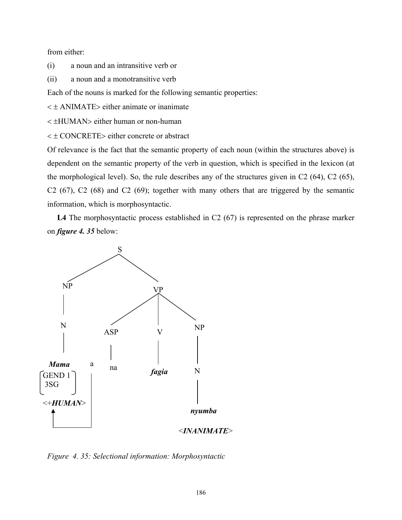from either:

(i) a noun and an intransitive verb or

(ii) a noun and a monotransitive verb

Each of the nouns is marked for the following semantic properties:

 $\lt t$  ANIMATE> either animate or inanimate

< ±HUMAN> either human or non-human

< ± CONCRETE> either concrete or abstract

Of relevance is the fact that the semantic property of each noun (within the structures above) is dependent on the semantic property of the verb in question, which is specified in the lexicon (at the morphological level). So, the rule describes any of the structures given in C2 (64), C2 (65), C2 (67), C2 (68) and C2 (69); together with many others that are triggered by the semantic information, which is morphosyntactic.

L4 The morphosyntactic process established in C2 (67) is represented on the phrase marker on *figure 4. 35* below:



*Figure 4. 35: Selectional information: Morphosyntactic*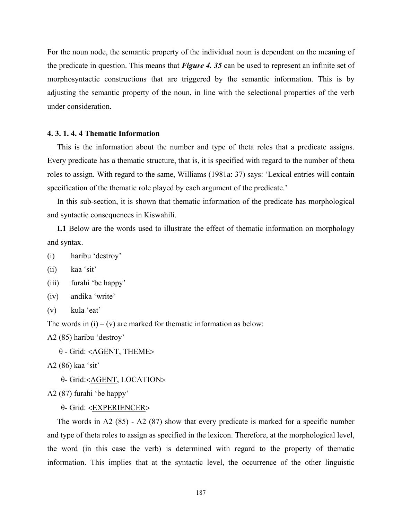For the noun node, the semantic property of the individual noun is dependent on the meaning of the predicate in question. This means that *Figure 4. 35* can be used to represent an infinite set of morphosyntactic constructions that are triggered by the semantic information. This is by adjusting the semantic property of the noun, in line with the selectional properties of the verb under consideration.

#### **4. 3. 1. 4. 4 Thematic Information**

 This is the information about the number and type of theta roles that a predicate assigns. Every predicate has a thematic structure, that is, it is specified with regard to the number of theta roles to assign. With regard to the same, Williams (1981a: 37) says: 'Lexical entries will contain specification of the thematic role played by each argument of the predicate.'

 In this sub-section, it is shown that thematic information of the predicate has morphological and syntactic consequences in Kiswahili.

 **L1** Below are the words used to illustrate the effect of thematic information on morphology and syntax.

(i) haribu 'destroy'

(ii) kaa 'sit'

(iii) furahi 'be happy'

(iv) andika 'write'

(v) kula 'eat'

The words in  $(i) - (v)$  are marked for thematic information as below:

A2 (85) haribu 'destroy'

θ - Grid: <AGENT, THEME>

A2 (86) kaa 'sit'

θ- Grid:<AGENT, LOCATION>

A2 (87) furahi 'be happy'

θ- Grid: <EXPERIENCER>

 The words in A2 (85) - A2 (87) show that every predicate is marked for a specific number and type of theta roles to assign as specified in the lexicon. Therefore, at the morphological level, the word (in this case the verb) is determined with regard to the property of thematic information. This implies that at the syntactic level, the occurrence of the other linguistic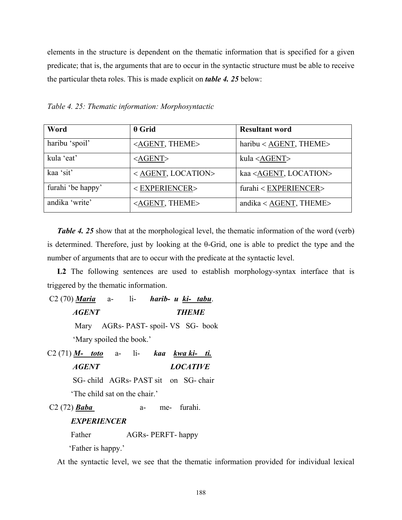elements in the structure is dependent on the thematic information that is specified for a given predicate; that is, the arguments that are to occur in the syntactic structure must be able to receive the particular theta roles. This is made explicit on *table 4. 25* below:

| Word              | $\theta$ Grid                 | <b>Resultant word</b>             |
|-------------------|-------------------------------|-----------------------------------|
| haribu 'spoil'    | <agent, theme=""></agent,>    | $haribu < AGENT$ , THEME>         |
| kula 'eat'        | $<$ AGENT>                    | kula <agent></agent>              |
| kaa 'sit'         | <agent, location=""></agent,> | kaa <agent, location=""></agent,> |
| furahi 'be happy' | <experiencer></experiencer>   | furahi < EXPERIENCER>             |
| andika 'write'    | <agent, theme=""></agent,>    | andika < $AGENT$ , THEME>         |

*Table 4. 25: Thematic information: Morphosyntactic* 

*Table 4. 25* show that at the morphological level, the thematic information of the word (verb) is determined. Therefore, just by looking at the θ-Grid, one is able to predict the type and the number of arguments that are to occur with the predicate at the syntactic level.

L2 The following sentences are used to establish morphology-syntax interface that is triggered by the thematic information.

 C2 (70) *Maria* a- li- *harib- u ki- tabu*. *AGENT THEME*  Mary AGRs- PAST- spoil- VS SG- book 'Mary spoiled the book.' C2 (71) *M- toto* a- li- *kaa kwa ki- ti. AGENT LOCATIVE* 

SG- child AGRs- PAST sit on SG- chair

'The child sat on the chair.'

C2 (72) *Baba* a- me- furahi.

# *EXPERIENCER*

Father AGRs- PERFT- happy

'Father is happy.'

At the syntactic level, we see that the thematic information provided for individual lexical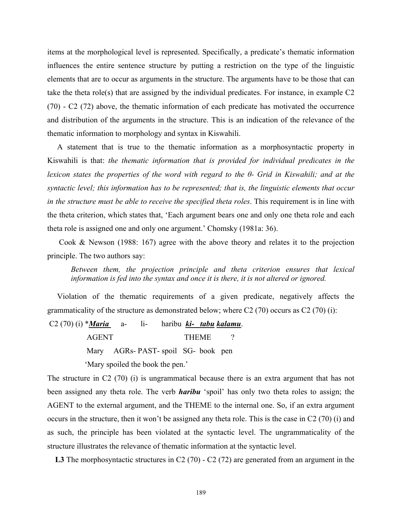items at the morphological level is represented. Specifically, a predicate's thematic information influences the entire sentence structure by putting a restriction on the type of the linguistic elements that are to occur as arguments in the structure. The arguments have to be those that can take the theta role(s) that are assigned by the individual predicates. For instance, in example C2 (70) - C2 (72) above, the thematic information of each predicate has motivated the occurrence and distribution of the arguments in the structure. This is an indication of the relevance of the thematic information to morphology and syntax in Kiswahili.

 A statement that is true to the thematic information as a morphosyntactic property in Kiswahili is that: *the thematic information that is provided for individual predicates in the lexicon states the properties of the word with regard to the θ- Grid in Kiswahili; and at the syntactic level; this information has to be represented; that is, the linguistic elements that occur in the structure must be able to receive the specified theta roles*. This requirement is in line with the theta criterion, which states that, 'Each argument bears one and only one theta role and each theta role is assigned one and only one argument.' Chomsky (1981a: 36).

 Cook & Newson (1988: 167) agree with the above theory and relates it to the projection principle. The two authors say:

*Between them, the projection principle and theta criterion ensures that lexical information is fed into the syntax and once it is there, it is not altered or ignored.* 

 Violation of the thematic requirements of a given predicate, negatively affects the grammaticality of the structure as demonstrated below; where  $C2(70)$  occurs as  $C2(70)$  (i):

 C2 (70) (i) \**Maria* a- li- haribu *ki- tabu kalamu*. AGENT THEME ? Mary AGRs- PAST- spoil SG- book pen 'Mary spoiled the book the pen.'

The structure in C2 (70) (i) is ungrammatical because there is an extra argument that has not been assigned any theta role. The verb *haribu* 'spoil' has only two theta roles to assign; the AGENT to the external argument, and the THEME to the internal one. So, if an extra argument occurs in the structure, then it won't be assigned any theta role. This is the case in C2 (70) (i) and as such, the principle has been violated at the syntactic level. The ungrammaticality of the structure illustrates the relevance of thematic information at the syntactic level.

L3 The morphosyntactic structures in C2 (70) - C2 (72) are generated from an argument in the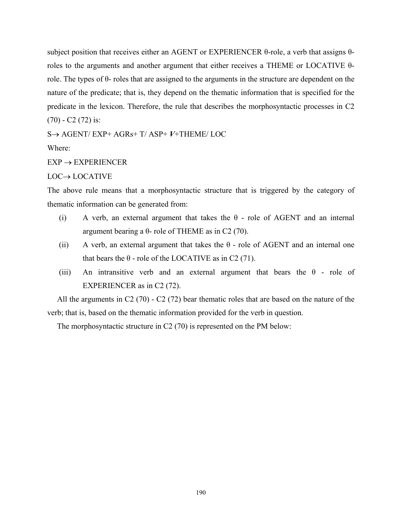subject position that receives either an AGENT or EXPERIENCER θ-role, a verb that assigns θroles to the arguments and another argument that either receives a THEME or LOCATIVE θrole. The types of  $θ$ - roles that are assigned to the arguments in the structure are dependent on the nature of the predicate; that is, they depend on the thematic information that is specified for the predicate in the lexicon. Therefore, the rule that describes the morphosyntactic processes in C2  $(70)$  - C2  $(72)$  is:

S→ AGENT/ EXP+ AGRs+ T/ ASP+ *V*+THEME/ LOC

Where:

#### $EXP \rightarrow EXPERIENCER$

#### LOC→ LOCATIVE

The above rule means that a morphosyntactic structure that is triggered by the category of thematic information can be generated from:

- (i) A verb, an external argument that takes the  $\theta$  role of AGENT and an internal argument bearing a θ- role of THEME as in C2 (70).
- (ii) A verb, an external argument that takes the  $\theta$  role of AGENT and an internal one that bears the  $θ$  - role of the LOCATIVE as in C2 (71).
- (iii) An intransitive verb and an external argument that bears the  $\theta$  role of EXPERIENCER as in C2 (72).

 All the arguments in C2 (70) - C2 (72) bear thematic roles that are based on the nature of the verb; that is, based on the thematic information provided for the verb in question.

The morphosyntactic structure in C2 (70) is represented on the PM below: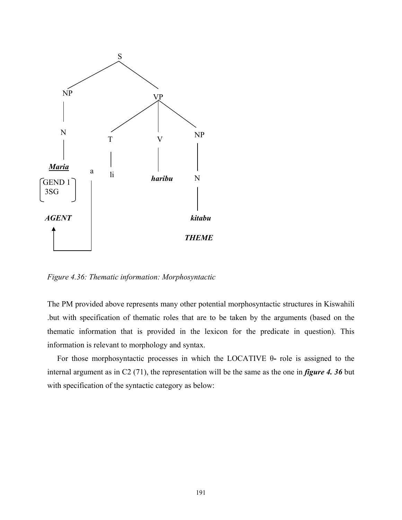

*Figure 4.36: Thematic information: Morphosyntactic* 

The PM provided above represents many other potential morphosyntactic structures in Kiswahili .but with specification of thematic roles that are to be taken by the arguments (based on the thematic information that is provided in the lexicon for the predicate in question). This information is relevant to morphology and syntax.

 For those morphosyntactic processes in which the LOCATIVE θ**-** role is assigned to the internal argument as in C2 (71), the representation will be the same as the one in *figure 4. 36* but with specification of the syntactic category as below: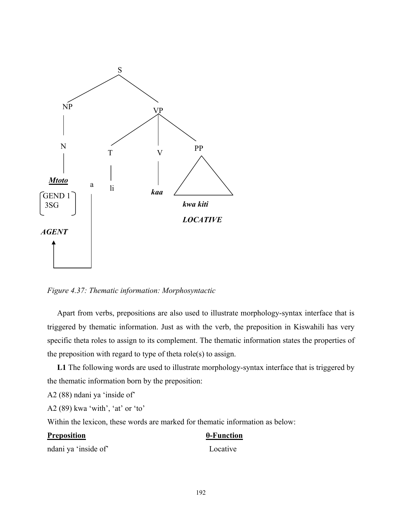

*Figure 4.37: Thematic information: Morphosyntactic* 

 Apart from verbs, prepositions are also used to illustrate morphology-syntax interface that is triggered by thematic information. Just as with the verb, the preposition in Kiswahili has very specific theta roles to assign to its complement. The thematic information states the properties of the preposition with regard to type of theta role(s) to assign.

 **L1** The following words are used to illustrate morphology-syntax interface that is triggered by the thematic information born by the preposition:

A2 (88) ndani ya 'inside of'

A2 (89) kwa 'with', 'at' or 'to'

Within the lexicon, these words are marked for thematic information as below:

## **Preposition θ-Function**

ndani ya 'inside of' Locative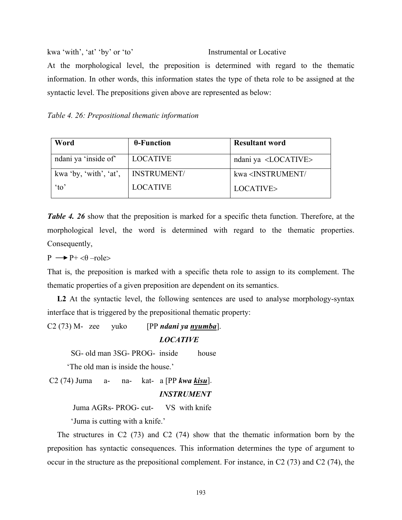kwa 'with', 'at' 'by' or 'to' Instrumental or Locative At the morphological level, the preposition is determined with regard to the thematic information. In other words, this information states the type of theta role to be assigned at the syntactic level. The prepositions given above are represented as below:

*Table 4. 26: Prepositional thematic information* 

| Word                   | $\theta$ -Function | <b>Resultant word</b>                    |
|------------------------|--------------------|------------------------------------------|
| ndani ya 'inside of'   | LOCATIVE           | ndani ya <locative></locative>           |
| kwa 'by, 'with', 'at', | <b>INSTRUMENT/</b> | kwa <instrument <="" td=""></instrument> |
| $\alpha$ <sup>'</sup>  | <b>LOCATIVE</b>    | LOCATIVE>                                |

*Table 4. 26* show that the preposition is marked for a specific theta function. Therefore, at the morphological level, the word is determined with regard to the thematic properties. Consequently,

 $P \rightarrow P^+ < \theta$  –role>

That is, the preposition is marked with a specific theta role to assign to its complement. The thematic properties of a given preposition are dependent on its semantics.

 **L2** At the syntactic level, the following sentences are used to analyse morphology-syntax interface that is triggered by the prepositional thematic property:

C2 (73) M- zee yuko [PP *ndani ya nyumba*]. *LOCATIVE* 

SG- old man 3SG- PROG- inside house

'The old man is inside the house.'

C2 (74) Juma a- na- kat- a [PP *kwa kisu*].

## *INSTRUMENT*

Juma AGRs- PROG- cut- VS with knife

'Juma is cutting with a knife.'

 The structures in C2 (73) and C2 (74) show that the thematic information born by the preposition has syntactic consequences. This information determines the type of argument to occur in the structure as the prepositional complement. For instance, in C2 (73) and C2 (74), the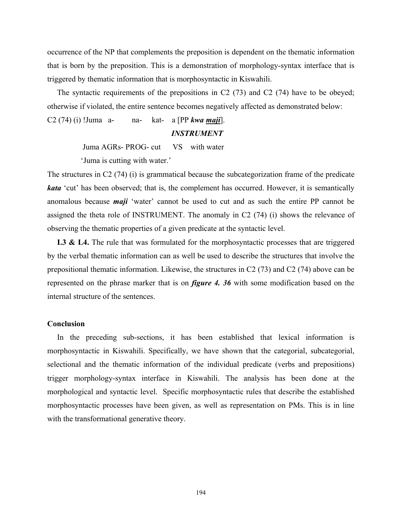occurrence of the NP that complements the preposition is dependent on the thematic information that is born by the preposition. This is a demonstration of morphology-syntax interface that is triggered by thematic information that is morphosyntactic in Kiswahili.

 The syntactic requirements of the prepositions in C2 (73) and C2 (74) have to be obeyed; otherwise if violated, the entire sentence becomes negatively affected as demonstrated below:

C2 (74) (i) !Juma a- na- kat- a [PP *kwa maji*].

### *INSTRUMENT*

Juma AGRs- PROG- cut VS with water

'Juma is cutting with water.'

The structures in C2 (74) (i) is grammatical because the subcategorization frame of the predicate *kata* 'cut' has been observed; that is, the complement has occurred. However, it is semantically anomalous because *maji* 'water' cannot be used to cut and as such the entire PP cannot be assigned the theta role of INSTRUMENT. The anomaly in C2 (74) (i) shows the relevance of observing the thematic properties of a given predicate at the syntactic level.

L3 & L4. The rule that was formulated for the morphosyntactic processes that are triggered by the verbal thematic information can as well be used to describe the structures that involve the prepositional thematic information. Likewise, the structures in C2 (73) and C2 (74) above can be represented on the phrase marker that is on *figure 4. 36* with some modification based on the internal structure of the sentences.

#### **Conclusion**

 In the preceding sub-sections, it has been established that lexical information is morphosyntactic in Kiswahili. Specifically, we have shown that the categorial, subcategorial, selectional and the thematic information of the individual predicate (verbs and prepositions) trigger morphology-syntax interface in Kiswahili. The analysis has been done at the morphological and syntactic level. Specific morphosyntactic rules that describe the established morphosyntactic processes have been given, as well as representation on PMs. This is in line with the transformational generative theory.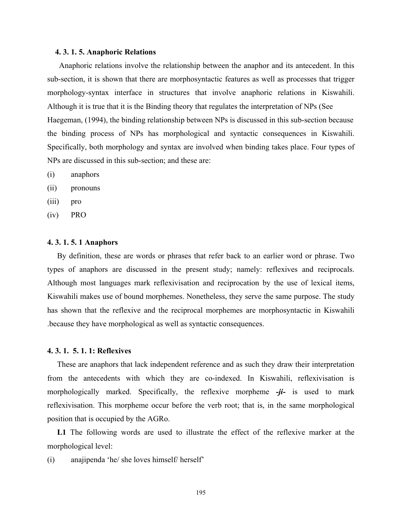#### **4. 3. 1. 5. Anaphoric Relations**

 Anaphoric relations involve the relationship between the anaphor and its antecedent. In this sub-section, it is shown that there are morphosyntactic features as well as processes that trigger morphology-syntax interface in structures that involve anaphoric relations in Kiswahili. Although it is true that it is the Binding theory that regulates the interpretation of NPs (See Haegeman, (1994), the binding relationship between NPs is discussed in this sub-section because the binding process of NPs has morphological and syntactic consequences in Kiswahili. Specifically, both morphology and syntax are involved when binding takes place. Four types of NPs are discussed in this sub-section; and these are:

- (i) anaphors
- (ii) pronouns
- (iii) pro
- (iv) PRO

#### **4. 3. 1. 5. 1 Anaphors**

 By definition, these are words or phrases that refer back to an earlier word or phrase. Two types of anaphors are discussed in the present study; namely: reflexives and reciprocals. Although most languages mark reflexivisation and reciprocation by the use of lexical items, Kiswahili makes use of bound morphemes. Nonetheless, they serve the same purpose. The study has shown that the reflexive and the reciprocal morphemes are morphosyntactic in Kiswahili .because they have morphological as well as syntactic consequences.

#### **4. 3. 1. 5. 1. 1: Reflexives**

 These are anaphors that lack independent reference and as such they draw their interpretation from the antecedents with which they are co-indexed. In Kiswahili, reflexivisation is morphologically marked. Specifically, the reflexive morpheme *-ji-* is used to mark reflexivisation. This morpheme occur before the verb root; that is, in the same morphological position that is occupied by the AGRo.

L1 The following words are used to illustrate the effect of the reflexive marker at the morphological level:

(i) anajipenda 'he/ she loves himself/ herself'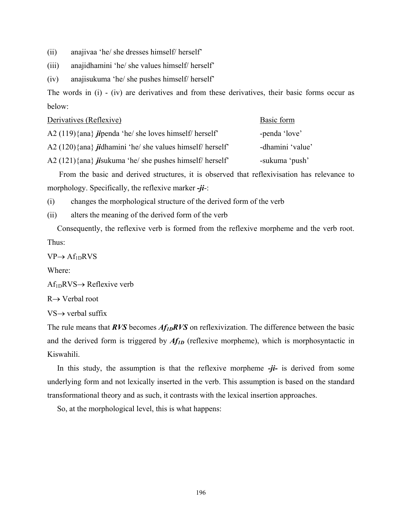- (ii) anajivaa 'he/ she dresses himself/ herself'
- (iii) anajidhamini 'he/ she values himself/ herself'

(iv) anajisukuma 'he/ she pushes himself/ herself'

The words in (i) - (iv) are derivatives and from these derivatives, their basic forms occur as below:

| Derivatives (Reflexive)                                              | Basic form       |
|----------------------------------------------------------------------|------------------|
| A2 $(119)$ {ana} <i>jipenda</i> 'he/ she loves himself/ herself'     | -penda 'love'    |
| A2 $(120)$ {ana} <i>ji</i> dhamini 'he/ she values himself/ herself' | -dhamini 'value' |
| A2 $(121)\$ {ana} <i>jisukuma</i> 'he/ she pushes himself/ herself'  | -sukuma 'push'   |
|                                                                      |                  |

 From the basic and derived structures, it is observed that reflexivisation has relevance to morphology. Specifically, the reflexive marker *-ji*-:

(i) changes the morphological structure of the derived form of the verb

(ii) alters the meaning of the derived form of the verb

 Consequently, the reflexive verb is formed from the reflexive morpheme and the verb root. Thus:

 $VP \rightarrow Af_{1D}RVS$ 

Where:

 $Af_{1D}RVS \rightarrow Reflexive verb$ 

R→ Verbal root

 $VS \rightarrow$  verbal suffix

The rule means that *RVS* becomes *Af<sub>1D</sub>RVS* on reflexivization. The difference between the basic and the derived form is triggered by  $Af_{ID}$  (reflexive morpheme), which is morphosyntactic in Kiswahili.

 In this study, the assumption is that the reflexive morpheme *-ji-* is derived from some underlying form and not lexically inserted in the verb. This assumption is based on the standard transformational theory and as such, it contrasts with the lexical insertion approaches.

So, at the morphological level, this is what happens: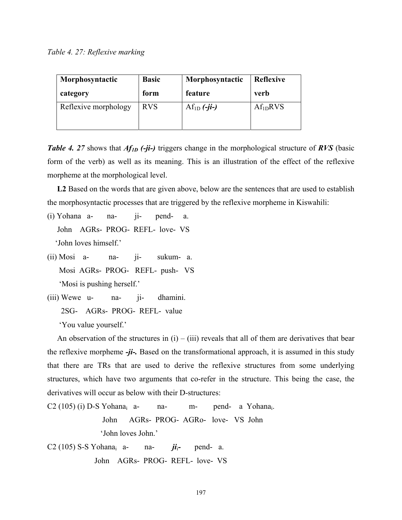*Table 4. 27: Reflexive marking* 

| Morphosyntactic      | <b>Basic</b> | Morphosyntactic | <b>Reflexive</b>     |
|----------------------|--------------|-----------------|----------------------|
| category             | form         | feature         | <b>verb</b>          |
| Reflexive morphology | <b>RVS</b>   | $Af_{1D}(-ji-)$ | Af <sub>1D</sub> RVS |

*Table 4. 27* shows that *Af<sub>1D</sub> (-ji-)* triggers change in the morphological structure of *RVS* (basic form of the verb) as well as its meaning. This is an illustration of the effect of the reflexive morpheme at the morphological level.

 **L2** Based on the words that are given above, below are the sentences that are used to establish the morphosyntactic processes that are triggered by the reflexive morpheme in Kiswahili:

- (i) Yohana a- na- ji- pend- a. John AGRs- PROG- REFL- love- VS 'John loves himself.'
- (ii) Mosi a- na- ji- sukum- a. Mosi AGRs- PROG- REFL- push- VS 'Mosi is pushing herself.'
- (iii) Wewe u- na- ji- dhamini. 2SG- AGRs- PROG- REFL- value 'You value yourself.'

An observation of the structures in  $(i) - (iii)$  reveals that all of them are derivatives that bear the reflexive morpheme *-ji-.* Based on the transformational approach, it is assumed in this study that there are TRs that are used to derive the reflexive structures from some underlying structures, which have two arguments that co-refer in the structure. This being the case, the derivatives will occur as below with their D-structures:

 $C2 (105) (i) D-S Yohana<sub>i</sub>$  a- na- m- pend- a Yohana<sub>i</sub>. John AGRs- PROG- AGRo- love- VS John 'John loves John.'

C2 (105) S-S Yohana<sub>i</sub> a- na-  $ji_i$ - pend- a. John AGRs- PROG- REFL- love- VS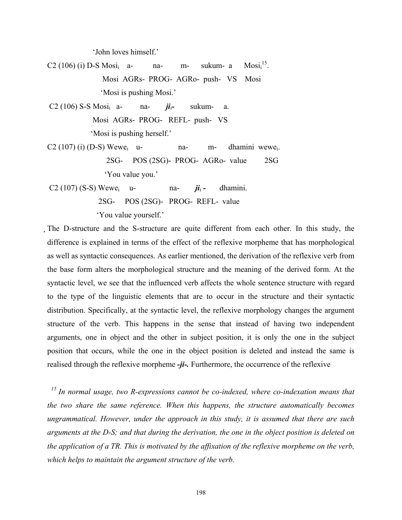'John loves himself.'

 $C2 (106)$  (i) D-S Mosi<sub>i</sub> a- na- m- sukum- a  $Mosti<sup>15</sup>$ . Mosi AGRs- PROG- AGRo- push- VS Mosi 'Mosi is pushing Mosi.'

 C2 (106) S-S Mosii a- na- *ji*i*-* sukum- a. Mosi AGRs- PROG- REFL- push- VS 'Mosi is pushing herself.'

 $C2 (107) (i) (D-S) Wewe<sub>i</sub>$  u- na- m- dhamini wewe. 2SG- POS (2SG)- PROG- AGRo- value 2SG 'You value you.'

C2 (107) (S-S) Wewe<sub>i</sub> u- na-  $\vec{\mu}_i$ - dhamini. 2SG- POS (2SG)- PROG- REFL- value 'You value yourself.'

The D-structure and the S-structure are quite different from each other. In this study, the difference is explained in terms of the effect of the reflexive morpheme that has morphological as well as syntactic consequences. As earlier mentioned, the derivation of the reflexive verb from the base form alters the morphological structure and the meaning of the derived form. At the syntactic level, we see that the influenced verb affects the whole sentence structure with regard to the type of the linguistic elements that are to occur in the structure and their syntactic distribution. Specifically, at the syntactic level, the reflexive morphology changes the argument structure of the verb. This happens in the sense that instead of having two independent arguments, one in object and the other in subject position, it is only the one in the subject position that occurs, while the one in the object position is deleted and instead the same is realised through the reflexive morpheme *-ji-.* Furthermore, the occurrence of the reflexive

 *15 In normal usage, two R-expressions cannot be co-indexed, where co-indexation means that the two share the same reference. When this happens, the structure automatically becomes ungrammatical. However, under the approach in this study, it is assumed that there are such arguments at the D-S; and that during the derivation, the one in the object position is deleted on the application of a TR. This is motivated by the affixation of the reflexive morpheme on the verb, which helps to maintain the argument structure of the verb.*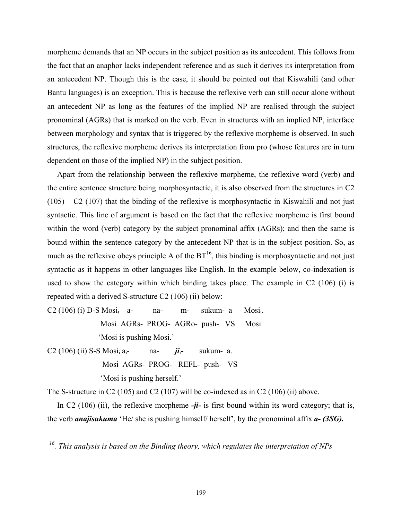morpheme demands that an NP occurs in the subject position as its antecedent. This follows from the fact that an anaphor lacks independent reference and as such it derives its interpretation from an antecedent NP. Though this is the case, it should be pointed out that Kiswahili (and other Bantu languages) is an exception. This is because the reflexive verb can still occur alone without an antecedent NP as long as the features of the implied NP are realised through the subject pronominal (AGRs) that is marked on the verb. Even in structures with an implied NP, interface between morphology and syntax that is triggered by the reflexive morpheme is observed. In such structures, the reflexive morpheme derives its interpretation from pro (whose features are in turn dependent on those of the implied NP) in the subject position.

 Apart from the relationship between the reflexive morpheme, the reflexive word (verb) and the entire sentence structure being morphosyntactic, it is also observed from the structures in C2  $(105) - C2$  (107) that the binding of the reflexive is morphosyntactic in Kiswahili and not just syntactic. This line of argument is based on the fact that the reflexive morpheme is first bound within the word (verb) category by the subject pronominal affix (AGRs); and then the same is bound within the sentence category by the antecedent NP that is in the subject position. So, as much as the reflexive obeys principle A of the  $BT^{16}$ , this binding is morphosyntactic and not just syntactic as it happens in other languages like English. In the example below, co-indexation is used to show the category within which binding takes place. The example in C2 (106) (i) is repeated with a derived S-structure C2 (106) (ii) below:

 $C2 (106) (i) D-S Mosi<sub>i</sub>$  a- na- m- sukum- a Mosi<sub>i</sub>. Mosi AGRs- PROG- AGRo- push- VS Mosi 'Mosi is pushing Mosi.'

C2 (106) (ii) S-S Mosii ai- na- *ji*i*-* sukum- a. Mosi AGRs- PROG- REFL- push- VS 'Mosi is pushing herself.'

The S-structure in C2 (105) and C2 (107) will be co-indexed as in C2 (106) (ii) above.

 In C2 (106) (ii), the reflexive morpheme *-ji-* is first bound within its word category; that is, the verb *anajisukuma* 'He/ she is pushing himself/ herself', by the pronominal affix *a- (3SG).*

*16. This analysis is based on the Binding theory, which regulates the interpretation of NPs*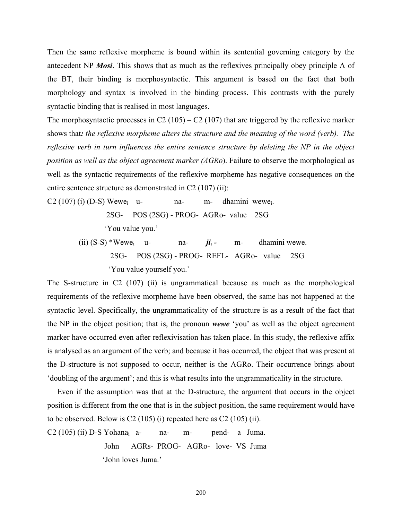Then the same reflexive morpheme is bound within its sentential governing category by the antecedent NP *Mosi*. This shows that as much as the reflexives principally obey principle A of the BT, their binding is morphosyntactic. This argument is based on the fact that both morphology and syntax is involved in the binding process. This contrasts with the purely syntactic binding that is realised in most languages.

The morphosyntactic processes in C2 (105) – C2 (107) that are triggered by the reflexive marker shows that*: the reflexive morpheme alters the structure and the meaning of the word (verb). The reflexive verb in turn influences the entire sentence structure by deleting the NP in the object position as well as the object agreement marker (AGRo*). Failure to observe the morphological as well as the syntactic requirements of the reflexive morpheme has negative consequences on the entire sentence structure as demonstrated in C2 (107) (ii):

 $C2 (107)$  (i) (D-S) Wewe<sub>i</sub> u- na- m- dhamini wewe<sub>i</sub>.

2SG- POS (2SG) - PROG- AGRo- value 2SG

'You value you.'

(ii)  $(S-S)$  \*Wewe<sub>i</sub> u- na-  $ji_i$ - m- dhamini wewe. 2SG- POS (2SG) - PROG- REFL- AGRo- value 2SG 'You value yourself you.'

The S-structure in C2 (107) (ii) is ungrammatical because as much as the morphological requirements of the reflexive morpheme have been observed, the same has not happened at the syntactic level. Specifically, the ungrammaticality of the structure is as a result of the fact that the NP in the object position; that is, the pronoun *wewe* 'you' as well as the object agreement marker have occurred even after reflexivisation has taken place. In this study, the reflexive affix is analysed as an argument of the verb; and because it has occurred, the object that was present at the D-structure is not supposed to occur, neither is the AGRo. Their occurrence brings about 'doubling of the argument'; and this is what results into the ungrammaticality in the structure.

 Even if the assumption was that at the D-structure, the argument that occurs in the object position is different from the one that is in the subject position, the same requirement would have to be observed. Below is C2 (105) (i) repeated here as C2 (105) (ii).

 $C2 (105)$  (ii) D-S Yohana<sub>i</sub> a- na- m- pend- a Juma. John AGRs- PROG- AGRo- love- VS Juma 'John loves Juma.'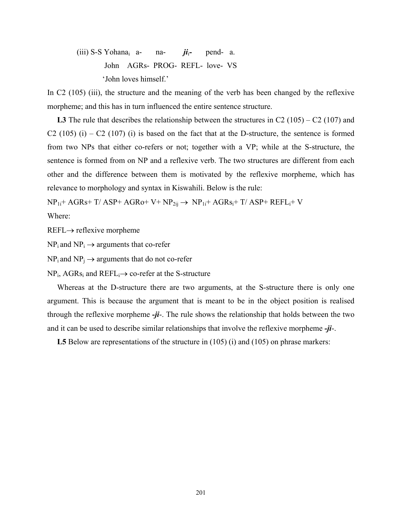(iii) S-S Yohanai a- na- *ji*i*-* pend- a. John AGRs- PROG- REFL- love- VS 'John loves himself.'

In C2 (105) (iii), the structure and the meaning of the verb has been changed by the reflexive morpheme; and this has in turn influenced the entire sentence structure.

 **L3** The rule that describes the relationship between the structures in C2 (105) – C2 (107) and C2 (105) (i) – C2 (107) (i) is based on the fact that at the D-structure, the sentence is formed from two NPs that either co-refers or not; together with a VP; while at the S-structure, the sentence is formed from on NP and a reflexive verb. The two structures are different from each other and the difference between them is motivated by the reflexive morpheme, which has relevance to morphology and syntax in Kiswahili. Below is the rule:

 $NP_{1i}$ + AGRs+ T/ ASP+ AGRo+ V+  $NP_{2ii} \rightarrow NP_{1i}$ + AGRs<sub>i</sub>+ T/ ASP+ REFL<sub>i</sub>+ V

Where:

REFL→ reflexive morpheme

 $NP_i$  and  $NP_i \rightarrow$  arguments that co-refer

 $NP_i$  and  $NP_i \rightarrow arguments$  that do not co-refer

 $NP_i$ , AGRs<sub>i</sub> and REFL<sub>i</sub> $\rightarrow$  co-refer at the S-structure

 Whereas at the D-structure there are two arguments, at the S-structure there is only one argument. This is because the argument that is meant to be in the object position is realised through the reflexive morpheme *-ji*-. The rule shows the relationship that holds between the two and it can be used to describe similar relationships that involve the reflexive morpheme *-ji*-.

 **L5** Below are representations of the structure in (105) (i) and (105) on phrase markers: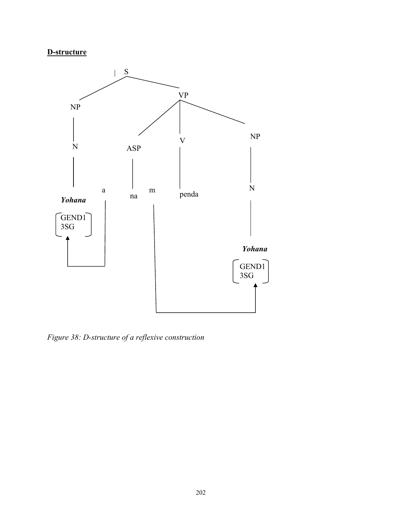# **D-structure**



*Figure 38: D-structure of a reflexive construction*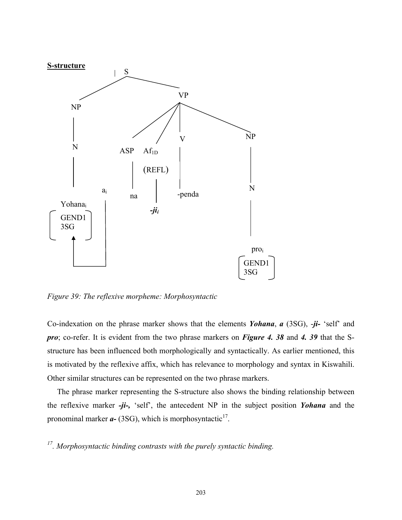

*Figure 39: The reflexive morpheme: Morphosyntactic* 

Co-indexation on the phrase marker shows that the elements *Yohana*, *a* (3SG), -*ji-* 'self' and *pro*; co-refer. It is evident from the two phrase markers on *Figure 4. 38* and *4. 39* that the Sstructure has been influenced both morphologically and syntactically. As earlier mentioned, this is motivated by the reflexive affix, which has relevance to morphology and syntax in Kiswahili. Other similar structures can be represented on the two phrase markers.

 The phrase marker representing the S-structure also shows the binding relationship between the reflexive marker *-ji-,* 'self', the antecedent NP in the subject position *Yohana* and the pronominal marker  $a-$  (3SG), which is morphosyntactic<sup>17</sup>.

*17. Morphosyntactic binding contrasts with the purely syntactic binding.*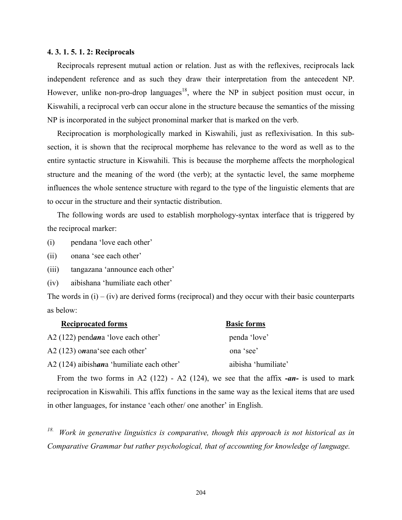# **4. 3. 1. 5. 1. 2: Reciprocals**

 Reciprocals represent mutual action or relation. Just as with the reflexives, reciprocals lack independent reference and as such they draw their interpretation from the antecedent NP. However, unlike non-pro-drop languages<sup>18</sup>, where the NP in subject position must occur, in Kiswahili, a reciprocal verb can occur alone in the structure because the semantics of the missing NP is incorporated in the subject pronominal marker that is marked on the verb.

 Reciprocation is morphologically marked in Kiswahili, just as reflexivisation. In this subsection, it is shown that the reciprocal morpheme has relevance to the word as well as to the entire syntactic structure in Kiswahili. This is because the morpheme affects the morphological structure and the meaning of the word (the verb); at the syntactic level, the same morpheme influences the whole sentence structure with regard to the type of the linguistic elements that are to occur in the structure and their syntactic distribution.

 The following words are used to establish morphology-syntax interface that is triggered by the reciprocal marker:

(i) pendana 'love each other'

(ii) onana 'see each other'

(iii) tangazana 'announce each other'

(iv) aibishana 'humiliate each other'

The words in  $(i) - (iv)$  are derived forms (reciprocal) and they occur with their basic counterparts as below:

| <b>Reciprocated forms</b>                 | <b>Basic forms</b>  |
|-------------------------------------------|---------------------|
| A2 (122) pendana 'love each other'        | penda 'love'        |
| A2 (123) onana see each other             | ona 'see'           |
| A2 (124) aibishana 'humiliate each other' | aibisha 'humiliate' |

 From the two forms in A2 (122) - A2 (124), we see that the affix *-an-* is used to mark reciprocation in Kiswahili. This affix functions in the same way as the lexical items that are used in other languages, for instance 'each other/ one another' in English.

*18. Work in generative linguistics is comparative, though this approach is not historical as in Comparative Grammar but rather psychological, that of accounting for knowledge of language.*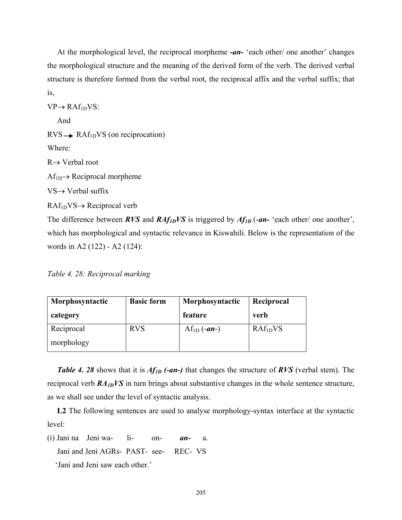At the morphological level, the reciprocal morpheme *-an-* 'each other/ one another' changes the morphological structure and the meaning of the derived form of the verb. The derived verbal structure is therefore formed from the verbal root, the reciprocal affix and the verbal suffix; that is,

 $VP \rightarrow RAf_{1D}VS$ : And  $RVS \rightarrow RAf_{1D}VS$  (on reciprocation) Where: R→ Verbal root  $Af_{1D}\rightarrow Reciprocal$  morpheme VS→ Verbal suffix RAf1DVS→ Reciprocal verb The difference between *RVS* and *RAf<sub>1D</sub>VS* is triggered by *Af<sub>1D</sub>* (-*an*- 'each other' one another', which has morphological and syntactic relevance in Kiswahili. Below is the representation of the

*Table 4. 28: Reciprocal marking* 

words in A2 (122) - A2 (124):

| Morphosyntactic | <b>Basic form</b> | Morphosyntactic | Reciprocal           |
|-----------------|-------------------|-----------------|----------------------|
| category        |                   | feature         | verb                 |
| Reciprocal      | <b>RVS</b>        | $Af_{1D}(-an-)$ | RAf <sub>1D</sub> VS |
| morphology      |                   |                 |                      |

 *Table 4. 28* shows that it is *Af1D (-an-)* that changes the structure of *RVS* (verbal stem). The reciprocal verb *RA1DVS* in turn brings about substantive changes in the whole sentence structure, as we shall see under the level of syntactic analysis.

 **L2** The following sentences are used to analyse morphology-syntax interface at the syntactic level:

(i) Jani na Jeni wa- li- on- *an-* a. Jani and Jeni AGRs- PAST- see- REC- VS 'Jani and Jeni saw each other.'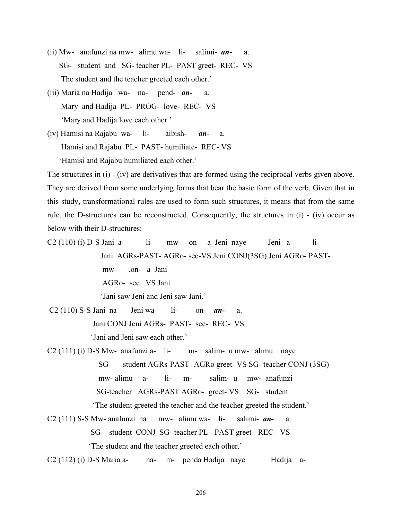- (ii) Mw- anafunzi na mw- alimu wa- li- salimi- *an-* a. SG- student and SG- teacher PL- PAST greet- REC- VS The student and the teacher greeted each other.'
- (iii) Maria na Hadija wa- na- pend- *an-* a. Mary and Hadija PL- PROG- love- REC- VS 'Mary and Hadija love each other.'
- (iv) Hamisi na Rajabu wa- li- aibish- *an* a. Hamisi and Rajabu PL- PAST- humiliate- REC- VS 'Hamisi and Rajabu humiliated each other.'

The structures in (i) - (iv) are derivatives that are formed using the reciprocal verbs given above. They are derived from some underlying forms that bear the basic form of the verb. Given that in this study, transformational rules are used to form such structures, it means that from the same rule, the D-structures can be reconstructed. Consequently, the structures in (i) - (iv) occur as below with their D-structures:

- $C2(110)$  (i) D-S Jani a- li- mw- on- a Jeni naye Jeni a- li- Jani AGRs-PAST- AGRo- see-VS Jeni CONJ(3SG) Jeni AGRo- PAST mw- on- a Jani AGRo- see VS Jani 'Jani saw Jeni and Jeni saw Jani.'
- C2 (110) S-S Jani na Jeni wa- li- on- *an-* a. Jani CONJ Jeni AGRs- PAST- see- REC- VS 'Jani and Jeni saw each other.'
- $C2$  (111) (i) D-S Mw- anafunzi a- li- m- salim- u mw- alimu naye SG- student AGRs-PAST- AGRo greet- VS SG- teacher CONJ (3SG) mw- alimu a- li- m- salim- u mw- anafunzi SG-teacher AGRs-PAST AGRo- greet- VS SG- student 'The student greeted the teacher and the teacher greeted the student.'
- C2 (111) S-S Mw- anafunzi na mw- alimu wa- li- salimi- *an-* a. SG- student CONJ SG- teacher PL- PAST greet- REC- VS 'The student and the teacher greeted each other.'

C2 (112) (i) D-S Maria a- na- m- penda Hadija naye Hadija a-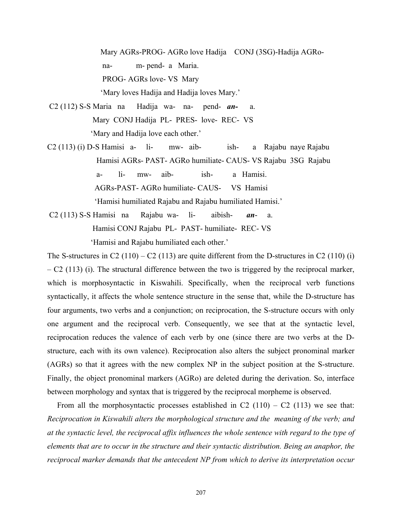Mary AGRs-PROG- AGRo love Hadija CONJ (3SG)-Hadija AGRo na- m- pend- a Maria. PROG- AGRs love- VS Mary 'Mary loves Hadija and Hadija loves Mary.'

 C2 (112) S-S Maria na Hadija wa- na- pend- *an-* a. Mary CONJ Hadija PL- PRES- love- REC- VS 'Mary and Hadija love each other.'

C2 (113) (i) D-S Hamisi a- li- mw- aib- ish- a Rajabu naye Rajabu Hamisi AGRs- PAST- AGRo humiliate- CAUS- VS Rajabu 3SG Rajabu a- li- mw- aib- ish- a Hamisi. AGRs-PAST- AGRo humiliate- CAUS- VS Hamisi 'Hamisi humiliated Rajabu and Rajabu humiliated Hamisi.'

 C2 (113) S-S Hamisi na Rajabu wa- li- aibish- *an*- a. Hamisi CONJ Rajabu PL- PAST- humiliate- REC- VS 'Hamisi and Rajabu humiliated each other.'

The S-structures in C2 (110) – C2 (113) are quite different from the D-structures in C2 (110) (i)  $-$  C2 (113) (i). The structural difference between the two is triggered by the reciprocal marker, which is morphosyntactic in Kiswahili. Specifically, when the reciprocal verb functions syntactically, it affects the whole sentence structure in the sense that, while the D-structure has four arguments, two verbs and a conjunction; on reciprocation, the S-structure occurs with only one argument and the reciprocal verb. Consequently, we see that at the syntactic level, reciprocation reduces the valence of each verb by one (since there are two verbs at the Dstructure, each with its own valence). Reciprocation also alters the subject pronominal marker (AGRs) so that it agrees with the new complex NP in the subject position at the S-structure. Finally, the object pronominal markers (AGRo) are deleted during the derivation. So, interface between morphology and syntax that is triggered by the reciprocal morpheme is observed.

From all the morphosyntactic processes established in C2  $(110) - C2$   $(113)$  we see that: *Reciprocation in Kiswahili alters the morphological structure and the meaning of the verb; and at the syntactic level, the reciprocal affix influences the whole sentence with regard to the type of elements that are to occur in the structure and their syntactic distribution. Being an anaphor, the reciprocal marker demands that the antecedent NP from which to derive its interpretation occur*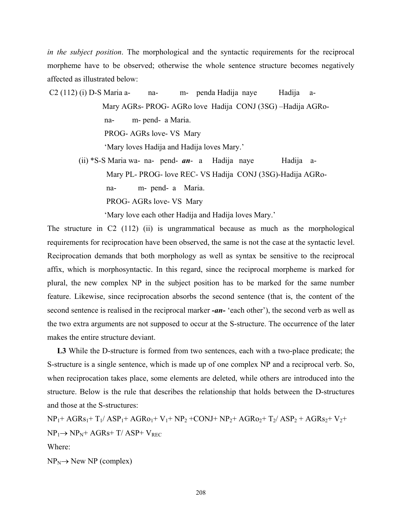*in the subject position*. The morphological and the syntactic requirements for the reciprocal morpheme have to be observed; otherwise the whole sentence structure becomes negatively affected as illustrated below:

 C2 (112) (i) D-S Maria a- na- m- penda Hadija naye Hadija a- Mary AGRs- PROG- AGRo love Hadija CONJ (3SG) –Hadija AGRo na- m- pend- a Maria. PROG- AGRs love- VS Mary

'Mary loves Hadija and Hadija loves Mary.'

 (ii) \*S-S Maria wa- na- pend- *an*- a Hadija naye Hadija a- Mary PL- PROG- love REC- VS Hadija CONJ (3SG)-Hadija AGRo na- m- pend- a Maria. PROG- AGRs love- VS Mary

'Mary love each other Hadija and Hadija loves Mary.'

The structure in C2 (112) (ii) is ungrammatical because as much as the morphological requirements for reciprocation have been observed, the same is not the case at the syntactic level. Reciprocation demands that both morphology as well as syntax be sensitive to the reciprocal affix, which is morphosyntactic. In this regard, since the reciprocal morpheme is marked for plural, the new complex NP in the subject position has to be marked for the same number feature. Likewise, since reciprocation absorbs the second sentence (that is, the content of the second sentence is realised in the reciprocal marker *-an-* 'each other'), the second verb as well as the two extra arguments are not supposed to occur at the S-structure. The occurrence of the later makes the entire structure deviant.

 **L3** While the D-structure is formed from two sentences, each with a two-place predicate; the S-structure is a single sentence, which is made up of one complex NP and a reciprocal verb. So, when reciprocation takes place, some elements are deleted, while others are introduced into the structure. Below is the rule that describes the relationship that holds between the D-structures and those at the S-structures:

 $NP_1+AGRs_1+T_1/ASP_1+AGRo_1+V_1+NP_2+CONJ+NP_2+AGRo_2+T_2/ASP_2+AGRs_2+V_2+$  $NP_1 \rightarrow NP_N + AGRs + T/ ASP + V_{REC}$ Where:

 $NP_N \rightarrow New NP$  (complex)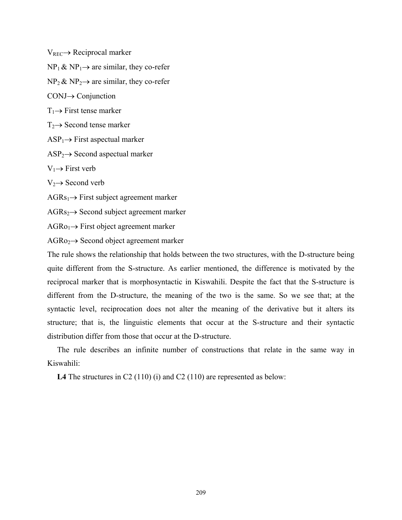$V_{REC} \rightarrow Reciprocal marker$ 

 $NP_1 \& NP_1 \rightarrow$  are similar, they co-refer

 $NP_2 \& NP_2 \rightarrow$  are similar, they co-refer

CONJ→ Conjunction

 $T_1 \rightarrow$  First tense marker

 $T_2 \rightarrow$  Second tense marker

 $ASP_1 \rightarrow First$  aspectual marker

 $ASP_2 \rightarrow Second$  aspectual marker

 $V_1 \rightarrow$  First verb

 $V_2 \rightarrow$  Second verb

 $AGRs<sub>1</sub> \rightarrow$  First subject agreement marker

 $AGRs<sub>2</sub> \rightarrow$  Second subject agreement marker

 $AGRo_1 \rightarrow$  First object agreement marker

 $AGRo<sub>2</sub> \rightarrow$  Second object agreement marker

The rule shows the relationship that holds between the two structures, with the D-structure being quite different from the S-structure. As earlier mentioned, the difference is motivated by the reciprocal marker that is morphosyntactic in Kiswahili. Despite the fact that the S-structure is different from the D-structure, the meaning of the two is the same. So we see that; at the syntactic level, reciprocation does not alter the meaning of the derivative but it alters its structure; that is, the linguistic elements that occur at the S-structure and their syntactic distribution differ from those that occur at the D-structure.

 The rule describes an infinite number of constructions that relate in the same way in Kiswahili:

**L4** The structures in C2 (110) (i) and C2 (110) are represented as below: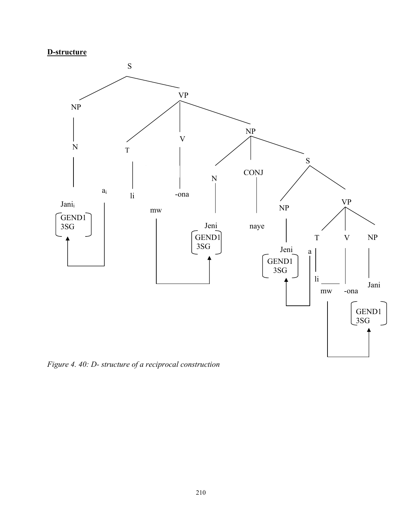# **D-structure**



*Figure 4. 40: D- structure of a reciprocal construction*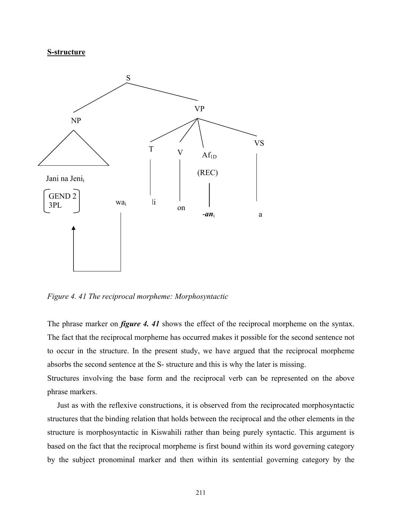## **S-structure**



*Figure 4. 41 The reciprocal morpheme: Morphosyntactic* 

The phrase marker on *figure 4. 41* shows the effect of the reciprocal morpheme on the syntax. The fact that the reciprocal morpheme has occurred makes it possible for the second sentence not to occur in the structure. In the present study, we have argued that the reciprocal morpheme absorbs the second sentence at the S- structure and this is why the later is missing.

Structures involving the base form and the reciprocal verb can be represented on the above phrase markers.

 Just as with the reflexive constructions, it is observed from the reciprocated morphosyntactic structures that the binding relation that holds between the reciprocal and the other elements in the structure is morphosyntactic in Kiswahili rather than being purely syntactic. This argument is based on the fact that the reciprocal morpheme is first bound within its word governing category by the subject pronominal marker and then within its sentential governing category by the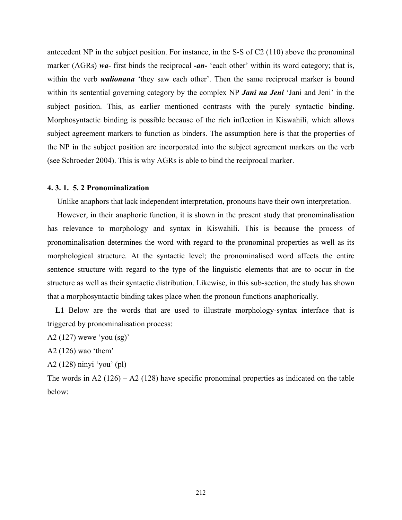antecedent NP in the subject position. For instance, in the S-S of C2 (110) above the pronominal marker (AGRs) *wa*- first binds the reciprocal *-an-* 'each other' within its word category; that is, within the verb *walionana* 'they saw each other'. Then the same reciprocal marker is bound within its sentential governing category by the complex NP *Jani na Jeni* 'Jani and Jeni' in the subject position. This, as earlier mentioned contrasts with the purely syntactic binding. Morphosyntactic binding is possible because of the rich inflection in Kiswahili, which allows subject agreement markers to function as binders. The assumption here is that the properties of the NP in the subject position are incorporated into the subject agreement markers on the verb (see Schroeder 2004). This is why AGRs is able to bind the reciprocal marker.

# **4. 3. 1. 5. 2 Pronominalization**

Unlike anaphors that lack independent interpretation, pronouns have their own interpretation.

 However, in their anaphoric function, it is shown in the present study that pronominalisation has relevance to morphology and syntax in Kiswahili. This is because the process of pronominalisation determines the word with regard to the pronominal properties as well as its morphological structure. At the syntactic level; the pronominalised word affects the entire sentence structure with regard to the type of the linguistic elements that are to occur in the structure as well as their syntactic distribution. Likewise, in this sub-section, the study has shown that a morphosyntactic binding takes place when the pronoun functions anaphorically.

 **L1** Below are the words that are used to illustrate morphology-syntax interface that is triggered by pronominalisation process:

A2 (127) wewe 'you (sg)'

A2 (126) wao 'them'

A2 (128) ninyi 'you' (pl)

The words in A2 (126) – A2 (128) have specific pronominal properties as indicated on the table below: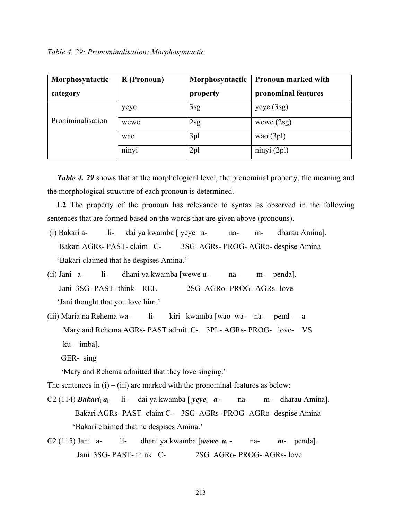| Morphosyntactic   | R (Pronoun) | Morphosyntactic | <b>Pronoun marked with</b> |
|-------------------|-------------|-----------------|----------------------------|
| category          |             | property        | pronominal features        |
|                   | yeye        | 3sg             | yeye(3sg)                  |
| Proniminalisation | wewe        | 2sg             | wewe $(2sg)$               |
|                   | wao         | 3pl             | wao $(3pl)$                |
|                   | ninyi       | 2 <sub>pl</sub> | ninyi(2pl)                 |

*Table 4. 29* shows that at the morphological level, the pronominal property, the meaning and the morphological structure of each pronoun is determined.

 **L2** The property of the pronoun has relevance to syntax as observed in the following sentences that are formed based on the words that are given above (pronouns).

- (i) Bakari a- li- dai ya kwamba [ yeye a- na- m- dharau Amina]. Bakari AGRs- PAST- claim C- 3SG AGRs- PROG- AGRo- despise Amina 'Bakari claimed that he despises Amina.'
- (ii) Jani a- li- dhani ya kwamba [wewe u- na- m- penda]. Jani 3SG- PAST- think REL 2SG AGRo- PROG- AGRs- love 'Jani thought that you love him.'
- (iii) Maria na Rehema wa- li- kiri kwamba [wao wa- na- pend- a Mary and Rehema AGRs- PAST admit C- 3PL- AGRs- PROG- love- VS ku- imba].
	- GER- sing

'Mary and Rehema admitted that they love singing.'

The sentences in  $(i) - (iii)$  are marked with the pronominal features as below:

C2 (114) *Bakari*i *a*i- li- dai ya kwamba [ *yeye*i *a*- na- m- dharau Amina]. Bakari AGRs- PAST- claim C- 3SG AGRs- PROG- AGRo- despise Amina 'Bakari claimed that he despises Amina.'

C2 (115) Jani a- li- dhani ya kwamba [*wewe*<sup>i</sup> *u*<sup>i</sup> *-* na- *m*- penda]. Jani 3SG- PAST- think C- 2SG AGRo- PROG- AGRs- love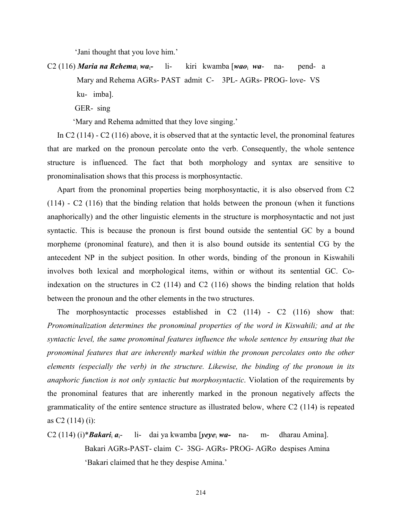'Jani thought that you love him.'

C2 (116) *Maria na Rehema*i *wa*i*-* li- kiri kwamba [*wao*i *wa*- na- pend- a Mary and Rehema AGRs- PAST admit C- 3PL- AGRs- PROG- love- VS ku- imba].

GER- sing

'Mary and Rehema admitted that they love singing.'

 In C2 (114) - C2 (116) above, it is observed that at the syntactic level, the pronominal features that are marked on the pronoun percolate onto the verb. Consequently, the whole sentence structure is influenced. The fact that both morphology and syntax are sensitive to pronominalisation shows that this process is morphosyntactic.

 Apart from the pronominal properties being morphosyntactic, it is also observed from C2 (114) - C2 (116) that the binding relation that holds between the pronoun (when it functions anaphorically) and the other linguistic elements in the structure is morphosyntactic and not just syntactic. This is because the pronoun is first bound outside the sentential GC by a bound morpheme (pronominal feature), and then it is also bound outside its sentential CG by the antecedent NP in the subject position. In other words, binding of the pronoun in Kiswahili involves both lexical and morphological items, within or without its sentential GC. Coindexation on the structures in C2 (114) and C2 (116) shows the binding relation that holds between the pronoun and the other elements in the two structures.

 The morphosyntactic processes established in C2 (114) - C2 (116) show that: *Pronominalization determines the pronominal properties of the word in Kiswahili; and at the syntactic level, the same pronominal features influence the whole sentence by ensuring that the pronominal features that are inherently marked within the pronoun percolates onto the other elements (especially the verb) in the structure. Likewise, the binding of the pronoun in its anaphoric function is not only syntactic but morphosyntactic*. Violation of the requirements by the pronominal features that are inherently marked in the pronoun negatively affects the grammaticality of the entire sentence structure as illustrated below, where C2 (114) is repeated as C2 (114) (i):

C2 (114) (i)\**Bakari*<sup>i</sup> *a*i- li- dai ya kwamba [*yeye*i *wa-* na- m- dharau Amina]. Bakari AGRs-PAST- claim C- 3SG- AGRs- PROG- AGRo despises Amina 'Bakari claimed that he they despise Amina.'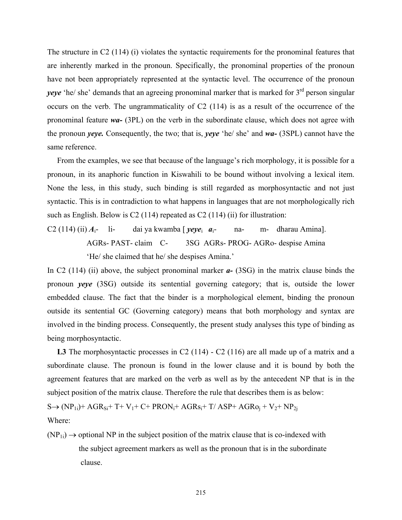The structure in C2 (114) (i) violates the syntactic requirements for the pronominal features that are inherently marked in the pronoun. Specifically, the pronominal properties of the pronoun have not been appropriately represented at the syntactic level. The occurrence of the pronoun *yeye* 'he/ she' demands that an agreeing pronominal marker that is marked for 3<sup>rd</sup> person singular occurs on the verb. The ungrammaticality of C2 (114) is as a result of the occurrence of the pronominal feature *wa-* (3PL) on the verb in the subordinate clause, which does not agree with the pronoun *yeye.* Consequently, the two; that is, *yeye* 'he/ she' and *wa-* (3SPL) cannot have the same reference.

 From the examples, we see that because of the language's rich morphology, it is possible for a pronoun, in its anaphoric function in Kiswahili to be bound without involving a lexical item. None the less, in this study, such binding is still regarded as morphosyntactic and not just syntactic. This is in contradiction to what happens in languages that are not morphologically rich such as English. Below is C2 (114) repeated as C2 (114) (ii) for illustration:

C2 (114) (ii)  $A_i$ - li- dai ya kwamba [*yeye<sub>i</sub> a<sub>i</sub>- na- m- dharau Amina*]. AGRs- PAST- claim C- 3SG AGRs- PROG- AGRo- despise Amina 'He/ she claimed that he/ she despises Amina.'

In C2 (114) (ii) above, the subject pronominal marker *a-* (3SG) in the matrix clause binds the pronoun *yeye* (3SG) outside its sentential governing category; that is, outside the lower embedded clause. The fact that the binder is a morphological element, binding the pronoun outside its sentential GC (Governing category) means that both morphology and syntax are involved in the binding process. Consequently, the present study analyses this type of binding as being morphosyntactic.

L3 The morphosyntactic processes in C2 (114) - C2 (116) are all made up of a matrix and a subordinate clause. The pronoun is found in the lower clause and it is bound by both the agreement features that are marked on the verb as well as by the antecedent NP that is in the subject position of the matrix clause. Therefore the rule that describes them is as below:

 $S \rightarrow (NP_{1i})+AGR_{Si}+T+V_1+C+PRON_i+AGRs_i+T/ASP+AGRo_i+V_2+NP_{2i}$ Where:

 $(NP_{1i}) \rightarrow$  optional NP in the subject position of the matrix clause that is co-indexed with the subject agreement markers as well as the pronoun that is in the subordinate clause.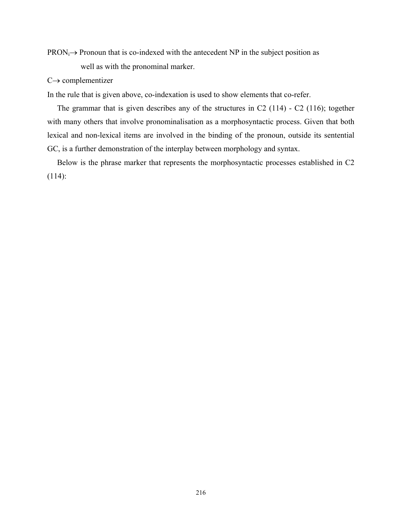$PRON_i \rightarrow$  Pronoun that is co-indexed with the antecedent NP in the subject position as well as with the pronominal marker.

# $C \rightarrow$  complementizer

In the rule that is given above, co-indexation is used to show elements that co-refer.

 The grammar that is given describes any of the structures in C2 (114) - C2 (116); together with many others that involve pronominalisation as a morphosyntactic process. Given that both lexical and non-lexical items are involved in the binding of the pronoun, outside its sentential GC, is a further demonstration of the interplay between morphology and syntax.

 Below is the phrase marker that represents the morphosyntactic processes established in C2 (114):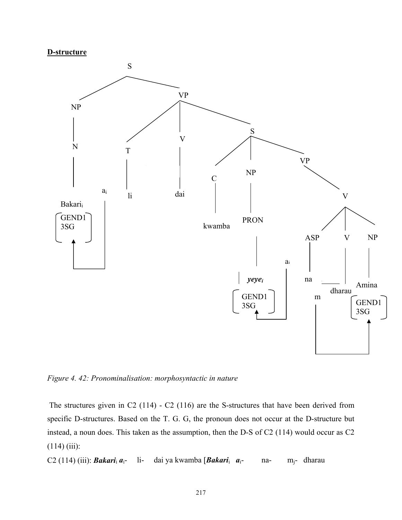#### **D-structure**



*Figure 4. 42: Pronominalisation: morphosyntactic in nature* 

 The structures given in C2 (114) - C2 (116) are the S-structures that have been derived from specific D-structures. Based on the T. G. G, the pronoun does not occur at the D-structure but instead, a noun does. This taken as the assumption, then the D-S of C2 (114) would occur as C2  $(114)$  (iii):

C2 (114) (iii): *Bakari*i *a*i- li- dai ya kwamba [*Bakari*i *a*i- na- mj- dharau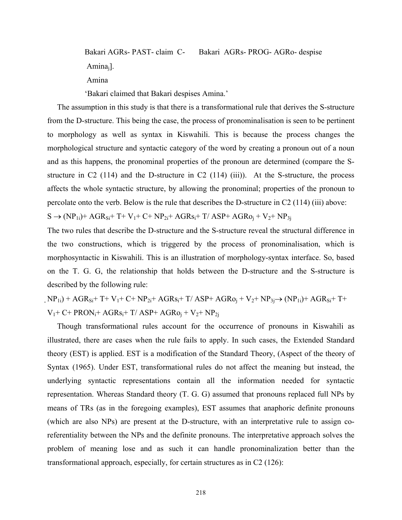Bakari AGRs- PAST- claim C- Bakari AGRs- PROG- AGRo- despise Aminaj].

Amina

'Bakari claimed that Bakari despises Amina.'

 The assumption in this study is that there is a transformational rule that derives the S-structure from the D-structure. This being the case, the process of pronominalisation is seen to be pertinent to morphology as well as syntax in Kiswahili. This is because the process changes the morphological structure and syntactic category of the word by creating a pronoun out of a noun and as this happens, the pronominal properties of the pronoun are determined (compare the Sstructure in  $C2$  (114) and the D-structure in  $C2$  (114) (iii)). At the S-structure, the process affects the whole syntactic structure, by allowing the pronominal; properties of the pronoun to percolate onto the verb. Below is the rule that describes the D-structure in C2 (114) (iii) above:

 $S \rightarrow (NP_{1i})+AGR_{Si}+T+V_1+C+NP_{2i}+AGRs_i+T/ASP+AGRo_i+V_2+NP_{3i}$ 

The two rules that describe the D-structure and the S-structure reveal the structural difference in the two constructions, which is triggered by the process of pronominalisation, which is morphosyntactic in Kiswahili. This is an illustration of morphology-syntax interface. So, based on the T. G. G, the relationship that holds between the D-structure and the S-structure is described by the following rule:

 $N_{1i}$ ) + AGR<sub>Si</sub>+ T + V<sub>1</sub> + C + NP<sub>2i</sub> + AGRs<sub>i</sub> + T / ASP + AGR<sub>0i</sub> + V<sub>2</sub> + NP<sub>3i</sub>  $\rightarrow$  (NP<sub>1i</sub>) + AGR<sub>Si</sub> + T +  $V_1$ + C+ PRON<sub>i</sub>+ AGR<sub>Si</sub>+ T/ ASP+ AGR<sub>Oi</sub> +  $V_2$ + NP<sub>2i</sub>

 Though transformational rules account for the occurrence of pronouns in Kiswahili as illustrated, there are cases when the rule fails to apply. In such cases, the Extended Standard theory (EST) is applied. EST is a modification of the Standard Theory, (Aspect of the theory of Syntax (1965). Under EST, transformational rules do not affect the meaning but instead, the underlying syntactic representations contain all the information needed for syntactic representation. Whereas Standard theory (T. G. G) assumed that pronouns replaced full NPs by means of TRs (as in the foregoing examples), EST assumes that anaphoric definite pronouns (which are also NPs) are present at the D-structure, with an interpretative rule to assign coreferentiality between the NPs and the definite pronouns. The interpretative approach solves the problem of meaning lose and as such it can handle pronominalization better than the transformational approach, especially, for certain structures as in C2 (126):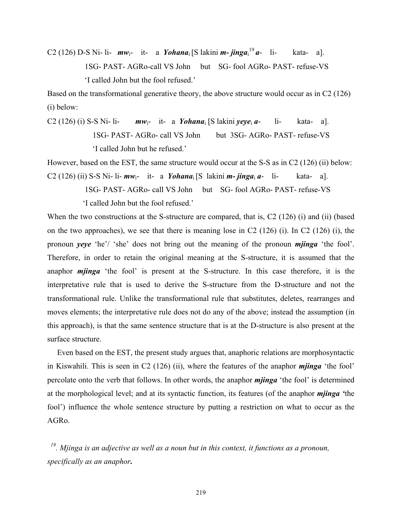C2 (126) D-S Ni- li-  $mw_i$ - it- a *Yohana*<sub>i</sub> [S lakini *m- jinga*<sub>i</sub><sup>19</sup> a- li- kata- a]. 1SG- PAST- AGRo-call VS John but SG- fool AGRo- PAST- refuse-VS 'I called John but the fool refused.'

Based on the transformational generative theory, the above structure would occur as in C2 (126) (i) below:

C2 (126) (i) S-S Ni- li-  $mw_i$ - it- a *Yohana*<sub>i</sub> [S lakini *yeye<sub>i</sub> a*- li- kata- a]. 1SG- PAST- AGRo- call VS John but 3SG- AGRo- PAST- refuse-VS 'I called John but he refused.'

However, based on the EST, the same structure would occur at the S-S as in C2 (126) (ii) below: C2 (126) (ii) S-S Ni- li-  $mw_i$ - it- a *Yohana*<sub>i</sub> [S lakini  $m$ - *jinga*<sub>i</sub>  $a$ - li- kata- a].

1SG- PAST- AGRo- call VS John but SG- fool AGRo- PAST- refuse-VS

'I called John but the fool refused.'

When the two constructions at the S-structure are compared, that is, C2 (126) (i) and (ii) (based on the two approaches), we see that there is meaning lose in C2 (126) (i). In C2 (126) (i), the pronoun *yeye* 'he'/ 'she' does not bring out the meaning of the pronoun *mjinga* 'the fool'. Therefore, in order to retain the original meaning at the S-structure, it is assumed that the anaphor *mjinga* 'the fool' is present at the S-structure. In this case therefore, it is the interpretative rule that is used to derive the S-structure from the D-structure and not the transformational rule. Unlike the transformational rule that substitutes, deletes, rearranges and moves elements; the interpretative rule does not do any of the above; instead the assumption (in this approach), is that the same sentence structure that is at the D-structure is also present at the surface structure.

 Even based on the EST, the present study argues that, anaphoric relations are morphosyntactic in Kiswahili. This is seen in C2 (126) (ii), where the features of the anaphor *mjinga* 'the fool' percolate onto the verb that follows. In other words, the anaphor *mjinga* 'the fool' is determined at the morphological level; and at its syntactic function, its features (of the anaphor *mjinga '*the fool') influence the whole sentence structure by putting a restriction on what to occur as the AGRo.

*19. Mjinga is an adjective as well as a noun but in this context, it functions as a pronoun, specifically as an anaphor.*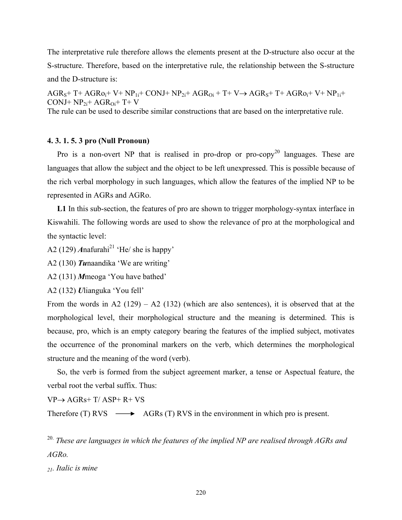The interpretative rule therefore allows the elements present at the D-structure also occur at the S-structure. Therefore, based on the interpretative rule, the relationship between the S-structure and the D-structure is:

 $AGR<sub>S</sub>+ T+AGR<sub>0i</sub>+ V+NP<sub>1i</sub>+ CONJ+NP<sub>2i</sub>+ AGR<sub>0i</sub>+ T+ V\rightarrow AGR<sub>S</sub>+ T+AGR<sub>0i</sub>+ V+NP<sub>1i</sub>+$  $CONJ+ NP_{2i}+ AGR_{0i}+ T+ V$ 

The rule can be used to describe similar constructions that are based on the interpretative rule.

## **4. 3. 1. 5. 3 pro (Null Pronoun)**

Pro is a non-overt NP that is realised in pro-drop or pro-copy<sup>20</sup> languages. These are languages that allow the subject and the object to be left unexpressed. This is possible because of the rich verbal morphology in such languages, which allow the features of the implied NP to be represented in AGRs and AGRo.

 **L1** In this sub-section, the features of pro are shown to trigger morphology-syntax interface in Kiswahili. The following words are used to show the relevance of pro at the morphological and the syntactic level:

A2 (129) *Anafurahi*<sup>21</sup> 'He/ she is happy'

A2 (130) *Tu*naandika 'We are writing'

A2 (131) *M*meoga 'You have bathed'

A2 (132) *U*lianguka 'You fell'

From the words in A2 (129) – A2 (132) (which are also sentences), it is observed that at the morphological level, their morphological structure and the meaning is determined. This is because, pro, which is an empty category bearing the features of the implied subject, motivates the occurrence of the pronominal markers on the verb, which determines the morphological structure and the meaning of the word (verb).

 So, the verb is formed from the subject agreement marker, a tense or Aspectual feature, the verbal root the verbal suffix. Thus:

 $VP \rightarrow AGRs + T/ASP+R+VS$ 

Therefore (T) RVS  $\longrightarrow$  AGRs (T) RVS in the environment in which pro is present.

<sup>20.</sup> These are languages in which the features of the implied NP are realised through AGRs and *AGRo.* 

*21. Italic is mine*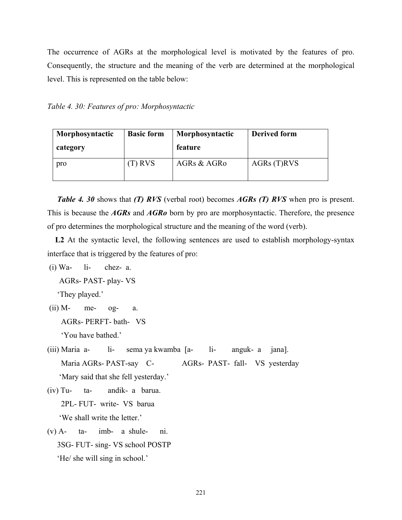The occurrence of AGRs at the morphological level is motivated by the features of pro. Consequently, the structure and the meaning of the verb are determined at the morphological level. This is represented on the table below:

*Table 4. 30: Features of pro: Morphosyntactic* 

| Morphosyntactic<br>category | <b>Basic form</b> | Morphosyntactic<br>feature | <b>Derived form</b> |
|-----------------------------|-------------------|----------------------------|---------------------|
| pro                         | $(T)$ RVS         | AGRs & AGRo                | AGRs(T)RVS          |

 *Table 4. 30* shows that *(T) RVS* (verbal root) becomes *AGRs (T) RVS* when pro is present. This is because the *AGRs* and *AGRo* born by pro are morphosyntactic. Therefore, the presence of pro determines the morphological structure and the meaning of the word (verb).

 **L2** At the syntactic level, the following sentences are used to establish morphology-syntax interface that is triggered by the features of pro:

 $(i)$  Wa-  $1i$ - chez- a.

AGRs- PAST- play- VS

'They played.'

- $(ii)$  M- me- og- a. AGRs- PERFT- bath- VS 'You have bathed.'
- (iii) Maria a- li- sema ya kwamba [a- li- anguk- a jana]. Maria AGRs- PAST-say C- AGRs- PAST- fall- VS yesterday 'Mary said that she fell yesterday.'
- (iv) Tu- ta- andik- a barua. 2PL- FUT- write- VS barua 'We shall write the letter.'
- $(v)$  A-  $ta$  imb- a shule- ni. 3SG- FUT- sing- VS school POSTP 'He/ she will sing in school.'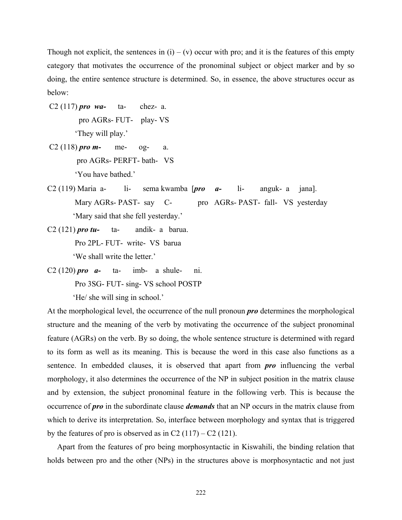Though not explicit, the sentences in  $(i) - (v)$  occur with pro; and it is the features of this empty category that motivates the occurrence of the pronominal subject or object marker and by so doing, the entire sentence structure is determined. So, in essence, the above structures occur as below:

- C2 (117) *pro wa-* ta- chez- a. pro AGRs- FUT- play- VS 'They will play.'
- C2 (118) *pro*  $m$  me- og- a. pro AGRs- PERFT- bath- VS 'You have bathed.'
- C2 (119) Maria a- li- sema kwamba [*pro a-* li- anguk- a jana]. Mary AGRs- PAST- say C- pro AGRs- PAST- fall- VS yesterday 'Mary said that she fell yesterday.'
- C2 (121) *pro tu-* ta- andik- a barua. Pro 2PL- FUT- write- VS barua 'We shall write the letter.'
- C2 (120) *pro a-* ta- imb- a shule- ni. Pro 3SG- FUT- sing- VS school POSTP

'He/ she will sing in school.'

At the morphological level, the occurrence of the null pronoun *pro* determines the morphological structure and the meaning of the verb by motivating the occurrence of the subject pronominal feature (AGRs) on the verb. By so doing, the whole sentence structure is determined with regard to its form as well as its meaning. This is because the word in this case also functions as a sentence. In embedded clauses, it is observed that apart from *pro* influencing the verbal morphology, it also determines the occurrence of the NP in subject position in the matrix clause and by extension, the subject pronominal feature in the following verb. This is because the occurrence of *pro* in the subordinate clause *demands* that an NP occurs in the matrix clause from which to derive its interpretation. So, interface between morphology and syntax that is triggered by the features of pro is observed as in C2  $(117) - C2$  (121).

 Apart from the features of pro being morphosyntactic in Kiswahili, the binding relation that holds between pro and the other (NPs) in the structures above is morphosyntactic and not just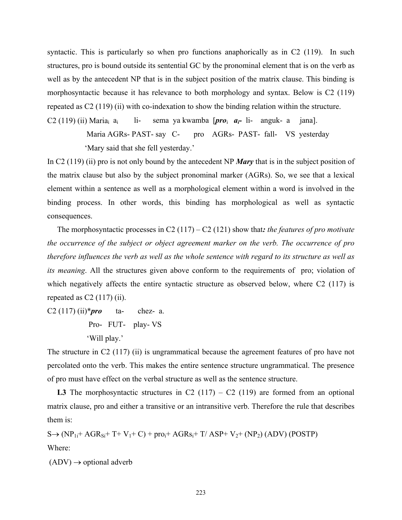syntactic. This is particularly so when pro functions anaphorically as in C2 (119). In such structures, pro is bound outside its sentential GC by the pronominal element that is on the verb as well as by the antecedent NP that is in the subject position of the matrix clause. This binding is morphosyntactic because it has relevance to both morphology and syntax. Below is C2 (119) repeated as C2 (119) (ii) with co-indexation to show the binding relation within the structure.

C2 (119) (ii) Mariai ai li- sema ya kwamba [*pro*i *ai-* li- anguk- a jana].

Maria AGRs- PAST- say C- pro AGRs- PAST- fall- VS yesterday

'Mary said that she fell yesterday.'

In C2 (119) (ii) pro is not only bound by the antecedent NP *Mary* that is in the subject position of the matrix clause but also by the subject pronominal marker (AGRs). So, we see that a lexical element within a sentence as well as a morphological element within a word is involved in the binding process. In other words, this binding has morphological as well as syntactic consequences.

The morphosyntactic processes in C2 (117) – C2 (121) show that*: the features of pro motivate the occurrence of the subject or object agreement marker on the verb. The occurrence of pro therefore influences the verb as well as the whole sentence with regard to its structure as well as its meaning*. All the structures given above conform to the requirements of pro; violation of which negatively affects the entire syntactic structure as observed below, where C2 (117) is repeated as  $C2(117)$  (ii).

C2 (117) (ii)\**pro* ta- chez- a. Pro- FUT- play- VS 'Will play.'

The structure in C2 (117) (ii) is ungrammatical because the agreement features of pro have not percolated onto the verb. This makes the entire sentence structure ungrammatical. The presence of pro must have effect on the verbal structure as well as the sentence structure.

**L3** The morphosyntactic structures in C2  $(117) - C2$   $(119)$  are formed from an optional matrix clause, pro and either a transitive or an intransitive verb. Therefore the rule that describes them is:

 $S \rightarrow (NP_{1i} + AGR_{Si} + T + V_1 + C) + pro_i + AGR_{Si} + T/ ASP + V_2 + (NP_2) (ADV) (POSTP)$ Where:

 $(ADV) \rightarrow$  optional adverb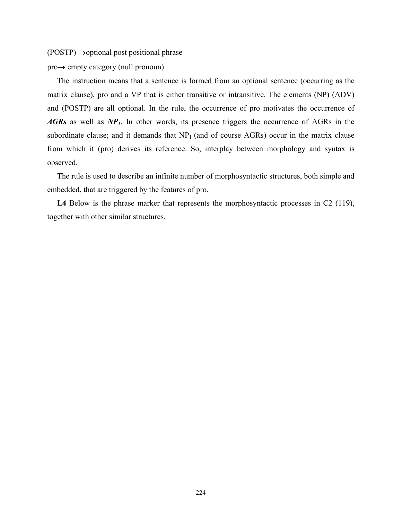$(POSTP) \rightarrow$ optional post positional phrase

pro→ empty category (null pronoun)

 The instruction means that a sentence is formed from an optional sentence (occurring as the matrix clause), pro and a VP that is either transitive or intransitive. The elements (NP) (ADV) and (POSTP) are all optional. In the rule, the occurrence of pro motivates the occurrence of *AGRs* as well as *NP1*. In other words, its presence triggers the occurrence of AGRs in the subordinate clause; and it demands that  $NP<sub>1</sub>$  (and of course AGRs) occur in the matrix clause from which it (pro) derives its reference. So, interplay between morphology and syntax is observed.

 The rule is used to describe an infinite number of morphosyntactic structures, both simple and embedded, that are triggered by the features of pro.

L4 Below is the phrase marker that represents the morphosyntactic processes in C2 (119), together with other similar structures.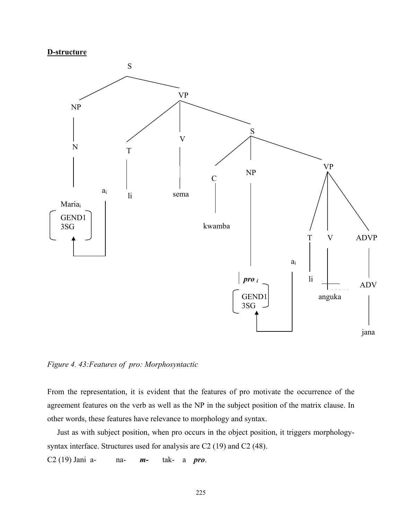#### **D-structure**



*Figure 4. 43:Features of pro: Morphosyntactic* 

From the representation, it is evident that the features of pro motivate the occurrence of the agreement features on the verb as well as the NP in the subject position of the matrix clause. In other words, these features have relevance to morphology and syntax.

 Just as with subject position, when pro occurs in the object position, it triggers morphologysyntax interface. Structures used for analysis are C2 (19) and C2 (48).

C2 (19) Jani a- na- *m-* tak- a *pro*.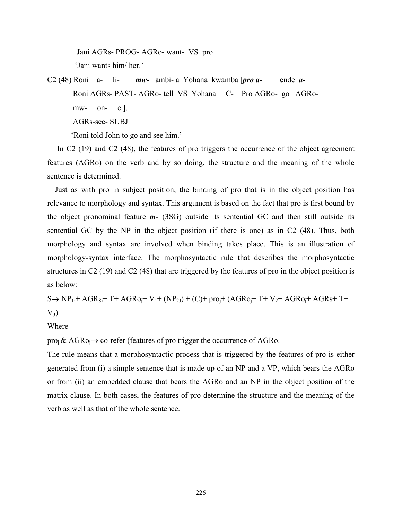Jani AGRs- PROG- AGRo- want- VS pro 'Jani wants him/ her.'

C2 (48) Roni a- li- *mw-* ambi- a Yohana kwamba [*pro a-* ende *a-*  Roni AGRs- PAST- AGRo- tell VS Yohana C- Pro AGRo- go AGRo mw- on- e ]. AGRs-see- SUBJ

'Roni told John to go and see him.'

In C2 (19) and C2 (48), the features of pro triggers the occurrence of the object agreement features (AGRo) on the verb and by so doing, the structure and the meaning of the whole sentence is determined.

 Just as with pro in subject position, the binding of pro that is in the object position has relevance to morphology and syntax. This argument is based on the fact that pro is first bound by the object pronominal feature *m*- (3SG) outside its sentential GC and then still outside its sentential GC by the NP in the object position (if there is one) as in C2 (48). Thus, both morphology and syntax are involved when binding takes place. This is an illustration of morphology-syntax interface. The morphosyntactic rule that describes the morphosyntactic structures in C2 (19) and C2 (48) that are triggered by the features of pro in the object position is as below:

 $S \rightarrow NP_{1i}+AGR_{Si}+T+AGRo_i+V_1+(NP_{2I})+(C)+proj+(AGRo_i+T+V_2+AGRo_i+AGRs+T+$  $V_3$ )

# Where

 $proj \& AGRo_i \rightarrow co-refer$  (features of pro trigger the occurrence of AGRo.

The rule means that a morphosyntactic process that is triggered by the features of pro is either generated from (i) a simple sentence that is made up of an NP and a VP, which bears the AGRo or from (ii) an embedded clause that bears the AGRo and an NP in the object position of the matrix clause. In both cases, the features of pro determine the structure and the meaning of the verb as well as that of the whole sentence.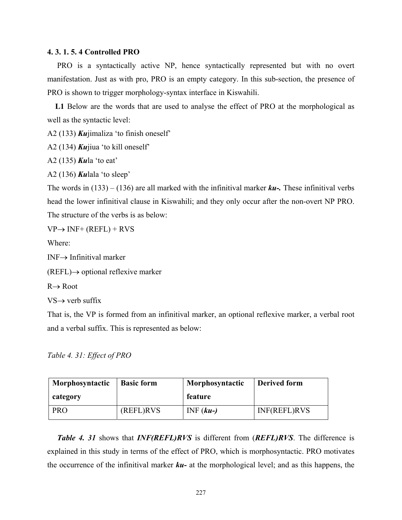## **4. 3. 1. 5. 4 Controlled PRO**

 PRO is a syntactically active NP, hence syntactically represented but with no overt manifestation. Just as with pro, PRO is an empty category. In this sub-section, the presence of PRO is shown to trigger morphology-syntax interface in Kiswahili.

 **L1** Below are the words that are used to analyse the effect of PRO at the morphological as well as the syntactic level:

A2 (133) *Ku*jimaliza 'to finish oneself'

A2 (134) *Ku*jiua 'to kill oneself'

A2 (135) *Ku*la 'to eat'

A2 (136) *Ku*lala 'to sleep'

The words in (133) – (136) are all marked with the infinitival marker *ku-.* These infinitival verbs head the lower infinitival clause in Kiswahili; and they only occur after the non-overt NP PRO. The structure of the verbs is as below:

 $VP \rightarrow INF + (REFL) + RVS$ 

Where:

INF→ Infinitival marker

 $(REFL) \rightarrow$  optional reflexive marker

 $R \rightarrow R$ oot

 $VS \rightarrow$  verb suffix

That is, the VP is formed from an infinitival marker, an optional reflexive marker, a verbal root and a verbal suffix. This is represented as below:

*Table 4. 31: Effect of PRO* 

| Morphosyntactic | <b>Basic form</b> | Morphosyntactic | <b>Derived form</b> |
|-----------------|-------------------|-----------------|---------------------|
| category        |                   | feature         |                     |
| <b>PRO</b>      | (REFL)RVS         | $INF(ku-)$      | INF(REFL)RVS        |

 *Table 4. 31* shows that *INF(REFL)RVS* is different from (*REFL)RVS*. The difference is explained in this study in terms of the effect of PRO, which is morphosyntactic. PRO motivates the occurrence of the infinitival marker *ku-* at the morphological level; and as this happens, the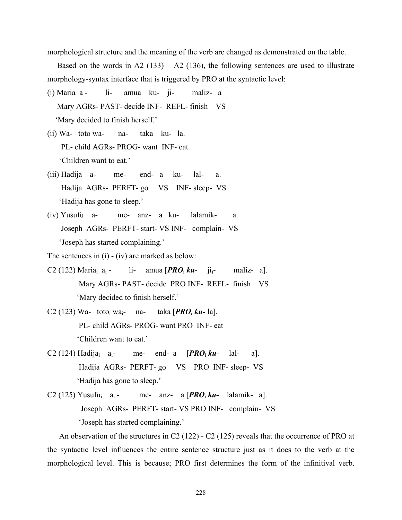morphological structure and the meaning of the verb are changed as demonstrated on the table.

Based on the words in A2 (133) – A2 (136), the following sentences are used to illustrate morphology-syntax interface that is triggered by PRO at the syntactic level:

- (i) Maria a li- amua ku- ji- maliz- a Mary AGRs- PAST- decide INF- REFL- finish VS 'Mary decided to finish herself.'
- (ii) Wa- toto wa- na- taka ku- la. PL- child AGRs- PROG- want INF- eat 'Children want to eat.'
- (iii) Hadija a- me- end- a ku- lal- a. Hadija AGRs- PERFT- go VS INF- sleep- VS 'Hadija has gone to sleep.'
- (iv) Yusufu a- me- anz- a ku- lalamik- a. Joseph AGRs- PERFT- start- VS INF- complain- VS 'Joseph has started complaining.'

The sentences in (i) - (iv) are marked as below:

- C2 (122) Maria<sub>i</sub> a<sub>i</sub> li- amua  $[PRO<sub>i</sub> ku-$  ji<sub>i</sub>- maliz- a]. Mary AGRs- PAST- decide PRO INF- REFL- finish VS 'Mary decided to finish herself.'
- C2 (123) Wa- toto<sub>i</sub> wa<sub>i</sub>- na- taka  $[PRO<sub>i</sub> ku-la]$ . PL- child AGRs- PROG- want PRO INF- eat 'Children want to eat.'
- C2 (124) Hadija<sub>i</sub> a<sub>i</sub>- me- end- a  $[PRO<sub>i</sub> ku-$  lal- a]. Hadija AGRs- PERFT- go VS PRO INF- sleep- VS 'Hadija has gone to sleep.'
- C2 (125) Yusufu<sub>i</sub> a<sub>i</sub> me- anz- a  $[PRO<sub>i</sub> ku-$  lalamik- a]. Joseph AGRs- PERFT- start- VS PRO INF- complain- VS 'Joseph has started complaining.'

 An observation of the structures in C2 (122) - C2 (125) reveals that the occurrence of PRO at the syntactic level influences the entire sentence structure just as it does to the verb at the morphological level. This is because; PRO first determines the form of the infinitival verb.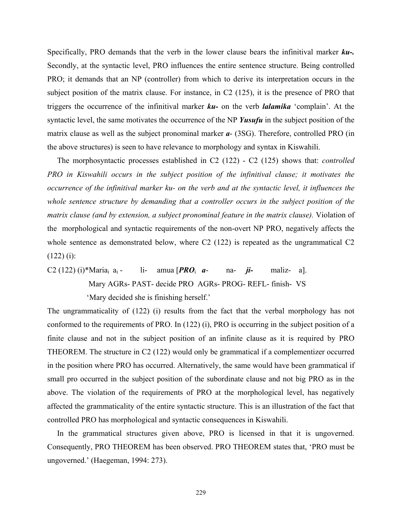Specifically, PRO demands that the verb in the lower clause bears the infinitival marker *ku-.* Secondly, at the syntactic level, PRO influences the entire sentence structure. Being controlled PRO; it demands that an NP (controller) from which to derive its interpretation occurs in the subject position of the matrix clause. For instance, in C2 (125), it is the presence of PRO that triggers the occurrence of the infinitival marker *ku-* on the verb *lalamika* 'complain'. At the syntactic level, the same motivates the occurrence of the NP *Yusufu* in the subject position of the matrix clause as well as the subject pronominal marker *a*- (3SG). Therefore, controlled PRO (in the above structures) is seen to have relevance to morphology and syntax in Kiswahili.

 The morphosyntactic processes established in C2 (122) - C2 (125) shows that: *controlled PRO in Kiswahili occurs in the subject position of the infinitival clause; it motivates the occurrence of the infinitival marker ku- on the verb and at the syntactic level, it influences the whole sentence structure by demanding that a controller occurs in the subject position of the matrix clause (and by extension, a subject pronominal feature in the matrix clause).* Violation of the morphological and syntactic requirements of the non-overt NP PRO, negatively affects the whole sentence as demonstrated below, where C2 (122) is repeated as the ungrammatical C2  $(122)$  (i):

C2 (122) (i)\*Mariai ai - li- amua [*PRO*i *a*- na- *ji-* maliz- a]. Mary AGRs- PAST- decide PRO AGRs- PROG- REFL- finish- VS 'Mary decided she is finishing herself.'

The ungrammaticality of (122) (i) results from the fact that the verbal morphology has not conformed to the requirements of PRO. In (122) (i), PRO is occurring in the subject position of a finite clause and not in the subject position of an infinite clause as it is required by PRO THEOREM. The structure in C2 (122) would only be grammatical if a complementizer occurred in the position where PRO has occurred. Alternatively, the same would have been grammatical if small pro occurred in the subject position of the subordinate clause and not big PRO as in the above. The violation of the requirements of PRO at the morphological level, has negatively affected the grammaticality of the entire syntactic structure. This is an illustration of the fact that controlled PRO has morphological and syntactic consequences in Kiswahili.

 In the grammatical structures given above, PRO is licensed in that it is ungoverned. Consequently, PRO THEOREM has been observed. PRO THEOREM states that, 'PRO must be ungoverned.' (Haegeman, 1994: 273).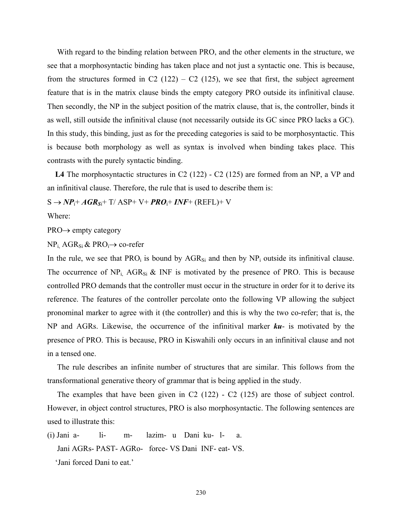With regard to the binding relation between PRO, and the other elements in the structure, we see that a morphosyntactic binding has taken place and not just a syntactic one. This is because, from the structures formed in C2 (122) – C2 (125), we see that first, the subject agreement feature that is in the matrix clause binds the empty category PRO outside its infinitival clause. Then secondly, the NP in the subject position of the matrix clause, that is, the controller, binds it as well, still outside the infinitival clause (not necessarily outside its GC since PRO lacks a GC). In this study, this binding, just as for the preceding categories is said to be morphosyntactic. This is because both morphology as well as syntax is involved when binding takes place. This contrasts with the purely syntactic binding.

 **L4** The morphosyntactic structures in C2 (122) - C2 (125) are formed from an NP, a VP and an infinitival clause. Therefore, the rule that is used to describe them is:

 $S \rightarrow NP_i + AGR_{Si} + T/$  ASP+ V+  $PRO_i$ + *INF*+ (REFL)+ V

Where:

PRO→ empty category

 $NP_i$ , AGR<sub>Si</sub> & PRO<sub>i</sub> $\rightarrow$  co-refer

In the rule, we see that  $PRO<sub>i</sub>$  is bound by  $AGR<sub>Si</sub>$  and then by  $NP<sub>i</sub>$  outside its infinitival clause. The occurrence of  $NP_i$ ,  $AGR_{Si}$  & INF is motivated by the presence of PRO. This is because controlled PRO demands that the controller must occur in the structure in order for it to derive its reference. The features of the controller percolate onto the following VP allowing the subject pronominal marker to agree with it (the controller) and this is why the two co-refer; that is, the NP and AGRs. Likewise, the occurrence of the infinitival marker *ku*- is motivated by the presence of PRO. This is because, PRO in Kiswahili only occurs in an infinitival clause and not in a tensed one.

 The rule describes an infinite number of structures that are similar. This follows from the transformational generative theory of grammar that is being applied in the study.

 The examples that have been given in C2 (122) - C2 (125) are those of subject control. However, in object control structures, PRO is also morphosyntactic. The following sentences are used to illustrate this:

(i) Jani a- li- m- lazim- u Dani ku- l- a. Jani AGRs- PAST- AGRo- force- VS Dani INF- eat- VS. 'Jani forced Dani to eat.'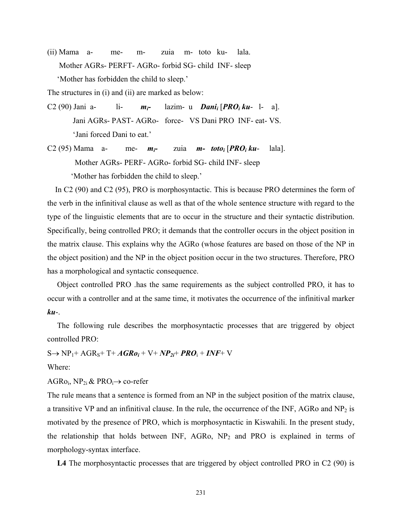(ii) Mama a- me- m- zuia m- toto ku- lala. Mother AGRs- PERFT- AGRo- forbid SG- child INF- sleep 'Mother has forbidden the child to sleep.'

The structures in (i) and (ii) are marked as below:

- C2 (90) Jani a- li- *mi-* lazim- u *Danii* [*PROi ku* l- a]. Jani AGRs- PAST- AGRo- force- VS Dani PRO INF- eat- VS. 'Jani forced Dani to eat.'
- C2 (95) Mama a- me- *mi-* zuia *m- totoi* [*PROi ku* lala]. Mother AGRs- PERF- AGRo- forbid SG- child INF- sleep

'Mother has forbidden the child to sleep.'

In C<sub>2</sub> (90) and C<sub>2</sub> (95), PRO is morphosyntactic. This is because PRO determines the form of the verb in the infinitival clause as well as that of the whole sentence structure with regard to the type of the linguistic elements that are to occur in the structure and their syntactic distribution. Specifically, being controlled PRO; it demands that the controller occurs in the object position in the matrix clause. This explains why the AGRo (whose features are based on those of the NP in the object position) and the NP in the object position occur in the two structures. Therefore, PRO has a morphological and syntactic consequence.

 Object controlled PRO .has the same requirements as the subject controlled PRO, it has to occur with a controller and at the same time, it motivates the occurrence of the infinitival marker *ku*-.

 The following rule describes the morphosyntactic processes that are triggered by object controlled PRO:

 $S \rightarrow NP_1 + AGR_5 + T + AGRo_i + V + NP_{2i} + PRO_1 + INF + V$ Where:

AGRo<sub>i</sub>, NP<sub>2i</sub> & PRO<sub>i</sub> $\rightarrow$  co-refer

The rule means that a sentence is formed from an NP in the subject position of the matrix clause, a transitive VP and an infinitival clause. In the rule, the occurrence of the INF, AGRo and  $NP<sub>2</sub>$  is motivated by the presence of PRO, which is morphosyntactic in Kiswahili. In the present study, the relationship that holds between INF,  $AGRo$ ,  $NP<sub>2</sub>$  and PRO is explained in terms of morphology-syntax interface.

**L4** The morphosyntactic processes that are triggered by object controlled PRO in C2 (90) is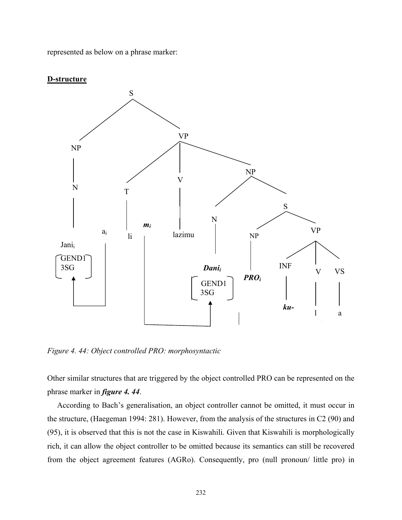represented as below on a phrase marker:



**D-structure**

*Figure 4. 44: Object controlled PRO: morphosyntactic* 

Other similar structures that are triggered by the object controlled PRO can be represented on the phrase marker in *figure 4. 44*.

 According to Bach's generalisation, an object controller cannot be omitted, it must occur in the structure, (Haegeman 1994: 281). However, from the analysis of the structures in C2 (90) and (95), it is observed that this is not the case in Kiswahili. Given that Kiswahili is morphologically rich, it can allow the object controller to be omitted because its semantics can still be recovered from the object agreement features (AGRo). Consequently, pro (null pronoun/ little pro) in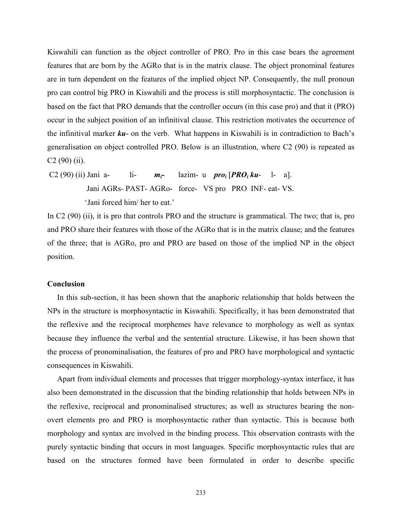Kiswahili can function as the object controller of PRO. Pro in this case bears the agreement features that are born by the AGRo that is in the matrix clause. The object pronominal features are in turn dependent on the features of the implied object NP. Consequently, the null pronoun pro can control big PRO in Kiswahili and the process is still morphosyntactic. The conclusion is based on the fact that PRO demands that the controller occurs (in this case pro) and that it (PRO) occur in the subject position of an infinitival clause. This restriction motivates the occurrence of the infinitival marker *ku*- on the verb. What happens in Kiswahili is in contradiction to Bach's generalisation on object controlled PRO. Below is an illustration, where C2 (90) is repeated as C2 (90) (ii).

 C2 (90) (ii) Jani a- li- *mi-* lazim- u *proi* [*PROi ku*- l- a]. Jani AGRs- PAST- AGRo- force- VS pro PRO INF- eat- VS. 'Jani forced him/ her to eat.'

In C2 (90) (ii), it is pro that controls PRO and the structure is grammatical. The two; that is, pro and PRO share their features with those of the AGRo that is in the matrix clause; and the features of the three; that is AGRo, pro and PRO are based on those of the implied NP in the object position.

#### **Conclusion**

 In this sub-section, it has been shown that the anaphoric relationship that holds between the NPs in the structure is morphosyntactic in Kiswahili. Specifically, it has been demonstrated that the reflexive and the reciprocal morphemes have relevance to morphology as well as syntax because they influence the verbal and the sentential structure. Likewise, it has been shown that the process of pronominalisation, the features of pro and PRO have morphological and syntactic consequences in Kiswahili.

 Apart from individual elements and processes that trigger morphology-syntax interface, it has also been demonstrated in the discussion that the binding relationship that holds between NPs in the reflexive, reciprocal and pronominalised structures; as well as structures bearing the nonovert elements pro and PRO is morphosyntactic rather than syntactic. This is because both morphology and syntax are involved in the binding process. This observation contrasts with the purely syntactic binding that occurs in most languages. Specific morphosyntactic rules that are based on the structures formed have been formulated in order to describe specific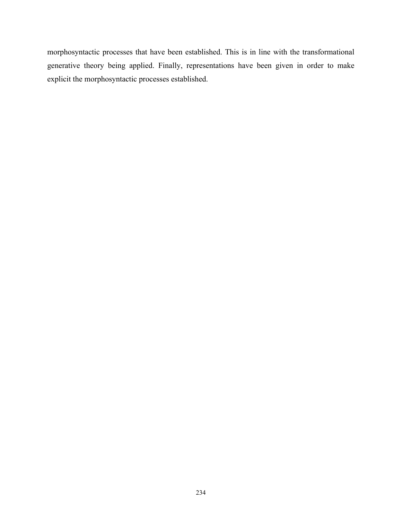morphosyntactic processes that have been established. This is in line with the transformational generative theory being applied. Finally, representations have been given in order to make explicit the morphosyntactic processes established.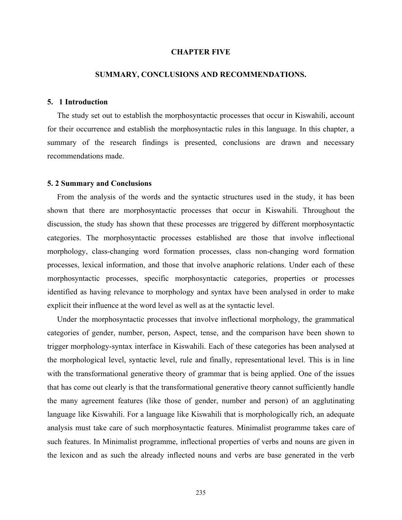#### **CHAPTER FIVE**

#### **SUMMARY, CONCLUSIONS AND RECOMMENDATIONS.**

# **5. 1 Introduction**

 The study set out to establish the morphosyntactic processes that occur in Kiswahili, account for their occurrence and establish the morphosyntactic rules in this language. In this chapter, a summary of the research findings is presented, conclusions are drawn and necessary recommendations made.

#### **5. 2 Summary and Conclusions**

 From the analysis of the words and the syntactic structures used in the study, it has been shown that there are morphosyntactic processes that occur in Kiswahili. Throughout the discussion, the study has shown that these processes are triggered by different morphosyntactic categories. The morphosyntactic processes established are those that involve inflectional morphology, class-changing word formation processes, class non-changing word formation processes, lexical information, and those that involve anaphoric relations. Under each of these morphosyntactic processes, specific morphosyntactic categories, properties or processes identified as having relevance to morphology and syntax have been analysed in order to make explicit their influence at the word level as well as at the syntactic level.

 Under the morphosyntactic processes that involve inflectional morphology, the grammatical categories of gender, number, person, Aspect, tense, and the comparison have been shown to trigger morphology-syntax interface in Kiswahili. Each of these categories has been analysed at the morphological level, syntactic level, rule and finally, representational level. This is in line with the transformational generative theory of grammar that is being applied. One of the issues that has come out clearly is that the transformational generative theory cannot sufficiently handle the many agreement features (like those of gender, number and person) of an agglutinating language like Kiswahili. For a language like Kiswahili that is morphologically rich, an adequate analysis must take care of such morphosyntactic features. Minimalist programme takes care of such features. In Minimalist programme, inflectional properties of verbs and nouns are given in the lexicon and as such the already inflected nouns and verbs are base generated in the verb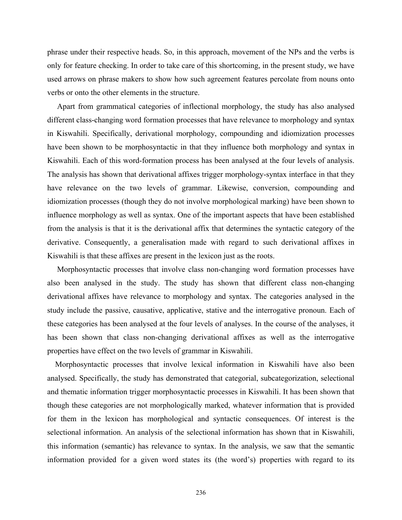phrase under their respective heads. So, in this approach, movement of the NPs and the verbs is only for feature checking. In order to take care of this shortcoming, in the present study, we have used arrows on phrase makers to show how such agreement features percolate from nouns onto verbs or onto the other elements in the structure.

 Apart from grammatical categories of inflectional morphology, the study has also analysed different class-changing word formation processes that have relevance to morphology and syntax in Kiswahili. Specifically, derivational morphology, compounding and idiomization processes have been shown to be morphosyntactic in that they influence both morphology and syntax in Kiswahili. Each of this word-formation process has been analysed at the four levels of analysis. The analysis has shown that derivational affixes trigger morphology-syntax interface in that they have relevance on the two levels of grammar. Likewise, conversion, compounding and idiomization processes (though they do not involve morphological marking) have been shown to influence morphology as well as syntax. One of the important aspects that have been established from the analysis is that it is the derivational affix that determines the syntactic category of the derivative. Consequently, a generalisation made with regard to such derivational affixes in Kiswahili is that these affixes are present in the lexicon just as the roots.

 Morphosyntactic processes that involve class non-changing word formation processes have also been analysed in the study. The study has shown that different class non-changing derivational affixes have relevance to morphology and syntax. The categories analysed in the study include the passive, causative, applicative, stative and the interrogative pronoun. Each of these categories has been analysed at the four levels of analyses. In the course of the analyses, it has been shown that class non-changing derivational affixes as well as the interrogative properties have effect on the two levels of grammar in Kiswahili.

 Morphosyntactic processes that involve lexical information in Kiswahili have also been analysed. Specifically, the study has demonstrated that categorial, subcategorization, selectional and thematic information trigger morphosyntactic processes in Kiswahili. It has been shown that though these categories are not morphologically marked, whatever information that is provided for them in the lexicon has morphological and syntactic consequences. Of interest is the selectional information. An analysis of the selectional information has shown that in Kiswahili, this information (semantic) has relevance to syntax. In the analysis, we saw that the semantic information provided for a given word states its (the word's) properties with regard to its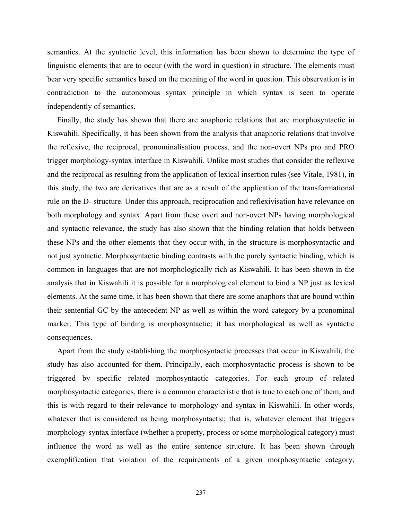semantics. At the syntactic level, this information has been shown to determine the type of linguistic elements that are to occur (with the word in question) in structure. The elements must bear very specific semantics based on the meaning of the word in question. This observation is in contradiction to the autonomous syntax principle in which syntax is seen to operate independently of semantics.

 Finally, the study has shown that there are anaphoric relations that are morphosyntactic in Kiswahili. Specifically, it has been shown from the analysis that anaphoric relations that involve the reflexive, the reciprocal, pronominalisation process, and the non-overt NPs pro and PRO trigger morphology-syntax interface in Kiswahili. Unlike most studies that consider the reflexive and the reciprocal as resulting from the application of lexical insertion rules (see Vitale, 1981), in this study, the two are derivatives that are as a result of the application of the transformational rule on the D- structure. Under this approach, reciprocation and reflexivisation have relevance on both morphology and syntax. Apart from these overt and non-overt NPs having morphological and syntactic relevance, the study has also shown that the binding relation that holds between these NPs and the other elements that they occur with, in the structure is morphosyntactic and not just syntactic. Morphosyntactic binding contrasts with the purely syntactic binding, which is common in languages that are not morphologically rich as Kiswahili. It has been shown in the analysis that in Kiswahili it is possible for a morphological element to bind a NP just as lexical elements. At the same time, it has been shown that there are some anaphors that are bound within their sentential GC by the antecedent NP as well as within the word category by a pronominal marker. This type of binding is morphosyntactic; it has morphological as well as syntactic consequences.

 Apart from the study establishing the morphosyntactic processes that occur in Kiswahili, the study has also accounted for them. Principally, each morphosyntactic process is shown to be triggered by specific related morphosyntactic categories. For each group of related morphosyntactic categories, there is a common characteristic that is true to each one of them; and this is with regard to their relevance to morphology and syntax in Kiswahili. In other words, whatever that is considered as being morphosyntactic; that is, whatever element that triggers morphology-syntax interface (whether a property, process or some morphological category) must influence the word as well as the entire sentence structure. It has been shown through exemplification that violation of the requirements of a given morphosyntactic category,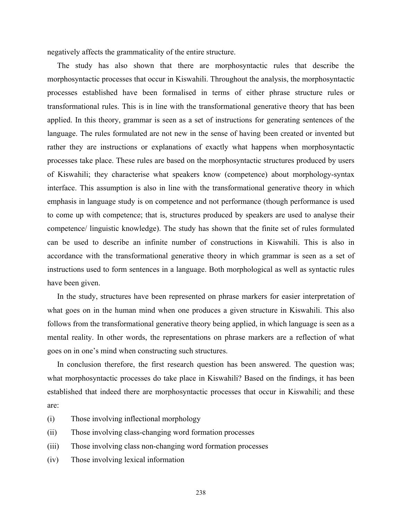negatively affects the grammaticality of the entire structure.

 The study has also shown that there are morphosyntactic rules that describe the morphosyntactic processes that occur in Kiswahili. Throughout the analysis, the morphosyntactic processes established have been formalised in terms of either phrase structure rules or transformational rules. This is in line with the transformational generative theory that has been applied. In this theory, grammar is seen as a set of instructions for generating sentences of the language. The rules formulated are not new in the sense of having been created or invented but rather they are instructions or explanations of exactly what happens when morphosyntactic processes take place. These rules are based on the morphosyntactic structures produced by users of Kiswahili; they characterise what speakers know (competence) about morphology-syntax interface. This assumption is also in line with the transformational generative theory in which emphasis in language study is on competence and not performance (though performance is used to come up with competence; that is, structures produced by speakers are used to analyse their competence/ linguistic knowledge). The study has shown that the finite set of rules formulated can be used to describe an infinite number of constructions in Kiswahili. This is also in accordance with the transformational generative theory in which grammar is seen as a set of instructions used to form sentences in a language. Both morphological as well as syntactic rules have been given.

 In the study, structures have been represented on phrase markers for easier interpretation of what goes on in the human mind when one produces a given structure in Kiswahili. This also follows from the transformational generative theory being applied, in which language is seen as a mental reality. In other words, the representations on phrase markers are a reflection of what goes on in one's mind when constructing such structures.

In conclusion therefore, the first research question has been answered. The question was; what morphosyntactic processes do take place in Kiswahili? Based on the findings, it has been established that indeed there are morphosyntactic processes that occur in Kiswahili; and these are:

- (i) Those involving inflectional morphology
- (ii) Those involving class-changing word formation processes
- (iii) Those involving class non-changing word formation processes
- (iv) Those involving lexical information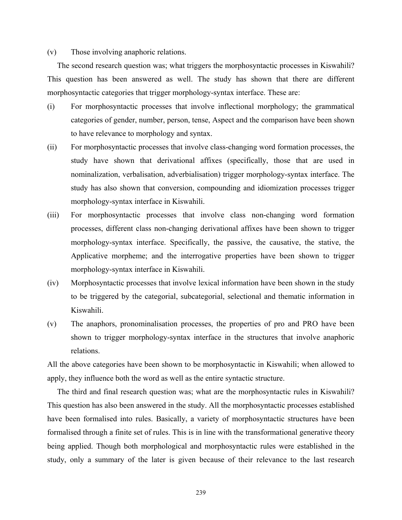# (v) Those involving anaphoric relations.

 The second research question was; what triggers the morphosyntactic processes in Kiswahili? This question has been answered as well. The study has shown that there are different morphosyntactic categories that trigger morphology-syntax interface. These are:

- (i) For morphosyntactic processes that involve inflectional morphology; the grammatical categories of gender, number, person, tense, Aspect and the comparison have been shown to have relevance to morphology and syntax.
- (ii) For morphosyntactic processes that involve class-changing word formation processes, the study have shown that derivational affixes (specifically, those that are used in nominalization, verbalisation, adverbialisation) trigger morphology-syntax interface. The study has also shown that conversion, compounding and idiomization processes trigger morphology-syntax interface in Kiswahili.
- (iii) For morphosyntactic processes that involve class non-changing word formation processes, different class non-changing derivational affixes have been shown to trigger morphology-syntax interface. Specifically, the passive, the causative, the stative, the Applicative morpheme; and the interrogative properties have been shown to trigger morphology-syntax interface in Kiswahili.
- (iv) Morphosyntactic processes that involve lexical information have been shown in the study to be triggered by the categorial, subcategorial, selectional and thematic information in Kiswahili.
- (v) The anaphors, pronominalisation processes, the properties of pro and PRO have been shown to trigger morphology-syntax interface in the structures that involve anaphoric relations.

All the above categories have been shown to be morphosyntactic in Kiswahili; when allowed to apply, they influence both the word as well as the entire syntactic structure.

 The third and final research question was; what are the morphosyntactic rules in Kiswahili? This question has also been answered in the study. All the morphosyntactic processes established have been formalised into rules. Basically, a variety of morphosyntactic structures have been formalised through a finite set of rules. This is in line with the transformational generative theory being applied. Though both morphological and morphosyntactic rules were established in the study, only a summary of the later is given because of their relevance to the last research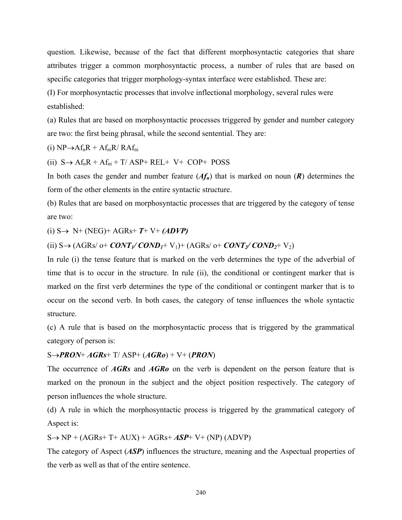question. Likewise, because of the fact that different morphosyntactic categories that share attributes trigger a common morphosyntactic process, a number of rules that are based on specific categories that trigger morphology-syntax interface were established. These are:

(I) For morphosyntactic processes that involve inflectional morphology, several rules were established:

(a) Rules that are based on morphosyntactic processes triggered by gender and number category are two: the first being phrasal, while the second sentential. They are:

(i)  $NP \rightarrow AF_nR + Af_{ni}R/RAf_{ni}$ 

(ii)  $S \rightarrow Af_nR + Af_{ni} + T/ASP + REL + V + COP + POSS$ 

In both cases the gender and number feature  $(Af_n)$  that is marked on noun  $(R)$  determines the form of the other elements in the entire syntactic structure.

(b) Rules that are based on morphosyntactic processes that are triggered by the category of tense are two:

(i) S→ N+ (NEG)+ AGRs+ *T*+ V+ *(ADVP)*

(ii)  $S \rightarrow (AGRs/ 0+ \text{CONT}_1/ \text{COMP}_1 + V_1) + (AGRs/ 0+ \text{CONT}_2/ \text{COND}_2 + V_2)$ 

In rule (i) the tense feature that is marked on the verb determines the type of the adverbial of time that is to occur in the structure. In rule (ii), the conditional or contingent marker that is marked on the first verb determines the type of the conditional or contingent marker that is to occur on the second verb. In both cases, the category of tense influences the whole syntactic structure.

(c) A rule that is based on the morphosyntactic process that is triggered by the grammatical category of person is:

# S→*PRON*+ *AGRs*+ T/ ASP+ (*AGRo*) + V+ (*PRON*)

The occurrence of *AGRs* and *AGRo* on the verb is dependent on the person feature that is marked on the pronoun in the subject and the object position respectively. The category of person influences the whole structure.

(d) A rule in which the morphosyntactic process is triggered by the grammatical category of Aspect is:

 $S \rightarrow NP + (AGRs + T + AUX) + AGRs + ASP + V + (NP) (ADVP)$ 

The category of Aspect (*ASP*) influences the structure, meaning and the Aspectual properties of the verb as well as that of the entire sentence.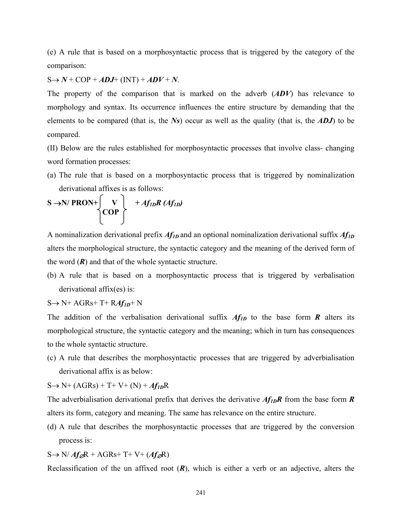(e) A rule that is based on a morphosyntactic process that is triggered by the category of the comparison:

 $S \rightarrow N + COP + ADJ + (INT) + ADV + N$ .

The property of the comparison that is marked on the adverb (*ADV*) has relevance to morphology and syntax. Its occurrence influences the entire structure by demanding that the elements to be compared (that is, the *Ns*) occur as well as the quality (that is, the *ADJ*) to be compared.

(II) Below are the rules established for morphosyntactic processes that involve class- changing word formation processes:

(a) The rule that is based on a morphosyntactic process that is triggered by nominalization derivational affixes is as follows:

$$
S \rightarrow N/ PRON + \begin{matrix} V & + Af_{1D}R (Af_{1D}) \\ COP & \end{matrix}
$$

A nominalization derivational prefix *Af1D* and an optional nominalization derivational suffix *Af1D* alters the morphological structure, the syntactic category and the meaning of the derived form of the word  $(R)$  and that of the whole syntactic structure.

(b) A rule that is based on a morphosyntactic process that is triggered by verbalisation derivational affix(es) is:

$$
S \rightarrow N^+ AGRs + T^+ RAff_{1D} + N
$$

The addition of the verbalisation derivational suffix  $Af_{1D}$  to the base form  $R$  alters its morphological structure, the syntactic category and the meaning; which in turn has consequences to the whole syntactic structure.

(c) A rule that describes the morphosyntactic processes that are triggered by adverbialisation derivational affix is as below:

 $S \to N^+ (AGRs) + T^+ V^+ (N) + Af_{ID}R$ 

The adverbialisation derivational prefix that derives the derivative  $Af_{ID}R$  from the base form *R* alters its form, category and meaning. The same has relevance on the entire structure.

(d) A rule that describes the morphosyntactic processes that are triggered by the conversion process is:

# S→ N/ *Af*∅R + AGRs+ T+ V+ (*Af*∅R)

Reclassification of the un affixed root (*R*), which is either a verb or an adjective, alters the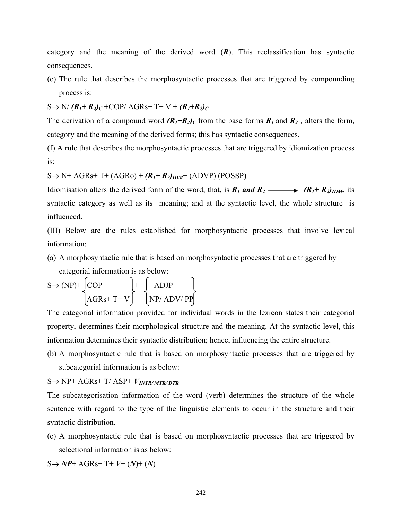category and the meaning of the derived word  $(R)$ . This reclassification has syntactic consequences.

(e) The rule that describes the morphosyntactic processes that are triggered by compounding process is:

 $S \rightarrow N/(R_1+R_2)_C$  +COP/ AGRs+ T+ V +  $(R_1+R_2)_C$ 

The derivation of a compound word  $(R_1+R_2)_C$  from the base forms  $R_1$  and  $R_2$ , alters the form, category and the meaning of the derived forms; this has syntactic consequences.

(f) A rule that describes the morphosyntactic processes that are triggered by idiomization process is:

 $S \rightarrow N+AGRs+T+(AGRo)+(R_I+R_2)_{IDM}+(ADVP)$  (POSSP)

Idiomisation alters the derived form of the word, that, is  $R_1$  and  $R_2 \longrightarrow (R_1 + R_2)_{IDM}$ , its syntactic category as well as its meaning; and at the syntactic level, the whole structure is influenced.

(III) Below are the rules established for morphosyntactic processes that involve lexical information:

(a) A morphosyntactic rule that is based on morphosyntactic processes that are triggered by

categorial information is as below:

$$
S \rightarrow (NP) + \begin{cases} COP \\ AGRs + T + V \end{cases} + \begin{cases} ADJP \\ NP/ADV/ PP \end{cases}
$$

The categorial information provided for individual words in the lexicon states their categorial property, determines their morphological structure and the meaning. At the syntactic level, this information determines their syntactic distribution; hence, influencing the entire structure.

(b) A morphosyntactic rule that is based on morphosyntactic processes that are triggered by subcategorial information is as below:

 $S \rightarrow NP+AGRs+T/ASP+V_{INTR/MTR/DTR}$ 

The subcategorisation information of the word (verb) determines the structure of the whole sentence with regard to the type of the linguistic elements to occur in the structure and their syntactic distribution.

(c) A morphosyntactic rule that is based on morphosyntactic processes that are triggered by selectional information is as below:

 $S \rightarrow NP+AGRs+T+V+(N)+(N)$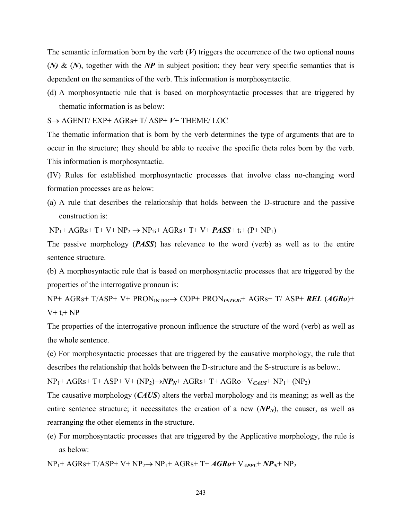The semantic information born by the verb  $(V)$  triggers the occurrence of the two optional nouns (*N)* & (*N*), together with the *NP* in subject position; they bear very specific semantics that is dependent on the semantics of the verb. This information is morphosyntactic.

(d) A morphosyntactic rule that is based on morphosyntactic processes that are triggered by thematic information is as below:

S→ AGENT/ EXP+ AGRs+ T/ ASP+ *V*+ THEME/ LOC

The thematic information that is born by the verb determines the type of arguments that are to occur in the structure; they should be able to receive the specific theta roles born by the verb. This information is morphosyntactic.

(IV) Rules for established morphosyntactic processes that involve class no-changing word formation processes are as below:

(a) A rule that describes the relationship that holds between the D-structure and the passive construction is:

 $NP_1+AGRs+T+VP+NP_2 \rightarrow NP_2+AGRs+T+V+PASS+ t_i+(P+NP_1)$ 

The passive morphology (*PASS*) has relevance to the word (verb) as well as to the entire sentence structure.

(b) A morphosyntactic rule that is based on morphosyntactic processes that are triggered by the properties of the interrogative pronoun is:

NP+ AGRs+ T/ASP+ V+ PRONINTER→ COP+ PRON*INTER*i+ AGRs+ T/ ASP+ *REL* (*AGRo*)+  $V+ t_i+ NP$ 

The properties of the interrogative pronoun influence the structure of the word (verb) as well as the whole sentence.

(c) For morphosyntactic processes that are triggered by the causative morphology, the rule that describes the relationship that holds between the D-structure and the S-structure is as below:.

NP1+ AGRs+ T+ ASP+ V+ (NP2)→*NPN*+ AGRs+ T+ AGRo+ V*CAUS*+ NP1+ (NP2)

The causative morphology (*CAUS*) alters the verbal morphology and its meaning; as well as the entire sentence structure; it necessitates the creation of a new  $(NP_N)$ , the causer, as well as rearranging the other elements in the structure.

(e) For morphosyntactic processes that are triggered by the Applicative morphology, the rule is as below:

NP1+ AGRs+ T/ASP+ V+ NP2→ NP1+ AGRs+ T+ *AGRo*+ V*APPL*+ *NPN*+ NP2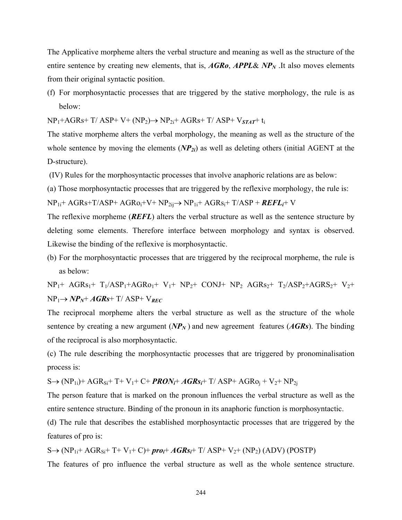The Applicative morpheme alters the verbal structure and meaning as well as the structure of the entire sentence by creating new elements, that is, *AGRo*, *APPL*& *NPN* .It also moves elements from their original syntactic position.

(f) For morphosyntactic processes that are triggered by the stative morphology, the rule is as below:

NP1+AGRs+ T/ ASP+ V+ (NP2)→ NP2i+ AGRs+ T/ ASP+ V*STAT*+ ti

The stative morpheme alters the verbal morphology, the meaning as well as the structure of the whole sentence by moving the elements (*NP<sub>2i</sub>*) as well as deleting others (initial AGENT at the D-structure).

(IV) Rules for the morphosyntactic processes that involve anaphoric relations are as below:

(a) Those morphosyntactic processes that are triggered by the reflexive morphology, the rule is:

NP1i+ AGRs+T/ASP+ AGRoi+V+ NP2ij→ NP1i+ AGRsi+ T/ASP + *REFLi*+ V

The reflexive morpheme (*REFL*) alters the verbal structure as well as the sentence structure by deleting some elements. Therefore interface between morphology and syntax is observed. Likewise the binding of the reflexive is morphosyntactic.

(b) For the morphosyntactic processes that are triggered by the reciprocal morpheme, the rule is as below:

 $NP_1+ AGRs_1+ T_1/ASP_1+AGRo_1+ V_1+ NP_2+ CONJ+ NP_2 AGRs_2+ T_2/ASP_2+AGRS_2+ V_2+$  $NP_1 \rightarrow NP_N + AGRs + T/$  ASP+  $V_{REC}$ 

The reciprocal morpheme alters the verbal structure as well as the structure of the whole sentence by creating a new argument  $(NP_N)$  and new agreement features  $(AGRs)$ . The binding of the reciprocal is also morphosyntactic.

(c) The rule describing the morphosyntactic processes that are triggered by pronominalisation process is:

 $S \rightarrow (NP_{1i})+AGR_{Si}+T+V_1+C+PRON_i+AGRs_i+T/ASP+AGRo_i+V_2+NP_{2i}$ 

The person feature that is marked on the pronoun influences the verbal structure as well as the entire sentence structure. Binding of the pronoun in its anaphoric function is morphosyntactic.

(d) The rule that describes the established morphosyntactic processes that are triggered by the features of pro is:

 $S \rightarrow (NP_{1i} + AGR_{Si} + T + V_1 + C) + \text{pro}_i + AGR_{Si} + T/ ASP + V_2 + (NP_2) (ADV) (POSTP)$ 

The features of pro influence the verbal structure as well as the whole sentence structure.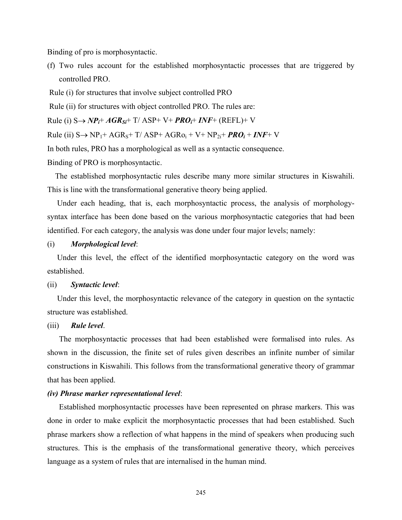Binding of pro is morphosyntactic.

(f) Two rules account for the established morphosyntactic processes that are triggered by controlled PRO.

Rule (i) for structures that involve subject controlled PRO

Rule (ii) for structures with object controlled PRO. The rules are:

Rule (i) S→ *NPi*+ *AGRSi*+ T/ ASP+ V+ *PROi*+ *INF*+ (REFL)+ V

 $Rule (ii) S→ NP<sub>1</sub>+ AGR<sub>S</sub>+T/ ASP+ AGR<sub>O<sub>i</sub></sub> + V+ NP<sub>2i</sub>+ **PRO**<sub>i</sub>+ **INF**+ V$ 

In both rules, PRO has a morphological as well as a syntactic consequence.

Binding of PRO is morphosyntactic.

 The established morphosyntactic rules describe many more similar structures in Kiswahili. This is line with the transformational generative theory being applied.

 Under each heading, that is, each morphosyntactic process, the analysis of morphologysyntax interface has been done based on the various morphosyntactic categories that had been identified. For each category, the analysis was done under four major levels; namely:

#### (i) *Morphological level*:

Under this level, the effect of the identified morphosyntactic category on the word was established.

# (ii) *Syntactic level*:

Under this level, the morphosyntactic relevance of the category in question on the syntactic structure was established.

# (iii) *Rule level*.

The morphosyntactic processes that had been established were formalised into rules. As shown in the discussion, the finite set of rules given describes an infinite number of similar constructions in Kiswahili. This follows from the transformational generative theory of grammar that has been applied.

# *(iv) Phrase marker representational level*:

Established morphosyntactic processes have been represented on phrase markers. This was done in order to make explicit the morphosyntactic processes that had been established. Such phrase markers show a reflection of what happens in the mind of speakers when producing such structures. This is the emphasis of the transformational generative theory, which perceives language as a system of rules that are internalised in the human mind.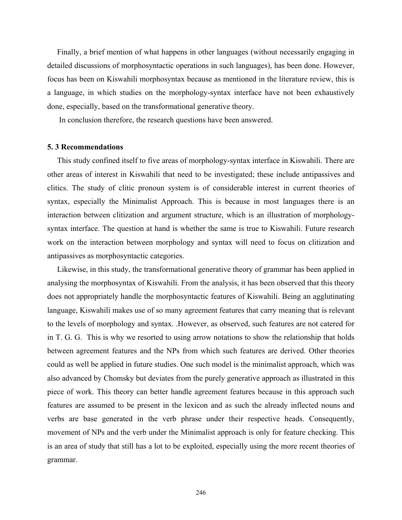Finally, a brief mention of what happens in other languages (without necessarily engaging in detailed discussions of morphosyntactic operations in such languages), has been done. However, focus has been on Kiswahili morphosyntax because as mentioned in the literature review, this is a language, in which studies on the morphology-syntax interface have not been exhaustively done, especially, based on the transformational generative theory.

In conclusion therefore, the research questions have been answered.

#### **5. 3 Recommendations**

 This study confined itself to five areas of morphology-syntax interface in Kiswahili. There are other areas of interest in Kiswahili that need to be investigated; these include antipassives and clitics. The study of clitic pronoun system is of considerable interest in current theories of syntax, especially the Minimalist Approach. This is because in most languages there is an interaction between clitization and argument structure, which is an illustration of morphologysyntax interface. The question at hand is whether the same is true to Kiswahili. Future research work on the interaction between morphology and syntax will need to focus on clitization and antipassives as morphosyntactic categories.

 Likewise, in this study, the transformational generative theory of grammar has been applied in analysing the morphosyntax of Kiswahili. From the analysis, it has been observed that this theory does not appropriately handle the morphosyntactic features of Kiswahili. Being an agglutinating language, Kiswahili makes use of so many agreement features that carry meaning that is relevant to the levels of morphology and syntax. .However, as observed, such features are not catered for in T. G. G. This is why we resorted to using arrow notations to show the relationship that holds between agreement features and the NPs from which such features are derived. Other theories could as well be applied in future studies. One such model is the minimalist approach, which was also advanced by Chomsky but deviates from the purely generative approach as illustrated in this piece of work. This theory can better handle agreement features because in this approach such features are assumed to be present in the lexicon and as such the already inflected nouns and verbs are base generated in the verb phrase under their respective heads. Consequently, movement of NPs and the verb under the Minimalist approach is only for feature checking. This is an area of study that still has a lot to be exploited, especially using the more recent theories of grammar.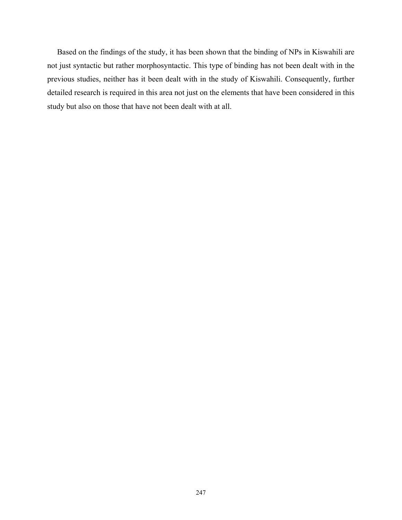Based on the findings of the study, it has been shown that the binding of NPs in Kiswahili are not just syntactic but rather morphosyntactic. This type of binding has not been dealt with in the previous studies, neither has it been dealt with in the study of Kiswahili. Consequently, further detailed research is required in this area not just on the elements that have been considered in this study but also on those that have not been dealt with at all.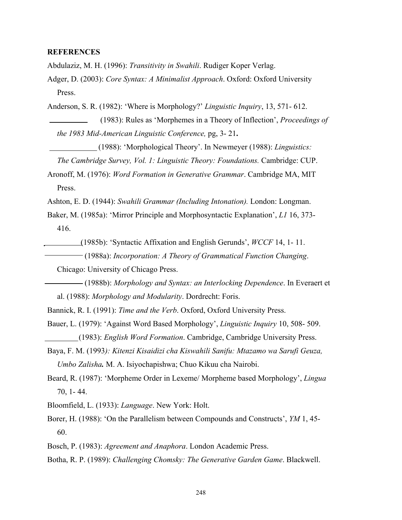# **REFERENCES**

Abdulaziz, M. H. (1996): *Transitivity in Swahili*. Rudiger Koper Verlag.

Adger, D. (2003): *Core Syntax: A Minimalist Approach*. Oxford: Oxford University Press.

Anderson, S. R. (1982): 'Where is Morphology?' *Linguistic Inquiry*, 13, 571- 612.

 (1983): Rules as 'Morphemes in a Theory of Inflection', *Proceedings of the 1983 Mid-American Linguistic Conference,* pg, 3- 21**.**

(1988): 'Morphological Theory'. In Newmeyer (1988): *Linguistics:* 

 *The Cambridge Survey, Vol. 1: Linguistic Theory: Foundations.* Cambridge: CUP.

Aronoff, M. (1976): *Word Formation in Generative Grammar*. Cambridge MA, MIT Press.

Ashton, E. D. (1944): *Swahili Grammar (Including Intonation).* London: Longman.

Baker, M. (1985a): 'Mirror Principle and Morphosyntactic Explanation', *L1* 16, 373- 416.

(1985b): 'Syntactic Affixation and English Gerunds', *WCCF* 14, 1- 11.

(1988a): *Incorporation: A Theory of Grammatical Function Changing*.

Chicago: University of Chicago Press.

 (1988b): *Morphology and Syntax: an Interlocking Dependence*. In Everaert et al. (1988): *Morphology and Modularity*. Dordrecht: Foris.

Bannick, R. I. (1991): *Time and the Verb*. Oxford, Oxford University Press.

Bauer, L. (1979): 'Against Word Based Morphology', *Linguistic Inquiry* 10, 508- 509. (1983): *English Word Formation*. Cambridge, Cambridge University Press.

Baya, F. M. (1993*): Kitenzi Kisaidizi cha Kiswahili Sanifu: Mtazamo wa Sarufi Geuza, Umbo Zalisha.* M. A. Isiyochapishwa; Chuo Kikuu cha Nairobi.

Beard, R. (1987): 'Morpheme Order in Lexeme/ Morpheme based Morphology', *Lingua* 70, 1- 44.

Bloomfield, L. (1933): *Language*. New York: Holt.

Borer, H. (1988): 'On the Parallelism between Compounds and Constructs', *YM* 1, 45- 60.

Bosch, P. (1983): *Agreement and Anaphora*. London Academic Press.

Botha, R. P. (1989): *Challenging Chomsky: The Generative Garden Game*. Blackwell.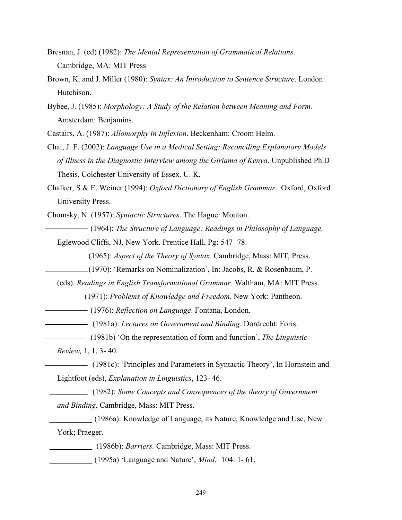- Bresnan, J. (ed) (1982): *The Mental Representation of Grammatical Relations*. Cambridge, MA: MIT Press
- Brown, K. and J. Miller (1980): *Syntax: An Introduction to Sentence Structure*. London: Hutchison.
- Bybee, J. (1985): *Morphology: A Study of the Relation between Meaning and Form.* Amsterdam: Benjamins.

Castairs, A. (1987): *Allomorphy in Inflexion*. Beckenham: Croom Helm.

- Chai, J. F. (2002): *Language Use in a Medical Setting: Reconciling Explanatory Models of Illness in the Diagnostic Interview among the Giriama of Kenya*. Unpublished Ph.D Thesis, Colchester University of Essex. U. K.
- Chalker, S & E. Weiner (1994): *Oxford Dictionary of English Grammar*. Oxford, Oxford University Press.

Chomsky, N. (1957): *Syntactic Structures*. The Hague: Mouton.

 (1964): *The Structure of Language: Readings in Philosophy of Language,* Eglewood Cliffs, NJ, New York. Prentice Hall, Pg**:** 547- 78.

- (1965): *Aspect of the Theory of Syntax*. Cambridge, Mass: MIT, Press.
- (1970): 'Remarks on Nominalization', In: Jacobs, R. & Rosenbaum, P.

(eds). *Readings in English Transformational Grammar*. Waltham, MA: MIT Press.

(1971): *Problems of Knowledge and Freedom*. New York: Pantheon.

(1976): *Reflection on Language*. Fontana, London.

- (1981a): *Lectures on Government and Binding*. Dordrecht: Foris.
- (1981b) 'On the representation of form and function', *The Linguistic*

 *Review,* 1, 1, 3- 40.

(1981c): 'Principles and Parameters in Syntactic Theory', In Hornstein and Lightfoot (eds), *Explanation in Linguistics*, 123- 46.

 (1982): *Some Concepts and Consequences of the theory of Government and Binding*, Cambridge, Mass: MIT Press.

 (1986a): Knowledge of Language, its Nature, Knowledge and Use, New York; Praeger.

(1986b): *Barriers.* Cambridge, Mass: MIT Press.

(1995a) 'Language and Nature', *Mind:* 104: 1- 61.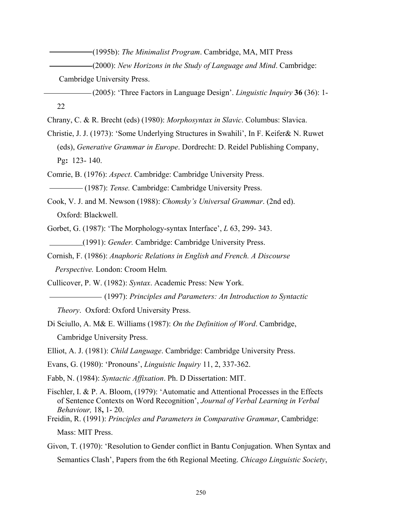(1995b): *The Minimalist Program*. Cambridge, MA, MIT Press

(2000): *New Horizons in the Study of Language and Mind*. Cambridge:

Cambridge University Press.

 (2005): 'Three Factors in Language Design'. *Linguistic Inquiry* **36** (36): 1- 22

Chrany, C. & R. Brecht (eds) (1980): *Morphosyntax in Slavic*. Columbus: Slavica.

Christie, J. J. (1973): 'Some Underlying Structures in Swahili', In F. Keifer& N. Ruwet (eds), *Generative Grammar in Europe*. Dordrecht: D. Reidel Publishing Company, Pg**:** 123- 140.

Comrie, B. (1976): *Aspect*. Cambridge: Cambridge University Press.

(1987): *Tense.* Cambridge: Cambridge University Press.

- Cook, V. J. and M. Newson (1988): *Chomsky's Universal Grammar*. (2nd ed). Oxford: Blackwell.
- Gorbet, G. (1987): 'The Morphology-syntax Interface', *L* 63, 299- 343. (1991): *Gender.* Cambridge: Cambridge University Press.
- Cornish, F. (1986): *Anaphoric Relations in English and French. A Discourse Perspective.* London: Croom Helm*.*

Cullicover, P. W. (1982): *Syntax*. Academic Press: New York.

(1997): *Principles and Parameters: An Introduction to Syntactic*

*Theory*. Oxford: Oxford University Press.

Di Sciullo, A. M& E. Williams (1987): *On the Definition of Word*. Cambridge, Cambridge University Press.

Elliot, A. J. (1981): *Child Language*. Cambridge: Cambridge University Press.

Evans, G. (1980): 'Pronouns', *Linguistic Inquiry* 11, 2, 337-362.

Fabb, N. (1984): *Syntactic Affixation*. Ph. D Dissertation: MIT.

Fischler, I. & P. A. Bloom, (1979): 'Automatic and Attentional Processes in the Effects of Sentence Contexts on Word Recognition', *Journal of Verbal Learning in Verbal Behaviour,* 18**,** 1- 20.

Freidin, R. (1991): *Principles and Parameters in Comparative Grammar*, Cambridge: Mass: MIT Press.

Givon, T. (1970): 'Resolution to Gender conflict in Bantu Conjugation. When Syntax and Semantics Clash', Papers from the 6th Regional Meeting. *Chicago Linguistic Society*,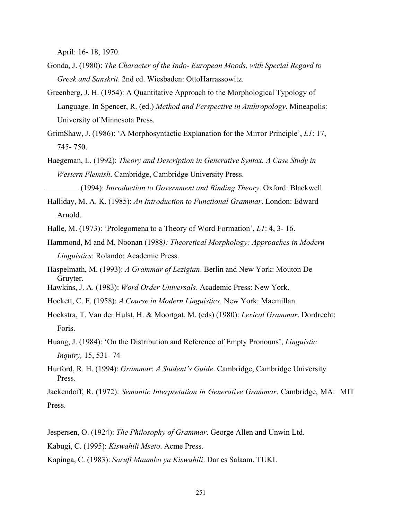April: 16- 18, 1970.

- Gonda, J. (1980): *The Character of the Indo- European Moods, with Special Regard to Greek and Sanskrit*. 2nd ed. Wiesbaden: OttoHarrassowitz.
- Greenberg, J. H. (1954): A Quantitative Approach to the Morphological Typology of Language. In Spencer, R. (ed.) *Method and Perspective in Anthropology*. Mineapolis: University of Minnesota Press.
- GrimShaw, J. (1986): 'A Morphosyntactic Explanation for the Mirror Principle', *L1*: 17, 745- 750.
- Haegeman, L. (1992): *Theory and Description in Generative Syntax. A Case Study in Western Flemish*. Cambridge, Cambridge University Press.

(1994): *Introduction to Government and Binding Theory*. Oxford: Blackwell.

- Halliday, M. A. K. (1985): *An Introduction to Functional Grammar*. London: Edward Arnold.
- Halle, M. (1973): 'Prolegomena to a Theory of Word Formation', *L1*: 4, 3- 16.
- Hammond, M and M. Noonan (1988*): Theoretical Morphology: Approaches in Modern Linguistics*: Rolando: Academic Press.
- Haspelmath, M. (1993): *A Grammar of Lezigian*. Berlin and New York: Mouton De Gruyter.
- Hawkins, J. A. (1983): *Word Order Universals*. Academic Press: New York.
- Hockett, C. F. (1958): *A Course in Modern Linguistics*. New York: Macmillan.
- Hoekstra, T. Van der Hulst, H. & Moortgat, M. (eds) (1980): *Lexical Grammar*. Dordrecht: Foris.
- Huang, J. (1984): 'On the Distribution and Reference of Empty Pronouns', *Linguistic Inquiry,* 15, 531- 74
- Hurford, R. H. (1994): *Grammar*: *A Student's Guide*. Cambridge, Cambridge University Press.

Jackendoff, R. (1972): *Semantic Interpretation in Generative Grammar*. Cambridge, MA: MIT Press.

Jespersen, O. (1924): *The Philosophy of Grammar*. George Allen and Unwin Ltd.

- Kabugi, C. (1995): *Kiswahili Mseto*. Acme Press.
- Kapinga, C. (1983): *Sarufi Maumbo ya Kiswahili*. Dar es Salaam. TUKI.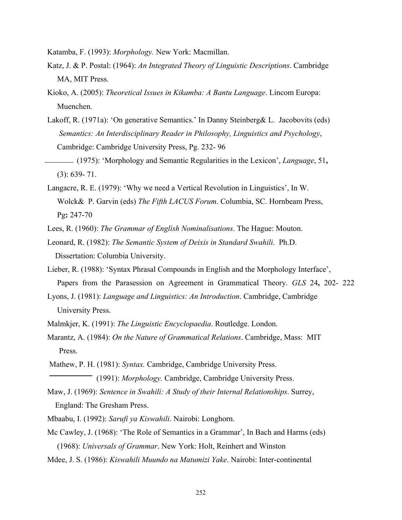Katamba, F. (1993): *Morphology.* New York: Macmillan.

- Katz, J. & P. Postal: (1964): *An Integrated Theory of Linguistic Descriptions*. Cambridge MA, MIT Press.
- Kioko, A. (2005): *Theoretical Issues in Kikamba: A Bantu Language*. Lincom Europa: Muenchen.
- Lakoff, R. (1971a): 'On generative Semantics.' In Danny Steinberg& L. Jacobovits (eds) *Semantics: An Interdisciplinary Reader in Philosophy, Linguistics and Psychology*, Cambridge: Cambridge University Press, Pg. 232- 96
- (1975): 'Morphology and Semantic Regularities in the Lexicon', *Language*, 51**,** (3): 639- 71.
- Langacre, R. E. (1979): 'Why we need a Vertical Revolution in Linguistics', In W. Wolck& P. Garvin (eds) *The Fifth LACUS Forum*. Columbia, SC. Hornbeam Press, Pg**:** 247-70
- Lees, R. (1960): *The Grammar of English Nominalisations*. The Hague: Mouton.
- Leonard, R. (1982): *The Semantic System of Deixis in Standard Swahili*. Ph.D. Dissertation: Columbia University.
- Lieber, R. (1988): 'Syntax Phrasal Compounds in English and the Morphology Interface', Papers from the Parasession on Agreement in Grammatical Theory. *GLS* 24**,** 202- 222
- Lyons, J. (1981): *Language and Linguistics: An Introduction*. Cambridge, Cambridge University Press.
- Malmkjer, K. (1991): *The Linguistic Encyclopaedia*. Routledge. London.
- Marantz, A. (1984): *On the Nature of Grammatical Relations*. Cambridge, Mass: MIT Press.
- Mathew, P. H. (1981): *Syntax.* Cambridge, Cambridge University Press.
	- (1991): *Morphology.* Cambridge, Cambridge University Press.
- Maw, J. (1969): *Sentence in Swahili: A Study of their Internal Relationships*. Surrey, England: The Gresham Press.
- Mbaabu, I. (1992): *Sarufi ya Kiswahili*. Nairobi: Longhorn.
- Mc Cawley, J. (1968): 'The Role of Semantics in a Grammar', In Bach and Harms (eds) (1968): *Universals of Grammar*. New York: Holt, Reinhert and Winston
- Mdee, J. S. (1986): *Kiswahili Muundo na Matumizi Yake*. Nairobi: Inter-continental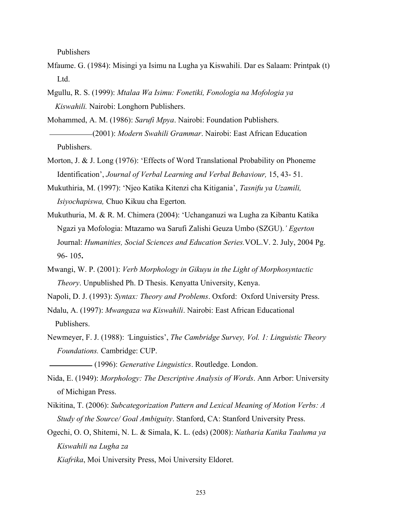Publishers

- Mfaume. G. (1984): Misingi ya Isimu na Lugha ya Kiswahili. Dar es Salaam: Printpak (t) Ltd.
- Mgullu, R. S. (1999): *Mtalaa Wa Isimu: Fonetiki, Fonologia na Mofologia ya Kiswahili.* Nairobi: Longhorn Publishers.

Mohammed, A. M. (1986): *Sarufi Mpya*. Nairobi: Foundation Publishers.

 (2001): *Modern Swahili Grammar*. Nairobi: East African Education Publishers.

- Morton, J. & J. Long (1976): 'Effects of Word Translational Probability on Phoneme Identification', *Journal of Verbal Learning and Verbal Behaviour,* 15, 43- 51.
- Mukuthiria, M. (1997): 'Njeo Katika Kitenzi cha Kitigania', *Tasnifu ya Uzamili, Isiyochapiswa,* Chuo Kikuu cha Egerton*.*
- Mukuthuria, M. & R. M. Chimera (2004): 'Uchanganuzi wa Lugha za Kibantu Katika Ngazi ya Mofologia: Mtazamo wa Sarufi Zalishi Geuza Umbo (SZGU).*' Egerton* Journal: *Humanities, Social Sciences and Education Series.*VOL.V. 2. July, 2004 Pg. 96- 105**.**
- Mwangi, W. P. (2001): *Verb Morphology in Gikuyu in the Light of Morphosyntactic Theory*. Unpublished Ph. D Thesis. Kenyatta University, Kenya.
- Napoli, D. J. (1993): *Syntax: Theory and Problems*. Oxford: Oxford University Press.
- Ndalu, A. (1997): *Mwangaza wa Kiswahili*. Nairobi: East African Educational Publishers.
- Newmeyer, F. J. (1988): *'*Linguistics', *The Cambridge Survey, Vol. 1: Linguistic Theory Foundations.* Cambridge: CUP.

(1996): *Generative Linguistics*. Routledge. London.

- Nida, E. (1949): *Morphology: The Descriptive Analysis of Words*. Ann Arbor: University of Michigan Press.
- Nikitina, T. (2006): *Subcategorization Pattern and Lexical Meaning of Motion Verbs: A Study of the Source/ Goal Ambiguity*. Stanford, CA: Stanford University Press.
- Ogechi, O. O, Shitemi, N. L. & Simala, K. L. (eds) (2008): *Natharia Katika Taaluma ya Kiswahili na Lugha za*

 *Kiafrika*, Moi University Press, Moi University Eldoret.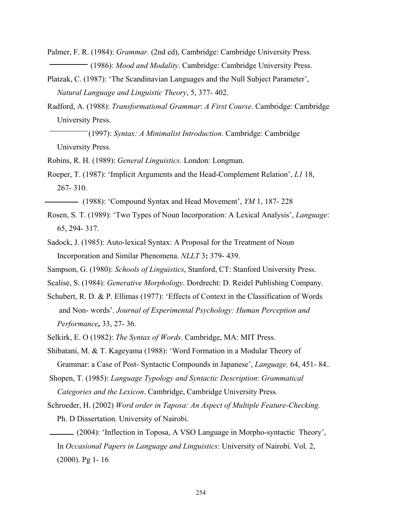Palmer, F. R. (1984): *Grammar.* (2nd ed), Cambridge: Cambridge University Press. (1986): *Mood and Modality*. Cambridge: Cambridge University Press.

Platzak, C. (1987): 'The Scandinavian Languages and the Null Subject Parameter', *Natural Language and Linguistic Theory*, 5, 377- 402.

Radford, A. (1988): *Transformational Grammar*: *A First Course*. Cambridge: Cambridge University Press.

 (1997): *Syntax: A Minimalist Introduction*. Cambridge: Cambridge University Press.

Robins, R. H. (1989): *General Linguistics*. London: Longman.

Roeper, T. (1987): 'Implicit Arguments and the Head-Complement Relation', *L1* 18, 267- 310.

(1988): 'Compound Syntax and Head Movement', *YM* 1, 187- 228

Rosen, S. T. (1989): 'Two Types of Noun Incorporation: A Lexical Analysis', *Language*: 65, 294- 317.

Sadock, J. (1985): Auto-lexical Syntax: A Proposal for the Treatment of Noun Incorporation and Similar Phenomena. *NLLT* 3**:** 379- 439.

Sampson, G. (1980): *Schools of Linguistics*, Stanford, CT: Stanford University Press.

Scalise, S. (1984): *Generative Morphology*. Dordrecht: D. Reidel Publishing Company.

- Schubert, R. D. & P. Ellimas (1977): 'Effects of Context in the Classification of Words and Non- words'. *Journal of Experimental Psychology: Human Perception and Performance,* 33, 27- 36.
- Selkirk, E. O (1982): *The Syntax of Words*. Cambridge, MA: MIT Press.

Shibatani, M. & T. Kageyama (1988): 'Word Formation in a Modular Theory of Grammar: a Case of Post- Syntactic Compounds in Japanese', *Language,* 64, 451- 84.*.*

 Shopen, T. (1985): *Language Typology and Syntactic Description*: *Grammatical Categories and the Lexicon*. Cambridge, Cambridge University Press*.*

Schroeder, H. (2002) *Word order in Taposa: An Aspect of Multiple Feature-Checking.*  Ph. D Dissertation. University of Nairobi.

 (2004): 'Inflection in Toposa, A VSO Language in Morpho-syntactic Theory', In *Occasional Papers in Language and Linguistics*: University of Nairobi. Vol. 2, (2000). Pg 1- 16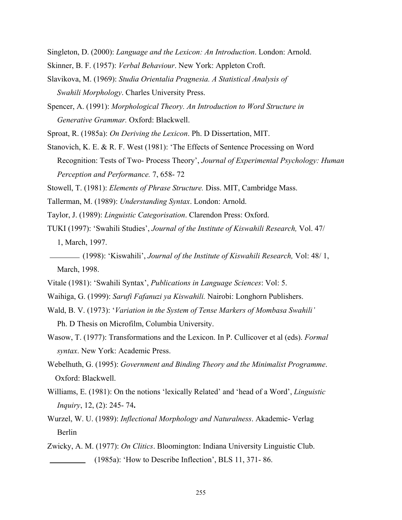Singleton, D. (2000): *Language and the Lexicon: An Introduction*. London: Arnold.

- Skinner, B. F. (1957): *Verbal Behaviour*. New York: Appleton Croft.
- Slavikova, M. (1969): *Studia Orientalia Pragnesia. A Statistical Analysis of Swahili Morphology*. Charles University Press.
- Spencer, A. (1991): *Morphological Theory. An Introduction to Word Structure in Generative Grammar.* Oxford: Blackwell.

Sproat, R. (1985a): *On Deriving the Lexicon*. Ph. D Dissertation, MIT.

Stanovich, K. E. & R. F. West (1981): 'The Effects of Sentence Processing on Word Recognition: Tests of Two- Process Theory', *Journal of Experimental Psychology: Human Perception and Performance.* 7, 658- 72

Stowell, T. (1981): *Elements of Phrase Structure.* Diss. MIT, Cambridge Mass.

- Tallerman, M. (1989): *Understanding Syntax*. London: Arnold.
- Taylor, J. (1989): *Linguistic Categorisation*. Clarendon Press: Oxford.
- TUKI (1997): 'Swahili Studies', *Journal of the Institute of Kiswahili Research,* Vol. 47/ 1, March, 1997.
- (1998): 'Kiswahili', *Journal of the Institute of Kiswahili Research,* Vol: 48/ 1, March, 1998.
- Vitale (1981): 'Swahili Syntax', *Publications in Language Sciences*: Vol: 5.
- Waihiga, G. (1999): *Sarufi Fafanuzi ya Kiswahili.* Nairobi: Longhorn Publishers.
- Wald, B. V. (1973): '*Variation in the System of Tense Markers of Mombasa Swahili'*

Ph. D Thesis on Microfilm, Columbia University.

- Wasow, T. (1977): Transformations and the Lexicon. In P. Cullicover et al (eds). *Formal syntax*. New York: Academic Press.
- Webelhuth, G. (1995): *Government and Binding Theory and the Minimalist Programme*. Oxford: Blackwell.
- Williams, E. (1981): On the notions 'lexically Related' and 'head of a Word', *Linguistic Inquiry*, 12, (2): 245- 74**.**
- Wurzel, W. U. (1989): *Inflectional Morphology and Naturalness*. Akademic- Verlag Berlin
- Zwicky, A. M. (1977): *On Clitics*. Bloomington: Indiana University Linguistic Club. (1985a): 'How to Describe Inflection', BLS 11, 371-86.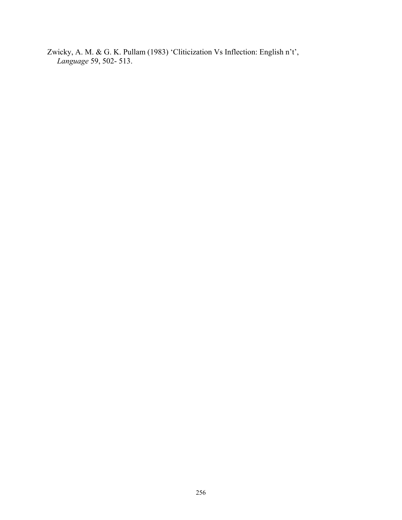Zwicky, A. M. & G. K. Pullam (1983) 'Cliticization Vs Inflection: English n't', *Language* 59, 502- 513.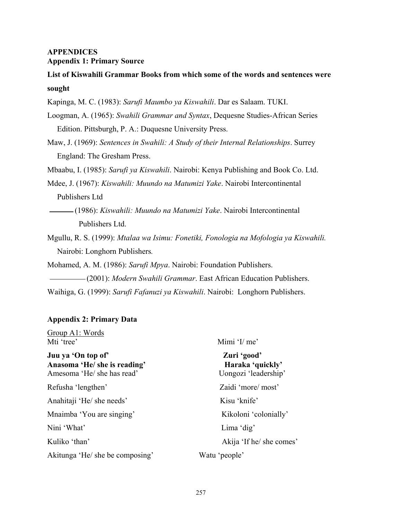# **APPENDICES Appendix 1: Primary Source**

**List of Kiswahili Grammar Books from which some of the words and sentences were sought**

Kapinga, M. C. (1983): *Sarufi Maumbo ya Kiswahili*. Dar es Salaam. TUKI.

Loogman, A. (1965): *Swahili Grammar and Syntax*, Dequesne Studies-African Series Edition. Pittsburgh, P. A.: Duquesne University Press.

Maw, J. (1969): *Sentences in Swahili: A Study of their Internal Relationships*. Surrey England: The Gresham Press.

Mbaabu, I. (1985): *Sarufi ya Kiswahili*. Nairobi: Kenya Publishing and Book Co. Ltd.

Mdee, J. (1967): *Kiswahili: Muundo na Matumizi Yake*. Nairobi Intercontinental Publishers Ltd

 (1986): *Kiswahili: Muundo na Matumizi Yake*. Nairobi Intercontinental Publishers Ltd.

Mgullu, R. S. (1999): *Mtalaa wa Isimu: Fonetiki, Fonologia na Mofologia ya Kiswahili.* Nairobi: Longhorn Publishers*.* 

Mohamed, A. M. (1986): *Sarufi Mpya*. Nairobi: Foundation Publishers.

(2001): *Modern Swahili Grammar*. East African Education Publishers.

Waihiga, G. (1999): *Sarufi Fafanuzi ya Kiswahili*. Nairobi: Longhorn Publishers.

# **Appendix 2: Primary Data**

Group A1: Words Mti 'tree' Mimi 'I/ me' **Juu ya 'On top of' Zuri 'good'**  Anasoma 'He/ she is reading' **Haraka 'quickly' Haraka 'quickly'** Amesoma 'He/ she has read' Uongozi 'leadership' Refusha 'lengthen' Zaidi 'more/ most' Anahitaji 'He/ she needs' Kisu 'knife' Mnaimba 'You are singing' Kikoloni 'colonially' Nini 'What' Lima 'dig' Kuliko 'than' Akija 'If he/ she comes' Akitunga 'He/ she be composing' Watu 'people'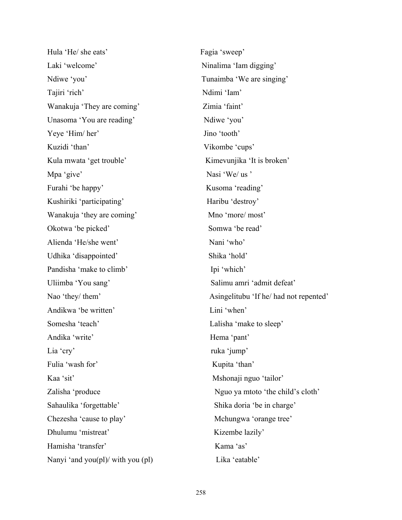Hula 'He/ she eats' Fagia 'sweep' Laki 'welcome' Ninalima 'Iam digging' Ndiwe 'you' Tunaimba 'We are singing' Tajiri 'rich' Ndimi 'Iam' Wanakuja 'They are coming' Zimia 'faint' Unasoma 'You are reading' Ndiwe 'you' Yeye 'Him/ her' Jino 'tooth' Kuzidi 'than' Vikombe 'cups' Kula mwata 'get trouble' Kimevunjika 'It is broken' Mpa 'give' Nasi 'We/ us ' Furahi 'be happy' Kusoma 'reading' Kushiriki 'participating' Haribu 'destroy' Wanakuja 'they are coming' Mno 'more/ most' Okotwa 'be picked' Somwa 'be read' Alienda 'He/she went' Nani 'who' Udhika 'disappointed' Shika 'hold' Pandisha 'make to climb' Ipi 'which' Uliimba 'You sang' Salimu amri 'admit defeat' Andikwa 'be written' Lini 'when' Somesha 'teach' Lalisha 'make to sleep' Andika 'write' Hema 'pant' Lia 'cry' ruka 'jump' Fulia 'wash for' Kupita 'than' Kaa 'sit' Mshonaji nguo 'tailor' Sahaulika 'forgettable' Shika doria 'be in charge' Chezesha 'cause to play' Mchungwa 'orange tree' Dhulumu 'mistreat' Kizembe lazily' Hamisha 'transfer' Kama 'as' Nanyi 'and you(pl)/ with you (pl) Lika 'eatable'

Nao 'they/ them' Asingelitubu 'If he/ had not repented' Zalisha 'produce Nguo ya mtoto 'the child's cloth'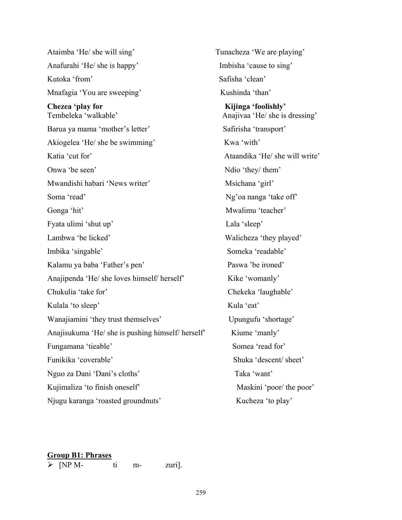Ataimba 'He/ she will sing' Tunacheza 'We are playing' Anafurahi 'He/ she is happy' Imbisha 'cause to sing' Kutoka 'from' Safisha 'clean' Mnafagia 'You are sweeping' Kushinda 'than' Chezea 'play for **Kijinga** 'foolishly' Tembeleka 'walkable' Anajivaa 'He/ she is dressing' Barua ya mama 'mother's letter' Safirisha 'transport' Akiogelea 'He/ she be swimming' Kwa 'with' Katia 'cut for' and the same second that the Atlandika 'He/ she will write' Onwa 'be seen' Ndio 'they/ them' Mwandishi habari 'News writer' Msichana 'girl' Soma 'read' Ng'oa nanga 'take off' Gonga 'hit' Mwalimu 'teacher' Fyata ulimi 'shut up' Lala 'sleep' Lambwa 'be licked' Walicheza 'they played' Imbika 'singable' Someka 'readable' Kalamu ya baba 'Father's pen' Paswa 'be ironed' Anajipenda 'He/ she loves himself/ herself' Kike 'womanly' Chukulia 'take for' Chekeka 'laughable' Kulala 'to sleep' Kula 'eat' Wanajiamini 'they trust themselves' Upungufu 'shortage' Anajisukuma 'He/ she is pushing himself/ herself' Kiume 'manly' Fungamana 'tieable' Somea 'read for' Funikika 'coverable' Shuka 'descent/ sheet' Nguo za Dani 'Dani's cloths' Taka 'want' Kujimaliza 'to finish oneself' Maskini 'poor/ the poor' Njugu karanga 'roasted groundnuts' Kucheza 'to play'

# **Group B1: Phrases**

 $\triangleright$  [NP M- ti m- zuri].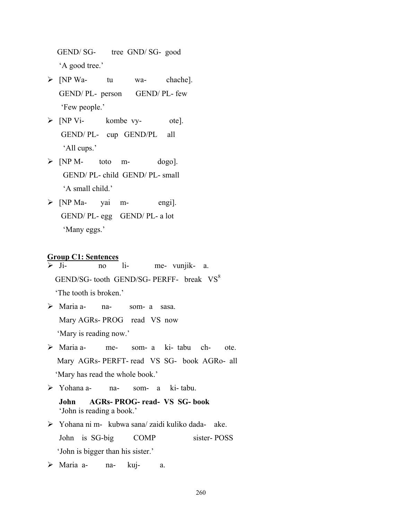GEND/ SG- tree GND/ SG- good 'A good tree.'

- $\triangleright$  [NP Wa- tu wa- chache]. GEND/ PL- person GEND/ PL- few 'Few people.'
- $\triangleright$  [NP Vi- kombe vy- ote]. GEND/ PL- cup GEND/PL all 'All cups.'
- $\triangleright$  [NP M- toto m- dogo]. GEND/ PL- child GEND/ PL- small 'A small child.'
- $\triangleright$  [NP Ma- yai m- engi]. GEND/ PL- egg GEND/ PL- a lot 'Many eggs.'

# **Group C1: Sentences**

¾ Ji- no li- me- vunjik- a. GEND/SG- tooth GEND/SG- PERFF- break  $VS^8$ 'The tooth is broken.'

- ¾ Maria a- na- som- a sasa. Mary AGRs- PROG read VS now 'Mary is reading now.'
- $\triangleright$  Maria a- me- som- a ki- tabu ch- ote. Mary AGRs- PERFT- read VS SG- book AGRo- all 'Mary has read the whole book.'
- ¾ Yohana a- na- som- a ki- tabu.

 **John AGRs- PROG- read- VS SG- book**  'John is reading a book.'

- ¾ Yohana ni m- kubwa sana/ zaidi kuliko dada- ake. John is SG-big COMP sister- POSS 'John is bigger than his sister.'
- $\triangleright$  Maria a- na- kuj- a.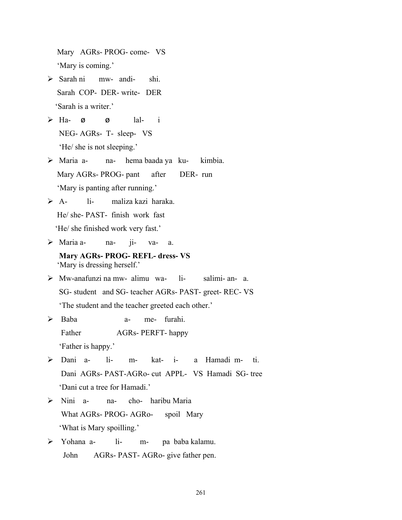Mary AGRs- PROG- come- VS 'Mary is coming.'

- $\triangleright$  Sarah ni mw- andi- shi. Sarah COP- DER- write- DER 'Sarah is a writer.'
- $\triangleright$  Ha- ø ø lal- i NEG- AGRs- T- sleep- VS 'He/ she is not sleeping.'
- ¾ Maria a- na- hema baada ya ku- kimbia. Mary AGRs- PROG- pant after DER- run 'Mary is panting after running.'
- ¾ A- li- maliza kazi haraka. He/ she- PAST- finish work fast

'He/ she finished work very fast.'

- ¾ Maria a- na- ji- va- a.
	- **Mary AGRs- PROG- REFL- dress- VS**  'Mary is dressing herself.'
- ¾ Mw-anafunzi na mw- alimu wa- li- salimi- an- a. SG- student and SG- teacher AGRs- PAST- greet- REC- VS 'The student and the teacher greeted each other.'
- ¾ Baba a- me- furahi. Father AGRs- PERFT- happy 'Father is happy.'
- ¾ Dani a- li- m- kat- i- a Hamadi m- ti. Dani AGRs- PAST-AGRo- cut APPL- VS Hamadi SG- tree 'Dani cut a tree for Hamadi.'
- ¾ Nini a- na- cho- haribu Maria What AGRs- PROG- AGRo- spoil Mary 'What is Mary spoilling.'
- ¾ Yohana a- li- m- pa baba kalamu. John AGRs- PAST- AGRo- give father pen.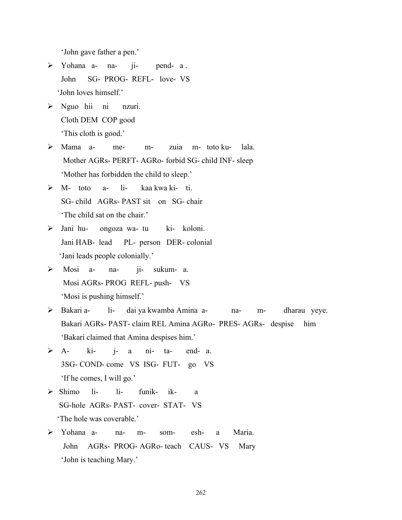'John gave father a pen.'

- ¾ Yohana a- na- ji- pend- a . John SG- PROG- REFL- love- VS 'John loves himself.'
- $\triangleright$  Nguo hii ni nzuri. Cloth DEM COP good 'This cloth is good.'
- ¾ Mama a- me- m- zuia m- toto ku- lala. Mother AGRs- PERFT- AGRo- forbid SG- child INF- sleep 'Mother has forbidden the child to sleep.'
- ¾ M- toto a- li- kaa kwa ki- ti. SG- child AGRs- PAST sit on SG- chair 'The child sat on the chair.'
- ¾ Jani hu- ongoza wa- tu ki- koloni. Jani HAB- lead PL- person DER- colonial 'Jani leads people colonially.'
- ¾ Mosi a- na- ji- sukum- a. Mosi AGRs- PROG REFL- push- VS 'Mosi is pushing himself.'
- ¾ Bakari a- li- dai ya kwamba Amina a- na- m- dharau yeye. Bakari AGRs- PAST- claim REL Amina AGRo- PRES- AGRs- despise him 'Bakari claimed that Amina despises him.'
- $\triangleright$  A- ki- j- a ni- ta- end- a. 3SG- COND- come VS ISG- FUT- go VS 'If he comes, I will go.'
- ¾ Shimo li- li- funik- ik- a SG-hole AGRs- PAST- cover- STAT- VS 'The hole was coverable.'
- ¾ Yohana a- na- m- som- esh- a Maria. John AGRs- PROG- AGRo- teach CAUS- VS Mary 'John is teaching Mary.'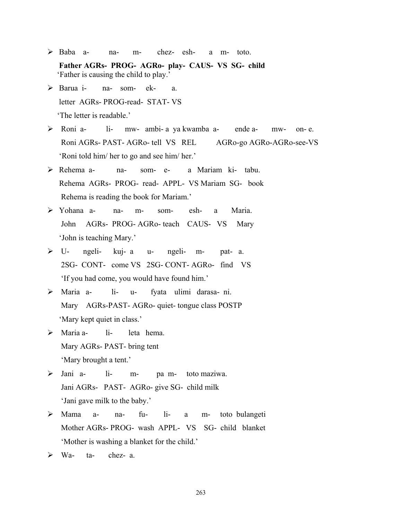- ¾ Baba a- na- m- chez- esh- a m- toto.  **Father AGRs- PROG- AGRo- play- CAUS- VS SG- child**  'Father is causing the child to play.'
- ¾ Barua i- na- som- ek- a. letter AGRs- PROG-read- STAT- VS 'The letter is readable.'
- ¾ Roni a- li- mw- ambi- a ya kwamba a- ende a- mw- on- e. Roni AGRs- PAST- AGRo- tell VS REL AGRo-go AGRo-AGRo-see-VS 'Roni told him/ her to go and see him/ her.'
- ¾ Rehema a- na- som- e- a Mariam ki- tabu. Rehema AGRs- PROG- read- APPL- VS Mariam SG- book Rehema is reading the book for Mariam.'
- ¾ Yohana a- na- m- som- esh- a Maria. John AGRs- PROG- AGRo- teach CAUS- VS Mary 'John is teaching Mary.'
- ¾ U- ngeli- kuj- a u- ngeli- m- pat- a. 2SG- CONT- come VS 2SG- CONT- AGRo- find VS 'If you had come, you would have found him.'
- ¾ Maria a- li- u- fyata ulimi darasa- ni. Mary AGRs-PAST- AGRo- quiet- tongue class POSTP 'Mary kept quiet in class.'
- $\triangleright$  Maria a- li- leta hema. Mary AGRs- PAST- bring tent 'Mary brought a tent.'
- ¾ Jani a- li- m- pa m- toto maziwa. Jani AGRs- PAST- AGRo- give SG- child milk 'Jani gave milk to the baby.'
- ¾ Mama a- na- fu- li- a m- toto bulangeti Mother AGRs- PROG- wash APPL- VS SG- child blanket 'Mother is washing a blanket for the child.'
- $\triangleright$  Wa- ta- chez- a.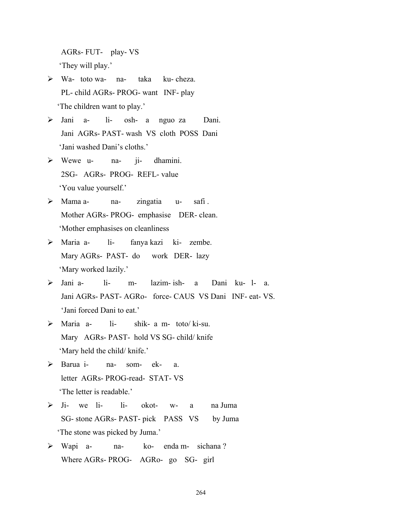AGRs- FUT- play- VS 'They will play.'

- ¾ Wa- toto wa- na- taka ku- cheza. PL- child AGRs- PROG- want INF- play 'The children want to play.'
- ¾ Jani a- li- osh- a nguo za Dani. Jani AGRs- PAST- wash VS cloth POSS Dani 'Jani washed Dani's cloths.'
- ¾ Wewe u- na- ji- dhamini. 2SG- AGRs- PROG- REFL- value 'You value yourself.'
- > Mama a- na- zingatia u- safi . Mother AGRs- PROG- emphasise DER- clean. 'Mother emphasises on cleanliness
- ¾ Maria a- li- fanya kazi ki- zembe. Mary AGRs- PAST- do work DER- lazy 'Mary worked lazily.'
- $\triangleright$  Jani a- li- m- lazim- ish- a Dani ku- l- a Jani AGRs- PAST- AGRo- force- CAUS VS Dani INF- eat- VS. 'Jani forced Dani to eat.'
- $\triangleright$  Maria a- li- shik- a m- toto/ ki-su. Mary AGRs- PAST- hold VS SG- child/ knife 'Mary held the child/ knife.'
- ¾ Barua i- na- som- ek- a. letter AGRs- PROG-read- STAT- VS 'The letter is readable.'
- $\triangleright$  Ji- we li- li- okot- w- a na Juma SG- stone AGRs- PAST- pick PASS VS by Juma 'The stone was picked by Juma.'
- ¾ Wapi a- na- ko- enda m- sichana ? Where AGRs- PROG- AGRo- go SG- girl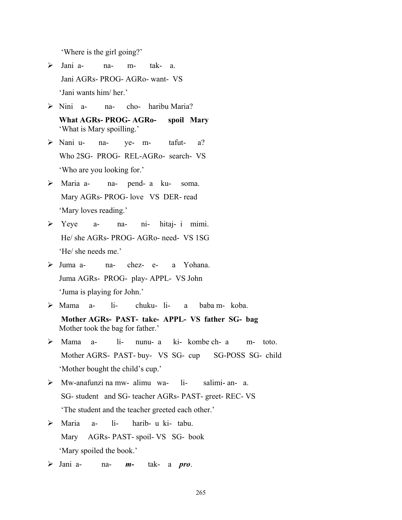'Where is the girl going?'

- ¾ Jani a- na- m- tak- a. Jani AGRs- PROG- AGRo- want- VS 'Jani wants him/ her.'
- ¾ Nini a- na- cho- haribu Maria?

 **What AGRs- PROG- AGRo- spoil Mary**  'What is Mary spoilling.'

- ¾ Nani u- na- ye- m- tafut- a? Who 2SG- PROG- REL-AGRo- search- VS 'Who are you looking for.'
- ¾ Maria a- na- pend- a ku- soma. Mary AGRs- PROG- love VS DER- read 'Mary loves reading.'
- ¾ Yeye a- na- ni- hitaj- i mimi. He/ she AGRs- PROG- AGRo- need- VS 1SG 'He/ she needs me.'
- ¾ Juma a- na- chez- e- a Yohana. Juma AGRs- PROG- play- APPL- VS John 'Juma is playing for John.'
- ¾ Mama a- li- chuku- li- a baba m- koba.  **Mother AGRs- PAST- take- APPL- VS father SG- bag**  Mother took the bag for father.'
- $\triangleright$  Mama a- li- nunu- a ki- kombe ch- a m- toto. Mother AGRS- PAST- buy- VS SG- cup SG-POSS SG- child 'Mother bought the child's cup.'
- ¾ Mw-anafunzi na mw- alimu wa- li- salimi- an- a. SG- student and SG- teacher AGRs- PAST- greet- REC- VS 'The student and the teacher greeted each other.'
- ¾ Maria a- li- harib- u ki- tabu. Mary AGRs- PAST- spoil- VS SG- book 'Mary spoiled the book.'
- ¾ Jani a- na- *m-* tak- a *pro*.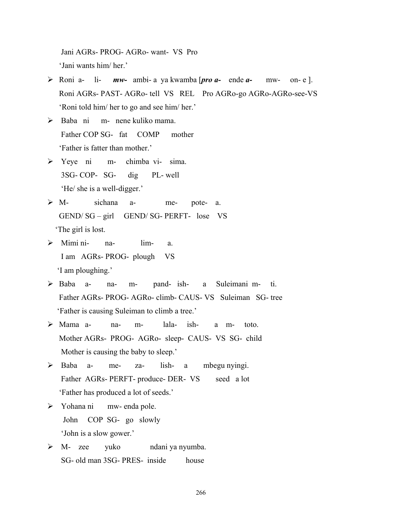Jani AGRs- PROG- AGRo- want- VS Pro 'Jani wants him/ her.'

- ¾ Roni a- li- *mw-* ambi- a ya kwamba [*pro a-* ende *a-* mw- on- e ]. Roni AGRs- PAST- AGRo- tell VS REL Pro AGRo-go AGRo-AGRo-see-VS 'Roni told him/ her to go and see him/ her.'
- ¾ Baba ni m- nene kuliko mama. Father COP SG- fat COMP mother 'Father is fatter than mother.'
- ¾ Yeye ni m- chimba vi- sima. 3SG- COP- SG- dig PL- well 'He/ she is a well-digger.'
- ¾ M- sichana a- me- pote- a. GEND/ SG – girl GEND/ SG- PERFT- lose VS 'The girl is lost.
- $\triangleright$  Mimi ni- na- lim- a. I am AGRs- PROG- plough VS 'I am ploughing.'
- ¾ Baba a- na- m- pand- ish- a Suleimani m- ti. Father AGRs- PROG- AGRo- climb- CAUS- VS Suleiman SG- tree 'Father is causing Suleiman to climb a tree.'
- $\triangleright$  Mama a- na- m- lala- ish- a m- toto. Mother AGRs- PROG- AGRo- sleep- CAUS- VS SG- child Mother is causing the baby to sleep.'
- ¾ Baba a- me- za- lish- a mbegu nyingi. Father AGRs- PERFT- produce- DER- VS seed a lot 'Father has produced a lot of seeds.'
- ¾ Yohana ni mw- enda pole. John COP SG- go slowly 'John is a slow gower.'
- ¾ M- zee yuko ndani ya nyumba. SG- old man 3SG- PRES- inside house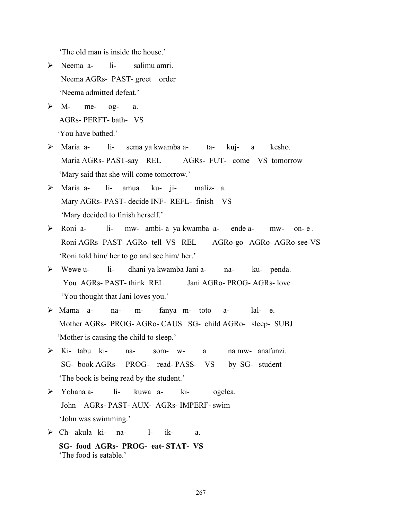'The old man is inside the house.'

- $\triangleright$  Neema a- li- salimu amri. Neema AGRs- PAST- greet order 'Neema admitted defeat.'
- $\triangleright$  M- me- og- a. AGRs- PERFT- bath- VS 'You have bathed.'
- ¾ Maria a- li- sema ya kwamba a- ta- kuj- a kesho. Maria AGRs- PAST-say REL AGRs- FUT- come VS tomorrow 'Mary said that she will come tomorrow.'
- ¾ Maria a- li- amua ku- ji- maliz- a. Mary AGRs- PAST- decide INF- REFL- finish VS 'Mary decided to finish herself.'
- ¾ Roni a- li- mw- ambi- a ya kwamba a- ende a- mw- on- e . Roni AGRs- PAST- AGRo- tell VS REL AGRo-go AGRo- AGRo-see-VS 'Roni told him/ her to go and see him/ her.'
- ¾ Wewe u- li- dhani ya kwamba Jani a- na- ku- penda. You AGRs- PAST- think REL Jani AGRo- PROG- AGRs- love 'You thought that Jani loves you.'
- ¾ Mama a- na- m- fanya m- toto a- lal- e. Mother AGRs- PROG- AGRo- CAUS SG- child AGRo- sleep- SUBJ 'Mother is causing the child to sleep.'
- ¾ Ki- tabu ki- na- som- w- a na mw- anafunzi. SG- book AGRs- PROG- read- PASS- VS by SG- student 'The book is being read by the student.'
- ¾ Yohana a- li- kuwa a- ki- ogelea. John AGRs- PAST- AUX- AGRs- IMPERF- swim 'John was swimming.'
- ¾ Ch- akula ki- na- l- ik- a.
	- **SG- food AGRs- PROG- eat- STAT- VS**  'The food is eatable.'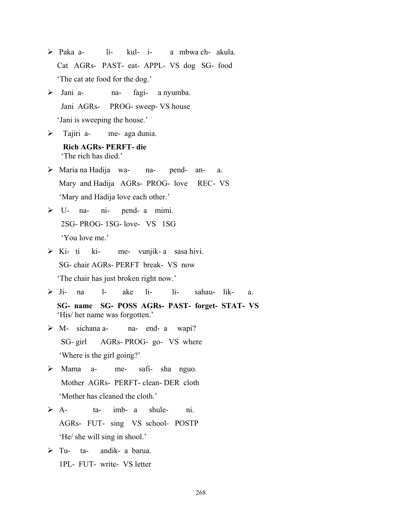- ¾ Paka a- li- kul- i- a mbwa ch- akula. Cat AGRs- PAST- eat- APPL- VS dog SG- food 'The cat ate food for the dog.'
- $\triangleright$  Jani a- na- fagi- a nyumba. Jani AGRs- PROG- sweep- VS house 'Jani is sweeping the house.'
- $\triangleright$  Tajiri a- me- aga dunia.
	- **Rich AGRs- PERFT- die**  'The rich has died.'
- ¾ Maria na Hadija wa- na- pend- an- a. Mary and Hadija AGRs- PROG- love REC- VS 'Mary and Hadija love each other.'
- $\triangleright$  U- na- ni- pend- a mimi. 2SG- PROG- 1SG- love- VS 1SG 'You love me.'
- $\triangleright$  Ki- ti ki- me- vunjik- a sasa hivi. SG- chair AGRs- PERFT break- VS now 'The chair has just broken right now.'
- ¾ Ji- na l- ake li- li- sahau- lik- a.  **SG- name SG- POSS AGRs- PAST- forget- STAT- VS**  'His/ her name was forgotten.'
- ¾ M- sichana a- na- end- a wapi? SG- girl AGRs- PROG- go- VS where 'Where is the girl going?'
- ¾ Mama a- me- safi- sha nguo. Mother AGRs- PERFT- clean- DER cloth 'Mother has cleaned the cloth.'
- $\triangleright$  A- ta- imb- a shule- ni. AGRs- FUT- sing VS school- POSTP 'He/ she will sing in shool.'
- $\triangleright$  Tu- ta- andik- a barua. 1PL- FUT- write- VS letter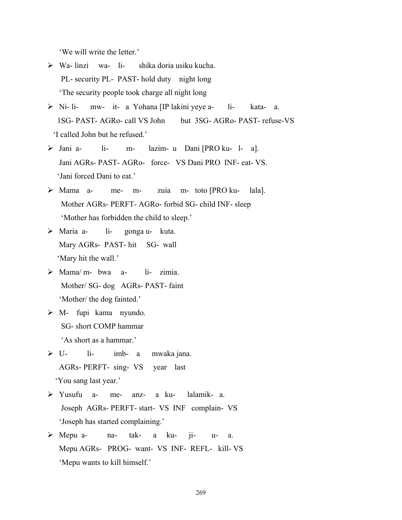'We will write the letter.'

- $\triangleright$  Wa- linzi wa- li- shika doria usiku kucha. PL- security PL- PAST- hold duty night long 'The security people took charge all night long
- ¾ Ni- li- mw- it- a Yohana [IP lakini yeye a- li- kata- a. 1SG- PAST- AGRo- call VS John but 3SG- AGRo- PAST- refuse-VS 'I called John but he refused.'
- ¾ Jani a- li- m- lazim- u Dani [PRO ku- l- a]. Jani AGRs- PAST- AGRo- force- VS Dani PRO INF- eat- VS. 'Jani forced Dani to eat.'
- ¾ Mama a- me- m- zuia m- toto [PRO ku- lala]. Mother AGRs- PERFT- AGRo- forbid SG- child INF- sleep 'Mother has forbidden the child to sleep.'
- ¾ Maria a- li- gonga u- kuta. Mary AGRs- PAST- hit SG- wall 'Mary hit the wall.'
- $\triangleright$  Mama/m- bwa a- li- zimia. Mother/ SG- dog AGRs- PAST- faint 'Mother/ the dog fainted.'
- $\triangleright$  M- fupi kama nyundo. SG- short COMP hammar 'As short as a hammar.'
- $\triangleright$  U- li- imb- a mwaka jana. AGRs- PERFT- sing- VS year last 'You sang last year.'
- ¾ Yusufu a- me- anz- a ku- lalamik- a. Joseph AGRs- PERFT- start- VS INF complain- VS 'Joseph has started complaining.'
- ¾ Mepu a- na- tak- a ku- ji- u- a. Mepu AGRs- PROG- want- VS INF- REFL- kill- VS 'Mepu wants to kill himself.'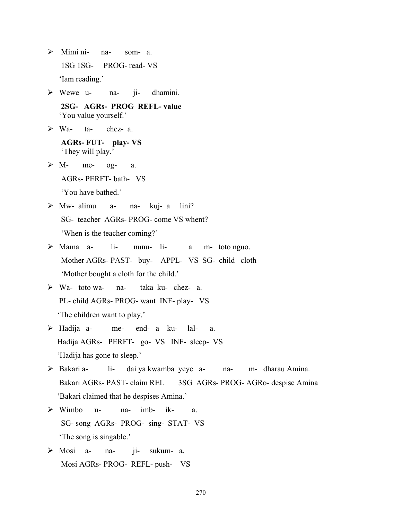- ¾ Mimi ni- na- som- a. 1SG 1SG- PROG- read- VS 'Iam reading.'
- $\triangleright$  Wewe u- na- ji- dhamini.

 **2SG- AGRs- PROG REFL- value**  'You value yourself.'

¾ Wa- ta- chez- a.

 **AGRs- FUT- play- VS**  'They will play.'

- $\triangleright$  M- me- og- a. AGRs- PERFT- bath- VS 'You have bathed.'
- $\triangleright$  Mw- alimu a- na- kuj- a lini? SG- teacher AGRs- PROG- come VS whent? 'When is the teacher coming?'
- ¾ Mama a- li- nunu- li- a m- toto nguo. Mother AGRs- PAST- buy- APPL- VS SG- child cloth 'Mother bought a cloth for the child.'
- ¾ Wa- toto wa- na- taka ku- chez- a. PL- child AGRs- PROG- want INF- play- VS 'The children want to play.'
- ¾ Hadija a- me- end- a ku- lal- a. Hadija AGRs- PERFT- go- VS INF- sleep- VS 'Hadija has gone to sleep.'
- ¾ Bakari a- li- dai ya kwamba yeye a- na- m- dharau Amina. Bakari AGRs- PAST- claim REL 3SG AGRs- PROG- AGRo- despise Amina 'Bakari claimed that he despises Amina.'
- $\triangleright$  Wimbo u- na- imb- ik- a. SG- song AGRs- PROG- sing- STAT- VS 'The song is singable.'
- ¾ Mosi a- na- ji- sukum- a. Mosi AGRs- PROG- REFL- push- VS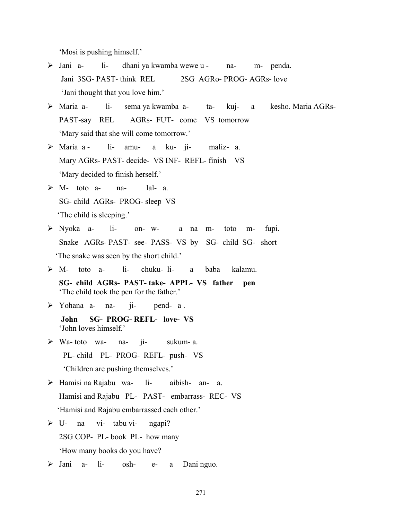'Mosi is pushing himself.'

- ¾ Jani a- li- dhani ya kwamba wewe u na- m- penda. Jani 3SG- PAST- think REL 2SG AGRo- PROG- AGRs- love 'Jani thought that you love him.'
- ¾ Maria a- li- sema ya kwamba a- ta- kuj- a kesho. Maria AGRs-PAST-say REL AGRs- FUT- come VS tomorrow 'Mary said that she will come tomorrow.'
- ¾ Maria a li- amu- a ku- ji- maliz- a. Mary AGRs- PAST- decide- VS INF- REFL- finish VS 'Mary decided to finish herself.'
- ¾ M- toto a- na- lal- a. SG- child AGRs- PROG- sleep VS 'The child is sleeping.'
- ¾ Nyoka a- li- on- w- a na m- toto m- fupi. Snake AGRs- PAST- see- PASS- VS by SG- child SG- short 'The snake was seen by the short child.'
- $\triangleright$  M- toto a- li- chuku- li- a baba kalamu.
	- **SG- child AGRs- PAST- take- APPL- VS father pen**  'The child took the pen for the father.'
- ¾ Yohana a- na- ji- pend- a .
	- **John SG- PROG- REFL- love- VS**  'John loves himself.'
- ¾ Wa- toto wa- na- ji- sukum- a. PL- child PL- PROG- REFL- push- VS 'Children are pushing themselves.'
- ¾ Hamisi na Rajabu wa- li- aibish- an- a. Hamisi and Rajabu PL- PAST- embarrass- REC- VS 'Hamisi and Rajabu embarrassed each other.'
- $\triangleright$  U- na vi- tabu vi- ngapi? 2SG COP- PL- book PL- how many 'How many books do you have?
- ¾ Jani a- li- osh- e- a Dani nguo.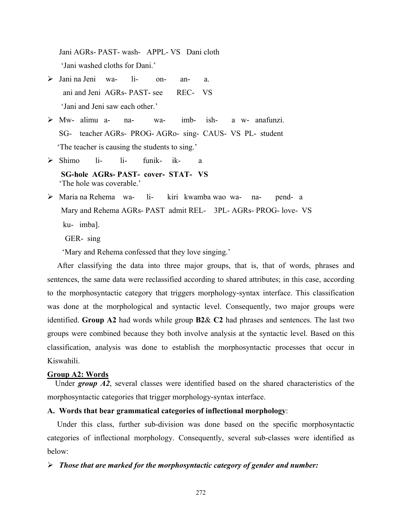Jani AGRs- PAST- wash- APPL- VS Dani cloth 'Jani washed cloths for Dani.'

- ¾ Jani na Jeni wa- li- on- an- a. ani and Jeni AGRs- PAST- see REC- VS 'Jani and Jeni saw each other.'
- ¾ Mw- alimu a- na- wa- imb- ish- a w- anafunzi. SG- teacher AGRs- PROG- AGRo- sing- CAUS- VS PL- student 'The teacher is causing the students to sing.'
- ¾ Shimo li- li- funik- ik- a  **SG-hole AGRs- PAST- cover- STAT- VS**  'The hole was coverable.'
- ¾ Maria na Rehema wa- li- kiri kwamba wao wa- na- pend- a Mary and Rehema AGRs- PAST admit REL- 3PL- AGRs- PROG- love- VS ku- imba].

GER- sing

'Mary and Rehema confessed that they love singing.'

 After classifying the data into three major groups, that is, that of words, phrases and sentences, the same data were reclassified according to shared attributes; in this case, according to the morphosyntactic category that triggers morphology-syntax interface. This classification was done at the morphological and syntactic level. Consequently, two major groups were identified. **Group A2** had words while group **B2**& **C2** had phrases and sentences. The last two groups were combined because they both involve analysis at the syntactic level. Based on this classification, analysis was done to establish the morphosyntactic processes that occur in Kiswahili.

# **Group A2: Words**

 Under *group A2*, several classes were identified based on the shared characteristics of the morphosyntactic categories that trigger morphology-syntax interface.

# **A. Words that bear grammatical categories of inflectional morphology**:

Under this class, further sub-division was done based on the specific morphosyntactic categories of inflectional morphology. Consequently, several sub-classes were identified as below:

# ¾ *Those that are marked for the morphosyntactic category of gender and number:*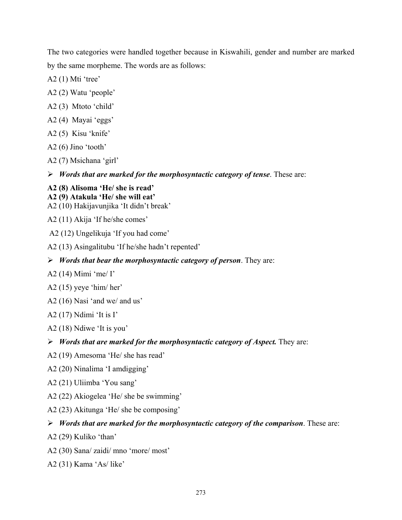The two categories were handled together because in Kiswahili, gender and number are marked by the same morpheme. The words are as follows:

- A2 (1) Mti 'tree'
- A2 (2) Watu 'people'
- A2 (3) Mtoto 'child'
- A2 (4) Mayai 'eggs'
- A2 (5) Kisu 'knife'
- A2 (6) Jino 'tooth'
- A2 (7) Msichana 'girl'
- ¾ *Words that are marked for the morphosyntactic category of tense*. These are:

# **A2 (8) Alisoma 'He/ she is read'**

- **A2 (9) Atakula 'He/ she will eat'**  A2 (10) Hakijavunjika 'It didn't break'
- A2 (11) Akija 'If he/she comes'
- A2 (12) Ungelikuja 'If you had come'
- A2 (13) Asingalitubu 'If he/she hadn't repented'
- ¾ *Words that bear the morphosyntactic category of person*. They are:
- A2 (14) Mimi 'me/ I'
- A2 (15) yeye 'him/ her'
- A2 (16) Nasi 'and we/ and us'
- A2 (17) Ndimi 'It is I'
- A2 (18) Ndiwe 'It is you'
- ¾ *Words that are marked for the morphosyntactic category of Aspect.* They are:
- A2 (19) Amesoma 'He/ she has read'
- A2 (20) Ninalima 'I amdigging'
- A2 (21) Uliimba 'You sang'
- A2 (22) Akiogelea 'He/ she be swimming'
- A2 (23) Akitunga 'He/ she be composing'

#### ¾ *Words that are marked for the morphosyntactic category of the comparison*. These are:

- A2 (29) Kuliko 'than'
- A2 (30) Sana/ zaidi/ mno 'more/ most'
- A2 (31) Kama 'As/ like'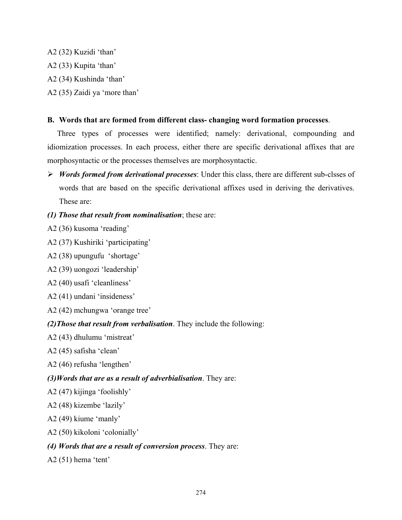A2 (32) Kuzidi 'than' A2 (33) Kupita 'than' A2 (34) Kushinda 'than' A2 (35) Zaidi ya 'more than'

## **B. Words that are formed from different class- changing word formation processes**.

Three types of processes were identified; namely: derivational, compounding and idiomization processes. In each process, either there are specific derivational affixes that are morphosyntactic or the processes themselves are morphosyntactic.

- ¾ *Words formed from derivational processes*: Under this class, there are different sub-clsses of words that are based on the specific derivational affixes used in deriving the derivatives. These are:
- *(1) Those that result from nominalisation*; these are:
- A2 (36) kusoma 'reading'
- A2 (37) Kushiriki 'participating'
- A2 (38) upungufu 'shortage'
- A2 (39) uongozi 'leadership'
- A2 (40) usafi 'cleanliness'
- A2 (41) undani 'insideness'
- A2 (42) mchungwa 'orange tree'

## *(2)Those that result from verbalisation*. They include the following:

- A2 (43) dhulumu 'mistreat'
- A2 (45) safisha 'clean'
- A2 (46) refusha 'lengthen'

## *(3)Words that are as a result of adverbialisation*. They are:

- A2 (47) kijinga 'foolishly'
- A2 (48) kizembe 'lazily'
- A2 (49) kiume 'manly'
- A2 (50) kikoloni 'colonially'

## *(4) Words that are a result of conversion process*. They are:

A2 (51) hema 'tent'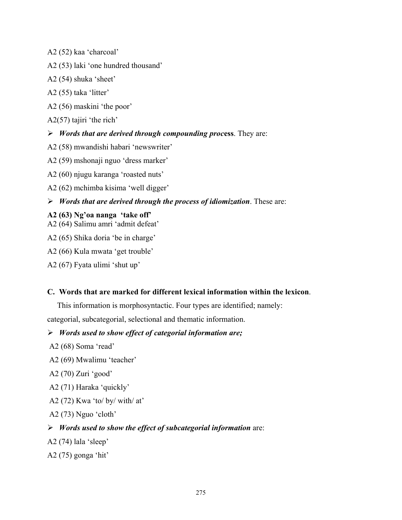- A2 (52) kaa 'charcoal'
- A2 (53) laki 'one hundred thousand'
- A2 (54) shuka 'sheet'
- A2 (55) taka 'litter'
- A2 (56) maskini 'the poor'
- A2(57) tajiri 'the rich'

### ¾ *Words that are derived through compounding proc***ess**. They are:

- A2 (58) mwandishi habari 'newswriter'
- A2 (59) mshonaji nguo 'dress marker'
- A2 (60) njugu karanga 'roasted nuts'
- A2 (62) mchimba kisima 'well digger'
- ¾ *Words that are derived through the process of idiomization*. These are:

### **A2 (63) Ng'oa nanga 'take off'**

- A2 (64) Salimu amri 'admit defeat'
- A2 (65) Shika doria 'be in charge'
- A2 (66) Kula mwata 'get trouble'
- A2 (67) Fyata ulimi 'shut up'

#### **C. Words that are marked for different lexical information within the lexicon**.

This information is morphosyntactic. Four types are identified; namely: categorial, subcategorial, selectional and thematic information.

## ¾ *Words used to show effect of categorial information are;*

- A2 (68) Soma 'read'
- A2 (69) Mwalimu 'teacher'
- A2 (70) Zuri 'good'
- A2 (71) Haraka 'quickly'
- A2 (72) Kwa 'to/ by/ with/ at'
- A2 (73) Nguo 'cloth'

#### ¾ *Words used to show the effect of subcategorial information* are:

- A2 (74) lala 'sleep'
- A2 (75) gonga 'hit'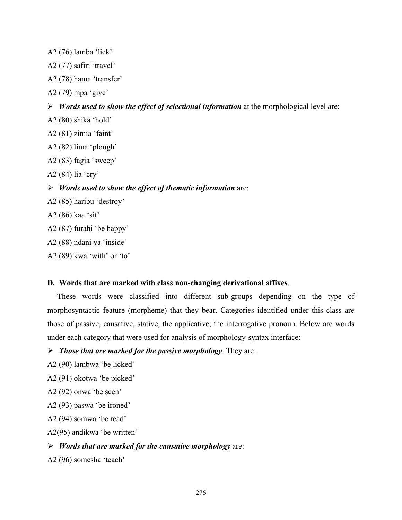A2 (76) lamba 'lick'

- A2 (77) safiri 'travel'
- A2 (78) hama 'transfer'
- A2 (79) mpa 'give'
- ¾ *Words used to show the effect of selectional information* at the morphological level are:
- A2 (80) shika 'hold'
- A2 (81) zimia 'faint'
- A2 (82) lima 'plough'
- A2 (83) fagia 'sweep'
- A2 (84) lia 'cry'

#### ¾ *Words used to show the effect of thematic information* are:

- A2 (85) haribu 'destroy'
- A2 (86) kaa 'sit'
- A2 (87) furahi 'be happy'
- A2 (88) ndani ya 'inside'
- A2 (89) kwa 'with' or 'to'

#### **D. Words that are marked with class non-changing derivational affixes**.

These words were classified into different sub-groups depending on the type of morphosyntactic feature (morpheme) that they bear. Categories identified under this class are those of passive, causative, stative, the applicative, the interrogative pronoun. Below are words under each category that were used for analysis of morphology-syntax interface:

### ¾ *Those that are marked for the passive morphology*. They are:

- A2 (90) lambwa 'be licked'
- A2 (91) okotwa 'be picked'
- A2 (92) onwa 'be seen'
- A2 (93) paswa 'be ironed'
- A2 (94) somwa 'be read'
- A2(95) andikwa 'be written'

#### ¾ *Words that are marked for the causative morphology* are:

A2 (96) somesha 'teach'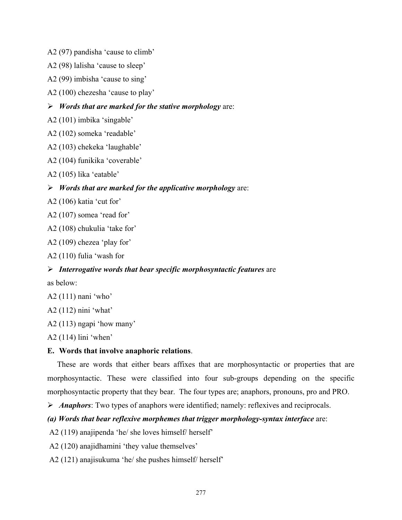A2 (97) pandisha 'cause to climb'

A2 (98) lalisha 'cause to sleep'

A2 (99) imbisha 'cause to sing'

A2 (100) chezesha 'cause to play'

¾ *Words that are marked for the stative morphology* are:

A2 (101) imbika 'singable'

A2 (102) someka 'readable'

A2 (103) chekeka 'laughable'

A2 (104) funikika 'coverable'

A2 (105) lika 'eatable'

¾ *Words that are marked for the applicative morphology* are:

A2 (106) katia 'cut for'

A2 (107) somea 'read for'

A2 (108) chukulia 'take for'

A2 (109) chezea 'play for'

A2 (110) fulia 'wash for

#### ¾ *Interrogative words that bear specific morphosyntactic features* are

as below:

A2 (111) nani 'who'

A2 (112) nini 'what'

A2 (113) ngapi 'how many'

A2 (114) lini 'when'

#### **E. Words that involve anaphoric relations**.

These are words that either bears affixes that are morphosyntactic or properties that are morphosyntactic. These were classified into four sub-groups depending on the specific morphosyntactic property that they bear. The four types are; anaphors, pronouns, pro and PRO.

¾ *Anaphors*: Two types of anaphors were identified; namely: reflexives and reciprocals.

## *(a) Words that bear reflexive morphemes that trigger morphology-syntax interface* are:

A2 (119) anajipenda 'he/ she loves himself/ herself'

A2 (120) anajidhamini 'they value themselves'

A2 (121) anajisukuma 'he/ she pushes himself/ herself'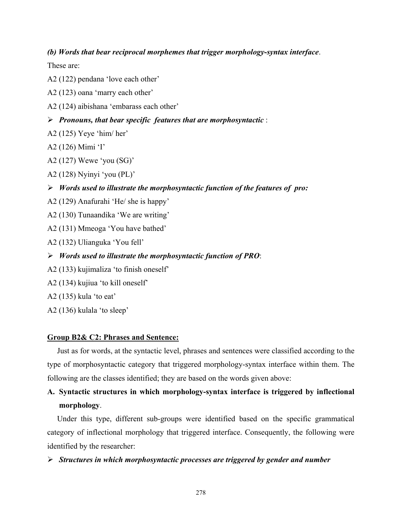#### *(b) Words that bear reciprocal morphemes that trigger morphology-syntax interface*.

These are:

A2 (122) pendana 'love each other'

A2 (123) oana 'marry each other'

A2 (124) aibishana 'embarass each other'

¾ *Pronouns, that bear specific features that are morphosyntactic* :

- A2 (125) Yeye 'him/ her'
- A2 (126) Mimi 'I'
- A2 (127) Wewe 'you (SG)'

A2 (128) Nyinyi 'you (PL)'

¾ *Words used to illustrate the morphosyntactic function of the features of pro:* 

- A2 (129) Anafurahi 'He/ she is happy'
- A2 (130) Tunaandika 'We are writing'
- A2 (131) Mmeoga 'You have bathed'
- A2 (132) Ulianguka 'You fell'
- ¾ *Words used to illustrate the morphosyntactic function of PRO*:
- A2 (133) kujimaliza 'to finish oneself'
- A2 (134) kujiua 'to kill oneself'
- A2 (135) kula 'to eat'

A2 (136) kulala 'to sleep'

#### **Group B2& C2: Phrases and Sentence:**

 Just as for words, at the syntactic level, phrases and sentences were classified according to the type of morphosyntactic category that triggered morphology-syntax interface within them. The following are the classes identified; they are based on the words given above:

## **A. Syntactic structures in which morphology-syntax interface is triggered by inflectional morphology**.

Under this type, different sub-groups were identified based on the specific grammatical category of inflectional morphology that triggered interface. Consequently, the following were identified by the researcher:

#### ¾ *Structures in which morphosyntactic processes are triggered by gender and number*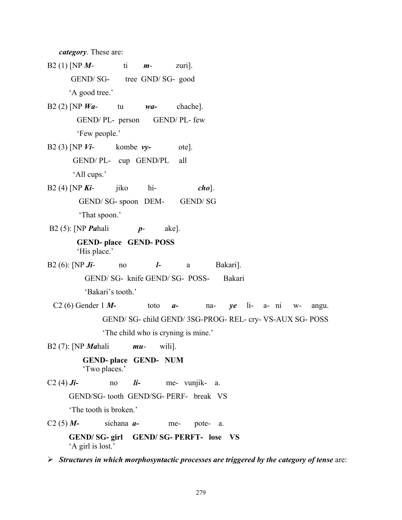*category*. These are:

B2 (1) [NP *M*- ti *m*- zuri]. GEND/ SG- tree GND/ SG- good 'A good tree.' B2 (2) [NP *Wa*- tu *wa-* chache]. GEND/ PL- person GEND/ PL- few 'Few people.' B2 (3) [NP *Vi*- kombe *vy-* ote]. GEND/ PL- cup GEND/PL all 'All cups.' B2 (4) [NP *Ki*- jiko hi- *cho*]. GEND/ SG- spoon DEM- GEND/ SG 'That spoon.' B2 (5): [NP *Pa*hali *p*- ake].  **GEND- place GEND- POSS**  'His place.' B2 (6): [NP *Ji*- no *l-* a Bakari]. GEND/ SG- knife GEND/ SG- POSS- Bakari 'Bakari's tooth.' C2 (6) Gender 1 *M-* toto *a-* na- *ye* li- a- ni w- angu. GEND/ SG- child GEND/ 3SG-PROG- REL- cry- VS-AUX SG- POSS 'The child who is cryning is mine.' B2 (7): [NP *Ma*hali *mu*- wili].  **GEND- place GEND- NUM**  'Two places.' C2 (4)  $J\mathbf{i}$ - no  $\mathbf{i}$ - me- vunjik- a. GEND/SG- tooth GEND/SG- PERF- break VS 'The tooth is broken'  $C2(5)$  *M*- sichana *a*- me- pote- a.  **GEND/ SG- girl GEND/ SG- PERFT- lose VS**  'A girl is lost.'

¾ *Structures in which morphosyntactic processes are triggered by the category of tense* are: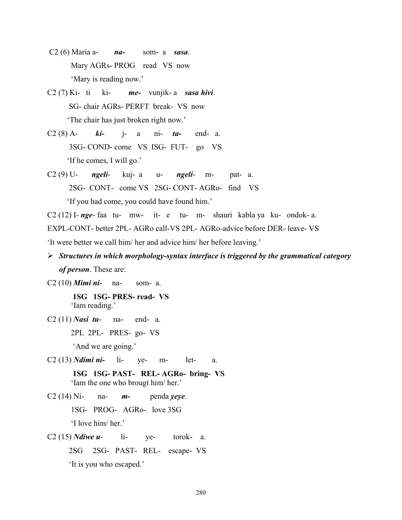- C2 (6) Maria a- *na-* som- a *sasa*. Mary AGRs- PROG read VS now 'Mary is reading now.'
- C2 (7) Ki- ti ki- *me-* vunjik- a *sasa hivi*. SG- chair AGRs- PERFT break- VS now 'The chair has just broken right now.'
- C2 (8) A- *ki-* j- a ni- *ta-* end- a. 3SG- COND- come VS ISG- FUT- go VS 'If he comes, I will go.'
- C2 (9) U- *ngeli* kuj- a u- *ngeli* m- pat- a. 2SG- CONT- come VS 2SG- CONT- AGRo- find VS 'If you had come, you could have found him.'

C2 (12) I- *nge*- faa tu- mw- it- e tu- m- shauri kabla ya ku- ondok- a.

EXPL-CONT- better 2PL- AGRo call-VS 2PL- AGRo-advice before DER- leave- VS

'It were better we call him/ her and advice him/ her before leaving.'

- ¾ *Structures in which morphology-syntax interface is triggered by the grammatical category of person*. These are:
- C2 (10) *Mimi ni* na- som- a.

 **1SG 1SG- PRES- read- VS**  'Iam reading.'

C2 (11) *Nasi tu*- na- end- a.

2PL 2PL- PRES- go- VS

'And we are going.'

- C2 (13) *Ndimi ni-* li- ye- m- let- a.
	- **1SG 1SG- PAST- REL- AGRo- bring- VS**  'Iam the one who brougt him/ her.'
- C2 (14) Ni- na- *m-* penda *yeye*.
	- 1SG- PROG- AGRo- love 3SG

'I love him/ her.'

C2 (15) *Ndiwe u*- li- ye- torok- a. 2SG 2SG- PAST- REL- escape- VS 'It is you who escaped.'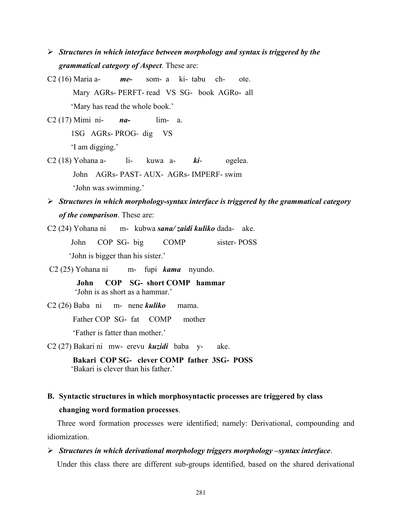- ¾ *Structures in which interface between morphology and syntax is triggered by the grammatical category of Aspect*. These are:
- C2 (16) Maria a- *me-* som- a ki- tabu ch- ote. Mary AGRs- PERFT- read VS SG- book AGRo- all 'Mary has read the whole book.'
- C2 (17) Mimi ni- *na-* lim- a. 1SG AGRs- PROG- dig VS 'I am digging.'
- C2 (18) Yohana a- li- kuwa a- *ki* ogelea. John AGRs- PAST- AUX- AGRs- IMPERF- swim 'John was swimming.'
- ¾ *Structures in which morphology-syntax interface is triggered by the grammatical category of the comparison*. These are:
- C2 (24) Yohana ni m- kubwa *sana/ zaidi kuliko* dada- ake. John COP SG- big COMP sister- POSS 'John is bigger than his sister.'
- C2 (25) Yohana ni m- fupi *kama* nyundo.

 **John COP SG- short COMP hammar**  'John is as short as a hammar.'

C2 (26) Baba ni m- nene *kuliko* mama.

Father COP SG- fat COMP mother

'Father is fatter than mother.'

C2 (27) Bakari ni mw- erevu *kuzidi* baba y- ake.

 **Bakari COP SG- clever COMP father 3SG- POSS**  'Bakari is clever than his father.'

**B. Syntactic structures in which morphosyntactic processes are triggered by class changing word formation processes**.

Three word formation processes were identified; namely: Derivational, compounding and idiomization.

¾ *Structures in which derivational morphology triggers morphology –syntax interface*.

Under this class there are different sub-groups identified, based on the shared derivational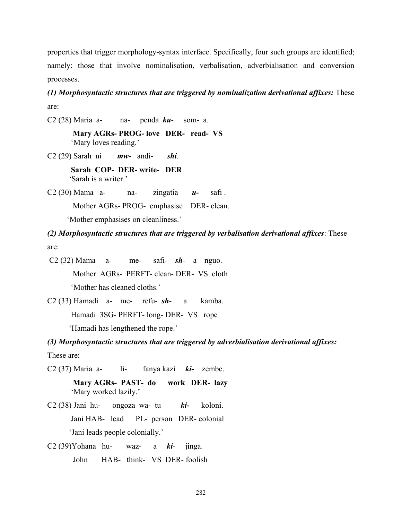properties that trigger morphology-syntax interface. Specifically, four such groups are identified; namely: those that involve nominalisation, verbalisation, adverbialisation and conversion processes.

*(1) Morphosyntactic structures that are triggered by nominalization derivational affixes:* These are:

C2 (28) Maria a- na- penda *ku*- som- a.

 **Mary AGRs- PROG- love DER- read- VS**  'Mary loves reading.'

C2 (29) Sarah ni *mw-* andi- *shi*.

 **Sarah COP- DER- write- DER**  'Sarah is a writer.'

C2 (30) Mama a- na- zingatia *u-* safi .

Mother AGRs- PROG- emphasise DER- clean.

'Mother emphasises on cleanliness.'

*(2) Morphosyntactic structures that are triggered by verbalisation derivational affixes*: These are:

 C2 (32) Mama a- me- safi- *sh*- a nguo. Mother AGRs- PERFT- clean- DER- VS cloth 'Mother has cleaned cloths.'

C2 (33) Hamadi a- me- refu- *sh*- a kamba. Hamadi 3SG- PERFT- long- DER- VS rope 'Hamadi has lengthened the rope.'

*(3) Morphosyntactic structures that are triggered by adverbialisation derivational affixes:* These are:

C2 (37) Maria a- li- fanya kazi *ki-* zembe.

 **Mary AGRs- PAST- do work DER- lazy**  'Mary worked lazily.'

- C2 (38) Jani hu- ongoza wa- tu *ki-* koloni. Jani HAB- lead PL- person DER- colonial 'Jani leads people colonially.'
- C2 (39)Yohana hu- waz- a *ki* jinga. John HAB- think- VS DER- foolish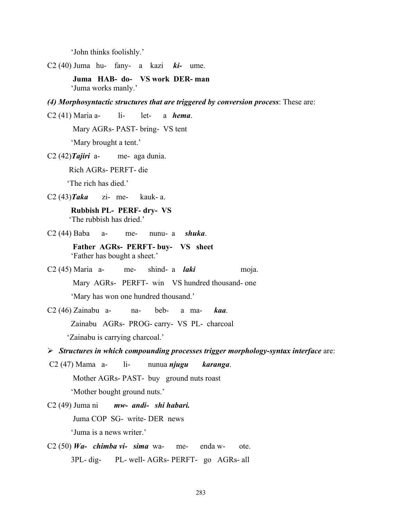'John thinks foolishly.'

C2 (40) Juma hu- fany- a kazi *ki-* ume.

 **Juma HAB- do- VS work DER- man**  'Juma works manly.'

*(4) Morphosyntactic structures that are triggered by conversion process*: These are:

C2 (41) Maria a- li- let- a *hema*.

Mary AGRs- PAST- bring- VS tent

'Mary brought a tent.'

C2 (42)*Tajiri* a- me- aga dunia.

Rich AGRs- PERFT- die

'The rich has died.'

C2 (43)*Taka* zi- me- kauk- a.

 **Rubbish PL- PERF- dry- VS**  'The rubbish has dried.'

C2 (44) Baba a- me- nunu- a *shuka*.

 **Father AGRs- PERFT- buy- VS sheet**  'Father has bought a sheet.'

C2 (45) Maria a- me- shind- a *laki* moja.

 Mary AGRs- PERFT- win VS hundred thousand- one 'Mary has won one hundred thousand.'

C2 (46) Zainabu a- na- beb- a ma- *kaa*. Zainabu AGRs- PROG- carry- VS PL- charcoal 'Zainabu is carrying charcoal.'

¾ *Structures in which compounding processes trigger morphology-syntax interface* are:

C2 (47) Mama a- li- nunua *njugu karanga*. Mother AGRs- PAST- buy ground nuts roast

'Mother bought ground nuts.'

C2 (49) Juma ni *mw- andi- shi habari.* 

Juma COP SG- write- DER news

'Juma is a news writer.'

C2 (50) *Wa- chimba vi- sima* wa- me- enda w- ote. 3PL- dig- PL- well- AGRs- PERFT- go AGRs- all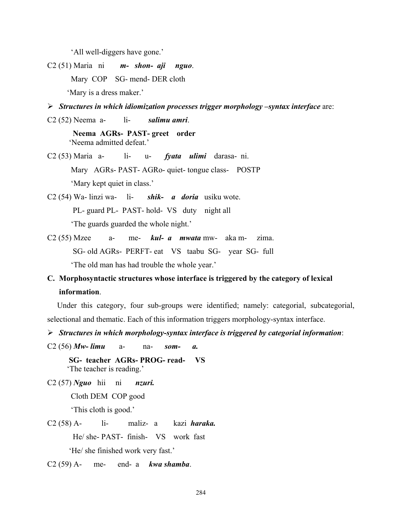'All well-diggers have gone.'

C2 (51) Maria ni *m- shon- aji nguo*. Mary COP SG- mend- DER cloth 'Mary is a dress maker.'

¾ *Structures in which idiomization processes trigger morphology –syntax interface* are:

C2 (52) Neema a- li- *salimu amri*.

 **Neema AGRs- PAST- greet order**  'Neema admitted defeat.'

C2 (53) Maria a- li- u- *fyata ulimi* darasa- ni. Mary AGRs- PAST- AGRo- quiet- tongue class- POSTP 'Mary kept quiet in class.'

C2 (54) Wa- linzi wa- li- *shik- a doria* usiku wote.

PL- guard PL- PAST- hold- VS duty night all

'The guards guarded the whole night.'

C2 (55) Mzee a- me- *kul- a mwata* mw- aka m- zima. SG- old AGRs- PERFT- eat VS taabu SG- year SG- full 'The old man has had trouble the whole year.'

## **C. Morphosyntactic structures whose interface is triggered by the category of lexical information**.

Under this category, four sub-groups were identified; namely: categorial, subcategorial, selectional and thematic. Each of this information triggers morphology-syntax interface.

¾ *Structures in which morphology-syntax interface is triggered by categorial information*:

C2 (56) *Mw- limu* a- na- *som- a.*  **SG- teacher AGRs- PROG- read- VS** 

'The teacher is reading.'

C2 (57) *Nguo* hii ni *nzuri.*

Cloth DEM COP good

'This cloth is good.'

C2 (58) A- li- maliz- a kazi *haraka.* He/ she- PAST- finish- VS work fast 'He/ she finished work very fast.'

C2 (59) A- me- end- a *kwa shamba*.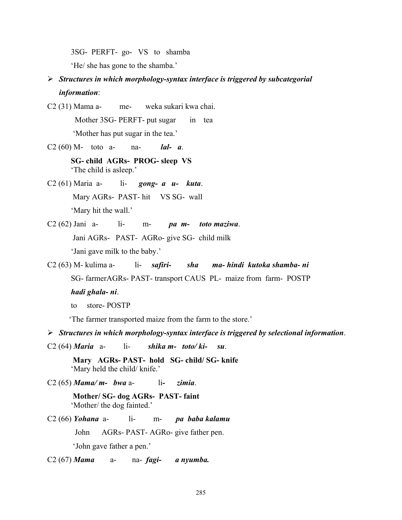3SG- PERFT- go- VS to shamba

'He/ she has gone to the shamba.'

¾ *Structures in which morphology-syntax interface is triggered by subcategorial information*:

C2 (31) Mama a- me- weka sukari kwa chai. Mother 3SG- PERFT- put sugar in tea 'Mother has put sugar in the tea.'

C2 (60) M- toto a- na- *lal- a*.

 **SG- child AGRs- PROG- sleep VS**  'The child is asleep.'

C2 (61) Maria a- li- *gong- a u- kuta*. Mary AGRs- PAST- hit VS SG- wall 'Mary hit the wall.'

C2 (62) Jani a- li- m- *pa m- toto maziwa*.

Jani AGRs- PAST- AGRo- give SG- child milk

'Jani gave milk to the baby.'

C2 (63) M- kulima a- li- *safiri- sha ma- hindi kutoka shamba- ni* SG- farmerAGRs- PAST- transport CAUS PL- maize from farm- POSTP *hadi ghala- ni*.

'The farmer transported maize from the farm to the store.'

¾ *Structures in which morphology-syntax interface is triggered by selectional information*.

- C2 (64) *Maria* a- li- *shika m- toto/ ki- su*.
	- **Mary AGRs- PAST- hold SG- child/ SG- knife**  'Mary held the child/ knife.'
- C2 (65) *Mama/ m- bwa* a- li *zimia*.

 **Mother/ SG- dog AGRs- PAST- faint**  'Mother/ the dog fainted.'

C2 (66) *Yohana* a- li- m- *pa baba kalamu* John AGRs- PAST- AGRo- give father pen. 'John gave father a pen.'

C2 (67) *Mama* a- na- *fagi- a nyumba.*

to store- POSTP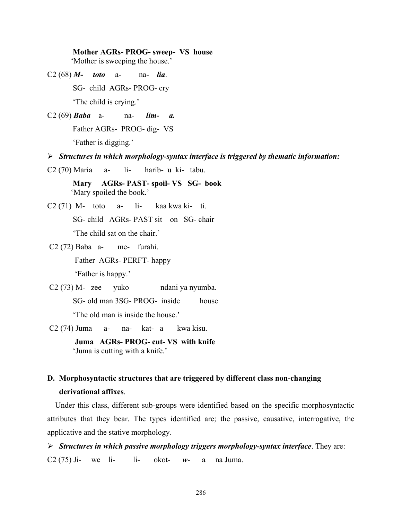**Mother AGRs- PROG- sweep- VS house** 

'Mother is sweeping the house.'

C2 (68) *M- toto* a- na- *lia*.

SG- child AGRs- PROG- cry

'The child is crying.'

C2 (69) *Baba* a- na- *lim- a.*

Father AGRs- PROG- dig- VS

'Father is digging.'

¾ *Structures in which morphology-syntax interface is triggered by thematic information:*

C2 (70) Maria a- li- harib- u ki- tabu.

 **Mary AGRs- PAST- spoil- VS SG- book**  'Mary spoiled the book.'

 $C2(71)$  M- toto a- li- kaa kwa ki- ti.

SG- child AGRs- PAST sit on SG- chair

'The child sat on the chair.'

C2 (72) Baba a- me- furahi.

Father AGRs- PERFT- happy

'Father is happy.'

C2 (73) M-zee yuko ndani ya nyumba.

SG- old man 3SG- PROG- inside house

'The old man is inside the house.'

C2 (74) Juma a- na- kat- a kwa kisu.

 **Juma AGRs- PROG- cut- VS with knife**  'Juma is cutting with a knife.'

# **D. Morphosyntactic structures that are triggered by different class non-changing derivational affixes**.

Under this class, different sub-groups were identified based on the specific morphosyntactic attributes that they bear. The types identified are; the passive, causative, interrogative, the applicative and the stative morphology.

¾ *Structures in which passive morphology triggers morphology-syntax interface*. They are: C2 (75) Ji- we li- li- okot- *w*- a na Juma.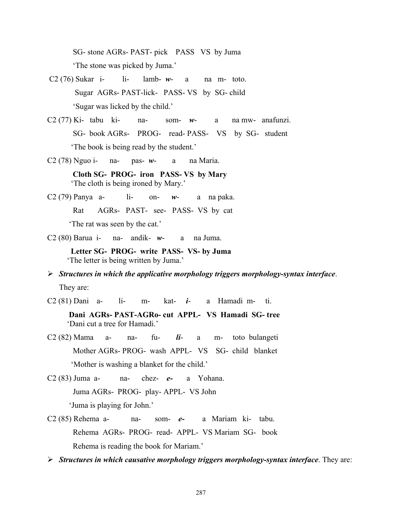SG- stone AGRs- PAST- pick PASS VS by Juma 'The stone was picked by Juma.'

- C2 (76) Sukar i- li- lamb- *w* a na m- toto. Sugar AGRs- PAST-lick- PASS- VS by SG- child 'Sugar was licked by the child.'
- C2 (77) Ki- tabu ki- na- som- *w* a na mw- anafunzi. SG- book AGRs- PROG- read- PASS- VS by SG- student 'The book is being read by the student.'
- C2 (78) Nguo i- na- pas- *w* a na Maria.

 **Cloth SG- PROG- iron PASS- VS by Mary**  'The cloth is being ironed by Mary.'

C2 (79) Panya a- li- on- *w*- a na paka. Rat AGRs- PAST- see- PASS- VS by cat 'The rat was seen by the cat.'

C2 (80) Barua i- na- andik- *w*- a na Juma.

 **Letter SG- PROG- write PASS- VS- by Juma**  'The letter is being written by Juma.'

¾ *Structures in which the applicative morphology triggers morphology-syntax interface*. They are:

C2 (81) Dani a- li- m- kat- *i*- a Hamadi m- ti.

 **Dani AGRs- PAST-AGRo- cut APPL- VS Hamadi SG- tree**  'Dani cut a tree for Hamadi.'

C2 (82) Mama a- na- fu- *li*- a m- toto bulangeti Mother AGRs- PROG- wash APPL- VS SG- child blanket 'Mother is washing a blanket for the child.'

C2 (83) Juma a- na- chez- *e-* a Yohana. Juma AGRs- PROG- play- APPL- VS John 'Juma is playing for John.'

C2 (85) Rehema a- na- som- *e-* a Mariam ki- tabu. Rehema AGRs- PROG- read- APPL- VS Mariam SG- book Rehema is reading the book for Mariam.'

¾ *Structures in which causative morphology triggers morphology-syntax interface*. They are: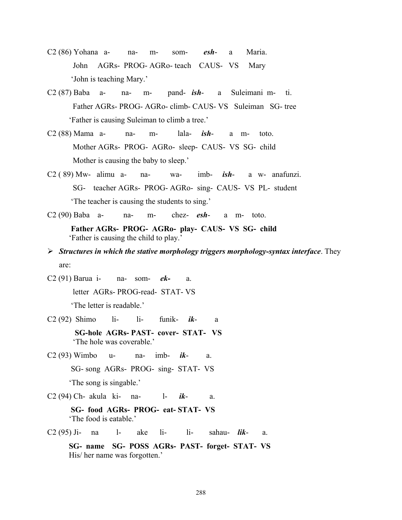- C2 (86) Yohana a- na- m- som- *esh* a Maria. John AGRs- PROG- AGRo- teach CAUS- VS Mary 'John is teaching Mary.'
- C2 (87) Baba a- na- m- pand- *ish* a Suleimani m- ti. Father AGRs- PROG- AGRo- climb- CAUS- VS Suleiman SG- tree 'Father is causing Suleiman to climb a tree.'
- C2 (88) Mama a- na- m- lala- *ish* a m- toto. Mother AGRs- PROG- AGRo- sleep- CAUS- VS SG- child Mother is causing the baby to sleep.'
- C2 ( 89) Mw- alimu a- na- wa- imb- *ish* a w- anafunzi. SG- teacher AGRs- PROG- AGRo- sing- CAUS- VS PL- student 'The teacher is causing the students to sing.'
- C2 (90) Baba a- na- m- chez- *esh* a m- toto.
	- **Father AGRs- PROG- AGRo- play- CAUS- VS SG- child**  'Father is causing the child to play.'
- ¾ *Structures in which the stative morphology triggers morphology-syntax interface*. They are:

C2 (91) Barua i- na- som- *ek-* a. letter AGRs- PROG-read- STAT- VS

'The letter is readable.'

C2 (92) Shimo li- li- funik- *ik*- a

 **SG-hole AGRs- PAST- cover- STAT- VS**  'The hole was coverable.'

C2 (93) Wimbo u- na- imb- *ik*- a.

SG- song AGRs- PROG- sing- STAT- VS

'The song is singable.'

C2 (94) Ch- akula ki- na- l- *ik*- a.

 **SG- food AGRs- PROG- eat- STAT- VS**  'The food is eatable.'

C2 (95) Ji- na l- ake li- li- sahau- *lik*- a.

 **SG- name SG- POSS AGRs- PAST- forget- STAT- VS**  His/ her name was forgotten.'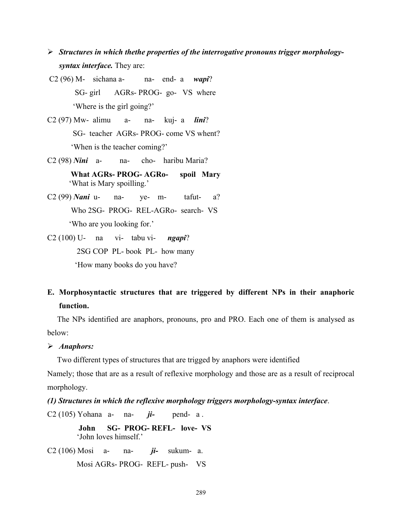- ¾ *Structures in which thethe properties of the interrogative pronouns trigger morphologysyntax interface.* They are:
- C2 (96) M- sichana a- na- end- a *wapi*? SG- girl AGRs- PROG- go- VS where 'Where is the girl going?'
- C2 (97) Mw- alimu a- na- kuj- a *lini*? SG- teacher AGRs- PROG- come VS whent? 'When is the teacher coming?'
- C2 (98) *Nini* a- na- cho- haribu Maria?
	- **What AGRs- PROG- AGRo- spoil Mary**  'What is Mary spoilling.'
- C2 (99) *Nani* u- na- ye- m- tafut- a? Who 2SG- PROG- REL-AGRo- search- VS 'Who are you looking for.'
- C2 (100) U- na vi- tabu vi- *ngapi*? 2SG COP PL- book PL- how many 'How many books do you have?

## **E. Morphosyntactic structures that are triggered by different NPs in their anaphoric function.**

 The NPs identified are anaphors, pronouns, pro and PRO. Each one of them is analysed as below:

¾ *Anaphors:*

Two different types of structures that are trigged by anaphors were identified

Namely; those that are as a result of reflexive morphology and those are as a result of reciprocal morphology.

*(1) Structures in which the reflexive morphology triggers morphology-syntax interface*.

C2 (105) Yohana a- na- *ji-* pend- a .

 **John SG- PROG- REFL- love- VS**  'John loves himself.'

C2 (106) Mosi a- na- *ji-* sukum- a. Mosi AGRs- PROG- REFL- push- VS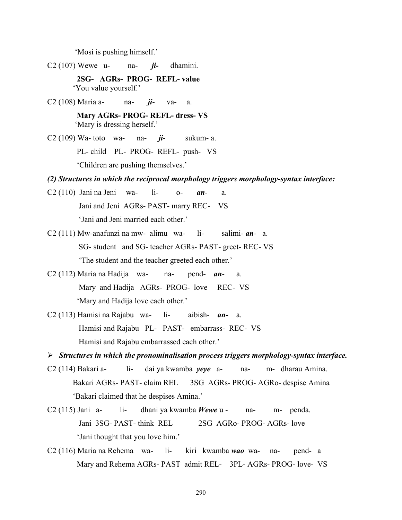'Mosi is pushing himself.'

C2 (107) Wewe u- na- *ji-* dhamini.

 **2SG- AGRs- PROG- REFL- value**  'You value yourself.'

C2 (108) Maria a- na- *ji*- va- a.

 **Mary AGRs- PROG- REFL- dress- VS**  'Mary is dressing herself.'

C2 (109) Wa- toto wa- na- *ji*- sukum- a. PL- child PL- PROG- REFL- push- VS 'Children are pushing themselves.'

*(2) Structures in which the reciprocal morphology triggers morphology-syntax interface:* 

- C2 (110) Jani na Jeni wa- li- o- *an* a. Jani and Jeni AGRs- PAST- marry REC- VS 'Jani and Jeni married each other.'
- C2 (111) Mw-anafunzi na mw- alimu wa- li- salimi- *an* a. SG- student and SG- teacher AGRs- PAST- greet- REC- VS 'The student and the teacher greeted each other.'
- C2 (112) Maria na Hadija wa- na- pend- *an* a. Mary and Hadija AGRs- PROG- love REC- VS 'Mary and Hadija love each other.'
- C2 (113) Hamisi na Rajabu wa- li- aibish- *an-* a. Hamisi and Rajabu PL- PAST- embarrass- REC- VS Hamisi and Rajabu embarrassed each other.'

¾ *Structures in which the pronominalisation process triggers morphology-syntax interface.* 

- C2 (114) Bakari a- li- dai ya kwamba *yeye* a- na- m- dharau Amina. Bakari AGRs- PAST- claim REL 3SG AGRs- PROG- AGRo- despise Amina 'Bakari claimed that he despises Amina.'
- C2 (115) Jani a- li- dhani ya kwamba *Wewe* u na- m- penda. Jani 3SG- PAST- think REL 2SG AGRo- PROG- AGRs- love 'Jani thought that you love him.'
- C2 (116) Maria na Rehema wa- li- kiri kwamba *wao* wa- na- pend- a Mary and Rehema AGRs- PAST admit REL- 3PL- AGRs- PROG- love- VS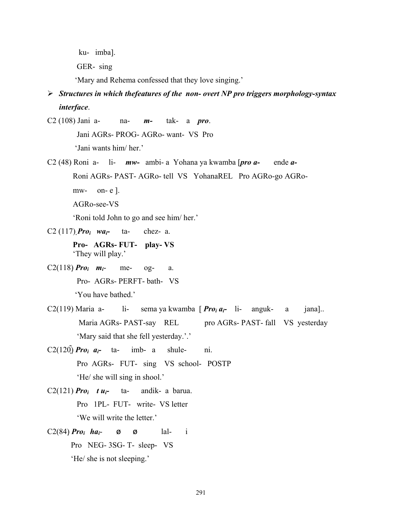ku- imba].

GER- sing

'Mary and Rehema confessed that they love singing.'

## ¾ *Structures in which thefeatures of the non- overt NP pro triggers morphology-syntax interface*.

C2 (108) Jani a- na- *m-* tak- a *pro*.

Jani AGRs- PROG- AGRo- want- VS Pro

'Jani wants him/ her.'

C2 (48) Roni a- li- *mw-* ambi- a Yohana ya kwamba [*pro a-* ende *a-* 

Roni AGRs- PAST- AGRo- tell VS YohanaREL Pro AGRo-go AGRo-

 $mw-$  on- e  $\vert$ .

AGRo-see-VS

'Roni told John to go and see him/ her.'

C2 (117) *Pro<sub>i</sub>*  $wa_i$ - ta- chez- a.

 **Pro- AGRs- FUT- play- VS**  'They will play.'

C2(118)  $Pro_i$   $m_i$ - me- og- a. Pro- AGRs- PERFT- bath- VS 'You have bathed.'

C2(119) Maria a- li- sema ya kwamba [*Pro<sub>i ai*</sub>- li- anguk- a jana].. Maria AGRs- PAST-say REL pro AGRs- PAST- fall VS yesterday 'Mary said that she fell yesterday.'.'

C2(120)<sup> $P$ ro<sub>i</sub> a<sub>i</sub>- ta- imb- a shule- ni.</sup> Pro AGRs- FUT- sing VS school- POSTP 'He/ she will sing in shool.'

- C2(121) *Pro<sub>i</sub>*  $t u_i$  ta- andik- a barua. Pro 1PL- FUT- write- VS letter 'We will write the letter.'
- C2(84)  $Pro_i$  *ha<sub>i</sub>* ø ø lal- i Pro NEG- 3SG- T- sleep- VS 'He/ she is not sleeping.'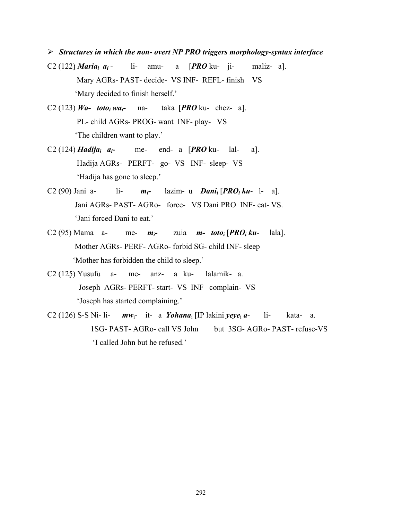- ¾ *Structures in which the non- overt NP PRO triggers morphology-syntax interface*
- C2 (122)*Mariai ai* li- amu- a [*PRO* ku- ji- maliz- a]. Mary AGRs- PAST- decide- VS INF- REFL- finish VS 'Mary decided to finish herself.'
- C2 (123) *Wa-* toto<sub>i</sub> wa<sub>i</sub>- na- taka [*PRO* ku- chez- a]. PL- child AGRs- PROG- want INF- play- VS 'The children want to play.'
- C2 (124) *Hadija<sub>i</sub>*  $a_i$  me- end- a [*PRO* ku- lal- a]. Hadija AGRs- PERFT- go- VS INF- sleep- VS 'Hadija has gone to sleep.'
- C2 (90) Jani a- li-  $m_i$  lazim- u *Dani* [*PRO***<sub>i</sub> ku** l- a]. Jani AGRs- PAST- AGRo- force- VS Dani PRO INF- eat- VS. 'Jani forced Dani to eat.'
- C2 (95) Mama a- me- *mi-* zuia *m- totoi* [*PROi ku* lala]. Mother AGRs- PERF- AGRo- forbid SG- child INF- sleep 'Mother has forbidden the child to sleep.'
- C2 (125) Yusufu a- me- anz- a ku- lalamik- a. Joseph AGRs- PERFT- start- VS INF complain- VS 'Joseph has started complaining.'
- C2 (126) S-S Ni- li-  $mw_i$  it- a *Yohana*<sub>i</sub> [IP lakini *yeye<sub>i</sub> a* li- kata- a. 1SG- PAST- AGRo- call VS John but 3SG- AGRo- PAST- refuse-VS 'I called John but he refused.'